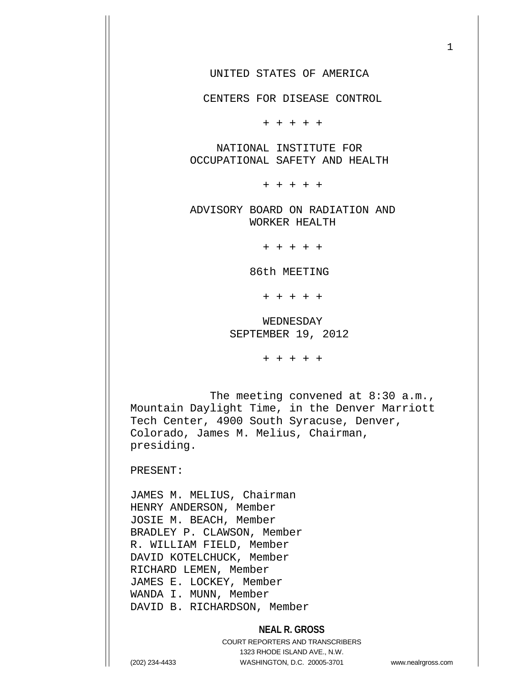UNITED STATES OF AMERICA

CENTERS FOR DISEASE CONTROL

+ + + + +

 NATIONAL INSTITUTE FOR OCCUPATIONAL SAFETY AND HEALTH

+ + + + +

 ADVISORY BOARD ON RADIATION AND WORKER HEALTH

+ + + + +

86th MEETING

+ + + + +

 WEDNESDAY SEPTEMBER 19, 2012

+ + + + +

 The meeting convened at 8:30 a.m., Mountain Daylight Time, in the Denver Marriott Tech Center, 4900 South Syracuse, Denver, Colorado, James M. Melius, Chairman, presiding.

PRESENT:

JAMES M. MELIUS, Chairman HENRY ANDERSON, Member JOSIE M. BEACH, Member BRADLEY P. CLAWSON, Member R. WILLIAM FIELD, Member DAVID KOTELCHUCK, Member RICHARD LEMEN, Member JAMES E. LOCKEY, Member WANDA I. MUNN, Member DAVID B. RICHARDSON, Member

## **NEAL R. GROSS**

COURT REPORTERS AND TRANSCRIBERS 1323 RHODE ISLAND AVE., N.W. (202) 234-4433 WASHINGTON, D.C. 20005-3701 www.nealrgross.com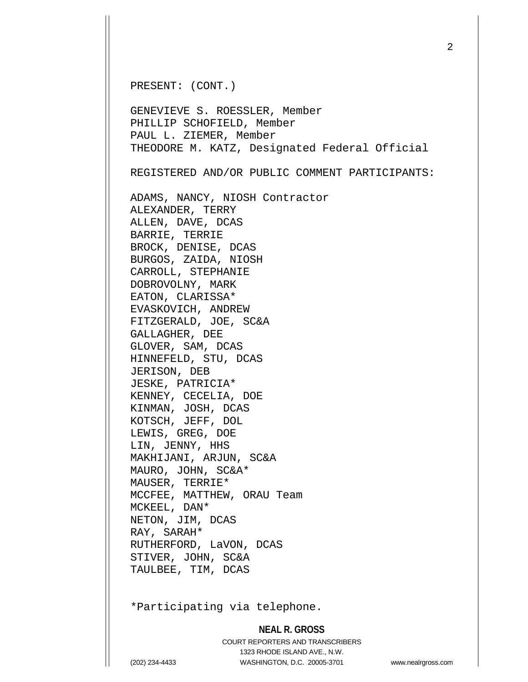PRESENT: (CONT.)

GENEVIEVE S. ROESSLER, Member PHILLIP SCHOFIELD, Member PAUL L. ZIEMER, Member THEODORE M. KATZ, Designated Federal Official

REGISTERED AND/OR PUBLIC COMMENT PARTICIPANTS:

ADAMS, NANCY, NIOSH Contractor ALEXANDER, TERRY ALLEN, DAVE, DCAS BARRIE, TERRIE BROCK, DENISE, DCAS BURGOS, ZAIDA, NIOSH CARROLL, STEPHANIE DOBROVOLNY, MARK EATON, CLARISSA\* EVASKOVICH, ANDREW FITZGERALD, JOE, SC&A GALLAGHER, DEE GLOVER, SAM, DCAS HINNEFELD, STU, DCAS JERISON, DEB JESKE, PATRICIA\* KENNEY, CECELIA, DOE KINMAN, JOSH, DCAS KOTSCH, JEFF, DOL LEWIS, GREG, DOE LIN, JENNY, HHS MAKHIJANI, ARJUN, SC&A MAURO, JOHN, SC&A\* MAUSER, TERRIE\* MCCFEE, MATTHEW, ORAU Team MCKEEL, DAN\* NETON, JIM, DCAS RAY, SARAH\* RUTHERFORD, LaVON, DCAS STIVER, JOHN, SC&A TAULBEE, TIM, DCAS

\*Participating via telephone.

## **NEAL R. GROSS**

COURT REPORTERS AND TRANSCRIBERS 1323 RHODE ISLAND AVE., N.W. (202) 234-4433 WASHINGTON, D.C. 20005-3701 www.nealrgross.com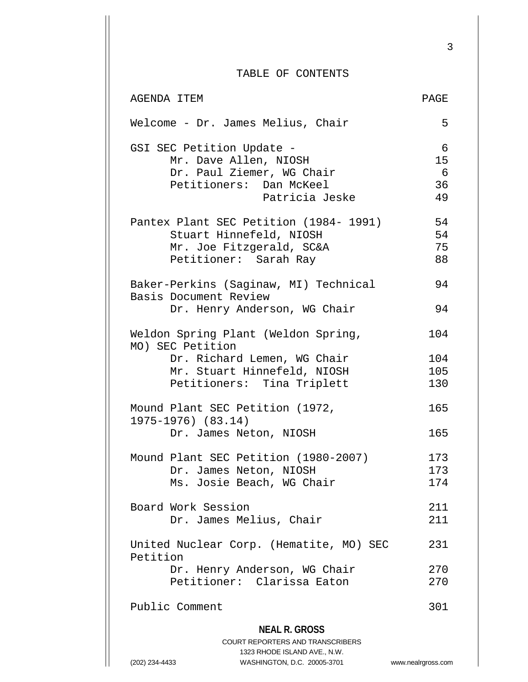## TABLE OF CONTENTS

| <b>AGENDA ITEM</b> |                                                                                                                                | PAGE                       |
|--------------------|--------------------------------------------------------------------------------------------------------------------------------|----------------------------|
|                    | Welcome - Dr. James Melius, Chair                                                                                              | 5                          |
|                    | GSI SEC Petition Update -<br>Mr. Dave Allen, NIOSH<br>Dr. Paul Ziemer, WG Chair<br>Petitioners: Dan McKeel<br>Patricia Jeske   | 6<br>15<br>- 6<br>36<br>49 |
|                    | Pantex Plant SEC Petition (1984- 1991)<br>Stuart Hinnefeld, NIOSH<br>Mr. Joe Fitzgerald, SC&A<br>Petitioner: Sarah Ray         | 54<br>54<br>75<br>88       |
|                    | Baker-Perkins (Saginaw, MI) Technical<br>Basis Document Review<br>Dr. Henry Anderson, WG Chair                                 | 94<br>94                   |
|                    | Weldon Spring Plant (Weldon Spring,                                                                                            | 104                        |
|                    | MO) SEC Petition<br>Dr. Richard Lemen, WG Chair<br>Mr. Stuart Hinnefeld, NIOSH<br>Petitioners: Tina Triplett                   | 104<br>105<br>130          |
|                    | Mound Plant SEC Petition (1972,<br>$1975 - 1976$ (83.14)<br>Dr. James Neton, NIOSH                                             | 165<br>165                 |
|                    | Mound Plant SEC Petition (1980-2007)<br>Dr. James Neton, NIOSH<br>Ms. Josie Beach, WG Chair                                    | 173<br>173<br>174          |
|                    | Board Work Session<br>Dr. James Melius, Chair                                                                                  | 211<br>211                 |
| Petition           | United Nuclear Corp. (Hematite, MO) SEC                                                                                        | 231                        |
|                    | Dr. Henry Anderson, WG Chair<br>Petitioner: Clarissa Eaton                                                                     | 270<br>270                 |
|                    | Public Comment                                                                                                                 | 301                        |
| (202) 234-4433     | <b>NEAL R. GROSS</b><br><b>COURT REPORTERS AND TRANSCRIBERS</b><br>1323 RHODE ISLAND AVE., N.W.<br>WASHINGTON, D.C. 20005-3701 | www.nealrgross.com         |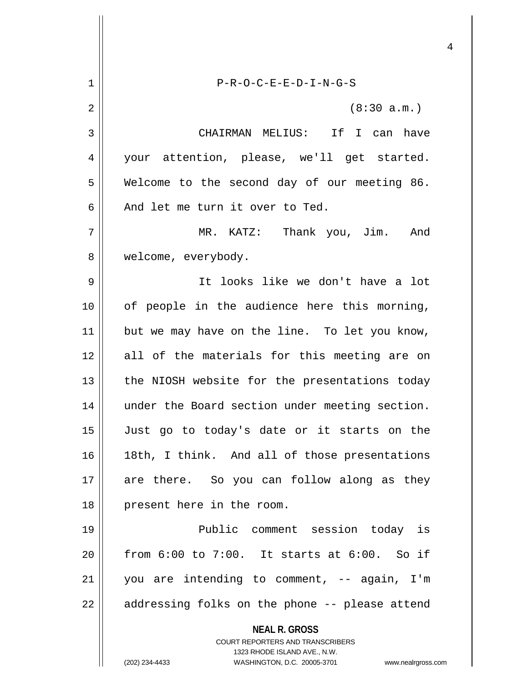| 1  | $P-R-O-C-E-E-D-I-N-G-S$                                                                  |
|----|------------------------------------------------------------------------------------------|
| 2  | (8:30 a.m.)                                                                              |
| 3  | CHAIRMAN MELIUS: If I can have                                                           |
| 4  | your attention, please, we'll get started.                                               |
| 5  | Welcome to the second day of our meeting 86.                                             |
| 6  | And let me turn it over to Ted.                                                          |
| 7  | MR. KATZ: Thank you, Jim. And                                                            |
| 8  | welcome, everybody.                                                                      |
| 9  | It looks like we don't have a lot                                                        |
| 10 | of people in the audience here this morning,                                             |
| 11 | but we may have on the line. To let you know,                                            |
| 12 | all of the materials for this meeting are on                                             |
| 13 | the NIOSH website for the presentations today                                            |
| 14 | under the Board section under meeting section.                                           |
| 15 | Just go to today's date or it starts on the                                              |
| 16 | 18th, I think. And all of those presentations                                            |
| 17 | are there. So you can follow along as they                                               |
| 18 | present here in the room.                                                                |
| 19 | Public comment session today is                                                          |
| 20 | from $6:00$ to $7:00$ . It starts at $6:00$ . So if                                      |
| 21 | you are intending to comment, -- again, I'm                                              |
| 22 | addressing folks on the phone -- please attend                                           |
|    | <b>NEAL R. GROSS</b><br>COURT REPORTERS AND TRANSCRIBERS<br>1323 RHODE ISLAND AVE., N.W. |
|    | (202) 234-4433<br>WASHINGTON, D.C. 20005-3701<br>www.nealrgross.com                      |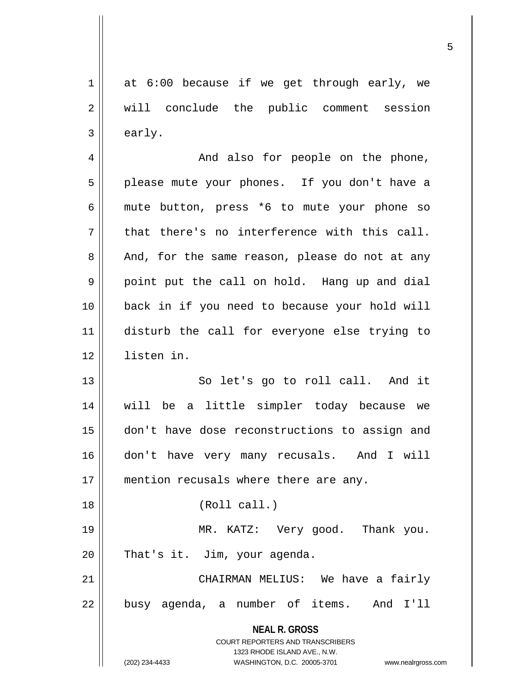$1 \parallel$  at 6:00 because if we get through early, we 2 | will conclude the public comment session  $3 \parallel$  early.

4 And also for people on the phone, 5 || please mute your phones. If you don't have a  $6 \parallel$  mute button, press \*6 to mute your phone so  $7 \parallel$  that there's no interference with this call.  $8 \parallel$  And, for the same reason, please do not at any 9 || point put the call on hold. Hang up and dial 10 back in if you need to because your hold will 11 disturb the call for everyone else trying to 12 listen in.

13 || So let's go to roll call. And it 14 will be a little simpler today because we 15 don't have dose reconstructions to assign and 16 don't have very many recusals. And I will 17 || mention recusals where there are any.

18 || (Roll call.)

19 MR. KATZ: Very good. Thank you.  $20$  | That's it. Jim, your agenda.

21 CHAIRMAN MELIUS: We have a fairly  $22 \parallel$  busy agenda, a number of items. And I'll

> **NEAL R. GROSS** COURT REPORTERS AND TRANSCRIBERS 1323 RHODE ISLAND AVE., N.W. (202) 234-4433 WASHINGTON, D.C. 20005-3701 www.nealrgross.com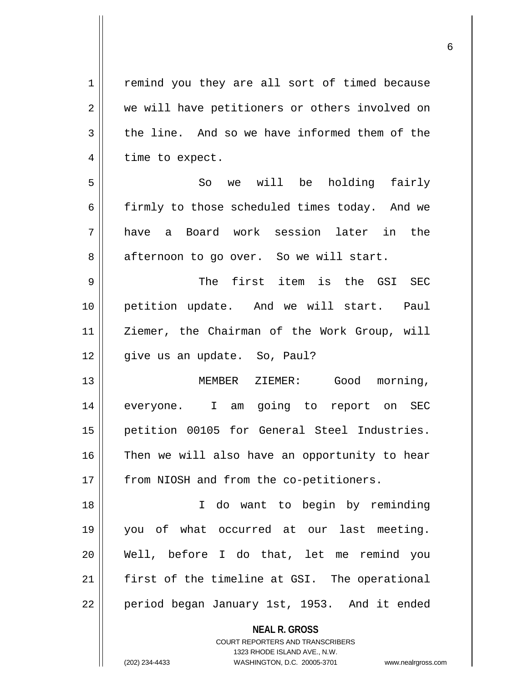**NEAL R. GROSS** COURT REPORTERS AND TRANSCRIBERS 1323 RHODE ISLAND AVE., N.W. 1 | remind you they are all sort of timed because 2 we will have petitioners or others involved on  $3 \parallel$  the line. And so we have informed them of the  $4 \parallel$  time to expect. 5 So we will be holding fairly 6 || firmly to those scheduled times today. And we  $7 \parallel$  have a Board work session later in the 8 || afternoon to go over. So we will start. 9 || The first item is the GSI SEC 10 petition update. And we will start. Paul 11 || Ziemer, the Chairman of the Work Group, will  $12 \parallel$  give us an update. So, Paul? 13 MEMBER ZIEMER: Good morning, 14 || everyone. I am going to report on SEC 15 || petition 00105 for General Steel Industries. 16 || Then we will also have an opportunity to hear 17 || from NIOSH and from the co-petitioners. 18 I do want to begin by reminding 19 you of what occurred at our last meeting. 20 Well, before I do that, let me remind you  $21$  first of the timeline at GSI. The operational 22 | period began January 1st, 1953. And it ended

(202) 234-4433 WASHINGTON, D.C. 20005-3701 www.nealrgross.com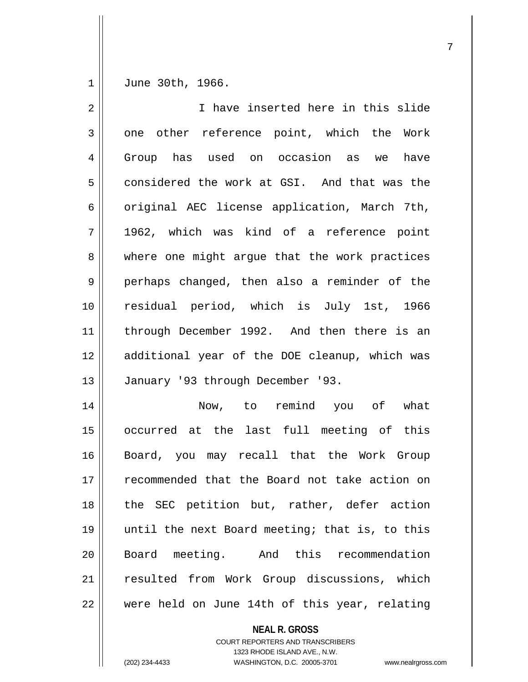1 June 30th, 1966.

| $\overline{a}$ | I have inserted here in this slide             |
|----------------|------------------------------------------------|
| 3              | one other reference point, which the Work      |
| 4              | Group has used on occasion as we<br>have       |
| 5              | considered the work at GSI. And that was the   |
| 6              | original AEC license application, March 7th,   |
| 7              | 1962, which was kind of a reference point      |
| 8              | where one might argue that the work practices  |
| 9              | perhaps changed, then also a reminder of the   |
| 10             | residual period, which is July 1st, 1966       |
| 11             | through December 1992. And then there is an    |
| 12             | additional year of the DOE cleanup, which was  |
| 13             | January '93 through December '93.              |
| 14             | Now, to remind you of what                     |
| 15             | occurred at the last full meeting of this      |
| 16             | Board, you may recall that the Work Group      |
| 17             | recommended that the Board not take action on  |
| 18             | the SEC petition but, rather, defer action     |
| 19             | until the next Board meeting; that is, to this |
| 20             | Board meeting. And this recommendation         |
| 21             | resulted from Work Group discussions, which    |
| 22             | were held on June 14th of this year, relating  |

**NEAL R. GROSS** COURT REPORTERS AND TRANSCRIBERS 1323 RHODE ISLAND AVE., N.W. (202) 234-4433 WASHINGTON, D.C. 20005-3701 www.nealrgross.com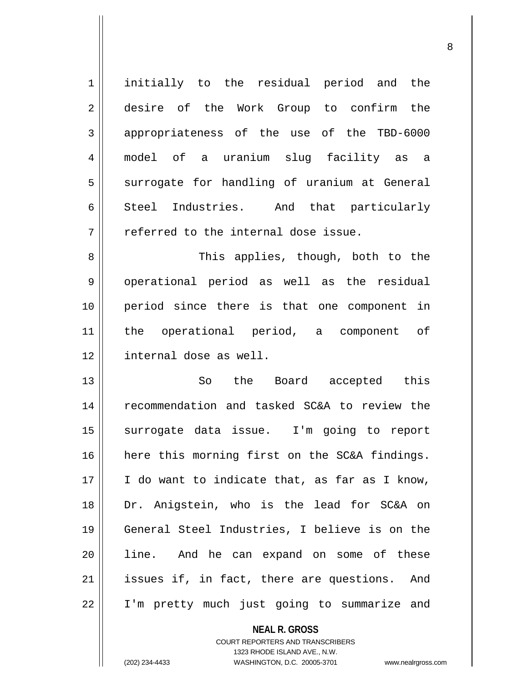initially to the residual period and the 2 desire of the Work Group to confirm the appropriateness of the use of the TBD-6000 model of a uranium slug facility as a 5 Surrogate for handling of uranium at General 6 Steel Industries. And that particularly  $\parallel$  referred to the internal dose issue. This applies, though, both to the 9 || operational period as well as the residual period since there is that one component in the operational period, a component of internal dose as well. So the Board accepted this 14 || recommendation and tasked SC&A to review the surrogate data issue. I'm going to report here this morning first on the SC&A findings.  $17 \parallel$  I do want to indicate that, as far as I know, Dr. Anigstein, who is the lead for SC&A on General Steel Industries, I believe is on the 20 || line. And he can expand on some of these issues if, in fact, there are questions. And I'm pretty much just going to summarize and

**NEAL R. GROSS**

COURT REPORTERS AND TRANSCRIBERS 1323 RHODE ISLAND AVE., N.W. (202) 234-4433 WASHINGTON, D.C. 20005-3701 www.nealrgross.com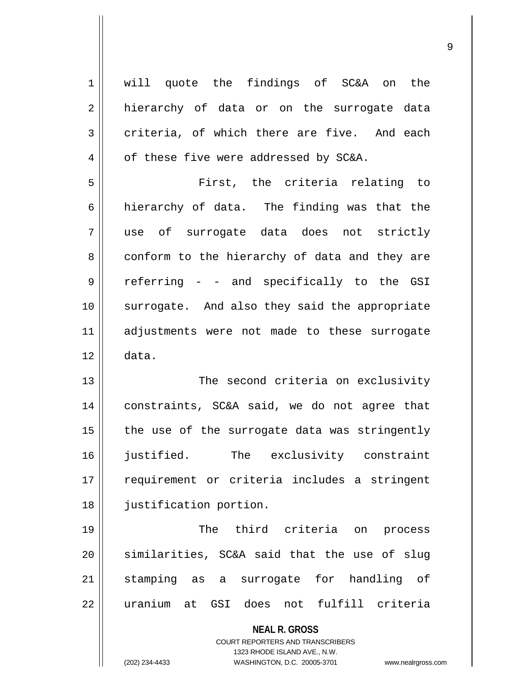**NEAL R. GROSS** COURT REPORTERS AND TRANSCRIBERS 1323 RHODE ISLAND AVE., N.W. 1 || will quote the findings of SC&A on the 2 || hierarchy of data or on the surrogate data  $3 \parallel$  criteria, of which there are five. And each  $4 \parallel$  of these five were addressed by SC&A. 5 First, the criteria relating to 6  $\parallel$  hierarchy of data. The finding was that the 7 use of surrogate data does not strictly 8 conform to the hierarchy of data and they are 9 || referring - - and specifically to the GSI 10 surrogate. And also they said the appropriate 11 adjustments were not made to these surrogate  $12 \parallel$  data. 13 || The second criteria on exclusivity 14 constraints, SC&A said, we do not agree that  $15$  | the use of the surrogate data was stringently 16 || justified. The exclusivity constraint 17 || requirement or criteria includes a stringent 18 || justification portion. 19 || The third criteria on process 20 || similarities, SC&A said that the use of slug 21 stamping as a surrogate for handling of 22 uranium at GSI does not fulfill criteria

(202) 234-4433 WASHINGTON, D.C. 20005-3701 www.nealrgross.com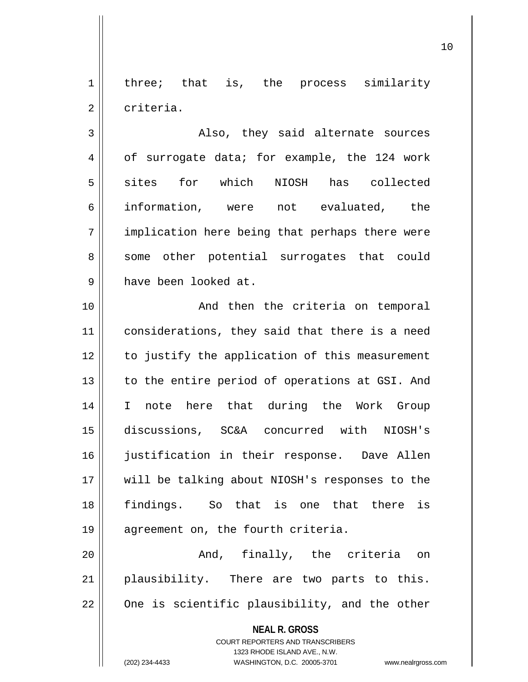1 | three; that is, the process similarity 2 | criteria.

3 Also, they said alternate sources  $4 \parallel$  of surrogate data; for example, the 124 work 5 sites for which NIOSH has collected 6 information, were not evaluated, the 7 || implication here being that perhaps there were 8 || some other potential surrogates that could 9 || have been looked at.

10 || The Rand then the criteria on temporal 11 || considerations, they said that there is a need 12 || to justify the application of this measurement 13 || to the entire period of operations at GSI. And 14 I note here that during the Work Group 15 discussions, SC&A concurred with NIOSH's 16 || justification in their response. Dave Allen 17 || will be talking about NIOSH's responses to the 18 findings. So that is one that there is 19 || agreement on, the fourth criteria.

20 And, finally, the criteria on 21 plausibility. There are two parts to this.  $22$   $\parallel$  One is scientific plausibility, and the other

> **NEAL R. GROSS** COURT REPORTERS AND TRANSCRIBERS 1323 RHODE ISLAND AVE., N.W. (202) 234-4433 WASHINGTON, D.C. 20005-3701 www.nealrgross.com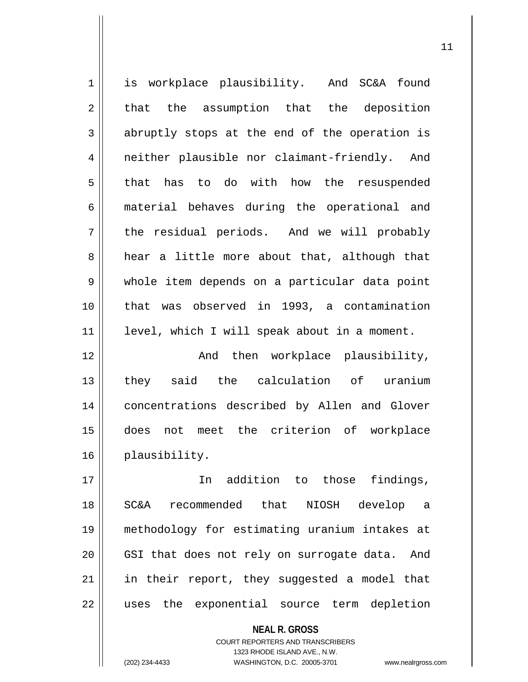| $\mathbf 1$    | is workplace plausibility. And SC&A found     |
|----------------|-----------------------------------------------|
| $\overline{2}$ | that the assumption that the deposition       |
| 3              | abruptly stops at the end of the operation is |
| $\overline{4}$ | neither plausible nor claimant-friendly. And  |
| 5              | that has to do with how the resuspended       |
| 6              | material behaves during the operational and   |
| 7              | the residual periods. And we will probably    |
| 8              | hear a little more about that, although that  |
| 9              | whole item depends on a particular data point |
| 10             | that was observed in 1993, a contamination    |
| 11             | level, which I will speak about in a moment.  |
| 12             | And then workplace plausibility,              |
| 13             | they said the calculation of uranium          |
|                |                                               |
| 14             | concentrations described by Allen and Glover  |
| 15             | does not meet the criterion of workplace      |
| 16             | plausibility.                                 |
| 17             | In addition to those findings,                |
| 18             | SC&A recommended that NIOSH develop a         |
|                | methodology for estimating uranium intakes at |
|                | GSI that does not rely on surrogate data. And |
| 19<br>20<br>21 | in their report, they suggested a model that  |

COURT REPORTERS AND TRANSCRIBERS 1323 RHODE ISLAND AVE., N.W. (202) 234-4433 WASHINGTON, D.C. 20005-3701 www.nealrgross.com

**NEAL R. GROSS**

 $\mathbf{I}$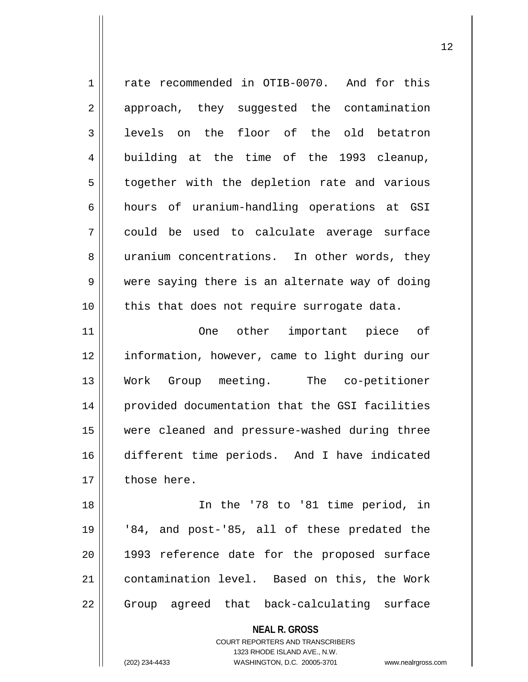**NEAL R. GROSS** COURT REPORTERS AND TRANSCRIBERS 1 || rate recommended in OTIB-0070. And for this 2 || approach, they suggested the contamination 3 || levels on the floor of the old betatron 4 building at the time of the 1993 cleanup, 5 | together with the depletion rate and various 6 | hours of uranium-handling operations at GSI 7 could be used to calculate average surface 8 uranium concentrations. In other words, they 9 were saying there is an alternate way of doing 10 || this that does not require surrogate data. 11 || One other important piece of 12 information, however, came to light during our 13 Work Group meeting. The co-petitioner 14 provided documentation that the GSI facilities 15 were cleaned and pressure-washed during three 16 different time periods. And I have indicated 17 | those here. 18 In the '78 to '81 time period, in 19 '84, and post-'85, all of these predated the  $20$  || 1993 reference date for the proposed surface 21 contamination level. Based on this, the Work 22 || Group agreed that back-calculating surface

1323 RHODE ISLAND AVE., N.W.

(202) 234-4433 WASHINGTON, D.C. 20005-3701 www.nealrgross.com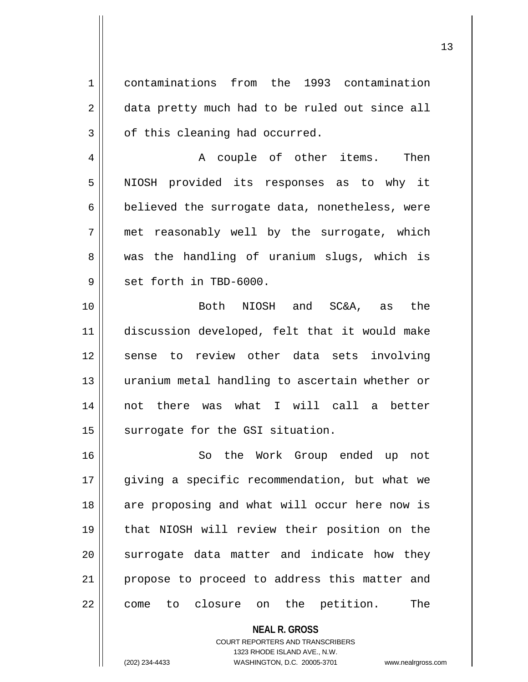1 contaminations from the 1993 contamination 2 data pretty much had to be ruled out since all  $3 \parallel$  of this cleaning had occurred.

4 A couple of other items. Then 5 || NIOSH provided its responses as to why it  $6 \parallel$  believed the surrogate data, nonetheless, were 7 met reasonably well by the surrogate, which 8 was the handling of uranium slugs, which is  $9 \parallel$  set forth in TBD-6000.

 Both NIOSH and SC&A, as the discussion developed, felt that it would make 12 sense to review other data sets involving uranium metal handling to ascertain whether or not there was what I will call a better 15 || surrogate for the GSI situation.

16 So the Work Group ended up not 17 giving a specific recommendation, but what we 18 || are proposing and what will occur here now is 19 that NIOSH will review their position on the  $20$  surrogate data matter and indicate how they 21 || propose to proceed to address this matter and 22 || come to closure on the petition. The

> **NEAL R. GROSS** COURT REPORTERS AND TRANSCRIBERS 1323 RHODE ISLAND AVE., N.W. (202) 234-4433 WASHINGTON, D.C. 20005-3701 www.nealrgross.com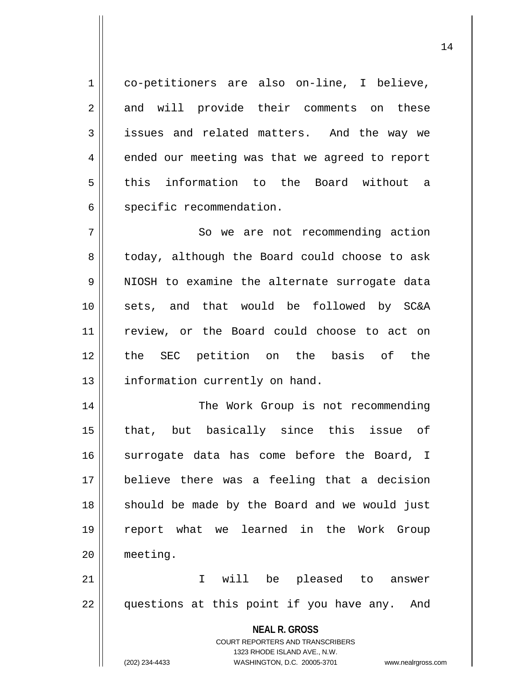1 || co-petitioners are also on-line, I believe, 2 and will provide their comments on these 3 | issues and related matters. And the way we 4 || ended our meeting was that we agreed to report 5 this information to the Board without a 6 | specific recommendation. 7 || So we are not recommending action 8 || today, although the Board could choose to ask

9 || NIOSH to examine the alternate surrogate data 10 sets, and that would be followed by SC&A 11 review, or the Board could choose to act on 12 the SEC petition on the basis of the 13 | information currently on hand.

14 The Work Group is not recommending 15 that, but basically since this issue of 16 || surrogate data has come before the Board, I 17 believe there was a feeling that a decision 18 || should be made by the Board and we would just 19 report what we learned in the Work Group 20 meeting.

21 I will be pleased to answer  $22$  || questions at this point if you have any. And

> **NEAL R. GROSS** COURT REPORTERS AND TRANSCRIBERS 1323 RHODE ISLAND AVE., N.W. (202) 234-4433 WASHINGTON, D.C. 20005-3701 www.nealrgross.com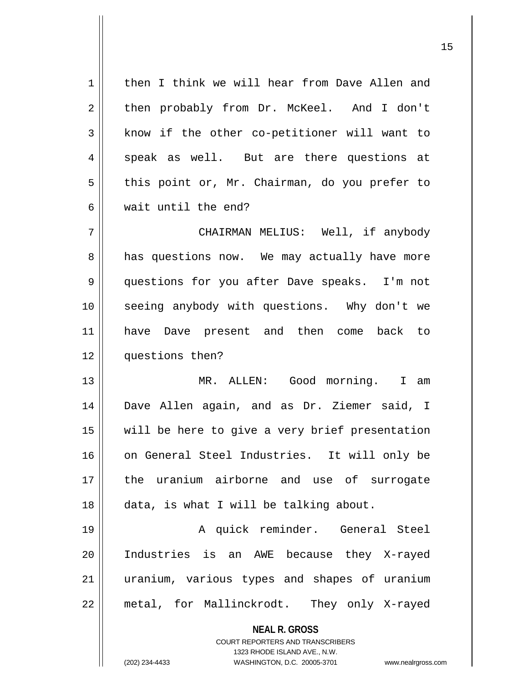**NEAL R. GROSS** COURT REPORTERS AND TRANSCRIBERS 1 | then I think we will hear from Dave Allen and 2 then probably from Dr. McKeel. And I don't  $3$  know if the other co-petitioner will want to  $4 \parallel$  speak as well. But are there questions at 5 | this point or, Mr. Chairman, do you prefer to 6 wait until the end? 7 CHAIRMAN MELIUS: Well, if anybody 8 || has questions now. We may actually have more 9 questions for you after Dave speaks. I'm not 10 seeing anybody with questions. Why don't we 11 have Dave present and then come back to 12 questions then? 13 MR. ALLEN: Good morning. I am 14 Dave Allen again, and as Dr. Ziemer said, I 15 will be here to give a very brief presentation 16 on General Steel Industries. It will only be 17 the uranium airborne and use of surrogate 18 || data, is what I will be talking about. 19 || A quick reminder. General Steel 20 Industries is an AWE because they X-rayed 21 uranium, various types and shapes of uranium 22 || metal, for Mallinckrodt. They only X-rayed

1323 RHODE ISLAND AVE., N.W.

(202) 234-4433 WASHINGTON, D.C. 20005-3701 www.nealrgross.com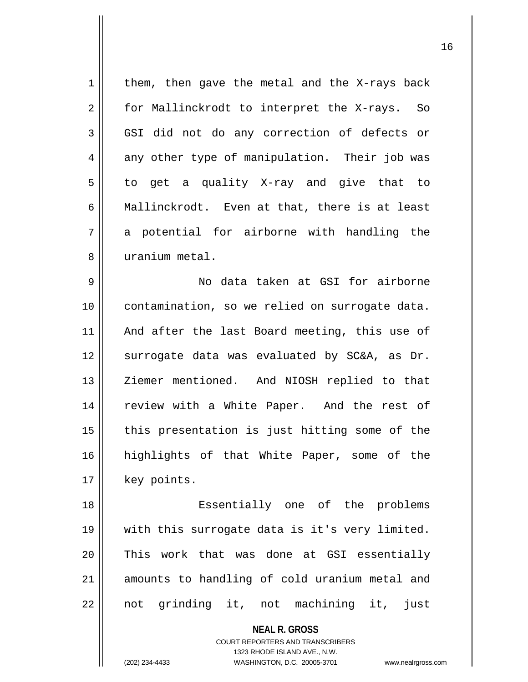$1 \parallel$  them, then gave the metal and the X-rays back 2 || for Mallinckrodt to interpret the X-rays. So 3 GSI did not do any correction of defects or  $4 \parallel$  any other type of manipulation. Their job was  $5 \parallel$  to get a quality X-ray and give that to 6 || Mallinckrodt. Even at that, there is at least 7 a potential for airborne with handling the 8 uranium metal. 9 No data taken at GSI for airborne 10 contamination, so we relied on surrogate data. 11 || And after the last Board meeting, this use of 12 || surrogate data was evaluated by SC&A, as Dr. 13 || Ziemer mentioned. And NIOSH replied to that 14 || review with a White Paper. And the rest of  $15$  || this presentation is just hitting some of the 16 highlights of that White Paper, some of the 17 | key points. 18 Essentially one of the problems 19 with this surrogate data is it's very limited. 20 This work that was done at GSI essentially 21 || amounts to handling of cold uranium metal and

22 || not grinding it, not machining it, just

**NEAL R. GROSS** COURT REPORTERS AND TRANSCRIBERS 1323 RHODE ISLAND AVE., N.W. (202) 234-4433 WASHINGTON, D.C. 20005-3701 www.nealrgross.com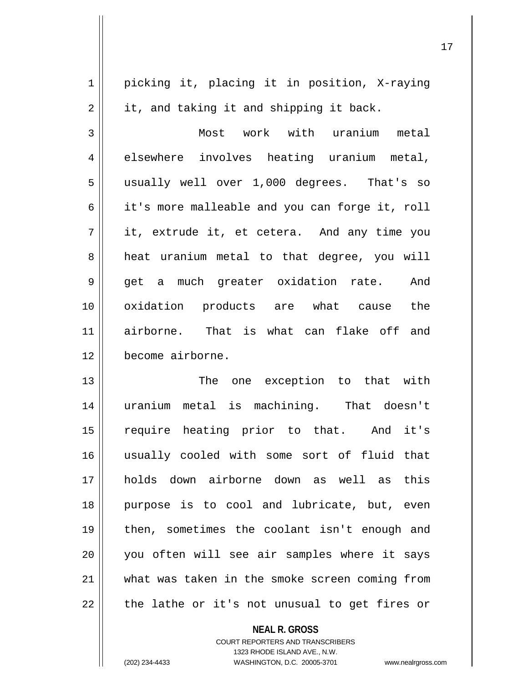picking it, placing it in position, X-raying  $2 \parallel$  it, and taking it and shipping it back. Most work with uranium metal 4 elsewhere involves heating uranium metal, usually well over 1,000 degrees. That's so 6 || it's more malleable and you can forge it, roll  $7 \parallel$  it, extrude it, et cetera. And any time you 8 and heat uranium metal to that degree, you will 9 get a much greater oxidation rate. And oxidation products are what cause the airborne. That is what can flake off and become airborne. 13 || The one exception to that with uranium metal is machining. That doesn't require heating prior to that. And it's usually cooled with some sort of fluid that holds down airborne down as well as this purpose is to cool and lubricate, but, even then, sometimes the coolant isn't enough and you often will see air samples where it says what was taken in the smoke screen coming from || the lathe or it's not unusual to get fires or

> **NEAL R. GROSS** COURT REPORTERS AND TRANSCRIBERS 1323 RHODE ISLAND AVE., N.W.

(202) 234-4433 WASHINGTON, D.C. 20005-3701 www.nealrgross.com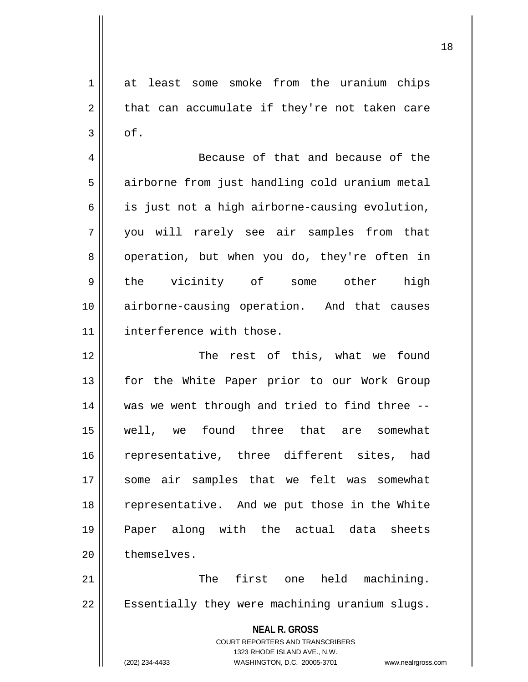**NEAL R. GROSS** 1 at least some smoke from the uranium chips  $2 \parallel$  that can accumulate if they're not taken care  $3 \parallel$  of. 4 || Because of that and because of the 5 | airborne from just handling cold uranium metal  $6 \parallel$  is just not a high airborne-causing evolution, 7 you will rarely see air samples from that 8 || operation, but when you do, they're often in 9 || the vicinity of some other high 10 airborne-causing operation. And that causes 11 interference with those. 12 The rest of this, what we found 13 || for the White Paper prior to our Work Group 14 was we went through and tried to find three -- 15 well, we found three that are somewhat 16 || representative, three different sites, had 17 some air samples that we felt was somewhat 18 || representative. And we put those in the White 19 Paper along with the actual data sheets 20 l themselves. 21 || The first one held machining. 22 | Essentially they were machining uranium slugs.

> COURT REPORTERS AND TRANSCRIBERS 1323 RHODE ISLAND AVE., N.W.

(202) 234-4433 WASHINGTON, D.C. 20005-3701 www.nealrgross.com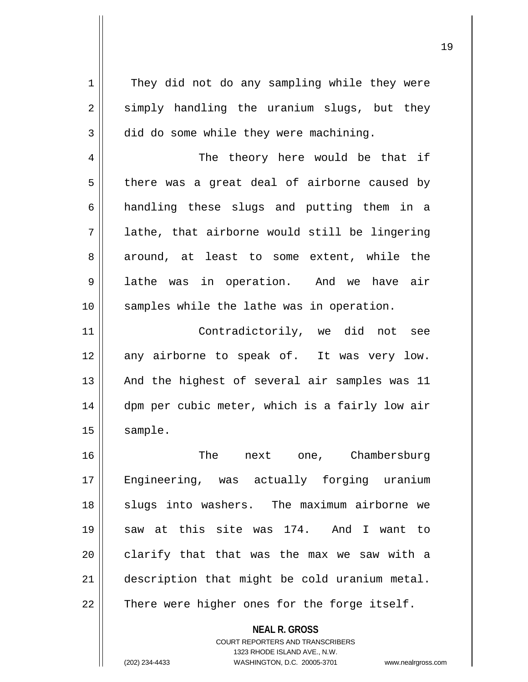**NEAL R. GROSS** 1 | They did not do any sampling while they were 2 || simply handling the uranium slugs, but they  $3 \parallel$  did do some while they were machining. 4 || The theory here would be that if  $5 \parallel$  there was a great deal of airborne caused by 6 handling these slugs and putting them in a  $7 \parallel$  lathe, that airborne would still be lingering 8 around, at least to some extent, while the 9 athe was in operation. And we have air 10 || samples while the lathe was in operation. 11 Contradictorily, we did not see 12 any airborne to speak of. It was very low. 13  $\parallel$  And the highest of several air samples was 11 14 dpm per cubic meter, which is a fairly low air 15 | sample. 16 || The next one, Chambersburg 17 Engineering, was actually forging uranium 18 || slugs into washers. The maximum airborne we 19 saw at this site was 174. And I want to  $20$  clarify that that was the max we saw with a 21 description that might be cold uranium metal.  $22$   $\parallel$  There were higher ones for the forge itself.

> COURT REPORTERS AND TRANSCRIBERS 1323 RHODE ISLAND AVE., N.W.

(202) 234-4433 WASHINGTON, D.C. 20005-3701 www.nealrgross.com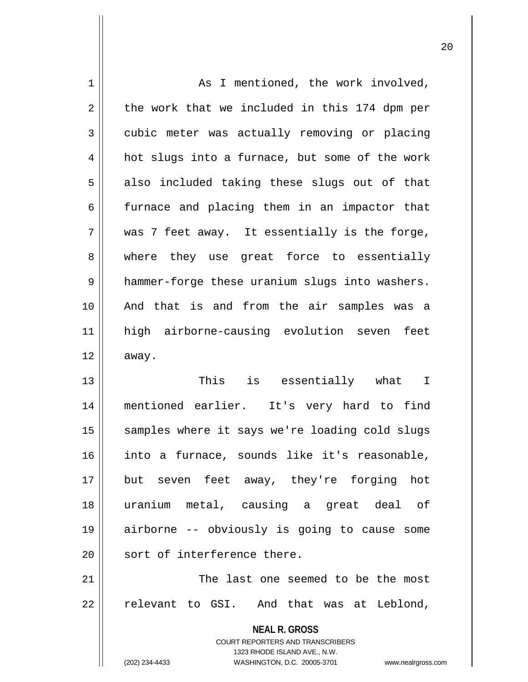| $\mathbf 1$ | As I mentioned, the work involved,                                                                                                                              |
|-------------|-----------------------------------------------------------------------------------------------------------------------------------------------------------------|
| 2           | the work that we included in this 174 dpm per                                                                                                                   |
| 3           | cubic meter was actually removing or placing                                                                                                                    |
| 4           | hot slugs into a furnace, but some of the work                                                                                                                  |
| 5           | also included taking these slugs out of that                                                                                                                    |
| 6           | furnace and placing them in an impactor that                                                                                                                    |
| 7           | was 7 feet away. It essentially is the forge,                                                                                                                   |
| 8           | where they use great force to essentially                                                                                                                       |
| 9           | hammer-forge these uranium slugs into washers.                                                                                                                  |
| 10          | And that is and from the air samples was a                                                                                                                      |
| 11          | high airborne-causing evolution seven feet                                                                                                                      |
| 12          | away.                                                                                                                                                           |
| 13          | This is essentially what I                                                                                                                                      |
| 14          | mentioned earlier. It's very hard to find                                                                                                                       |
| 15          | samples where it says we're loading cold slugs                                                                                                                  |
| 16          | into a furnace, sounds like it's reasonable,                                                                                                                    |
| 17          | but seven feet away, they're forging hot                                                                                                                        |
| 18          | uranium metal, causing a great deal of                                                                                                                          |
| 19          | airborne -- obviously is going to cause some                                                                                                                    |
| 20          | sort of interference there.                                                                                                                                     |
| 21          | The last one seemed to be the most                                                                                                                              |
| 22          | relevant to GSI. And that was at Leblond,                                                                                                                       |
|             | <b>NEAL R. GROSS</b><br>COURT REPORTERS AND TRANSCRIBERS<br>1323 RHODE ISLAND AVE., N.W.<br>(202) 234-4433<br>WASHINGTON, D.C. 20005-3701<br>www.nealrgross.com |
|             |                                                                                                                                                                 |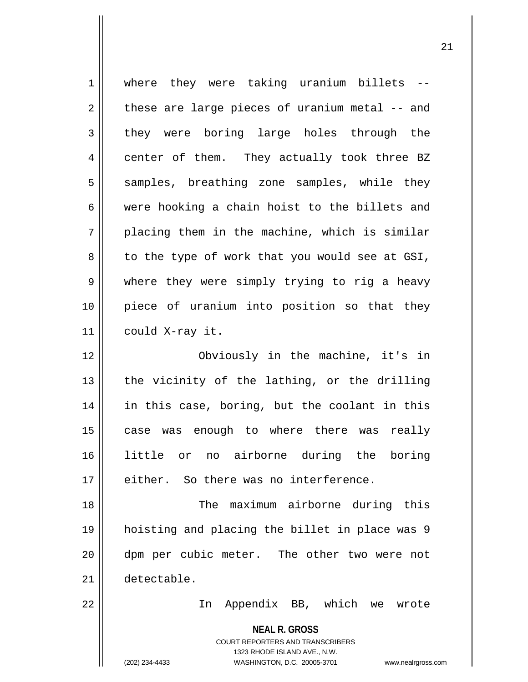| 1            | where they were taking uranium billets --                               |
|--------------|-------------------------------------------------------------------------|
| 2            | these are large pieces of uranium metal -- and                          |
| $\mathsf{3}$ | they were boring large holes through the                                |
| 4            | center of them. They actually took three BZ                             |
| 5            | samples, breathing zone samples, while they                             |
| 6            | were hooking a chain hoist to the billets and                           |
| 7            | placing them in the machine, which is similar                           |
| 8            | to the type of work that you would see at GSI,                          |
| $\mathsf 9$  | where they were simply trying to rig a heavy                            |
| 10           | piece of uranium into position so that they                             |
| 11           | could X-ray it.                                                         |
| 12           | Obviously in the machine, it's in                                       |
| 13           | the vicinity of the lathing, or the drilling                            |
| 14           | in this case, boring, but the coolant in this                           |
| 15           | case was enough to where there was really                               |
| 16           | little or no airborne during the boring                                 |
| 17           | either. So there was no interference.                                   |
| 18           | The maximum airborne during this                                        |
| 19           | hoisting and placing the billet in place was 9                          |
| 20           | dpm per cubic meter. The other two were not                             |
| 21           | detectable.                                                             |
| 22           | Appendix BB, which we wrote<br>In                                       |
|              | <b>NEAL R. GROSS</b>                                                    |
|              | <b>COURT REPORTERS AND TRANSCRIBERS</b><br>1323 RHODE ISLAND AVE., N.W. |
|              | (202) 234-4433<br>WASHINGTON, D.C. 20005-3701<br>www.nealrgross.c       |
|              |                                                                         |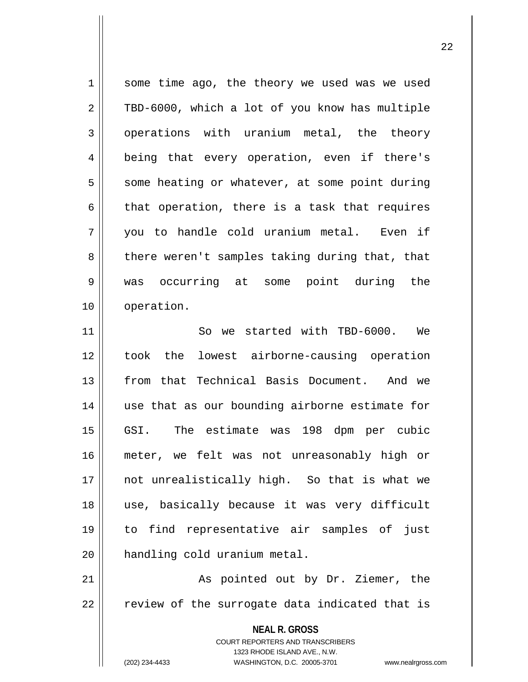| $\mathbf 1$ | some time ago, the theory we used was we used                                            |
|-------------|------------------------------------------------------------------------------------------|
| 2           | TBD-6000, which a lot of you know has multiple                                           |
| 3           | operations with uranium metal, the theory                                                |
| 4           | being that every operation, even if there's                                              |
| 5           | some heating or whatever, at some point during                                           |
| 6           | that operation, there is a task that requires                                            |
| 7           | you to handle cold uranium metal. Even if                                                |
| 8           | there weren't samples taking during that, that                                           |
| $\mathsf 9$ | was occurring at some point during the                                                   |
| 10          | operation.                                                                               |
| 11          | So we started with TBD-6000. We                                                          |
| 12          | the lowest airborne-causing operation<br>took                                            |
| 13          | from that Technical Basis Document. And we                                               |
| 14          | use that as our bounding airborne estimate for                                           |
| 15          | The estimate was 198 dpm per cubic<br>GSI.                                               |
| 16          | meter, we felt was not unreasonably high or                                              |
| 17          | not unrealistically high. So that is what we                                             |
| 18          | use, basically because it was very difficult                                             |
| 19          | to find representative air samples of just                                               |
| 20          | handling cold uranium metal.                                                             |
| 21          | As pointed out by Dr. Ziemer, the                                                        |
| 22          | review of the surrogate data indicated that is                                           |
|             | <b>NEAL R. GROSS</b><br>COURT REPORTERS AND TRANSCRIBERS<br>1323 RHODE ISLAND AVE., N.W. |
|             | WASHINGTON, D.C. 20005-3701<br>(202) 234-4433<br>www.nealrgross.c                        |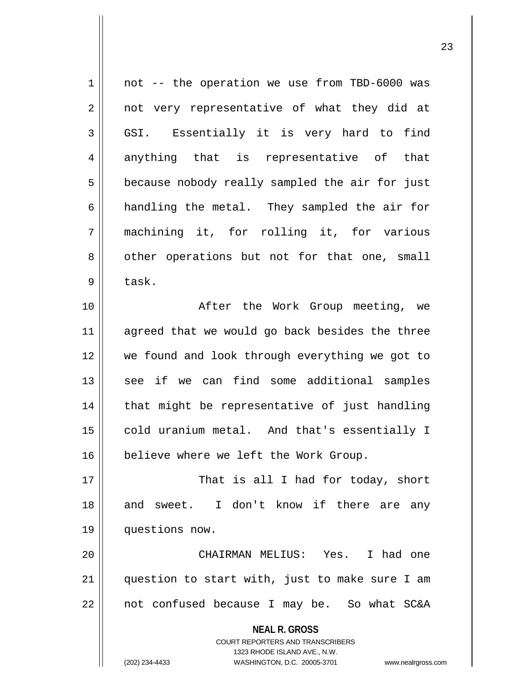| $\mathbf{1}$   | not -- the operation we use from TBD-6000 was                                                       |
|----------------|-----------------------------------------------------------------------------------------------------|
| $\overline{2}$ | not very representative of what they did at                                                         |
| 3              | GSI. Essentially it is very hard to find                                                            |
| 4              | anything that is representative of that                                                             |
| 5              | because nobody really sampled the air for just                                                      |
| 6              | handling the metal. They sampled the air for                                                        |
| 7              | machining it, for rolling it, for various                                                           |
| 8              | other operations but not for that one, small                                                        |
| 9              | task.                                                                                               |
| 10             | After the Work Group meeting, we                                                                    |
| 11             | agreed that we would go back besides the three                                                      |
| 12             | we found and look through everything we got to                                                      |
| 13             | see if we can find some additional samples                                                          |
| 14             | that might be representative of just handling                                                       |
| 15             | cold uranium metal. And that's essentially I                                                        |
| 16             | believe where we left the Work Group.                                                               |
| 17             | That is all I had for today, short                                                                  |
| 18             | and sweet. I don't know if there are<br>any                                                         |
| 19             | questions now.                                                                                      |
| 20             | CHAIRMAN MELIUS: Yes. I had one                                                                     |
| 21             | question to start with, just to make sure I am                                                      |
| 22             | not confused because I may be. So what SC&A                                                         |
|                | <b>NEAL R. GROSS</b><br><b>COURT REPORTERS AND TRANSCRIBERS</b>                                     |
|                | 1323 RHODE ISLAND AVE., N.W.<br>(202) 234-4433<br>WASHINGTON, D.C. 20005-3701<br>www.nealrgross.com |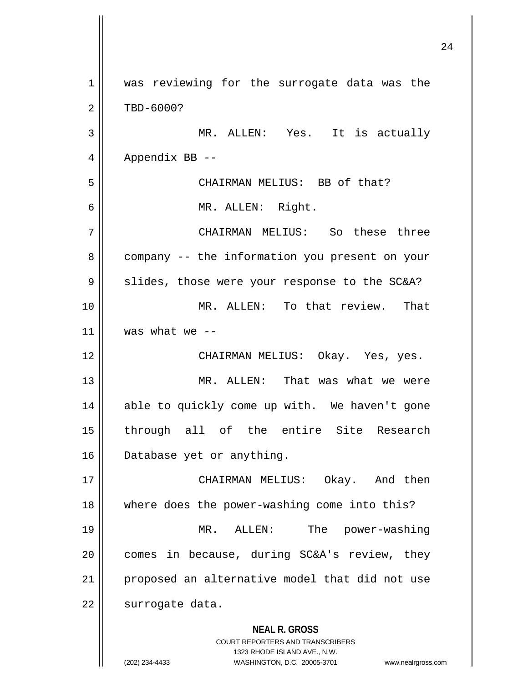**NEAL R. GROSS** COURT REPORTERS AND TRANSCRIBERS 1323 RHODE ISLAND AVE., N.W. (202) 234-4433 WASHINGTON, D.C. 20005-3701 www.nealrgross.com 1 || was reviewing for the surrogate data was the 2 | TBD-6000? 3 || MR. ALLEN: Yes. It is actually  $4 \parallel$  Appendix BB --5 CHAIRMAN MELIUS: BB of that? 6 MR. ALLEN: Right. 7 CHAIRMAN MELIUS: So these three 8 | company -- the information you present on your  $9 \parallel$  slides, those were your response to the SC&A? 10 MR. ALLEN: To that review. That  $11$  | was what we --12 CHAIRMAN MELIUS: Okay. Yes, yes. 13 MR. ALLEN: That was what we were 14 || able to quickly come up with. We haven't gone 15 through all of the entire Site Research 16 | Database yet or anything. 17 CHAIRMAN MELIUS: Okay. And then 18 where does the power-washing come into this? 19 || MR. ALLEN: The power-washing  $20$  comes in because, during SC&A's review, they 21 || proposed an alternative model that did not use 22 | surrogate data.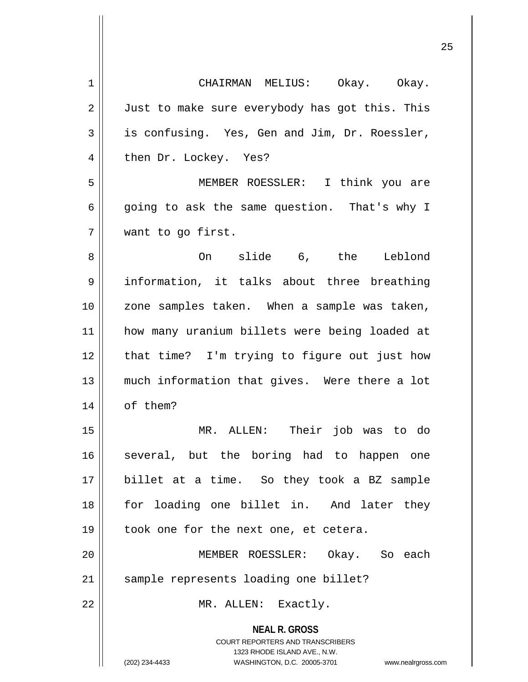| $\mathbf 1$    | CHAIRMAN MELIUS:<br>Okay. Okay.                                     |
|----------------|---------------------------------------------------------------------|
| $\overline{2}$ | Just to make sure everybody has got this. This                      |
| 3              | is confusing. Yes, Gen and Jim, Dr. Roessler,                       |
| 4              | then Dr. Lockey. Yes?                                               |
| 5              | MEMBER ROESSLER: I think you are                                    |
| 6              | going to ask the same question. That's why I                        |
| 7              | want to go first.                                                   |
| 8              | slide 6, the Leblond<br>On compared to the only only the control.   |
| 9              | information, it talks about three breathing                         |
| 10             | zone samples taken. When a sample was taken,                        |
| 11             | how many uranium billets were being loaded at                       |
| 12             | that time? I'm trying to figure out just how                        |
| 13             | much information that gives. Were there a lot                       |
| 14             | of them?                                                            |
| 15             | MR. ALLEN: Their job was to do                                      |
| 16             | several, but the boring had to happen one                           |
| 17             | billet at a time. So they took a BZ sample                          |
| 18             | for loading one billet in. And later they                           |
| 19             | took one for the next one, et cetera.                               |
| 20             | MEMBER ROESSLER: Okay. So each                                      |
| 21             | sample represents loading one billet?                               |
| 22             | MR. ALLEN: Exactly.                                                 |
|                | <b>NEAL R. GROSS</b>                                                |
|                | COURT REPORTERS AND TRANSCRIBERS                                    |
|                | 1323 RHODE ISLAND AVE., N.W.                                        |
|                | (202) 234-4433<br>WASHINGTON, D.C. 20005-3701<br>www.nealrgross.com |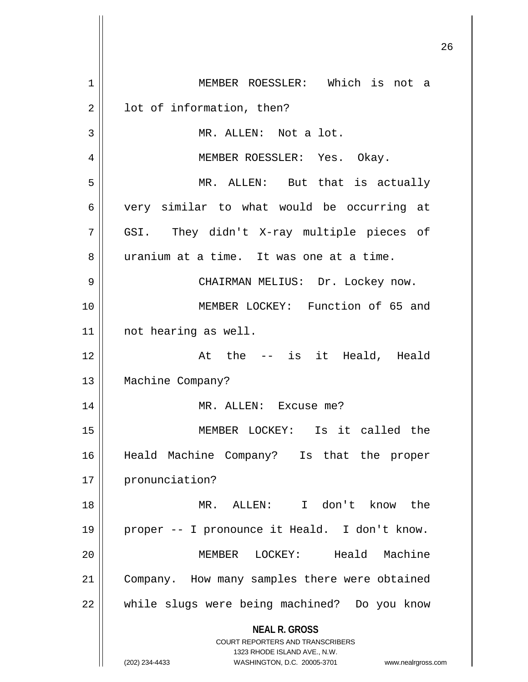**NEAL R. GROSS** COURT REPORTERS AND TRANSCRIBERS 1323 RHODE ISLAND AVE., N.W. (202) 234-4433 WASHINGTON, D.C. 20005-3701 www.nealrgross.com 1 MEMBER ROESSLER: Which is not a  $2 \parallel$  1ot of information, then? 3 || MR. ALLEN: Not a lot. 4 || MEMBER ROESSLER: Yes. Okay. 5 MR. ALLEN: But that is actually 6 very similar to what would be occurring at 7 GSI. They didn't X-ray multiple pieces of 8 uranium at a time. It was one at a time. 9 CHAIRMAN MELIUS: Dr. Lockey now. 10 MEMBER LOCKEY: Function of 65 and 11 | not hearing as well. 12 At the -- is it Heald, Heald 13 | Machine Company? 14 || MR. ALLEN: Excuse me? 15 MEMBER LOCKEY: Is it called the 16 Heald Machine Company? Is that the proper 17 | pronunciation? 18 MR. ALLEN: I don't know the 19 proper -- I pronounce it Heald. I don't know. 20 MEMBER LOCKEY: Heald Machine 21 | Company. How many samples there were obtained 22 || while slugs were being machined? Do you know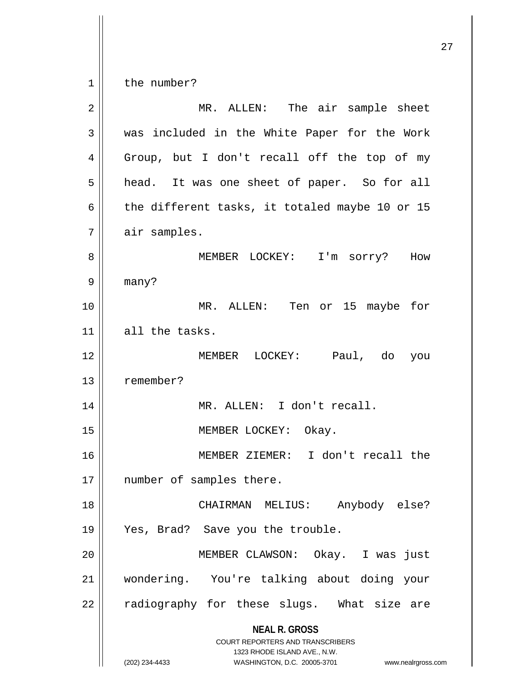$1 \parallel$  the number?

| $\overline{2}$ | MR. ALLEN: The air sample sheet                                                                                                                                        |
|----------------|------------------------------------------------------------------------------------------------------------------------------------------------------------------------|
| 3              | was included in the White Paper for the Work                                                                                                                           |
| 4              | Group, but I don't recall off the top of my                                                                                                                            |
| 5              | head. It was one sheet of paper. So for all                                                                                                                            |
| 6              | the different tasks, it totaled maybe 10 or 15                                                                                                                         |
| 7              | air samples.                                                                                                                                                           |
| 8              | MEMBER LOCKEY: I'm sorry? How                                                                                                                                          |
| 9              | many?                                                                                                                                                                  |
| 10             | MR. ALLEN: Ten or 15 maybe for                                                                                                                                         |
| 11             | all the tasks.                                                                                                                                                         |
| 12             | MEMBER LOCKEY: Paul, do<br>you                                                                                                                                         |
| 13             | remember?                                                                                                                                                              |
| 14             | MR. ALLEN: I don't recall.                                                                                                                                             |
| 15             | MEMBER LOCKEY: Okay.                                                                                                                                                   |
| 16             | MEMBER ZIEMER: I don't recall the                                                                                                                                      |
| 17             | number of samples there.                                                                                                                                               |
| 18             | Anybody else?<br>CHAIRMAN MELIUS:                                                                                                                                      |
| 19             | Yes, Brad? Save you the trouble.                                                                                                                                       |
| 20             | MEMBER CLAWSON: Okay. I was just                                                                                                                                       |
| 21             | wondering. You're talking about doing your                                                                                                                             |
| 22             | radiography for these slugs. What size are                                                                                                                             |
|                | <b>NEAL R. GROSS</b><br><b>COURT REPORTERS AND TRANSCRIBERS</b><br>1323 RHODE ISLAND AVE., N.W.<br>(202) 234-4433<br>WASHINGTON, D.C. 20005-3701<br>www.nealrgross.com |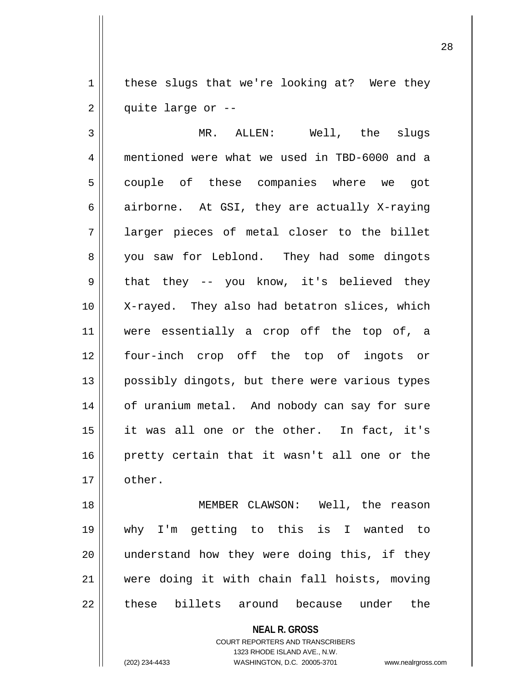$1 \parallel$  these slugs that we're looking at? Were they  $2 \parallel$  quite large or --

3 MR. ALLEN: Well, the slugs 4 || mentioned were what we used in TBD-6000 and a 5 || couple of these companies where we got  $6 \parallel$  airborne. At GSI, they are actually X-raying 7 larger pieces of metal closer to the billet 8 you saw for Leblond. They had some dingots  $9 \parallel$  that they -- you know, it's believed they 10 X-rayed. They also had betatron slices, which 11 were essentially a crop off the top of, a 12 four-inch crop off the top of ingots or 13 || possibly dingots, but there were various types 14 || of uranium metal. And nobody can say for sure 15 it was all one or the other. In fact, it's 16 pretty certain that it wasn't all one or the 17 | other.

18 MEMBER CLAWSON: Well, the reason 19 why I'm getting to this is I wanted to 20 || understand how they were doing this, if they 21 were doing it with chain fall hoists, moving 22 ll these billets around because under the

> **NEAL R. GROSS** COURT REPORTERS AND TRANSCRIBERS 1323 RHODE ISLAND AVE., N.W. (202) 234-4433 WASHINGTON, D.C. 20005-3701 www.nealrgross.com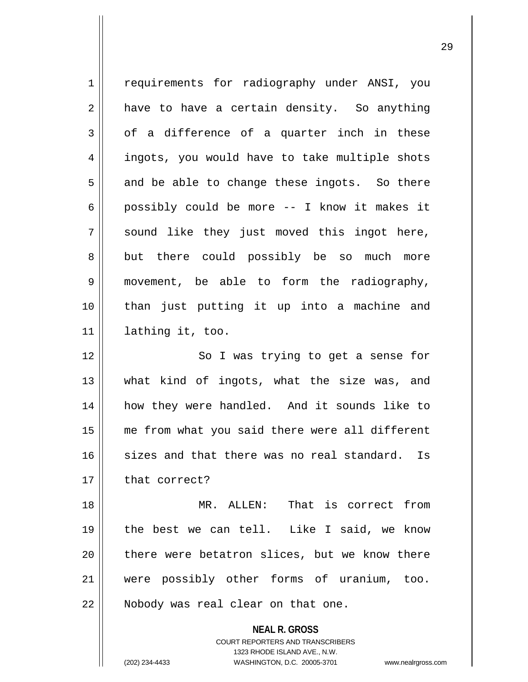| 1           | requirements for radiography under ANSI, you                      |
|-------------|-------------------------------------------------------------------|
| 2           | have to have a certain density. So anything                       |
| 3           | of a difference of a quarter inch in these                        |
| 4           | ingots, you would have to take multiple shots                     |
| 5           | and be able to change these ingots. So there                      |
| 6           | possibly could be more -- I know it makes it                      |
| 7           | sound like they just moved this ingot here,                       |
| 8           | but there could possibly be so much more                          |
| $\mathsf 9$ | movement, be able to form the radiography,                        |
| 10          | than just putting it up into a machine and                        |
| 11          | lathing it, too.                                                  |
| 12          | So I was trying to get a sense for                                |
| 13          | what kind of ingots, what the size was, and                       |
| 14          | how they were handled. And it sounds like to                      |
| 15          | me from what you said there were all different                    |
| 16          | sizes and that there was no real standard. Is                     |
| 17          | that correct?                                                     |
| 18          | MR. ALLEN: That is correct from                                   |
| 19          | the best we can tell. Like I said, we know                        |
| 20          | there were betatron slices, but we know there                     |
| 21          | were possibly other forms of uranium,<br>too.                     |
| 22          | Nobody was real clear on that one.                                |
|             | <b>NEAL R. GROSS</b>                                              |
|             | <b>COURT REPORTERS AND TRANSCRIBERS</b>                           |
|             | 1323 RHODE ISLAND AVE., N.W.                                      |
|             | (202) 234-4433<br>WASHINGTON, D.C. 20005-3701<br>www.nealrgross.c |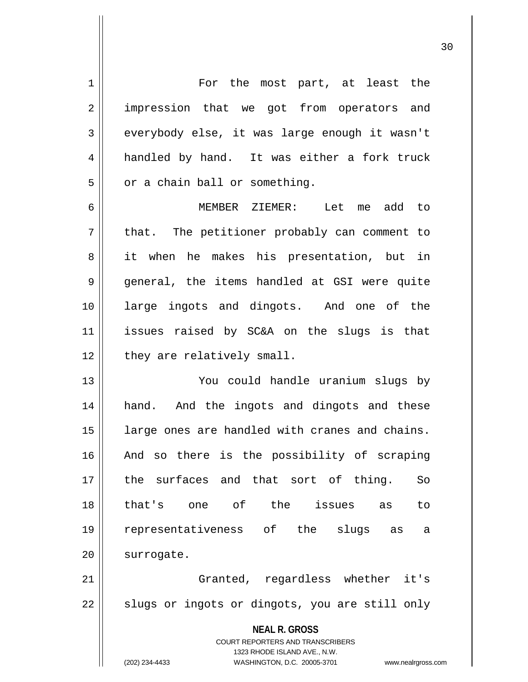**NEAL R. GROSS** COURT REPORTERS AND TRANSCRIBERS 1323 RHODE ISLAND AVE., N.W. (202) 234-4433 WASHINGTON, D.C. 20005-3701 www.nealrgross.com 1 || For the most part, at least the 2 || impression that we got from operators and  $3 \parallel$  everybody else, it was large enough it wasn't 4 || handled by hand. It was either a fork truck  $5$  |  $\sigma$  or a chain ball or something. 6 MEMBER ZIEMER: Let me add to 7 || that. The petitioner probably can comment to 8 || it when he makes his presentation, but in 9 || general, the items handled at GSI were quite 10 large ingots and dingots. And one of the 11 issues raised by SC&A on the slugs is that  $12$  | they are relatively small. 13 || You could handle uranium slugs by 14 hand. And the ingots and dingots and these 15 || large ones are handled with cranes and chains. 16 And so there is the possibility of scraping 17 the surfaces and that sort of thing. So 18 that's one of the issues as to 19 representativeness of the slugs as a  $20$  | surrogate. 21 Granted, regardless whether it's  $22$   $\parallel$  slugs or ingots or dingots, you are still only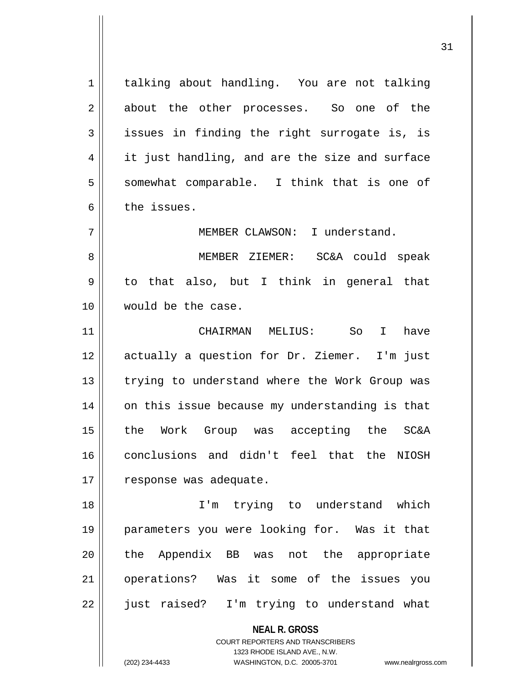**NEAL R. GROSS** COURT REPORTERS AND TRANSCRIBERS 1323 RHODE ISLAND AVE., N.W. 1 | talking about handling. You are not talking 2 about the other processes. So one of the  $3 \parallel$  issues in finding the right surrogate is, is 4 || it just handling, and are the size and surface  $5 \parallel$  somewhat comparable. I think that is one of  $6$   $\parallel$  the issues. 7 MEMBER CLAWSON: I understand. 8 MEMBER ZIEMER: SC&A could speak  $9 \parallel$  to that also, but I think in general that 10 would be the case. 11 CHAIRMAN MELIUS: So I have 12 || actually a question for Dr. Ziemer. I'm just 13 || trying to understand where the Work Group was 14 || on this issue because my understanding is that 15 the Work Group was accepting the SC&A 16 conclusions and didn't feel that the NIOSH 17 | response was adequate. 18 I'm trying to understand which 19 parameters you were looking for. Was it that 20 || the Appendix BB was not the appropriate 21 operations? Was it some of the issues you 22 || just raised? I'm trying to understand what

(202) 234-4433 WASHINGTON, D.C. 20005-3701 www.nealrgross.com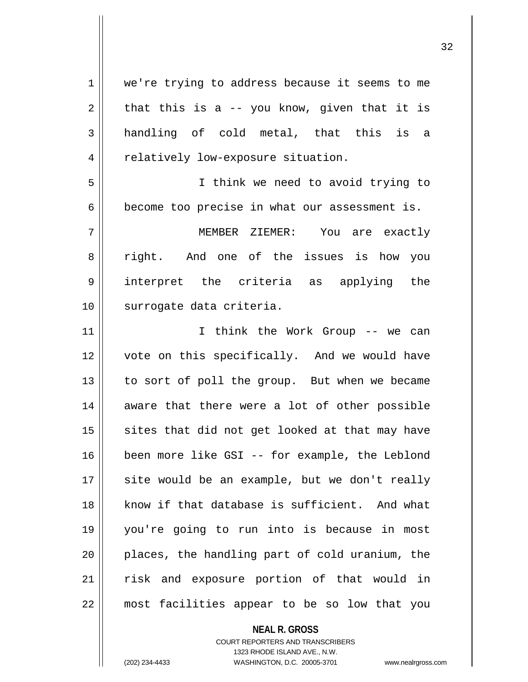1 || we're trying to address because it seems to me  $2 \parallel$  that this is a -- you know, given that it is 3 || handling of cold metal, that this is a 4 | relatively low-exposure situation. 5 I think we need to avoid trying to  $6$  || become too precise in what our assessment is. 7 MEMBER ZIEMER: You are exactly 8 right. And one of the issues is how you 9 interpret the criteria as applying the 10 || surrogate data criteria. 11 || Think the Work Group -- we can 12 vote on this specifically. And we would have 13 || to sort of poll the group. But when we became 14 aware that there were a lot of other possible  $15$  sites that did not get looked at that may have 16 been more like GSI -- for example, the Leblond 17 || site would be an example, but we don't really 18 || know if that database is sufficient. And what 19 you're going to run into is because in most  $20$  || places, the handling part of cold uranium, the 21 || risk and exposure portion of that would in 22 most facilities appear to be so low that you

> **NEAL R. GROSS** COURT REPORTERS AND TRANSCRIBERS 1323 RHODE ISLAND AVE., N.W.

(202) 234-4433 WASHINGTON, D.C. 20005-3701 www.nealrgross.com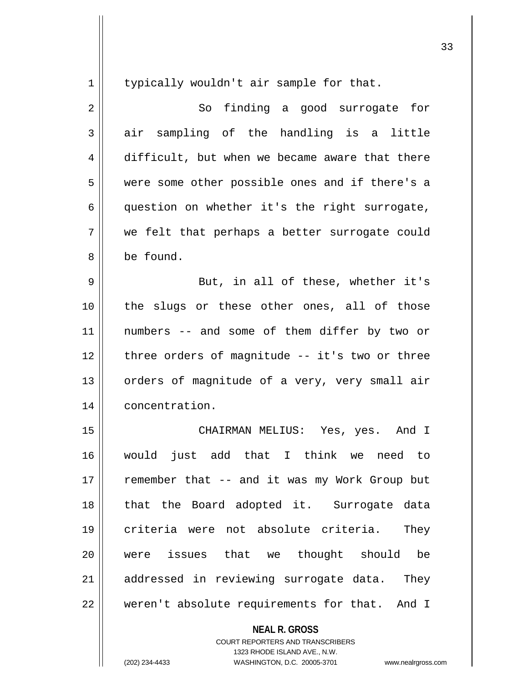$1 \parallel$  typically wouldn't air sample for that.

2 || So finding a good surrogate for  $3 \parallel$  air sampling of the handling is a little 4 difficult, but when we became aware that there 5 || were some other possible ones and if there's a  $6 \parallel$  question on whether it's the right surrogate, 7 || we felt that perhaps a better surrogate could 8 be found. 9 || But, in all of these, whether it's 10 || the slugs or these other ones, all of those 11 numbers -- and some of them differ by two or 12 || three orders of magnitude -- it's two or three

13 || orders of magnitude of a very, very small air 14 concentration.

 CHAIRMAN MELIUS: Yes, yes. And I would just add that I think we need to 17 || remember that -- and it was my Work Group but 18 || that the Board adopted it. Surrogate data criteria were not absolute criteria. They were issues that we thought should be 21 daddressed in reviewing surrogate data. They || weren't absolute requirements for that. And I

## **NEAL R. GROSS**

COURT REPORTERS AND TRANSCRIBERS 1323 RHODE ISLAND AVE., N.W. (202) 234-4433 WASHINGTON, D.C. 20005-3701 www.nealrgross.com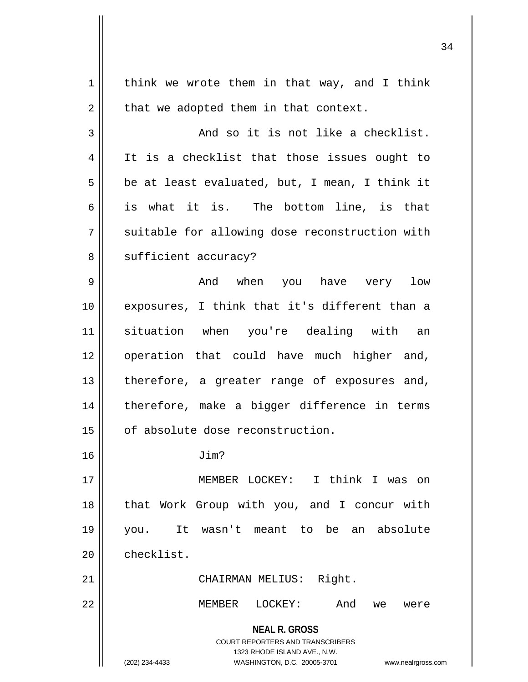**NEAL R. GROSS** COURT REPORTERS AND TRANSCRIBERS 1323 RHODE ISLAND AVE., N.W. (202) 234-4433 WASHINGTON, D.C. 20005-3701 www.nealrgross.com  $1 \parallel$  think we wrote them in that way, and I think  $2 \parallel$  that we adopted them in that context.  $3 \parallel$  and so it is not like a checklist. 4 || It is a checklist that those issues ought to  $5 \parallel$  be at least evaluated, but, I mean, I think it 6 is what it is. The bottom line, is that 7 | suitable for allowing dose reconstruction with 8 | sufficient accuracy? 9 And when you have very low 10 exposures, I think that it's different than a 11 situation when you're dealing with an 12 || operation that could have much higher and,  $13$  | therefore, a greater range of exposures and, 14 || therefore, make a bigger difference in terms 15 | of absolute dose reconstruction. 16 Jim? 17 MEMBER LOCKEY: I think I was on 18 that Work Group with you, and I concur with 19 you. It wasn't meant to be an absolute 20 checklist. 21 CHAIRMAN MELIUS: Right. 22 MEMBER LOCKEY: And we were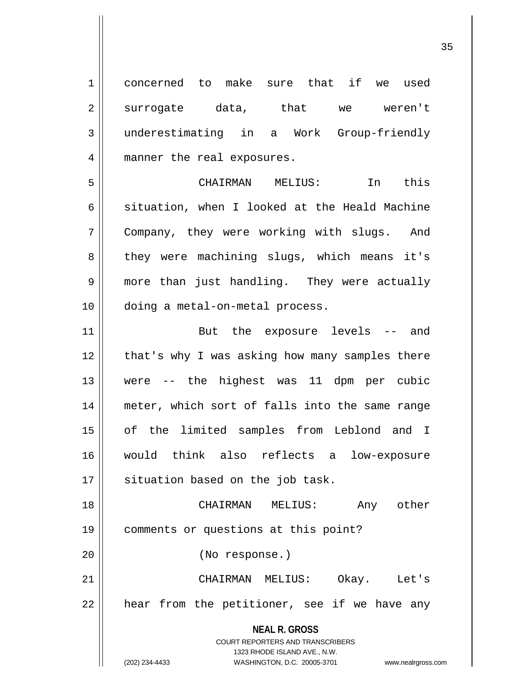**NEAL R. GROSS** COURT REPORTERS AND TRANSCRIBERS 1323 RHODE ISLAND AVE., N.W. 1 concerned to make sure that if we used  $2 \parallel$  surrogate data, that we weren't 3 underestimating in a Work Group-friendly 4 || manner the real exposures. 5 CHAIRMAN MELIUS: In this 6 situation, when I looked at the Heald Machine 7 Company, they were working with slugs. And 8 || they were machining slugs, which means it's 9 || more than just handling. They were actually 10 doing a metal-on-metal process. 11 || But the exposure levels -- and 12 || that's why I was asking how many samples there 13 were -- the highest was 11 dpm per cubic 14 || meter, which sort of falls into the same range 15 of the limited samples from Leblond and I 16 would think also reflects a low-exposure  $17$  || situation based on the job task. 18 CHAIRMAN MELIUS: Any other 19 comments or questions at this point? 20 (No response.) 21 CHAIRMAN MELIUS: Okay. Let's  $22$  | hear from the petitioner, see if we have any

(202) 234-4433 WASHINGTON, D.C. 20005-3701 www.nealrgross.com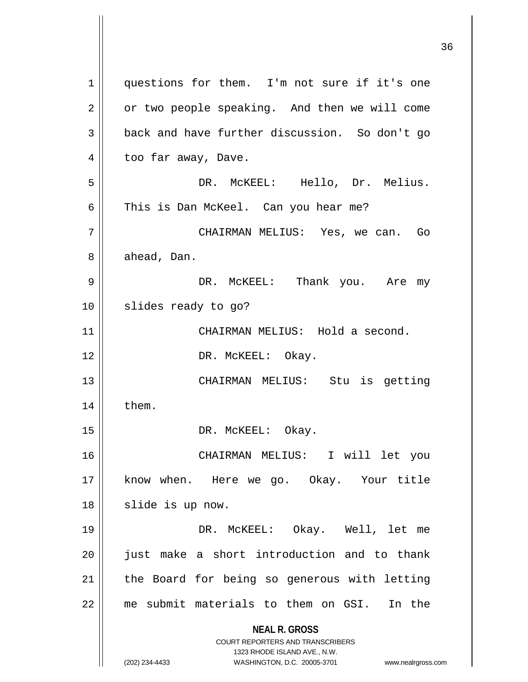**NEAL R. GROSS** COURT REPORTERS AND TRANSCRIBERS 1323 RHODE ISLAND AVE., N.W. (202) 234-4433 WASHINGTON, D.C. 20005-3701 www.nealrgross.com 1 questions for them. I'm not sure if it's one 2 | or two people speaking. And then we will come 3 back and have further discussion. So don't go  $4 \parallel$  too far away, Dave. 5 DR. McKEEL: Hello, Dr. Melius. 6 || This is Dan McKeel. Can you hear me? 7 CHAIRMAN MELIUS: Yes, we can. Go 8 | ahead, Dan. 9 DR. McKEEL: Thank you. Are my 10 || slides ready to go? 11 CHAIRMAN MELIUS: Hold a second. 12 || DR. McKEEL: Okay. 13 CHAIRMAN MELIUS: Stu is getting  $14$   $\parallel$  them. 15 || DR. McKEEL: Okay. 16 CHAIRMAN MELIUS: I will let you 17 || know when. Here we go. Okay. Your title 18 || slide is up now. 19 DR. McKEEL: Okay. Well, let me 20 || just make a short introduction and to thank  $21$  | the Board for being so generous with letting  $22$  || me submit materials to them on GSI. In the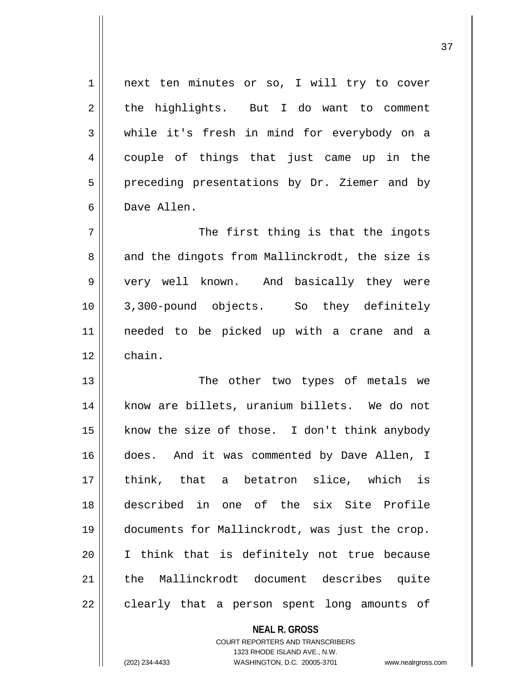| $\mathbf 1$ | next ten minutes or so, I will try to cover    |
|-------------|------------------------------------------------|
| 2           | the highlights. But I do want to comment       |
| 3           | while it's fresh in mind for everybody on a    |
| 4           | couple of things that just came up in the      |
| 5           | preceding presentations by Dr. Ziemer and by   |
| 6           | Dave Allen.                                    |
| 7           | The first thing is that the ingots             |
| 8           | and the dingots from Mallinckrodt, the size is |
| $\mathsf 9$ | very well known. And basically they were       |
| 10          | 3,300-pound objects. So they definitely        |
| 11          | needed to be picked up with a crane and a      |
| 12          | chain.                                         |
| 13          | The other two types of metals we               |
| 14          | know are billets, uranium billets. We do not   |
| 15          | know the size of those. I don't think anybody  |
| 16          | does. And it was commented by Dave Allen, I    |
| 17          | think, that a betatron slice, which is         |
| 18          | described in one of the six Site Profile       |
| 19          | documents for Mallinckrodt, was just the crop. |
| 20          | I think that is definitely not true because    |
| 21          |                                                |
|             | the Mallinckrodt document describes quite      |

**NEAL R. GROSS** COURT REPORTERS AND TRANSCRIBERS 1323 RHODE ISLAND AVE., N.W.

 $\mathbf{I}$ 

(202) 234-4433 WASHINGTON, D.C. 20005-3701 www.nealrgross.com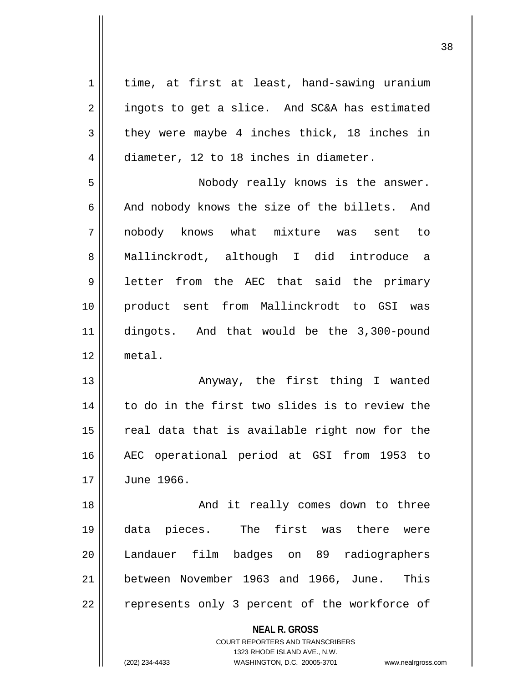**NEAL R. GROSS** COURT REPORTERS AND TRANSCRIBERS 1323 RHODE ISLAND AVE., N.W. (202) 234-4433 WASHINGTON, D.C. 20005-3701 www.nealrgross.com 1 | time, at first at least, hand-sawing uranium  $2 \parallel$  ingots to get a slice. And SC&A has estimated  $3 \parallel$  they were maybe 4 inches thick, 18 inches in 4 diameter, 12 to 18 inches in diameter. 5 || Nobody really knows is the answer. 6  $\parallel$  And nobody knows the size of the billets. And 7 nobody knows what mixture was sent to 8 Mallinckrodt, although I did introduce a 9 | letter from the AEC that said the primary 10 product sent from Mallinckrodt to GSI was 11 dingots. And that would be the 3,300-pound 12 metal. 13 || Anyway, the first thing I wanted 14 || to do in the first two slides is to review the  $15$  real data that is available right now for the 16 AEC operational period at GSI from 1953 to 17 June 1966. 18 || And it really comes down to three 19 data pieces. The first was there were 20 Landauer film badges on 89 radiographers 21 | between November 1963 and 1966, June. This  $22$  | represents only 3 percent of the workforce of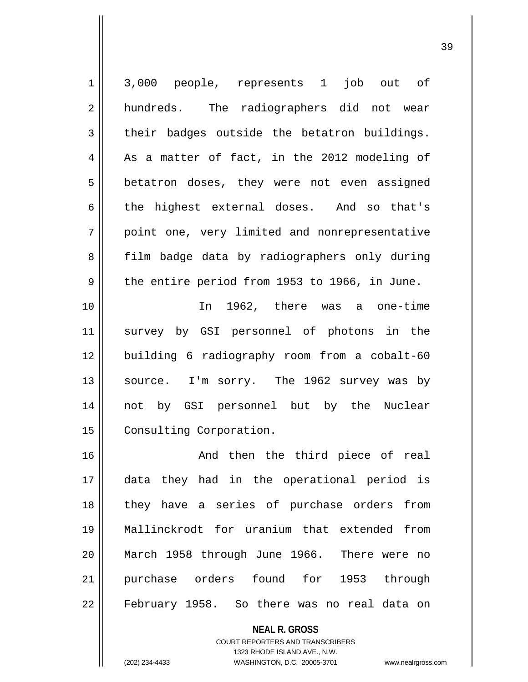| $\mathbf 1$ | 3,000 people, represents 1 job out of         |
|-------------|-----------------------------------------------|
| 2           | hundreds. The radiographers did not wear      |
| 3           | their badges outside the betatron buildings.  |
| 4           | As a matter of fact, in the 2012 modeling of  |
| 5           | betatron doses, they were not even assigned   |
| 6           | the highest external doses. And so that's     |
| 7           | point one, very limited and nonrepresentative |
| 8           | film badge data by radiographers only during  |
| $\mathsf 9$ | the entire period from 1953 to 1966, in June. |
| 10          | In 1962, there was a one-time                 |
| 11          | survey by GSI personnel of photons in the     |
| 12          | building 6 radiography room from a cobalt-60  |
| 13          | source. I'm sorry. The 1962 survey was by     |
| 14          | not by GSI personnel but by the Nuclear       |
| 15          | Consulting Corporation.                       |
| 16          | And then the third piece of real              |
| 17          | data they had in the operational period is    |
| 18          | they have a series of purchase orders from    |
| 19          | Mallinckrodt for uranium that extended from   |
| 20          | March 1958 through June 1966. There were no   |
| 21          | purchase orders found for 1953 through        |
| 22          | February 1958. So there was no real data on   |

## **NEAL R. GROSS**

COURT REPORTERS AND TRANSCRIBERS 1323 RHODE ISLAND AVE., N.W. (202) 234-4433 WASHINGTON, D.C. 20005-3701 www.nealrgross.com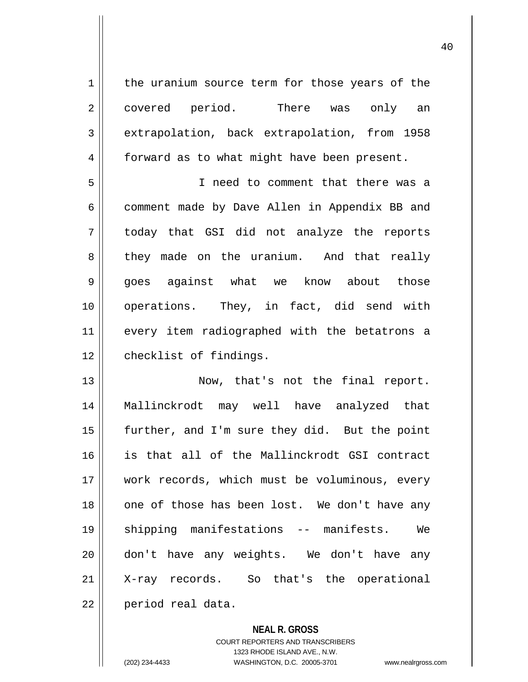1 | the uranium source term for those years of the 2 covered period. There was only an 3 extrapolation, back extrapolation, from 1958 4 | forward as to what might have been present.

5 I need to comment that there was a 6 comment made by Dave Allen in Appendix BB and 7 today that GSI did not analyze the reports 8 they made on the uranium. And that really 9 goes against what we know about those 10 operations. They, in fact, did send with 11 || every item radiographed with the betatrons a 12 | checklist of findings.

13 || Now, that's not the final report. Mallinckrodt may well have analyzed that further, and I'm sure they did. But the point is that all of the Mallinckrodt GSI contract 17 || work records, which must be voluminous, every || one of those has been lost. We don't have any shipping manifestations -- manifests. We don't have any weights. We don't have any X-ray records. So that's the operational 22 | period real data.

# **NEAL R. GROSS**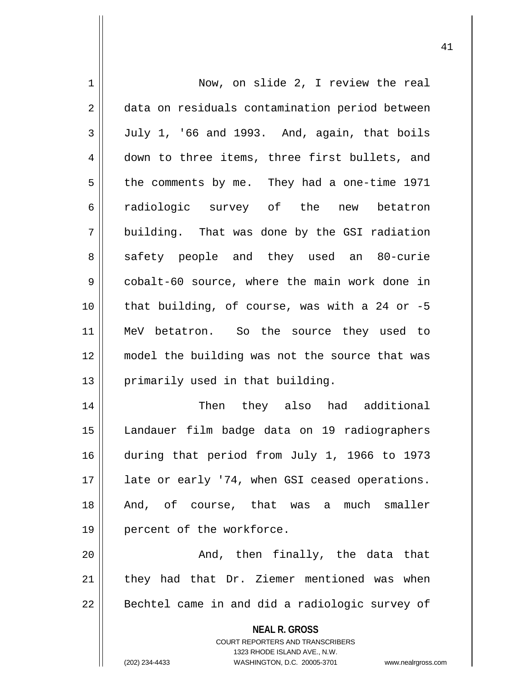| $\mathbf 1$  | Now, on slide 2, I review the real                                                                                                                                   |
|--------------|----------------------------------------------------------------------------------------------------------------------------------------------------------------------|
| 2            | data on residuals contamination period between                                                                                                                       |
| $\mathsf{3}$ | July 1, '66 and 1993. And, again, that boils                                                                                                                         |
| 4            | down to three items, three first bullets, and                                                                                                                        |
| 5            | the comments by me. They had a one-time 1971                                                                                                                         |
| 6            | radiologic survey of the new betatron                                                                                                                                |
| 7            | building. That was done by the GSI radiation                                                                                                                         |
| 8            | safety people and they used an 80-curie                                                                                                                              |
| $\mathsf 9$  | cobalt-60 source, where the main work done in                                                                                                                        |
| 10           | that building, of course, was with a 24 or $-5$                                                                                                                      |
| 11           | MeV betatron. So the source they used to                                                                                                                             |
| 12           | model the building was not the source that was                                                                                                                       |
| 13           | primarily used in that building.                                                                                                                                     |
| 14           | Then they also had additional                                                                                                                                        |
| 15           | Landauer film badge data on 19 radiographers                                                                                                                         |
| 16           | during that period from July 1, 1966 to 1973                                                                                                                         |
| 17           | late or early '74, when GSI ceased operations.                                                                                                                       |
| 18           | And, of course, that was a much smaller                                                                                                                              |
| 19           | percent of the workforce.                                                                                                                                            |
| 20           | And, then finally, the data that                                                                                                                                     |
| 21           | they had that Dr. Ziemer mentioned was when                                                                                                                          |
| 22           | Bechtel came in and did a radiologic survey of                                                                                                                       |
|              | <b>NEAL R. GROSS</b><br><b>COURT REPORTERS AND TRANSCRIBERS</b><br>1323 RHODE ISLAND AVE., N.W.<br>(202) 234-4433<br>WASHINGTON, D.C. 20005-3701<br>www.nealrgross.c |
|              |                                                                                                                                                                      |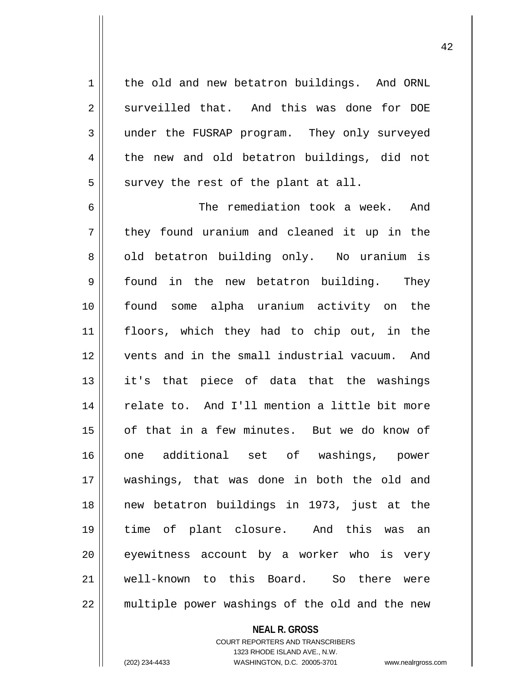1 | the old and new betatron buildings. And ORNL 2 surveilled that. And this was done for DOE 3 under the FUSRAP program. They only surveyed 4 the new and old betatron buildings, did not  $5 \parallel$  survey the rest of the plant at all.

6 The remediation took a week. And  $7 \parallel$  they found uranium and cleaned it up in the 8 || old betatron building only. No uranium is 9 || found in the new betatron building. They 10 found some alpha uranium activity on the 11 floors, which they had to chip out, in the 12 vents and in the small industrial vacuum. And 13 it's that piece of data that the washings 14 || relate to. And I'll mention a little bit more 15 of that in a few minutes. But we do know of 16 one additional set of washings, power 17 washings, that was done in both the old and 18 || new betatron buildings in 1973, just at the 19 time of plant closure. And this was an  $20$  || eyewitness account by a worker who is very 21 well-known to this Board. So there were 22 || multiple power washings of the old and the new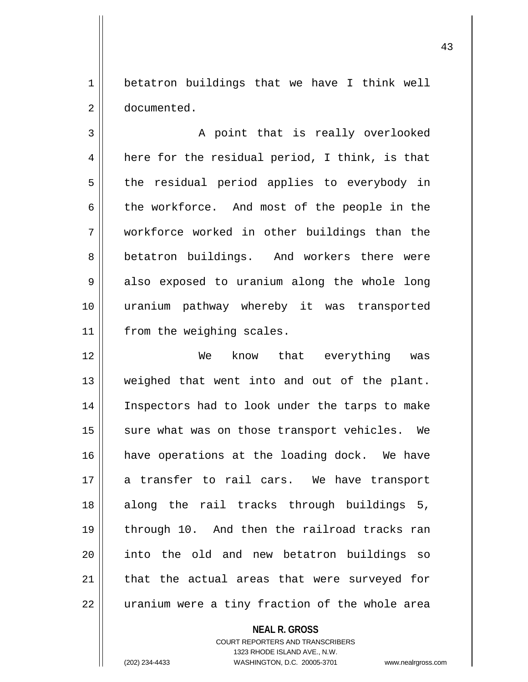1 betatron buildings that we have I think well 2 | documented.

 $3$   $\parallel$  A point that is really overlooked  $4 \parallel$  here for the residual period, I think, is that  $5 \parallel$  the residual period applies to everybody in  $6 \parallel$  the workforce. And most of the people in the 7 workforce worked in other buildings than the 8 betatron buildings. And workers there were  $9 \parallel$  also exposed to uranium along the whole long 10 uranium pathway whereby it was transported 11 | from the weighing scales.

 We know that everything was weighed that went into and out of the plant. 14 || Inspectors had to look under the tarps to make 15 || sure what was on those transport vehicles. We have operations at the loading dock. We have a transfer to rail cars. We have transport along the rail tracks through buildings 5, through 10. And then the railroad tracks ran into the old and new betatron buildings so | that the actual areas that were surveyed for || uranium were a tiny fraction of the whole area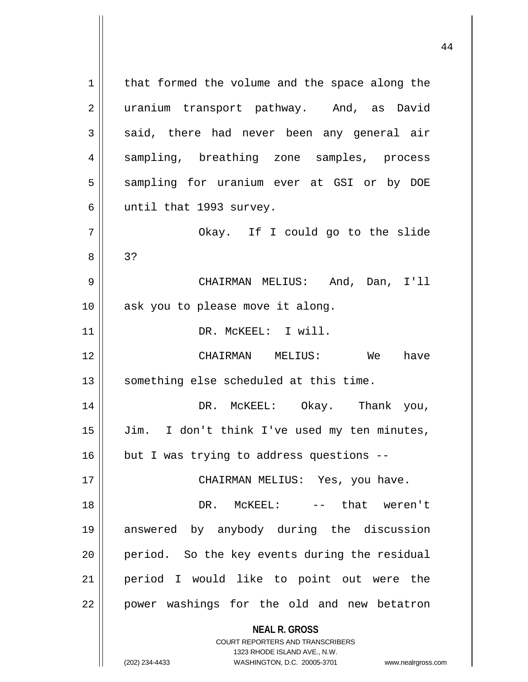**NEAL R. GROSS** COURT REPORTERS AND TRANSCRIBERS  $1 \parallel$  that formed the volume and the space along the 2 | uranium transport pathway. And, as David  $3 \parallel$  said, there had never been any general air 4 || sampling, breathing zone samples, process 5 Sampling for uranium ever at GSI or by DOE  $6 \parallel$  until that 1993 survey. 7 Okay. If I could go to the slide 8 3? 9 CHAIRMAN MELIUS: And, Dan, I'll 10 || ask you to please move it along. 11 DR. McKEEL: I will. 12 CHAIRMAN MELIUS: We have 13 || something else scheduled at this time. 14 DR. McKEEL: Okay. Thank you, 15 | Jim. I don't think I've used my ten minutes,  $16$  | but I was trying to address questions --17 || CHAIRMAN MELIUS: Yes, you have. 18 DR. McKEEL: -- that weren't 19 answered by anybody during the discussion 20 || period. So the key events during the residual 21 period I would like to point out were the  $22$  || power washings for the old and new betatron

1323 RHODE ISLAND AVE., N.W.

(202) 234-4433 WASHINGTON, D.C. 20005-3701 www.nealrgross.com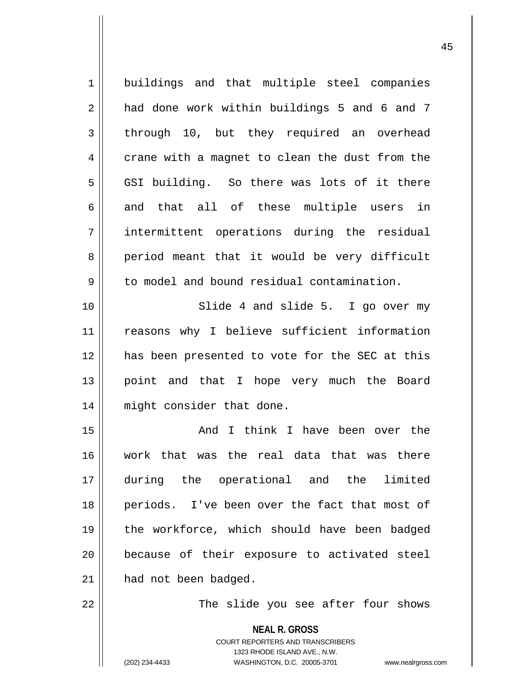1 buildings and that multiple steel companies 2 and done work within buildings 5 and 6 and 7  $3 \parallel$  through 10, but they required an overhead  $4 \parallel$  crane with a magnet to clean the dust from the  $5 \parallel$  GSI building. So there was lots of it there  $6 \parallel$  and that all of these multiple users in 7 intermittent operations during the residual 8 period meant that it would be very difficult 9 | to model and bound residual contamination. 10 Slide 4 and slide 5. I go over my 11 || reasons why I believe sufficient information 12 has been presented to vote for the SEC at this 13 || point and that I hope very much the Board 14 might consider that done. 15 And I think I have been over the 16 work that was the real data that was there 17 during the operational and the limited

19 || the workforce, which should have been badged 20 || because of their exposure to activated steel

18 periods. I've been over the fact that most of

22 || The slide you see after four shows

**NEAL R. GROSS** COURT REPORTERS AND TRANSCRIBERS 1323 RHODE ISLAND AVE., N.W. (202) 234-4433 WASHINGTON, D.C. 20005-3701 www.nealrgross.com

21 | had not been badged.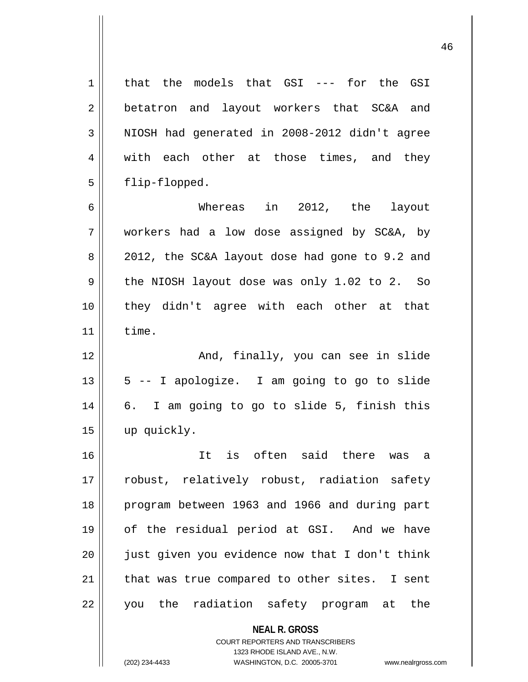**NEAL R. GROSS**  $1 \parallel$  that the models that GSI --- for the GSI 2 betatron and layout workers that SC&A and  $3 \parallel$  NIOSH had generated in 2008-2012 didn't agree 4 || with each other at those times, and they  $5 \parallel$  flip-flopped. 6 Whereas in 2012, the layout 7 workers had a low dose assigned by SC&A, by 8 || 2012, the SC&A layout dose had gone to 9.2 and  $9 \parallel$  the NIOSH layout dose was only 1.02 to 2. So 10 they didn't agree with each other at that  $11$   $\textrm{time}$ . 12 And, finally, you can see in slide  $13 \parallel 5$  -- I apologize. I am going to go to slide 14 6. I am going to go to slide 5, finish this 15 up quickly. 16 It is often said there was a 17 || robust, relatively robust, radiation safety 18 program between 1963 and 1966 and during part 19 of the residual period at GSI. And we have  $20$  || just given you evidence now that I don't think 21  $\parallel$  that was true compared to other sites. I sent 22 || you the radiation safety program at the

> COURT REPORTERS AND TRANSCRIBERS 1323 RHODE ISLAND AVE., N.W.

(202) 234-4433 WASHINGTON, D.C. 20005-3701 www.nealrgross.com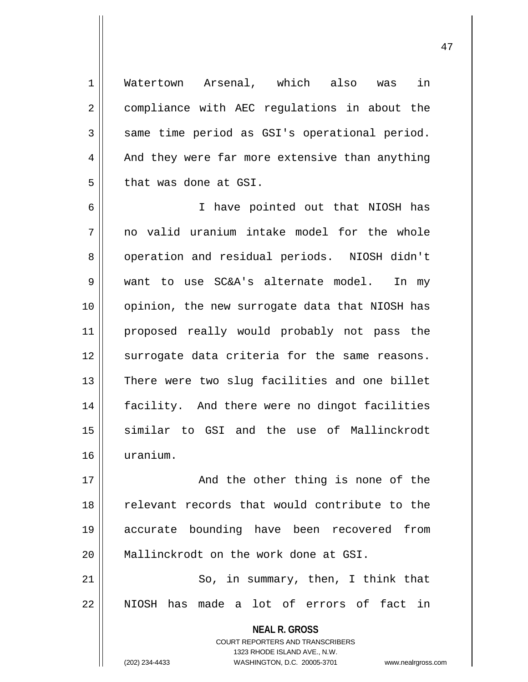1 Watertown Arsenal, which also was in 2 | compliance with AEC regulations in about the  $3 \parallel$  same time period as GSI's operational period.  $4 \parallel$  And they were far more extensive than anything  $5$  | that was done at GSI.

6 I have pointed out that NIOSH has  $7$  || no valid uranium intake model for the whole 8 operation and residual periods. NIOSH didn't 9 want to use SC&A's alternate model. In my 10 opinion, the new surrogate data that NIOSH has 11 proposed really would probably not pass the 12 || surrogate data criteria for the same reasons. 13 || There were two slug facilities and one billet 14 facility. And there were no dingot facilities 15 similar to GSI and the use of Mallinckrodt 16 uranium.

17 || And the other thing is none of the 18 relevant records that would contribute to the 19 accurate bounding have been recovered from 20 || Mallinckrodt on the work done at GSI.

 $21$   $\parallel$  So, in summary, then, I think that 22 NIOSH has made a lot of errors of fact in

> **NEAL R. GROSS** COURT REPORTERS AND TRANSCRIBERS 1323 RHODE ISLAND AVE., N.W. (202) 234-4433 WASHINGTON, D.C. 20005-3701 www.nealrgross.com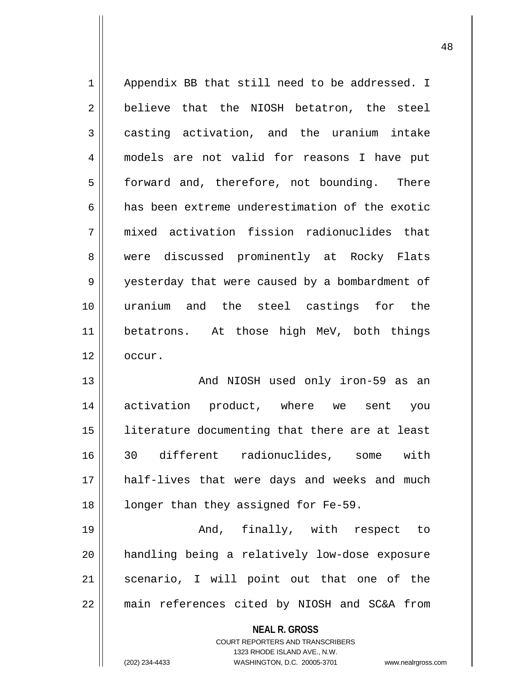1 | Appendix BB that still need to be addressed. I 2 believe that the NIOSH betatron, the steel 3 casting activation, and the uranium intake 4 | models are not valid for reasons I have put 5 | forward and, therefore, not bounding. There 6 has been extreme underestimation of the exotic  $7\parallel$  mixed activation fission radionuclides that 8 were discussed prominently at Rocky Flats 9 | yesterday that were caused by a bombardment of 10 uranium and the steel castings for the 11 betatrons. At those high MeV, both things  $12 \parallel \quad$  occur. 13 And NIOSH used only iron-59 as an 14 activation product, where we sent you 15 literature documenting that there are at least 16 30 different radionuclides, some with 17 half-lives that were days and weeks and much 18 || longer than they assigned for Fe-59. 19 || The Rand, finally, with respect to

22 || main references cited by NIOSH and SC&A from

**NEAL R. GROSS** COURT REPORTERS AND TRANSCRIBERS 1323 RHODE ISLAND AVE., N.W.

20 handling being a relatively low-dose exposure

21 || scenario, I will point out that one of the

(202) 234-4433 WASHINGTON, D.C. 20005-3701 www.nealrgross.com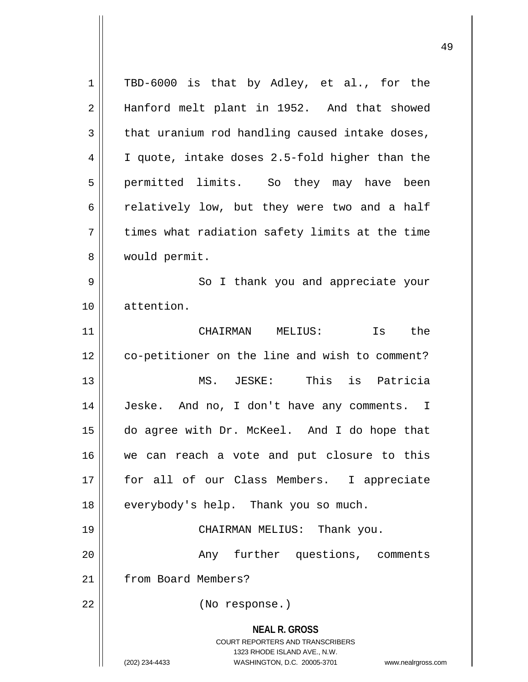**NEAL R. GROSS** COURT REPORTERS AND TRANSCRIBERS 1323 RHODE ISLAND AVE., N.W. (202) 234-4433 WASHINGTON, D.C. 20005-3701 www.nealrgross.com  $1 \parallel$  TBD-6000 is that by Adley, et al., for the 2 || Hanford melt plant in 1952. And that showed  $3 \parallel$  that uranium rod handling caused intake doses, 4 | I quote, intake doses 2.5-fold higher than the 5 || permitted limits. So they may have been 6 calculatively low, but they were two and a half  $7$  times what radiation safety limits at the time 8 would permit. 9 || So I thank you and appreciate your 10 attention. 11 CHAIRMAN MELIUS: Is the 12 | co-petitioner on the line and wish to comment? 13 MS. JESKE: This is Patricia 14 Jeske. And no, I don't have any comments. I 15 do agree with Dr. McKeel. And I do hope that 16 || we can reach a vote and put closure to this 17 for all of our Class Members. I appreciate 18 | everybody's help. Thank you so much. 19 CHAIRMAN MELIUS: Thank you. 20 || The Comments Any further questions, comments 21 from Board Members? 22 (No response.)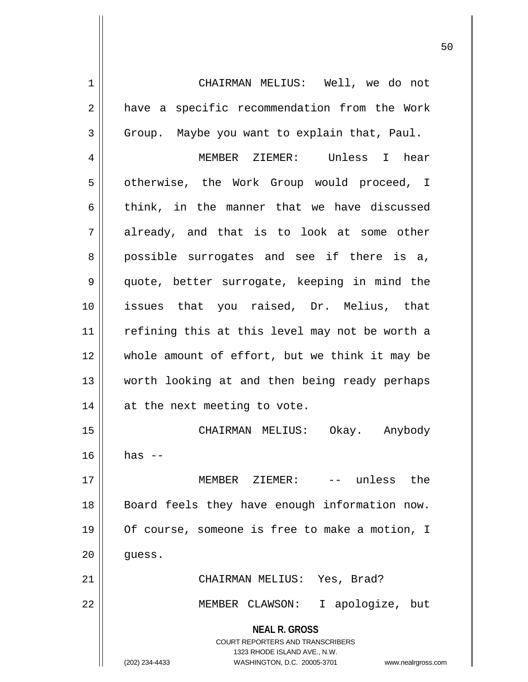1 CHAIRMAN MELIUS: Well, we do not 2 || have a specific recommendation from the Work  $3 \parallel$  Group. Maybe you want to explain that, Paul.

4 MEMBER ZIEMER: Unless I hear 5 | otherwise, the Work Group would proceed, I  $6 \parallel$  think, in the manner that we have discussed  $7 \parallel$  already, and that is to look at some other 8 || possible surrogates and see if there is a, 9 quote, better surrogate, keeping in mind the 10 issues that you raised, Dr. Melius, that 11 || refining this at this level may not be worth a 12 whole amount of effort, but we think it may be 13 worth looking at and then being ready perhaps  $14$  | at the next meeting to vote.

15 CHAIRMAN MELIUS: Okay. Anybody  $16$  has  $-$ 

17 MEMBER ZIEMER: -- unless the 18 || Board feels they have enough information now. 19 | Of course, someone is free to make a motion, I  $20$  | quess.

21 CHAIRMAN MELIUS: Yes, Brad?

22 MEMBER CLAWSON: I apologize, but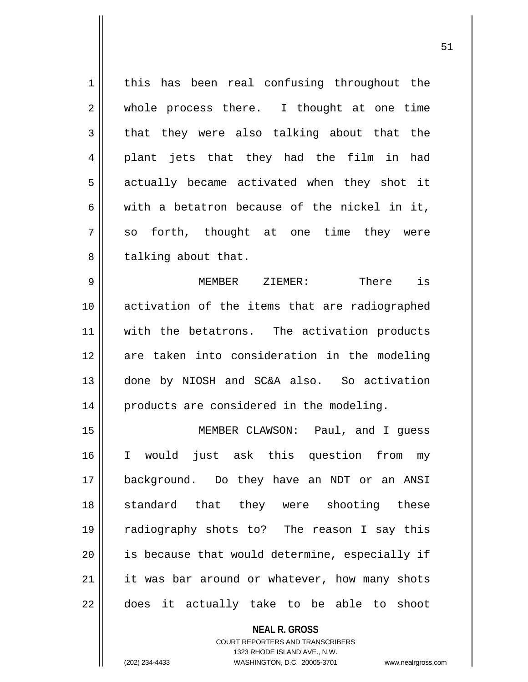| 1  | this has been real confusing throughout the    |
|----|------------------------------------------------|
| 2  | whole process there. I thought at one time     |
| 3  | that they were also talking about that the     |
| 4  | plant jets that they had the film in had       |
| 5  | actually became activated when they shot it    |
| 6  | with a betatron because of the nickel in it,   |
| 7  | so forth, thought at one time they were        |
| 8  | talking about that.                            |
| 9  | There is<br>MEMBER ZIEMER:                     |
| 10 | activation of the items that are radiographed  |
| 11 | with the betatrons. The activation products    |
| 12 | are taken into consideration in the modeling   |
| 13 | done by NIOSH and SC&A also. So activation     |
| 14 | products are considered in the modeling.       |
| 15 | MEMBER CLAWSON: Paul, and I guess              |
| 16 | I would just ask this question from my         |
| 17 | background. Do they have an NDT or an ANSI     |
| 18 | standard that they were shooting these         |
| 19 | radiography shots to? The reason I say this    |
| 20 | is because that would determine, especially if |
| 21 | it was bar around or whatever, how many shots  |
| 22 | does it actually take to be able to shoot      |
|    |                                                |

COURT REPORTERS AND TRANSCRIBERS 1323 RHODE ISLAND AVE., N.W. (202) 234-4433 WASHINGTON, D.C. 20005-3701 www.nealrgross.com

**NEAL R. GROSS**

 $\mathsf{II}$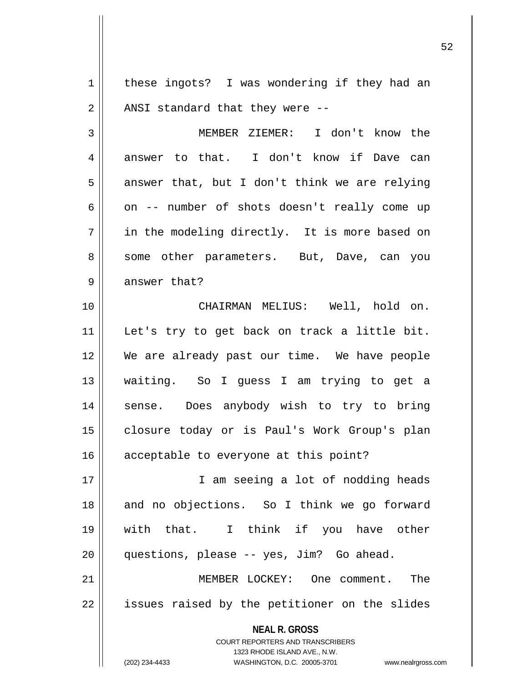1 | these ingots? I was wondering if they had an  $2$  | ANSI standard that they were  $-$ 

3 MEMBER ZIEMER: I don't know the 4 answer to that. I don't know if Dave can  $5 \parallel$  answer that, but I don't think we are relying  $6 \parallel$  on -- number of shots doesn't really come up 7 || in the modeling directly. It is more based on 8 some other parameters. But, Dave, can you 9 || answer that?

10 || CHAIRMAN MELIUS: Well, hold on. 11 || Let's try to get back on track a little bit. 12 We are already past our time. We have people 13 waiting. So I guess I am trying to get a 14 || sense. Does anybody wish to try to bring 15 | closure today or is Paul's Work Group's plan 16 | acceptable to everyone at this point?

17 || T am seeing a lot of nodding heads 18 and no objections. So I think we go forward 19 with that. I think if you have other  $20$  || questions, please  $-$  yes, Jim? Go ahead.

21 MEMBER LOCKEY: One comment. The  $22$  || issues raised by the petitioner on the slides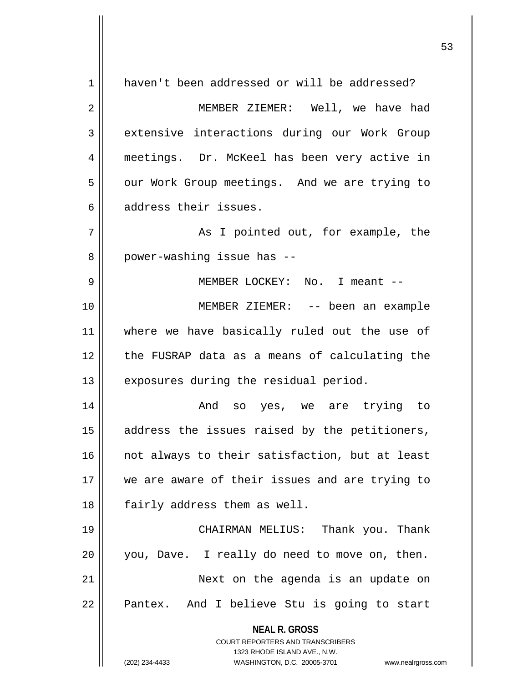| $\mathbf 1$ | haven't been addressed or will be addressed?                                                    |
|-------------|-------------------------------------------------------------------------------------------------|
| 2           | MEMBER ZIEMER: Well, we have had                                                                |
| 3           | extensive interactions during our Work Group                                                    |
| 4           | meetings. Dr. McKeel has been very active in                                                    |
| 5           | our Work Group meetings. And we are trying to                                                   |
| 6           | address their issues.                                                                           |
| 7           | As I pointed out, for example, the                                                              |
| 8           | power-washing issue has --                                                                      |
| 9           | MEMBER LOCKEY: No. I meant --                                                                   |
| 10          | MEMBER ZIEMER: -- been an example                                                               |
| 11          | where we have basically ruled out the use of                                                    |
| 12          | the FUSRAP data as a means of calculating the                                                   |
| 13          | exposures during the residual period.                                                           |
| 14          | And so yes, we are trying to                                                                    |
| 15          | address the issues raised by the petitioners,                                                   |
| 16          | not always to their satisfaction, but at least                                                  |
| 17          | we are aware of their issues and are trying to                                                  |
| 18          | fairly address them as well.                                                                    |
| 19          | CHAIRMAN MELIUS: Thank you. Thank                                                               |
| 20          | you, Dave. I really do need to move on, then.                                                   |
| 21          | Next on the agenda is an update on                                                              |
| 22          | Pantex. And I believe Stu is going to start                                                     |
|             | <b>NEAL R. GROSS</b><br><b>COURT REPORTERS AND TRANSCRIBERS</b><br>1323 RHODE ISLAND AVE., N.W. |
|             | WASHINGTON, D.C. 20005-3701<br>(202) 234-4433<br>www.nealrgross.com                             |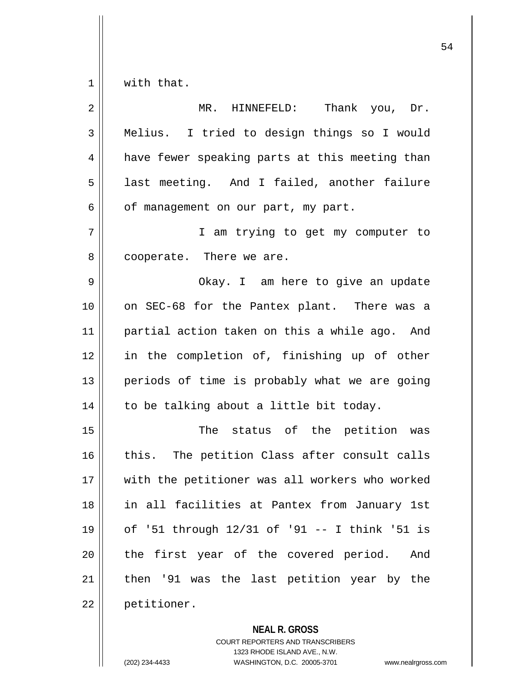$1 \parallel$  with that.

| $\overline{2}$ | Thank you, Dr.<br>MR. HINNEFELD:               |
|----------------|------------------------------------------------|
| 3              | Melius. I tried to design things so I would    |
| 4              | have fewer speaking parts at this meeting than |
| 5              | last meeting. And I failed, another failure    |
| 6              | of management on our part, my part.            |
| 7              | I am trying to get my computer to              |
| 8              | cooperate. There we are.                       |
| 9              | Okay. I am here to give an update              |
| 10             | on SEC-68 for the Pantex plant. There was a    |
| 11             | partial action taken on this a while ago. And  |
| 12             | in the completion of, finishing up of other    |
| 13             | periods of time is probably what we are going  |
| 14             | to be talking about a little bit today.        |
| 15             | The status of the petition was                 |
| 16             | this. The petition Class after consult calls   |
| 17             | with the petitioner was all workers who worked |
| 18             | in all facilities at Pantex from January 1st   |
| 19             | of '51 through 12/31 of '91 -- I think '51 is  |
| 20             | the first year of the covered period. And      |
| 21             | then '91 was the last petition year by the     |
| 22             | petitioner.                                    |

**NEAL R. GROSS**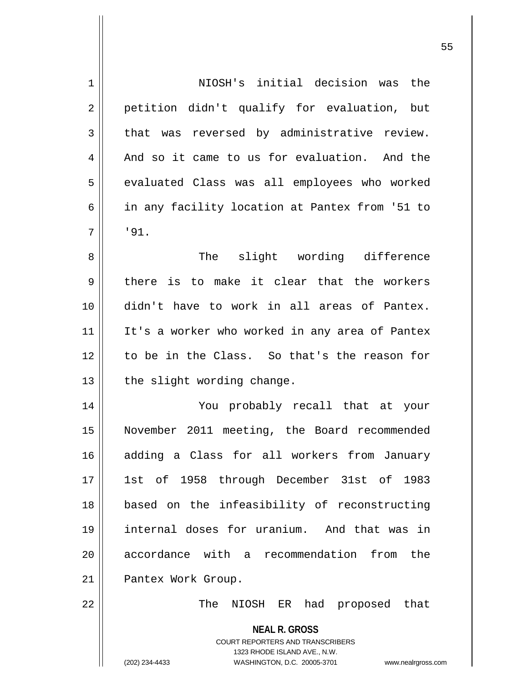| 1  | NIOSH's initial decision was the                                    |
|----|---------------------------------------------------------------------|
| 2  | petition didn't qualify for evaluation, but                         |
| 3  | that was reversed by administrative review.                         |
| 4  | And so it came to us for evaluation. And the                        |
| 5  | evaluated Class was all employees who worked                        |
| 6  | in any facility location at Pantex from '51 to                      |
| 7  | '91.                                                                |
| 8  | The slight wording difference                                       |
| 9  | there is to make it clear that the workers                          |
| 10 | didn't have to work in all areas of Pantex.                         |
| 11 | It's a worker who worked in any area of Pantex                      |
| 12 | to be in the Class. So that's the reason for                        |
| 13 | the slight wording change.                                          |
| 14 | You probably recall that at your                                    |
| 15 | November 2011 meeting, the Board recommended                        |
| 16 | adding a Class for all workers from January                         |
| 17 | 1st of 1958 through December 31st of<br>1983                        |
| 18 | based on the infeasibility of reconstructing                        |
| 19 | internal doses for uranium. And that was in                         |
| 20 | accordance with a recommendation from<br>the                        |
| 21 | Pantex Work Group.                                                  |
| 22 | The<br>NIOSH<br>ER had proposed that                                |
|    | <b>NEAL R. GROSS</b>                                                |
|    | COURT REPORTERS AND TRANSCRIBERS<br>1323 RHODE ISLAND AVE., N.W.    |
|    | WASHINGTON, D.C. 20005-3701<br>(202) 234-4433<br>www.nealrgross.com |
|    |                                                                     |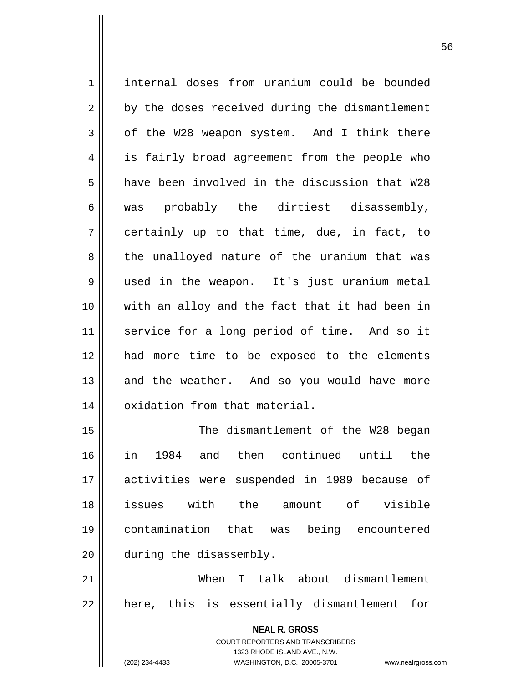**NEAL R. GROSS** COURT REPORTERS AND TRANSCRIBERS 1 internal doses from uranium could be bounded  $2 \parallel$  by the doses received during the dismantlement 3 of the W28 weapon system. And I think there 4 || is fairly broad agreement from the people who  $5 \parallel$  have been involved in the discussion that W28 6 || was probably the dirtiest disassembly,  $7 \parallel$  certainly up to that time, due, in fact, to  $8 \parallel$  the unalloyed nature of the uranium that was 9 used in the weapon. It's just uranium metal 10 with an alloy and the fact that it had been in 11 service for a long period of time. And so it 12 had more time to be exposed to the elements 13 || and the weather. And so you would have more 14 | oxidation from that material. 15 The dismantlement of the W28 began 16 in 1984 and then continued until the 17 activities were suspended in 1989 because of 18 issues with the amount of visible 19 contamination that was being encountered 20 during the disassembly. 21 When I talk about dismantlement  $22$  || here, this is essentially dismantlement for

1323 RHODE ISLAND AVE., N.W.

(202) 234-4433 WASHINGTON, D.C. 20005-3701 www.nealrgross.com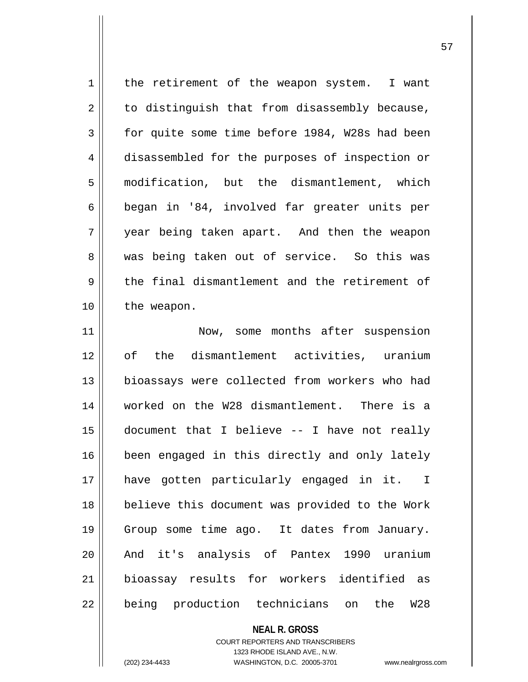| $\mathbf 1$ | the retirement of the weapon system. I want    |
|-------------|------------------------------------------------|
| 2           | to distinguish that from disassembly because,  |
| 3           | for quite some time before 1984, W28s had been |
| 4           | disassembled for the purposes of inspection or |
| 5           | modification, but the dismantlement, which     |
| 6           | began in '84, involved far greater units per   |
| 7           | year being taken apart. And then the weapon    |
| 8           | was being taken out of service. So this was    |
| $\mathsf 9$ | the final dismantlement and the retirement of  |
| 10          | the weapon.                                    |
| 11          | Now, some months after suspension              |
| 12          | of the dismantlement activities, uranium       |
| 13          | bioassays were collected from workers who had  |
| 14          | worked on the W28 dismantlement. There is a    |
| 15          | document that I believe -- I have not really   |
| 16          | been engaged in this directly and only lately  |
| 17          | have gotten particularly engaged in it. I      |
| 18          | believe this document was provided to the Work |
| 19          | Group some time ago. It dates from January.    |
| 20          | And it's analysis of Pantex 1990 uranium       |
| 21          | bioassay results for workers identified as     |
| 22          | being production technicians on the<br>W28     |
|             | <b>NEAL R. GROSS</b>                           |

COURT REPORTERS AND TRANSCRIBERS 1323 RHODE ISLAND AVE., N.W. (202) 234-4433 WASHINGTON, D.C. 20005-3701 www.nealrgross.com

 $\mathsf{II}$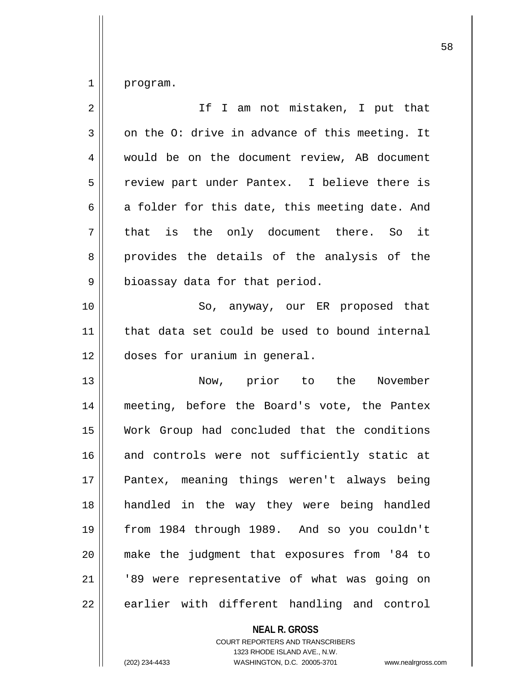1 program.

| $\overline{2}$ | If I am not mistaken, I put that               |
|----------------|------------------------------------------------|
| 3              | on the O: drive in advance of this meeting. It |
| 4              | would be on the document review, AB document   |
| 5              | review part under Pantex. I believe there is   |
| 6              | a folder for this date, this meeting date. And |
| 7              | that is the only document there. So it         |
| 8              | provides the details of the analysis of the    |
| 9              | bioassay data for that period.                 |
| 10             | So, anyway, our ER proposed that               |
| 11             | that data set could be used to bound internal  |
| 12             | doses for uranium in general.                  |
| 13             | Now, prior to the<br>November                  |
| 14             | meeting, before the Board's vote, the Pantex   |
| 15             | Work Group had concluded that the conditions   |
| 16             | and controls were not sufficiently static at   |
| 17             | Pantex, meaning things weren't always being    |
| 18             | handled in the way they were being handled     |
| 19             | from 1984 through 1989. And so you couldn't    |
| 20             | make the judgment that exposures from '84 to   |
| 21             | '89 were representative of what was going on   |
| 22             | earlier with different handling and control    |

## **NEAL R. GROSS**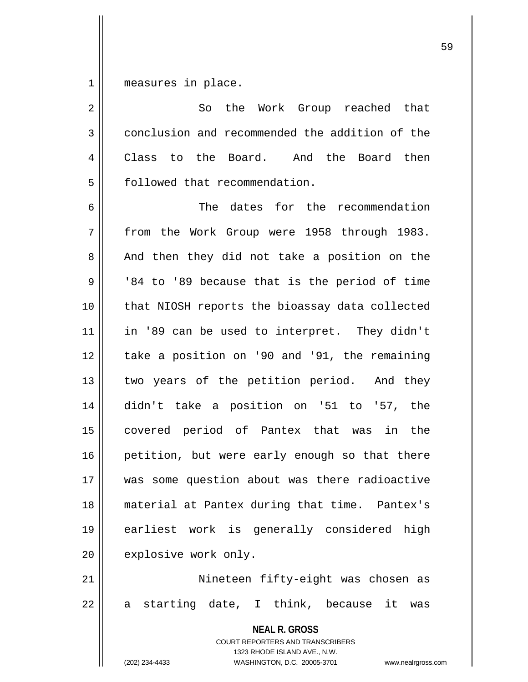1 measures in place.

| $\overline{2}$ | So<br>the Work Group reached that                                                                                                                                    |
|----------------|----------------------------------------------------------------------------------------------------------------------------------------------------------------------|
| 3              | conclusion and recommended the addition of the                                                                                                                       |
| $\overline{4}$ | Class to the Board. And the Board then                                                                                                                               |
| 5              | followed that recommendation.                                                                                                                                        |
| 6              | The dates for the recommendation                                                                                                                                     |
| 7              | from the Work Group were 1958 through 1983.                                                                                                                          |
| 8              | And then they did not take a position on the                                                                                                                         |
| 9              | '84 to '89 because that is the period of time                                                                                                                        |
| 10             | that NIOSH reports the bioassay data collected                                                                                                                       |
| 11             | in '89 can be used to interpret. They didn't                                                                                                                         |
| 12             | take a position on '90 and '91, the remaining                                                                                                                        |
| 13             | two years of the petition period. And they                                                                                                                           |
| 14             | didn't take a position on '51 to '57, the                                                                                                                            |
| 15             | covered period of Pantex that was in the                                                                                                                             |
| 16             | petition, but were early enough so that there                                                                                                                        |
| 17             | was some question about was there radioactive                                                                                                                        |
| 18             | material at Pantex during that time. Pantex's                                                                                                                        |
| 19             | earliest work is generally considered high                                                                                                                           |
| 20             | explosive work only.                                                                                                                                                 |
| 21             | Nineteen fifty-eight was chosen as                                                                                                                                   |
| 22             | a starting date, I think, because it was                                                                                                                             |
|                | <b>NEAL R. GROSS</b><br><b>COURT REPORTERS AND TRANSCRIBERS</b><br>1323 RHODE ISLAND AVE., N.W.<br>WASHINGTON, D.C. 20005-3701<br>(202) 234-4433<br>www.nealrgross.c |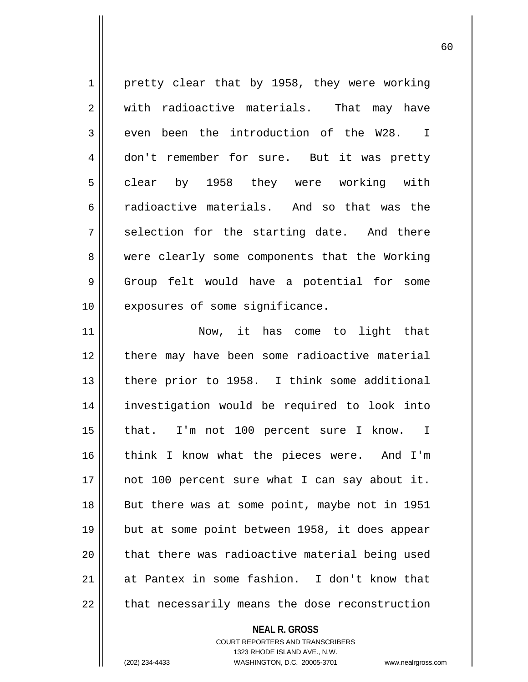1 | pretty clear that by 1958, they were working 2 with radioactive materials. That may have  $3$  even been the introduction of the W28. I 4 don't remember for sure. But it was pretty 5|| clear by 1958 they were working with 6 radioactive materials. And so that was the  $7 \parallel$  selection for the starting date. And there 8 were clearly some components that the Working 9 Group felt would have a potential for some 10 || exposures of some significance. 11 Now, it has come to light that 12 || there may have been some radioactive material 13 there prior to 1958. I think some additional 14 investigation would be required to look into 15 || that. I'm not 100 percent sure I know. I 16 think I know what the pieces were. And I'm 17 || not 100 percent sure what I can say about it. 18 || But there was at some point, maybe not in 1951 19 but at some point between 1958, it does appear  $20$   $\parallel$  that there was radioactive material being used 21 at Pantex in some fashion. I don't know that  $22$  | that necessarily means the dose reconstruction

**NEAL R. GROSS**

COURT REPORTERS AND TRANSCRIBERS 1323 RHODE ISLAND AVE., N.W. (202) 234-4433 WASHINGTON, D.C. 20005-3701 www.nealrgross.com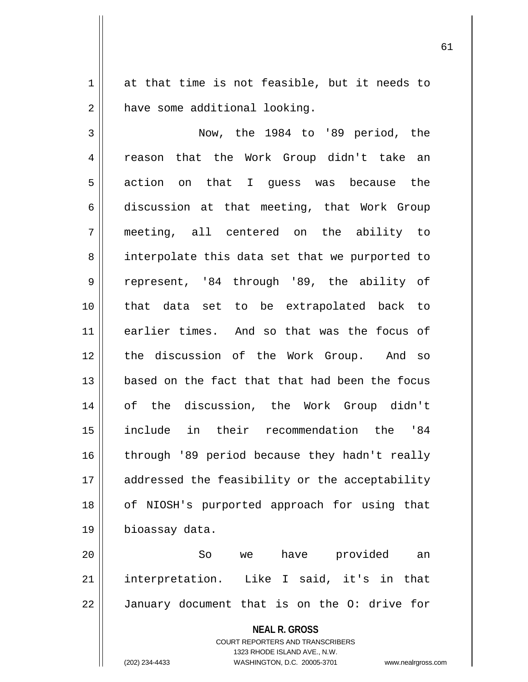$1 \parallel$  at that time is not feasible, but it needs to 2 | have some additional looking.

3 Now, the 1984 to '89 period, the 4 || reason that the Work Group didn't take an 5 || action on that I guess was because the 6 discussion at that meeting, that Work Group 7 meeting, all centered on the ability to 8 || interpolate this data set that we purported to 9 || represent, '84 through '89, the ability of 10 that data set to be extrapolated back to 11 earlier times. And so that was the focus of 12 the discussion of the Work Group. And so 13 based on the fact that that had been the focus 14 of the discussion, the Work Group didn't 15 include in their recommendation the '84 16 || through '89 period because they hadn't really 17 || addressed the feasibility or the acceptability 18 || of NIOSH's purported approach for using that 19 bioassay data.

20 So we have provided an 21 interpretation. Like I said, it's in that 22 January document that is on the O: drive for

#### **NEAL R. GROSS** COURT REPORTERS AND TRANSCRIBERS 1323 RHODE ISLAND AVE., N.W.

(202) 234-4433 WASHINGTON, D.C. 20005-3701 www.nealrgross.com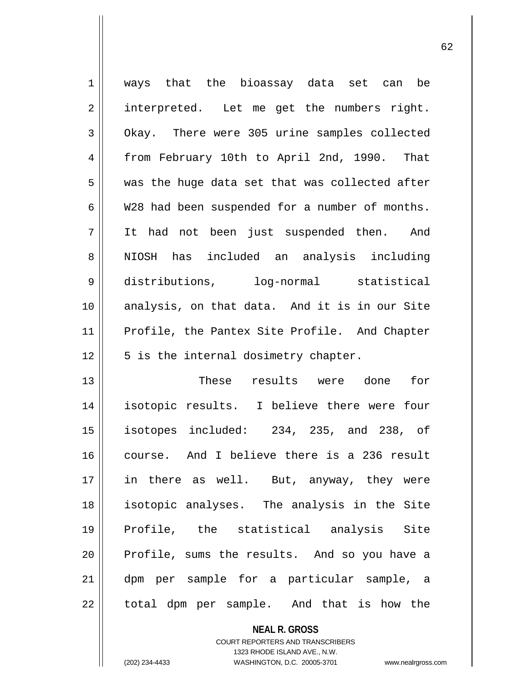1 ways that the bioassay data set can be 2 || interpreted. Let me get the numbers right. 3 Okay. There were 305 urine samples collected 4 from February 10th to April 2nd, 1990. That 5 was the huge data set that was collected after  $6 \parallel$  W28 had been suspended for a number of months. 7 It had not been just suspended then. And 8 NIOSH has included an analysis including 9 distributions, log-normal statistical 10 analysis, on that data. And it is in our Site 11 || Profile, the Pantex Site Profile. And Chapter  $12 \parallel 5$  is the internal dosimetry chapter. 13 These results were done for 14 isotopic results. I believe there were four 15 isotopes included: 234, 235, and 238, of 16 course. And I believe there is a 236 result 17 || in there as well. But, anyway, they were 18 isotopic analyses. The analysis in the Site 19 Profile, the statistical analysis Site 20 || Profile, sums the results. And so you have a 21 dpm per sample for a particular sample, a  $22$  || total dpm per sample. And that is how the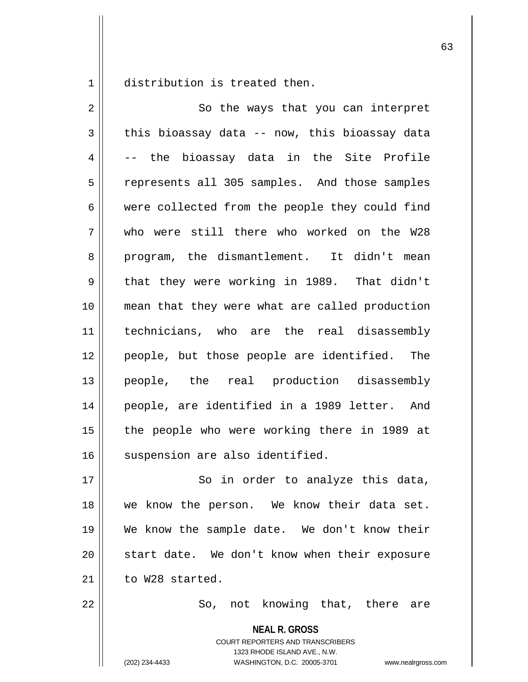1<sup>|</sup> distribution is treated then.

2 || So the ways that you can interpret  $3 \parallel$  this bioassay data -- now, this bioassay data 4 || -- the bioassay data in the Site Profile 5 | represents all 305 samples. And those samples 6 were collected from the people they could find 7 who were still there who worked on the W28 8 program, the dismantlement. It didn't mean 9 that they were working in 1989. That didn't 10 mean that they were what are called production 11 technicians, who are the real disassembly 12 || people, but those people are identified. The 13 people, the real production disassembly 14 people, are identified in a 1989 letter. And 15 || the people who were working there in 1989 at 16 | suspension are also identified. 17 || So in order to analyze this data,

18 || we know the person. We know their data set. 19 We know the sample date. We don't know their 20 || start date. We don't know when their exposure  $21$   $\parallel$  to W28 started.

22 So, not knowing that, there are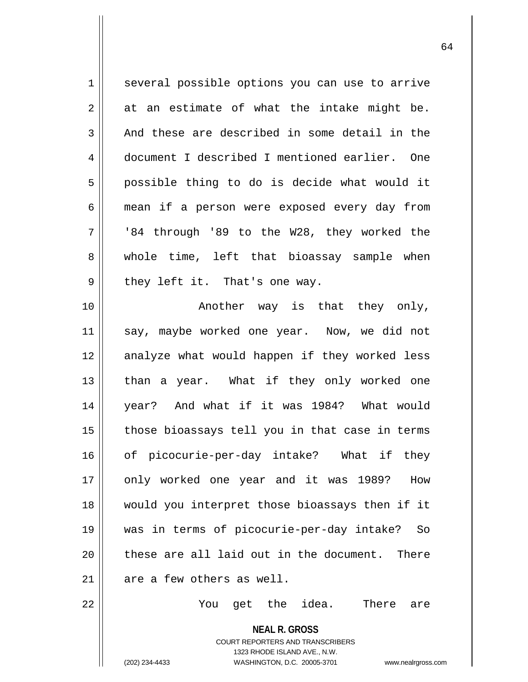| $\mathbf 1$    | several possible options you can use to arrive |
|----------------|------------------------------------------------|
| 2              | at an estimate of what the intake might be.    |
| 3              | And these are described in some detail in the  |
| $\overline{4}$ | document I described I mentioned earlier. One  |
| 5              | possible thing to do is decide what would it   |
| 6              | mean if a person were exposed every day from   |
| 7              | '84 through '89 to the W28, they worked the    |
| 8              | whole time, left that bioassay sample when     |
| $\mathsf 9$    | they left it. That's one way.                  |
| 10             | Another way is that they only,                 |
| 11             | say, maybe worked one year. Now, we did not    |
| 12             | analyze what would happen if they worked less  |
| 13             | than a year. What if they only worked one      |
| 14             | year? And what if it was 1984? What would      |
| 15             | those bioassays tell you in that case in terms |
| 16             | of picocurie-per-day intake? What if they      |
| 17             | only worked one year and it was 1989?<br>How   |
| 18             | would you interpret those bioassays then if it |
| 19             | was in terms of picocurie-per-day intake? So   |
| 20             | these are all laid out in the document. There  |
| 21             | are a few others as well.                      |
| 22             | You get the idea.<br>There<br>are              |

**NEAL R. GROSS** COURT REPORTERS AND TRANSCRIBERS 1323 RHODE ISLAND AVE., N.W. (202) 234-4433 WASHINGTON, D.C. 20005-3701 www.nealrgross.com

 $\mathsf{I}$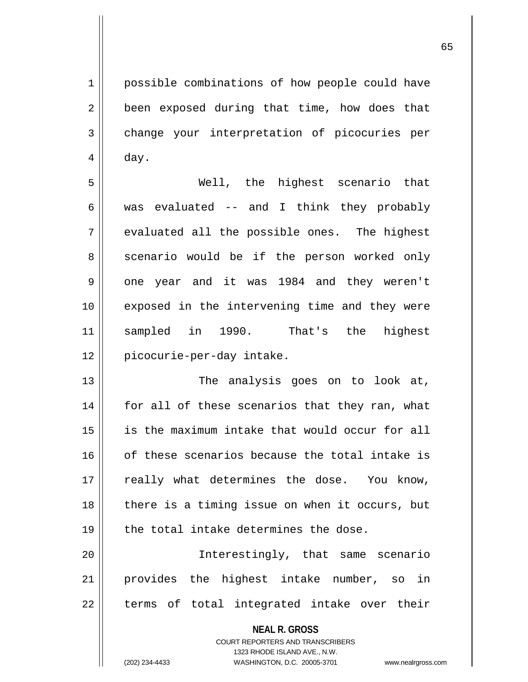1 | possible combinations of how people could have  $2 \parallel$  been exposed during that time, how does that  $3 \parallel$  change your interpretation of picocuries per  $4 \parallel$  day.

5 Well, the highest scenario that 6 | was evaluated -- and I think they probably  $7 \parallel$  evaluated all the possible ones. The highest 8 scenario would be if the person worked only 9 one year and it was 1984 and they weren't 10 || exposed in the intervening time and they were 11 sampled in 1990. That's the highest 12 || picocurie-per-day intake.

13 || The analysis goes on to look at, 14 || for all of these scenarios that they ran, what 15 is the maximum intake that would occur for all  $16$  of these scenarios because the total intake is 17 || really what determines the dose. You know,  $18$  || there is a timing issue on when it occurs, but  $19$  | the total intake determines the dose.

20 Interestingly, that same scenario 21 provides the highest intake number, so in  $22$  || terms of total integrated intake over their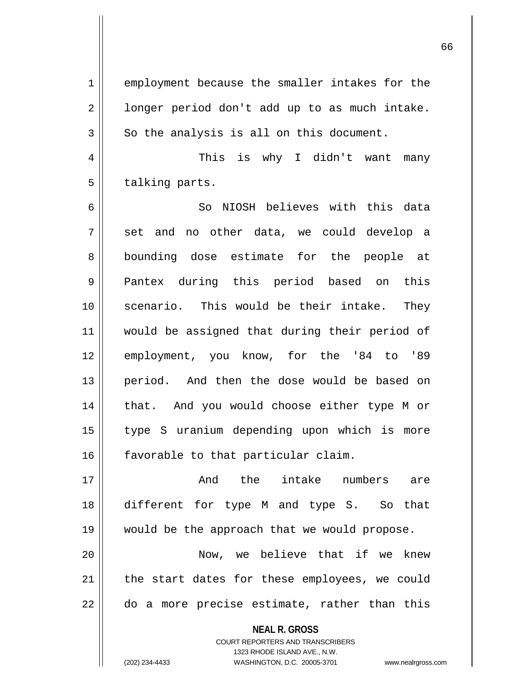1 employment because the smaller intakes for the  $2 \parallel$  longer period don't add up to as much intake.  $3 \parallel$  So the analysis is all on this document.

4 This is why I didn't want many  $5 \parallel$  talking parts.

6 So NIOSH believes with this data  $7 \parallel$  set and no other data, we could develop a 8 bounding dose estimate for the people at 9 Pantex during this period based on this 10 scenario. This would be their intake. They 11 would be assigned that during their period of 12 employment, you know, for the '84 to '89 13 period. And then the dose would be based on 14 || that. And you would choose either type M or 15 type S uranium depending upon which is more 16 favorable to that particular claim.

17 And the intake numbers are 18 different for type M and type S. So that 19 would be the approach that we would propose.

20 Now, we believe that if we knew  $21$  | the start dates for these employees, we could  $22$  || do a more precise estimate, rather than this

## **NEAL R. GROSS** COURT REPORTERS AND TRANSCRIBERS 1323 RHODE ISLAND AVE., N.W.

(202) 234-4433 WASHINGTON, D.C. 20005-3701 www.nealrgross.com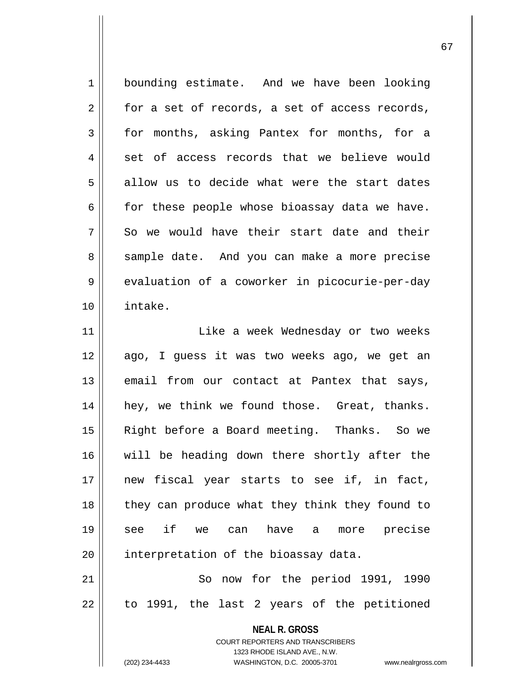| $\mathbf 1$ | bounding estimate. And we have been looking                         |
|-------------|---------------------------------------------------------------------|
| 2           | for a set of records, a set of access records,                      |
| 3           | for months, asking Pantex for months, for a                         |
| 4           | set of access records that we believe would                         |
| 5           | allow us to decide what were the start dates                        |
| 6           | for these people whose bioassay data we have.                       |
| 7           | So we would have their start date and their                         |
| 8           | sample date. And you can make a more precise                        |
| 9           | evaluation of a coworker in picocurie-per-day                       |
| 10          | intake.                                                             |
| 11          | Like a week Wednesday or two weeks                                  |
| 12          | ago, I guess it was two weeks ago, we get an                        |
| 13          | email from our contact at Pantex that says,                         |
| 14          | hey, we think we found those. Great, thanks.                        |
| 15          | Right before a Board meeting. Thanks. So we                         |
| 16          | will be heading down there shortly after the                        |
| 17          | new fiscal year starts to see if, in fact,                          |
| 18          | they can produce what they think they found to                      |
| 19          | see if<br>have a<br>more precise<br>we can                          |
| 20          | interpretation of the bioassay data.                                |
| 21          | So now for the period 1991, 1990                                    |
| 22          | to 1991, the last 2 years of the petitioned                         |
|             | <b>NEAL R. GROSS</b><br>COURT REPORTERS AND TRANSCRIBERS            |
|             | 1323 RHODE ISLAND AVE., N.W.                                        |
|             | (202) 234-4433<br>WASHINGTON, D.C. 20005-3701<br>www.nealrgross.com |
|             |                                                                     |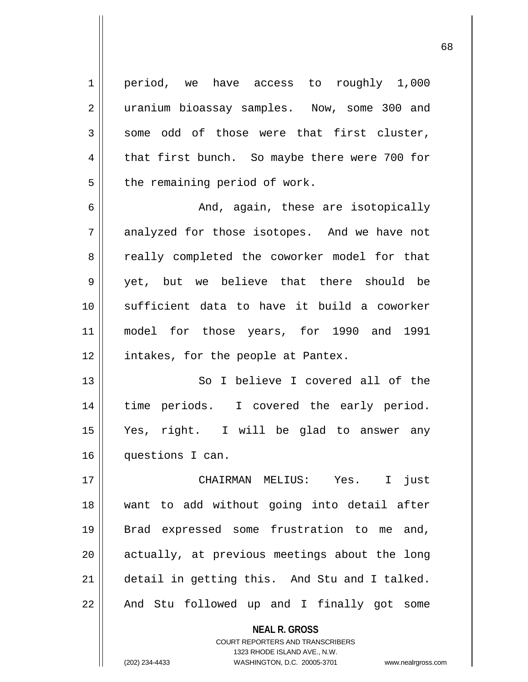1 period, we have access to roughly 1,000 2 || uranium bioassay samples. Now, some 300 and  $3 \parallel$  some odd of those were that first cluster, 4 | that first bunch. So maybe there were 700 for  $5$  | the remaining period of work.

6 And, again, these are isotopically 7 analyzed for those isotopes. And we have not 8 || really completed the coworker model for that 9 yet, but we believe that there should be 10 sufficient data to have it build a coworker 11 model for those years, for 1990 and 1991 12 | intakes, for the people at Pantex.

13 || So I believe I covered all of the 14 || time periods. I covered the early period. 15 Yes, right. I will be glad to answer any 16 questions I can.

17 || CHAIRMAN MELIUS: Yes. I just want to add without going into detail after Brad expressed some frustration to me and, || actually, at previous meetings about the long detail in getting this. And Stu and I talked. 22 || And Stu followed up and I finally got some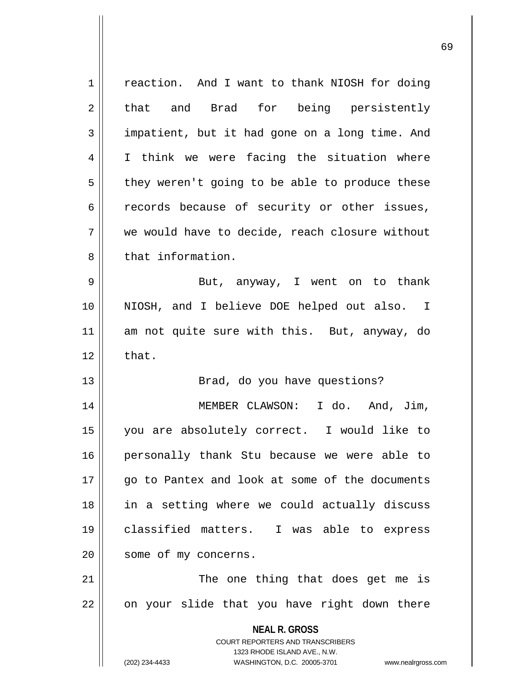**NEAL R. GROSS** COURT REPORTERS AND TRANSCRIBERS 1323 RHODE ISLAND AVE., N.W. (202) 234-4433 WASHINGTON, D.C. 20005-3701 www.nealrgross.com 1 | reaction. And I want to thank NIOSH for doing 2 that and Brad for being persistently 3 impatient, but it had gone on a long time. And 4 || I think we were facing the situation where  $5 \parallel$  they weren't going to be able to produce these  $6$  records because of security or other issues, 7 We would have to decide, reach closure without 8 l that information. 9 || But, anyway, I went on to thank 10 NIOSH, and I believe DOE helped out also. I 11 am not quite sure with this. But, anyway, do  $12 \parallel$  that. 13 || Brad, do you have questions? 14 MEMBER CLAWSON: I do. And, Jim, 15 you are absolutely correct. I would like to 16 personally thank Stu because we were able to 17 || qo to Pantex and look at some of the documents 18 in a setting where we could actually discuss 19 classified matters. I was able to express 20 | some of my concerns. 21 The one thing that does get me is  $22$  | on your slide that you have right down there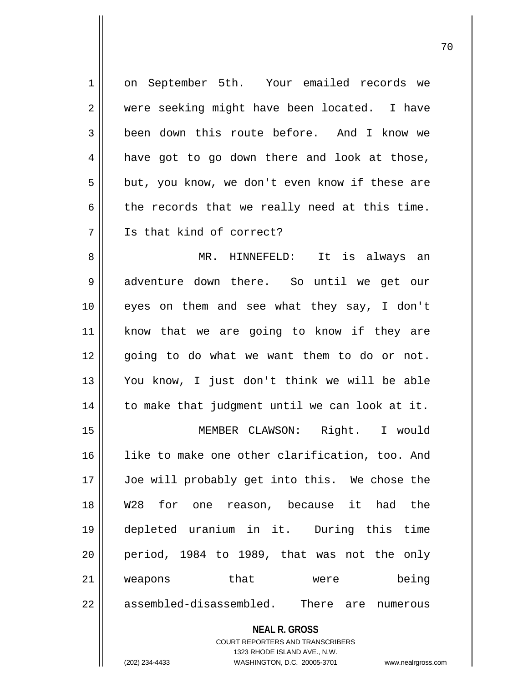| $\mathbf 1$ | on September 5th. Your emailed records we                                                         |
|-------------|---------------------------------------------------------------------------------------------------|
| 2           | were seeking might have been located. I have                                                      |
| 3           | been down this route before. And I know we                                                        |
| 4           | have got to go down there and look at those,                                                      |
| 5           | but, you know, we don't even know if these are                                                    |
| 6           | the records that we really need at this time.                                                     |
| 7           | Is that kind of correct?                                                                          |
| 8           | It is always an<br>MR. HINNEFELD:                                                                 |
| 9           | adventure down there. So until we get our                                                         |
| 10          | eyes on them and see what they say, I don't                                                       |
| 11          | know that we are going to know if they are                                                        |
| 12          | going to do what we want them to do or not.                                                       |
| 13          | You know, I just don't think we will be able                                                      |
| 14          | to make that judgment until we can look at it.                                                    |
| 15          | MEMBER CLAWSON: Right. I would                                                                    |
| 16          | like to make one other clarification, too. And                                                    |
| 17          | Joe will probably get into this. We chose the                                                     |
| 18          | W28 for one reason, because it had the                                                            |
| 19          | depleted uranium in it. During this time                                                          |
| 20          | period, 1984 to 1989, that was not the only                                                       |
| 21          | being<br>that<br>weapons<br>were                                                                  |
| 22          | assembled-disassembled. There are<br>numerous                                                     |
|             | <b>NEAL R. GROSS</b><br>COURT REPORTERS AND TRANSCRIBERS                                          |
|             | 1323 RHODE ISLAND AVE., N.W.<br>WASHINGTON, D.C. 20005-3701<br>(202) 234-4433<br>www.nealrgross.c |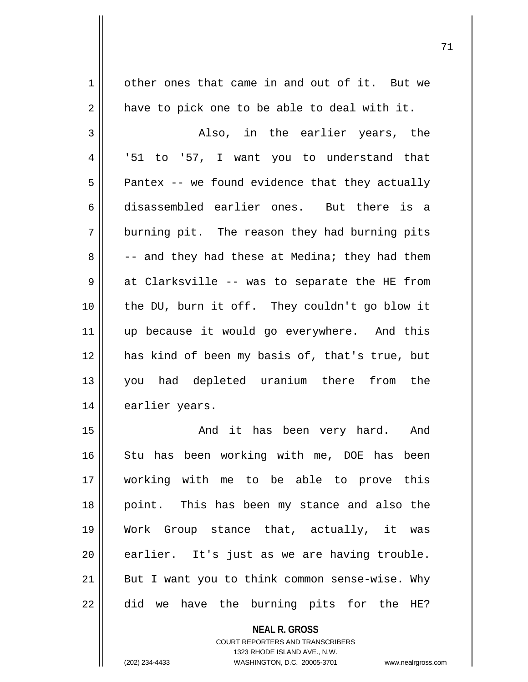1 | other ones that came in and out of it. But we  $2 \parallel$  have to pick one to be able to deal with it. 3 Also, in the earlier years, the  $4 \parallel$  '51 to '57, I want you to understand that  $5$  | Pantex -- we found evidence that they actually 6 disassembled earlier ones. But there is a 7 || burning pit. The reason they had burning pits  $8 \parallel$  -- and they had these at Medina; they had them  $9 \parallel$  at Clarksville -- was to separate the HE from 10 the DU, burn it off. They couldn't go blow it 11 up because it would go everywhere. And this 12 has kind of been my basis of, that's true, but 13 you had depleted uranium there from the 14 earlier years. 15 || The Mand it has been very hard. And 16 Stu has been working with me, DOE has been 17 working with me to be able to prove this 18 point. This has been my stance and also the 19 Work Group stance that, actually, it was  $20$  || earlier. It's just as we are having trouble. 21 || But I want you to think common sense-wise. Why  $22$   $\parallel$  did we have the burning pits for the HE?

**NEAL R. GROSS**

COURT REPORTERS AND TRANSCRIBERS 1323 RHODE ISLAND AVE., N.W. (202) 234-4433 WASHINGTON, D.C. 20005-3701 www.nealrgross.com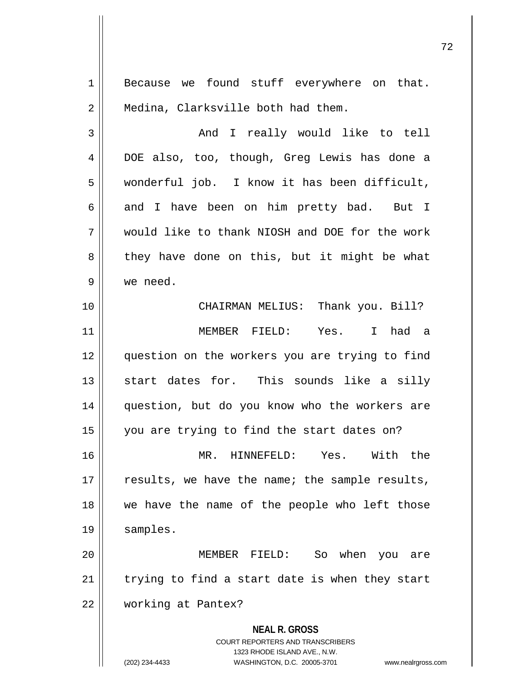1 Because we found stuff everywhere on that. 2 | Medina, Clarksville both had them.

3 And I really would like to tell 4 DOE also, too, though, Greg Lewis has done a 5 wonderful job. I know it has been difficult, 6 and I have been on him pretty bad. But I 7 would like to thank NIOSH and DOE for the work  $8 \parallel$  they have done on this, but it might be what 9 we need.

 CHAIRMAN MELIUS: Thank you. Bill? MEMBER FIELD: Yes. I had a 12 || question on the workers you are trying to find start dates for. This sounds like a silly question, but do you know who the workers are you are trying to find the start dates on? MR. HINNEFELD: Yes. With the

17  $\parallel$  results, we have the name; the sample results, 18 we have the name of the people who left those 19 | samples.

20 MEMBER FIELD: So when you are  $21$  | trying to find a start date is when they start 22 working at Pantex?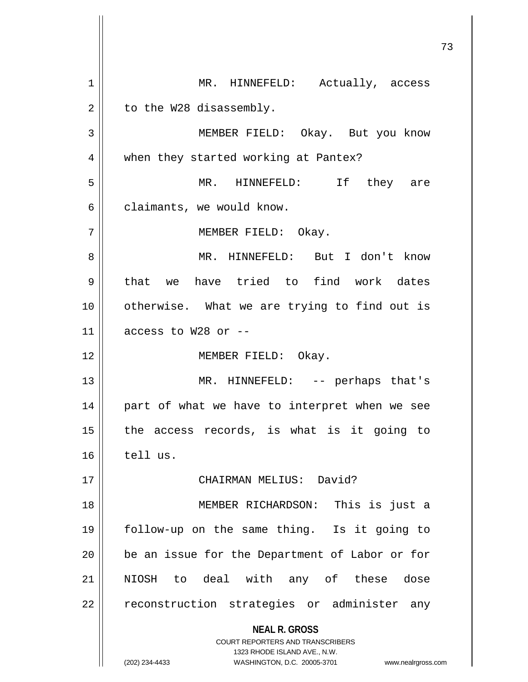**NEAL R. GROSS** COURT REPORTERS AND TRANSCRIBERS 1323 RHODE ISLAND AVE., N.W. 1 || MR. HINNEFELD: Actually, access  $2 \parallel$  to the W28 disassembly. 3 MEMBER FIELD: Okay. But you know 4 | when they started working at Pantex? 5 || MR. HINNEFELD: If they are  $6 \parallel$  claimants, we would know. 7 MEMBER FIELD: Okay. 8 MR. HINNEFELD: But I don't know 9 that we have tried to find work dates 10 otherwise. What we are trying to find out is 11  $\parallel$  access to W28 or --12 || MEMBER FIELD: Okay. 13 || MR. HINNEFELD: -- perhaps that's 14 || part of what we have to interpret when we see  $15$  | the access records, is what is it going to 16 tell us. 17 CHAIRMAN MELIUS: David? 18 MEMBER RICHARDSON: This is just a 19 follow-up on the same thing. Is it going to  $20$  | be an issue for the Department of Labor or for 21 NIOSH to deal with any of these dose 22 || reconstruction strategies or administer any

(202) 234-4433 WASHINGTON, D.C. 20005-3701 www.nealrgross.com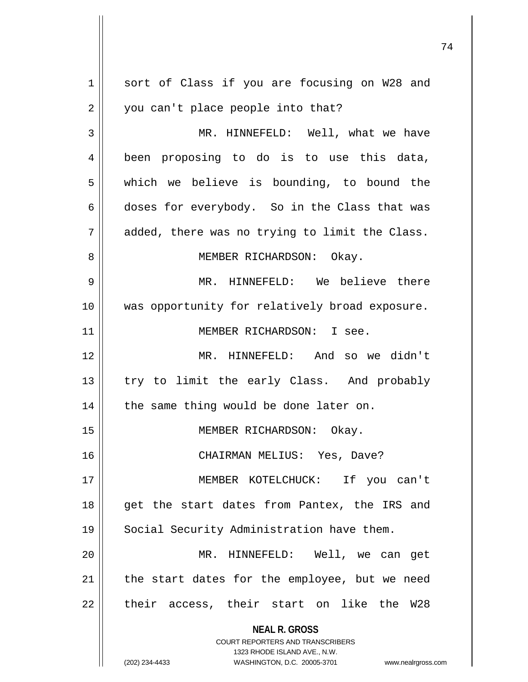**NEAL R. GROSS** COURT REPORTERS AND TRANSCRIBERS 1323 RHODE ISLAND AVE., N.W. (202) 234-4433 WASHINGTON, D.C. 20005-3701 www.nealrgross.com 1 || sort of Class if you are focusing on W28 and 2 || you can't place people into that? 3 || MR. HINNEFELD: Well, what we have 4 || been proposing to do is to use this data, 5 which we believe is bounding, to bound the  $6 \parallel$  doses for everybody. So in the Class that was  $7 \parallel$  added, there was no trying to limit the Class. 8 MEMBER RICHARDSON: Okay. 9 || MR. HINNEFELD: We believe there 10 was opportunity for relatively broad exposure. 11 || MEMBER RICHARDSON: I see. 12 MR. HINNEFELD: And so we didn't 13 || try to limit the early Class. And probably  $14$  | the same thing would be done later on. 15 || MEMBER RICHARDSON: Okay. 16 CHAIRMAN MELIUS: Yes, Dave? 17 MEMBER KOTELCHUCK: If you can't 18 get the start dates from Pantex, the IRS and 19 || Social Security Administration have them. 20 MR. HINNEFELD: Well, we can get  $21$  | the start dates for the employee, but we need 22 || their access, their start on like the W28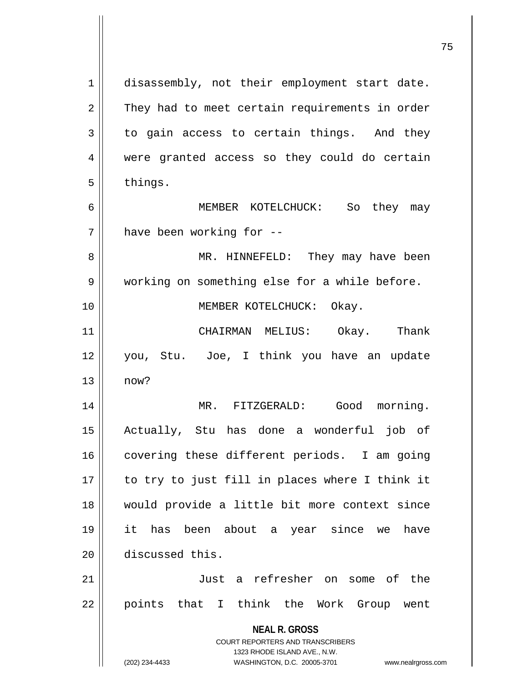**NEAL R. GROSS** COURT REPORTERS AND TRANSCRIBERS 1323 RHODE ISLAND AVE., N.W. (202) 234-4433 WASHINGTON, D.C. 20005-3701 www.nealrgross.com 1 disassembly, not their employment start date.  $2 \parallel$  They had to meet certain requirements in order  $3 \parallel$  to gain access to certain things. And they 4 || were granted access so they could do certain  $5 \parallel$  things. 6 MEMBER KOTELCHUCK: So they may  $7$  | have been working for  $-$ 8 MR. HINNEFELD: They may have been 9 | working on something else for a while before. 10 || **MEMBER KOTELCHUCK:** Okay. 11 CHAIRMAN MELIUS: Okay. Thank 12 you, Stu. Joe, I think you have an update  $13 \parallel$  now? 14 || MR. FITZGERALD: Good morning. 15 Actually, Stu has done a wonderful job of 16 | covering these different periods. I am going 17 || to try to just fill in places where I think it 18 would provide a little bit more context since 19 it has been about a year since we have 20 discussed this. 21 Just a refresher on some of the 22 || points that I think the Work Group went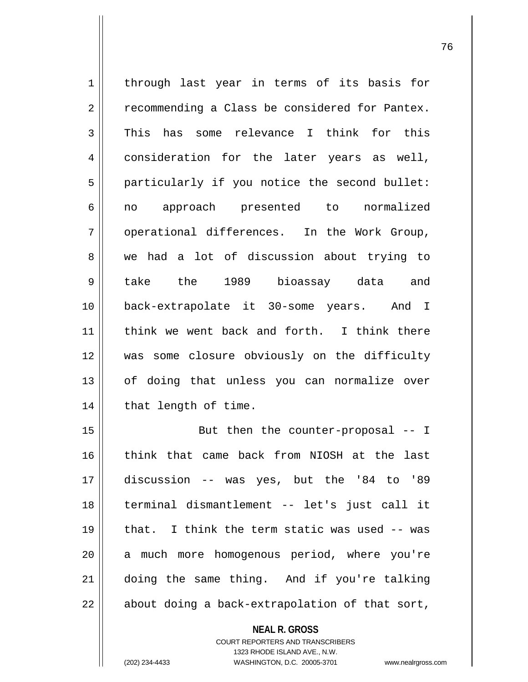1 | through last year in terms of its basis for 2 | recommending a Class be considered for Pantex.  $3$  This has some relevance I think for this 4 | consideration for the later years as well, 5 | particularly if you notice the second bullet: 6 || no approach presented to normalized  $7 \parallel$  operational differences. In the Work Group, 8 we had a lot of discussion about trying to 9 take the 1989 bioassay data and 10 back-extrapolate it 30-some years. And I 11 || think we went back and forth. I think there 12 was some closure obviously on the difficulty 13 || of doing that unless you can normalize over  $14$  | that length of time. 15 || But then the counter-proposal -- I

 think that came back from NIOSH at the last discussion -- was yes, but the '84 to '89 terminal dismantlement -- let's just call it || that. I think the term static was used  $-$  was 20 || a much more homogenous period, where you're doing the same thing. And if you're talking || about doing a back-extrapolation of that sort,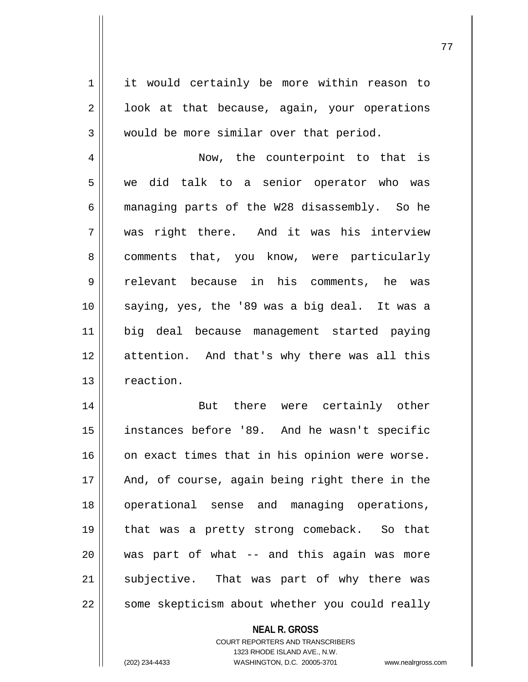1 it would certainly be more within reason to  $2 \parallel$  look at that because, again, your operations 3 would be more similar over that period.

4 Now, the counterpoint to that is 5 we did talk to a senior operator who was 6 managing parts of the W28 disassembly. So he 7 was right there. And it was his interview 8 comments that, you know, were particularly 9 relevant because in his comments, he was 10 saying, yes, the '89 was a big deal. It was a 11 big deal because management started paying 12 dttention. And that's why there was all this 13 reaction.

14 || But there were certainly other 15 instances before '89. And he wasn't specific 16 on exact times that in his opinion were worse. 17 || And, of course, again being right there in the 18 operational sense and managing operations, 19 that was a pretty strong comeback. So that 20 was part of what -- and this again was more  $21$  subjective. That was part of why there was 22 || some skepticism about whether you could really

### **NEAL R. GROSS** COURT REPORTERS AND TRANSCRIBERS 1323 RHODE ISLAND AVE., N.W. (202) 234-4433 WASHINGTON, D.C. 20005-3701 www.nealrgross.com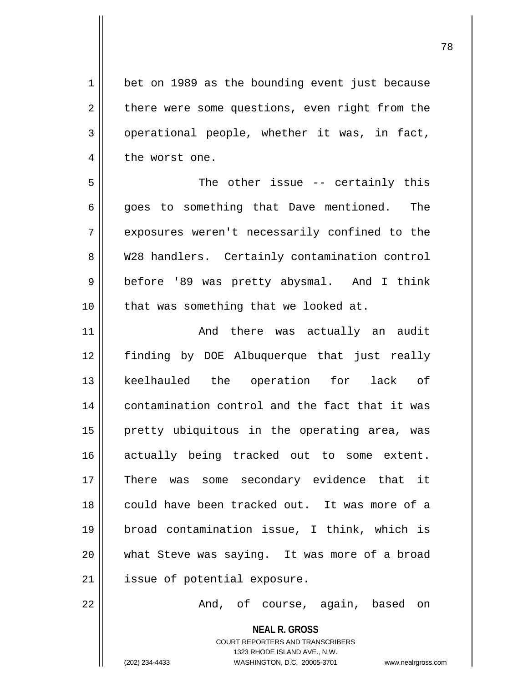1 bet on 1989 as the bounding event just because 2 | there were some questions, even right from the  $3 \parallel$  operational people, whether it was, in fact, 4 | the worst one. 5 || The other issue -- certainly this  $6 \parallel$  goes to something that Dave mentioned. The 7 exposures weren't necessarily confined to the 8 || W28 handlers. Certainly contamination control 9 before '89 was pretty abysmal. And I think  $10$  | that was something that we looked at. 11 And there was actually an audit 12 finding by DOE Albuquerque that just really 13 keelhauled the operation for lack of 14 || contamination control and the fact that it was 15 || pretty ubiquitous in the operating area, was 16 actually being tracked out to some extent. 17 There was some secondary evidence that it 18 could have been tracked out. It was more of a 19 broad contamination issue, I think, which is 20 what Steve was saying. It was more of a broad 21 | issue of potential exposure. 22 And, of course, again, based on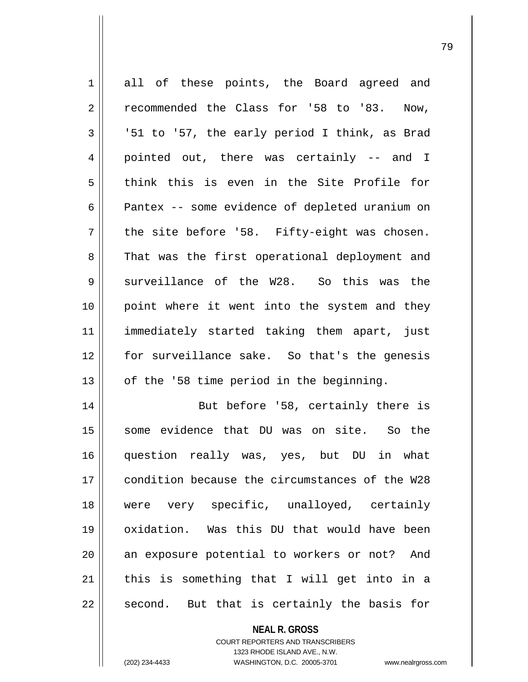| 1              | all of these points, the Board agreed and      |
|----------------|------------------------------------------------|
| 2              | recommended the Class for '58 to '83.<br>Now,  |
| 3              | '51 to '57, the early period I think, as Brad  |
| $\overline{4}$ | pointed out, there was certainly -- and I      |
| 5              | think this is even in the Site Profile for     |
| 6              | Pantex -- some evidence of depleted uranium on |
| 7              | the site before '58. Fifty-eight was chosen.   |
| 8              | That was the first operational deployment and  |
| 9              | surveillance of the W28. So this was the       |
| 10             | point where it went into the system and they   |
| 11             | immediately started taking them apart, just    |
| 12             | for surveillance sake. So that's the genesis   |
| 13             | of the '58 time period in the beginning.       |
| 14             | But before '58, certainly there is             |
| 15             | some evidence that DU was on site. So the      |
| 16             | question really was, yes, but DU in what       |
| 17             | condition because the circumstances of the W28 |
| 18             | were very specific, unalloyed, certainly       |
| 19             | oxidation. Was this DU that would have been    |
| 20             | an exposure potential to workers or not? And   |
| 21             | this is something that I will get into in a    |
| 22             | second.<br>But that is certainly the basis for |

**NEAL R. GROSS** COURT REPORTERS AND TRANSCRIBERS 1323 RHODE ISLAND AVE., N.W.

(202) 234-4433 WASHINGTON, D.C. 20005-3701 www.nealrgross.com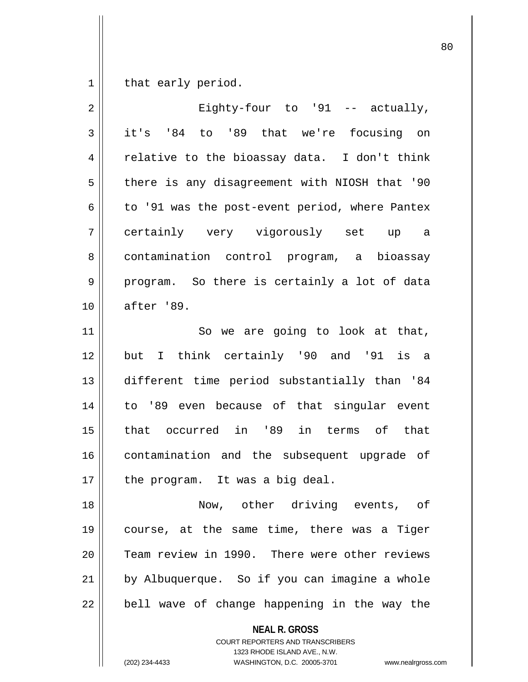that early period.

| $\overline{a}$ | Eighty-four to $91$ -- actually,               |
|----------------|------------------------------------------------|
| 3              | it's '84 to '89 that we're focusing on         |
| 4              | relative to the bioassay data. I don't think   |
| 5              | there is any disagreement with NIOSH that '90  |
| 6              | to '91 was the post-event period, where Pantex |
| 7              | certainly very vigorously set up a             |
| 8              | contamination control program, a bioassay      |
| $\mathsf 9$    | program. So there is certainly a lot of data   |
| 10             | after '89.                                     |
| 11             | So we are going to look at that,               |
| 12             | I think certainly '90 and '91 is a<br>but      |
| 13             | different time period substantially than '84   |
| 14             | to '89 even because of that singular event     |
| 15             | that occurred in '89 in terms of that          |
| 16             | contamination and the subsequent upgrade of    |
| 17             | the program. It was a big deal.                |
| 18             | Now, other driving events, of                  |
| 19             | course, at the same time, there was a Tiger    |
| 20             | Team review in 1990. There were other reviews  |
| 21             | by Albuquerque. So if you can imagine a whole  |
| 22             | bell wave of change happening in the way the   |
|                | <b>NEAL R. GROSS</b>                           |

COURT REPORTERS AND TRANSCRIBERS 1323 RHODE ISLAND AVE., N.W.

(202) 234-4433 WASHINGTON, D.C. 20005-3701 www.nealrgross.com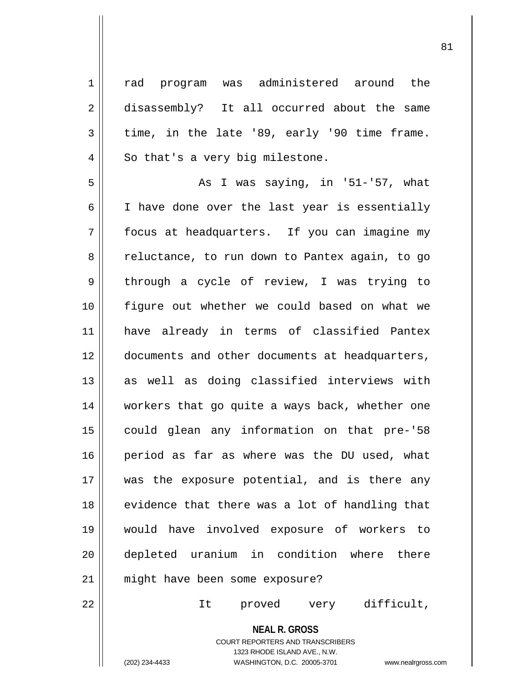1 || rad program was administered around the 2 disassembly? It all occurred about the same  $3 \parallel$  time, in the late '89, early '90 time frame.  $4 \parallel$  So that's a very big milestone.

 $5 \parallel$  as I was saying, in '51-'57, what 6 | I have done over the last year is essentially 7 focus at headquarters. If you can imagine my 8 | reluctance, to run down to Pantex again, to go 9 through a cycle of review, I was trying to 10 figure out whether we could based on what we 11 have already in terms of classified Pantex 12 documents and other documents at headquarters, 13 as well as doing classified interviews with 14 workers that go quite a ways back, whether one 15 could glean any information on that pre-'58 16 period as far as where was the DU used, what 17 was the exposure potential, and is there any 18 || evidence that there was a lot of handling that 19 would have involved exposure of workers to 20 depleted uranium in condition where there 21 || might have been some exposure?

22 It proved very difficult,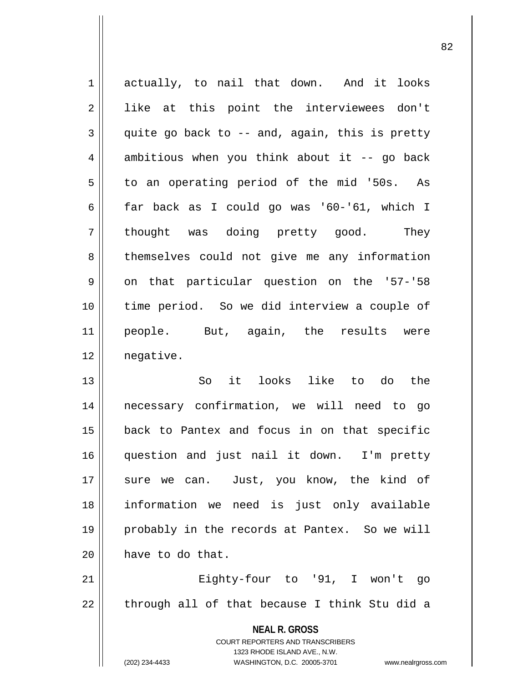| $\mathbf 1$ | actually, to nail that down. And it looks      |
|-------------|------------------------------------------------|
| 2           | like at this point the interviewees don't      |
| 3           | quite go back to -- and, again, this is pretty |
| 4           | ambitious when you think about it -- go back   |
| 5           | to an operating period of the mid '50s.<br>As  |
| 6           | far back as I could go was '60-'61, which I    |
| 7           | thought was doing pretty good.<br>They         |
| 8           | themselves could not give me any information   |
| 9           | on that particular question on the '57-'58     |
| 10          | time period. So we did interview a couple of   |
| 11          | people. But, again, the results were           |
| 12          | negative.                                      |
| 13          | So it looks like to do the                     |
|             |                                                |
| 14          | necessary confirmation, we will need to go     |
| 15          | back to Pantex and focus in on that specific   |
| 16          | question and just nail it down. I'm pretty     |
| 17          | sure we can. Just, you know, the kind of       |
| 18          | information we need is just only available     |
| 19          | probably in the records at Pantex. So we will  |

| have to do that.

21 || Eighty-four to '91, I won't go through all of that because I think Stu did a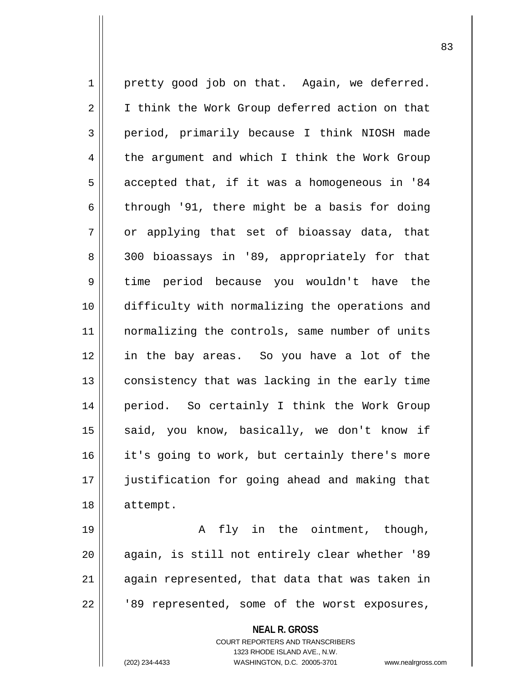1 || pretty good job on that. Again, we deferred. 2 | I think the Work Group deferred action on that 3 period, primarily because I think NIOSH made 4 the argument and which I think the Work Group  $5 \parallel$  accepted that, if it was a homogeneous in '84 6 through '91, there might be a basis for doing  $7 \parallel$  or applying that set of bioassay data, that 8 300 bioassays in '89, appropriately for that 9 || time period because you wouldn't have the 10 difficulty with normalizing the operations and 11 normalizing the controls, same number of units 12 in the bay areas. So you have a lot of the 13 || consistency that was lacking in the early time 14 period. So certainly I think the Work Group 15 || said, you know, basically, we don't know if 16 || it's going to work, but certainly there's more 17 justification for going ahead and making that 18 attempt. 19 || A fly in the ointment, though,

20 || again, is still not entirely clear whether '89  $21$   $\parallel$  again represented, that data that was taken in  $22$  ||  $89$  represented, some of the worst exposures,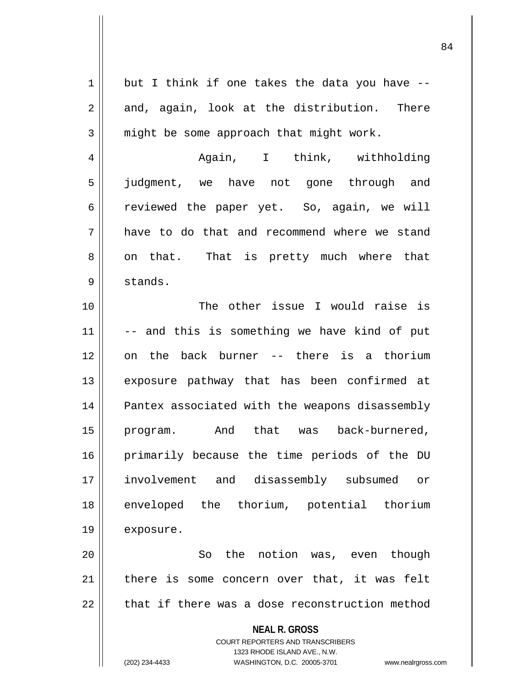| $\mathbf 1$ | but I think if one takes the data you have --                                                   |
|-------------|-------------------------------------------------------------------------------------------------|
| 2           | and, again, look at the distribution. There                                                     |
| 3           | might be some approach that might work.                                                         |
| 4           | Again, I think, withholding                                                                     |
| 5           | judgment, we have not gone through and                                                          |
| 6           | reviewed the paper yet. So, again, we will                                                      |
| 7           | have to do that and recommend where we stand                                                    |
| 8           | on that. That is pretty much where that                                                         |
| 9           | stands.                                                                                         |
| 10          | The other issue I would raise is                                                                |
| 11          | -- and this is something we have kind of put                                                    |
| 12          | on the back burner -- there is a thorium                                                        |
| 13          | exposure pathway that has been confirmed at                                                     |
| 14          | Pantex associated with the weapons disassembly                                                  |
| 15          | program. And that was back-burnered,                                                            |
| 16          | primarily because the time periods of the DU                                                    |
| 17          | involvement and disassembly subsumed<br>OY                                                      |
| 18          | enveloped the thorium, potential thorium                                                        |
| 19          | exposure.                                                                                       |
| 20          | So the notion was, even though                                                                  |
| 21          | there is some concern over that, it was felt                                                    |
| 22          | that if there was a dose reconstruction method                                                  |
|             | <b>NEAL R. GROSS</b><br><b>COURT REPORTERS AND TRANSCRIBERS</b><br>1323 RHODE ISLAND AVE., N.W. |
|             | (202) 234-4433<br>WASHINGTON, D.C. 20005-3701<br>www.nealrgross.c                               |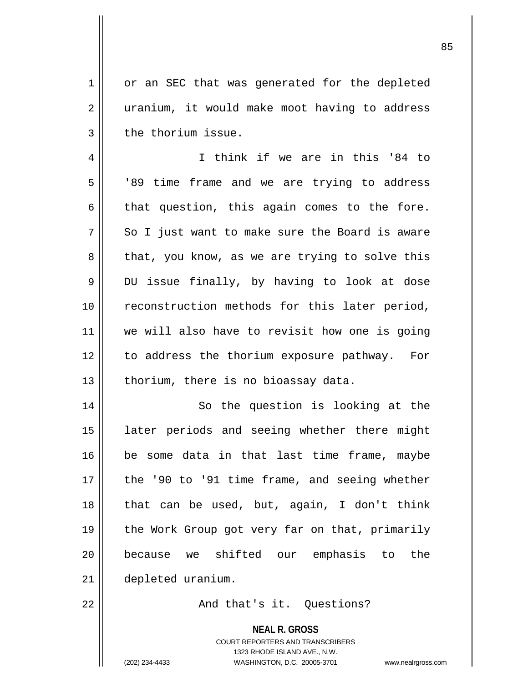1 | or an SEC that was generated for the depleted 2 || uranium, it would make moot having to address  $3$  | the thorium issue.

4 I think if we are in this '84 to 5 || '89 time frame and we are trying to address  $6 \parallel$  that question, this again comes to the fore.  $7 \parallel$  So I just want to make sure the Board is aware  $8 \parallel$  that, you know, as we are trying to solve this 9 || DU issue finally, by having to look at dose 10 || reconstruction methods for this later period, 11 we will also have to revisit how one is going 12 to address the thorium exposure pathway. For  $13$  | thorium, there is no bioassay data.

14 || So the question is looking at the later periods and seeing whether there might be some data in that last time frame, maybe the '90 to '91 time frame, and seeing whether || that can be used, but, again, I don't think 19 || the Work Group got very far on that, primarily because we shifted our emphasis to the depleted uranium.

22 || The Mode that's it. Questions?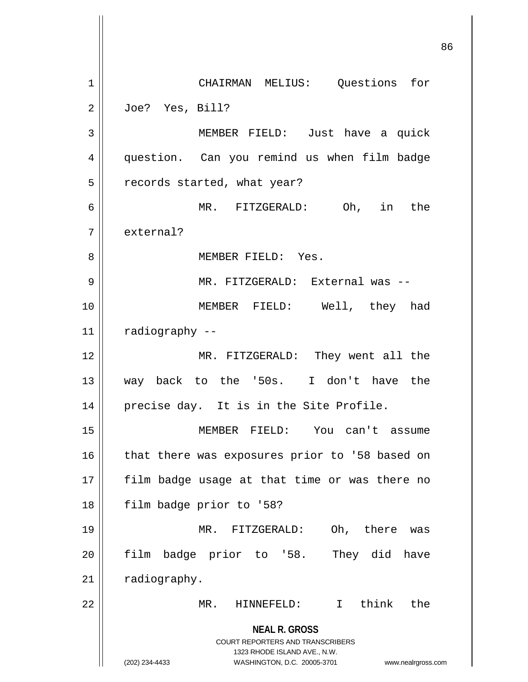**NEAL R. GROSS** COURT REPORTERS AND TRANSCRIBERS 1323 RHODE ISLAND AVE., N.W. (202) 234-4433 WASHINGTON, D.C. 20005-3701 www.nealrgross.com 1 CHAIRMAN MELIUS: Questions for 2 Joe? Yes, Bill? 3 MEMBER FIELD: Just have a quick 4 | question. Can you remind us when film badge 5 | records started, what year? 6 MR. FITZGERALD: Oh, in the 7 | external? 8 MEMBER FIELD: Yes. 9 MR. FITZGERALD: External was -- 10 MEMBER FIELD: Well, they had  $11$  | radiography --12 MR. FITZGERALD: They went all the 13 way back to the '50s. I don't have the 14 || precise day. It is in the Site Profile. 15 MEMBER FIELD: You can't assume 16 || that there was exposures prior to '58 based on 17 || film badge usage at that time or was there no 18 film badge prior to '58? 19 MR. FITZGERALD: Oh, there was 20 || film badge prior to '58. They did have  $21$  | radiography. 22 MR. HINNEFELD: I think the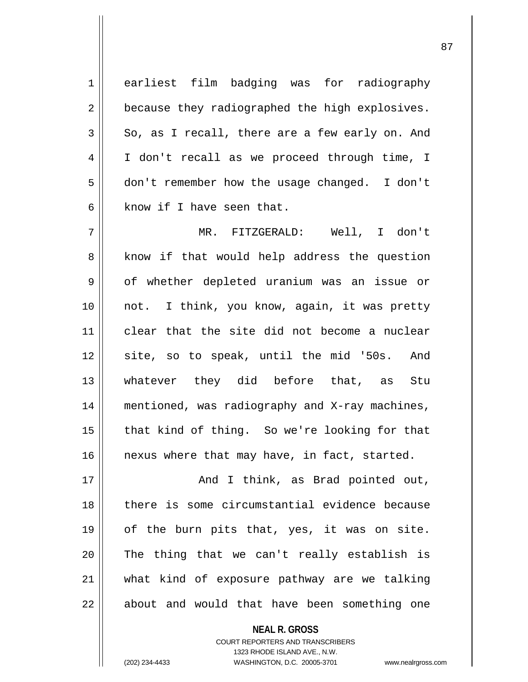1 earliest film badging was for radiography  $2 \parallel$  because they radiographed the high explosives.  $3 \parallel$  So, as I recall, there are a few early on. And 4 I don't recall as we proceed through time, I 5 don't remember how the usage changed. I don't 6 know if I have seen that. 7 MR. FITZGERALD: Well, I don't 8 || know if that would help address the question 9 of whether depleted uranium was an issue or 10 || not. I think, you know, again, it was pretty 11 clear that the site did not become a nuclear 12 || site, so to speak, until the mid '50s. And 13 whatever they did before that, as Stu 14 | mentioned, was radiography and X-ray machines, 15 || that kind of thing. So we're looking for that 16 || nexus where that may have, in fact, started. 17 || And I think, as Brad pointed out, 18 there is some circumstantial evidence because 19 of the burn pits that, yes, it was on site.  $20$  The thing that we can't really establish is 21 what kind of exposure pathway are we talking  $22$   $\parallel$  about and would that have been something one

> COURT REPORTERS AND TRANSCRIBERS 1323 RHODE ISLAND AVE., N.W.

**NEAL R. GROSS**

(202) 234-4433 WASHINGTON, D.C. 20005-3701 www.nealrgross.com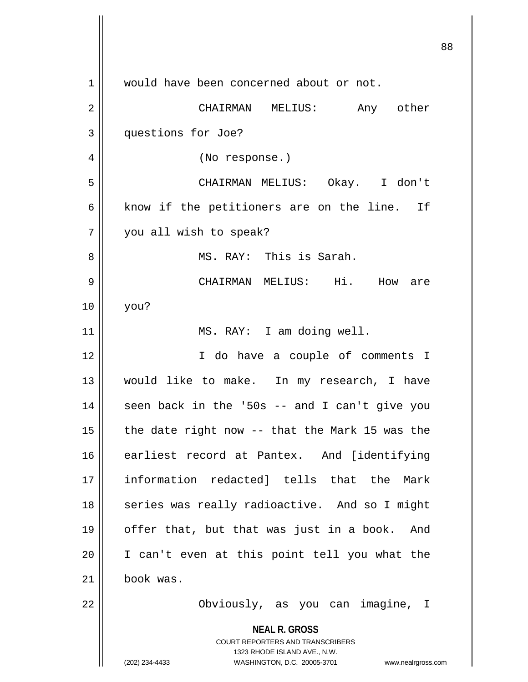|    |                                                                                                     | 88 |
|----|-----------------------------------------------------------------------------------------------------|----|
| 1  | would have been concerned about or not.                                                             |    |
| 2  | CHAIRMAN MELIUS: Any other                                                                          |    |
| 3  | questions for Joe?                                                                                  |    |
| 4  | (No response.)                                                                                      |    |
| 5  | CHAIRMAN MELIUS: Okay. I don't                                                                      |    |
| 6  | know if the petitioners are on the line. If                                                         |    |
| 7  | you all wish to speak?                                                                              |    |
| 8  | MS. RAY: This is Sarah.                                                                             |    |
| 9  | CHAIRMAN MELIUS: Hi. How are                                                                        |    |
| 10 | you?                                                                                                |    |
| 11 | MS. RAY: I am doing well.                                                                           |    |
| 12 | I do have a couple of comments I                                                                    |    |
| 13 | would like to make. In my research, I have                                                          |    |
| 14 | seen back in the '50s -- and I can't give you                                                       |    |
| 15 | the date right now -- that the Mark 15 was the                                                      |    |
| 16 | earliest record at Pantex. And [identifying                                                         |    |
| 17 | information redacted] tells that the Mark                                                           |    |
| 18 | series was really radioactive. And so I might                                                       |    |
| 19 | offer that, but that was just in a book.<br>And                                                     |    |
| 20 | I can't even at this point tell you what the                                                        |    |
| 21 | book was.                                                                                           |    |
| 22 | Obviously, as you can imagine, I                                                                    |    |
|    | <b>NEAL R. GROSS</b><br>COURT REPORTERS AND TRANSCRIBERS                                            |    |
|    | 1323 RHODE ISLAND AVE., N.W.<br>(202) 234-4433<br>WASHINGTON, D.C. 20005-3701<br>www.nealrgross.com |    |

 $\mathsf{I}$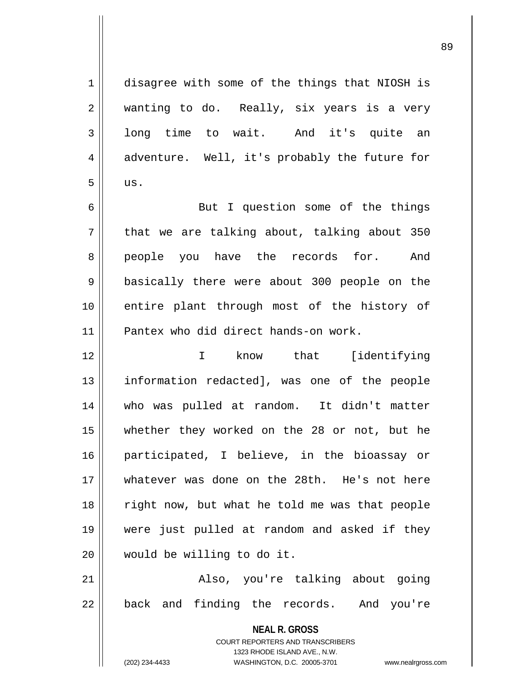89

1 disagree with some of the things that NIOSH is 2 wanting to do. Really, six years is a very 3 long time to wait. And it's quite an  $4 \parallel$  adventure. Well, it's probably the future for  $5$   $\parallel$  us. 6 || But I question some of the things  $7$  that we are talking about, talking about 350 8 || people you have the records for. And 9 || basically there were about 300 people on the 10 entire plant through most of the history of 11 Pantex who did direct hands-on work. 12 I know that [identifying 13 || information redacted], was one of the people 14 who was pulled at random. It didn't matter 15 whether they worked on the 28 or not, but he

 participated, I believe, in the bioassay or whatever was done on the 28th. He's not here right now, but what he told me was that people were just pulled at random and asked if they would be willing to do it.

21 Also, you're talking about going 22 || back and finding the records. And you're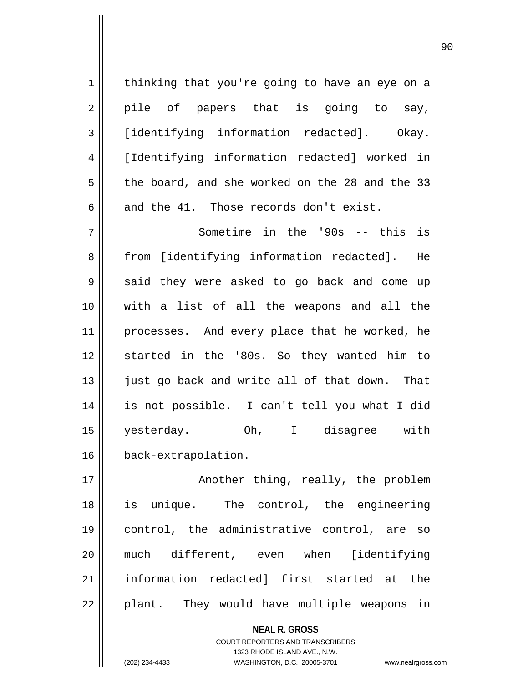1 | thinking that you're going to have an eye on a  $2 \parallel$  pile of papers that is going to say, 3 [identifying information redacted]. Okay. 4 [Identifying information redacted] worked in 5 the board, and she worked on the 28 and the 33 6 and the 41. Those records don't exist. 7 Sometime in the '90s -- this is

8 || from [identifying information redacted]. He 9 || said they were asked to go back and come up 10 with a list of all the weapons and all the 11 || processes. And every place that he worked, he 12 started in the '80s. So they wanted him to 13 || just go back and write all of that down. That 14 is not possible. I can't tell you what I did 15 yesterday. Oh, I disagree with 16 back-extrapolation.

17 || **Another thing, really, the problem** 18 || is unique. The control, the engineering control, the administrative control, are so much different, even when [identifying information redacted] first started at the || plant. They would have multiple weapons in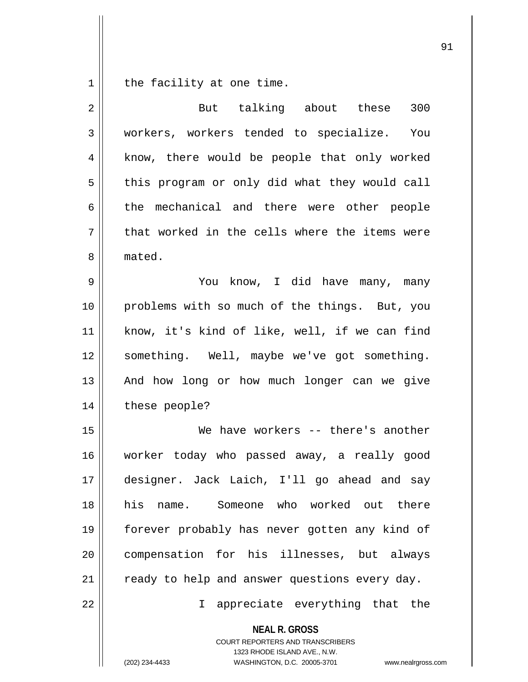$1 \parallel$  the facility at one time.

| $\overline{2}$ | But talking about these<br>300                                                                                                                                  |
|----------------|-----------------------------------------------------------------------------------------------------------------------------------------------------------------|
| 3              | workers, workers tended to specialize. You                                                                                                                      |
| $\overline{4}$ | know, there would be people that only worked                                                                                                                    |
| 5              | this program or only did what they would call                                                                                                                   |
| 6              | the mechanical and there were other people                                                                                                                      |
| 7              | that worked in the cells where the items were                                                                                                                   |
| 8              | mated.                                                                                                                                                          |
| 9              | You know, I did have many, many                                                                                                                                 |
| 10             | problems with so much of the things. But, you                                                                                                                   |
| 11             | know, it's kind of like, well, if we can find                                                                                                                   |
| 12             | something. Well, maybe we've got something.                                                                                                                     |
| 13             | And how long or how much longer can we give                                                                                                                     |
| 14             | these people?                                                                                                                                                   |
| 15             | We have workers -- there's another                                                                                                                              |
| 16             | worker today who passed away, a really good                                                                                                                     |
| 17             | designer. Jack Laich, I'll go ahead and say                                                                                                                     |
| 18             | name. Someone who worked out there<br>his                                                                                                                       |
| 19             | forever probably has never gotten any kind of                                                                                                                   |
| 20             | compensation for his illnesses, but always                                                                                                                      |
| 21             | ready to help and answer questions every day.                                                                                                                   |
| 22             | appreciate everything that the<br>I.                                                                                                                            |
|                | <b>NEAL R. GROSS</b><br>COURT REPORTERS AND TRANSCRIBERS<br>1323 RHODE ISLAND AVE., N.W.<br>(202) 234-4433<br>WASHINGTON, D.C. 20005-3701<br>www.nealrgross.com |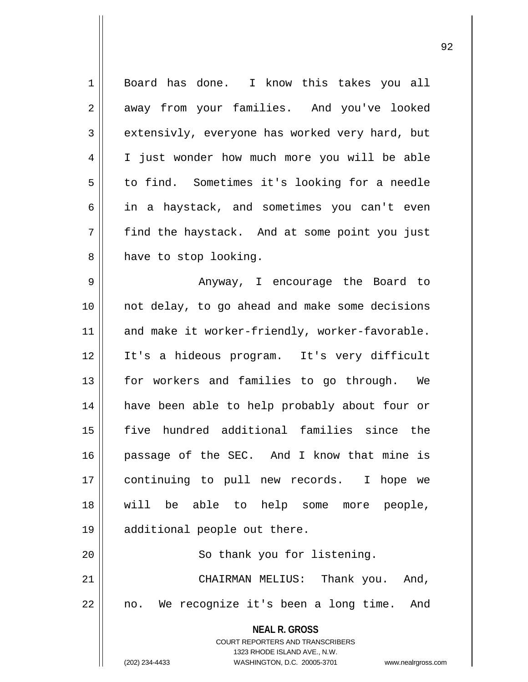| $\mathbf 1$    | Board has done. I know this takes you all                           |
|----------------|---------------------------------------------------------------------|
| $\overline{2}$ | away from your families. And you've looked                          |
| 3              | extensivly, everyone has worked very hard, but                      |
| 4              | I just wonder how much more you will be able                        |
| 5              | to find. Sometimes it's looking for a needle                        |
| 6              | in a haystack, and sometimes you can't even                         |
| 7              | find the haystack. And at some point you just                       |
| 8              | have to stop looking.                                               |
| 9              | Anyway, I encourage the Board to                                    |
| 10             | not delay, to go ahead and make some decisions                      |
| 11             | and make it worker-friendly, worker-favorable.                      |
| 12             | It's a hideous program. It's very difficult                         |
| 13             | for workers and families to go through. We                          |
| 14             | have been able to help probably about four or                       |
| 15             | five hundred additional families since the                          |
| 16             | passage of the SEC. And I know that mine is                         |
| 17             | continuing to pull new records. I hope we                           |
| 18             | will be able to help some more people,                              |
| 19             | additional people out there.                                        |
| 20             | So thank you for listening.                                         |
| 21             | CHAIRMAN MELIUS: Thank you.<br>And,                                 |
| 22             | no. We recognize it's been a long time. And                         |
|                | <b>NEAL R. GROSS</b>                                                |
|                | <b>COURT REPORTERS AND TRANSCRIBERS</b>                             |
|                | 1323 RHODE ISLAND AVE., N.W.                                        |
|                | (202) 234-4433<br>WASHINGTON, D.C. 20005-3701<br>www.nealrgross.com |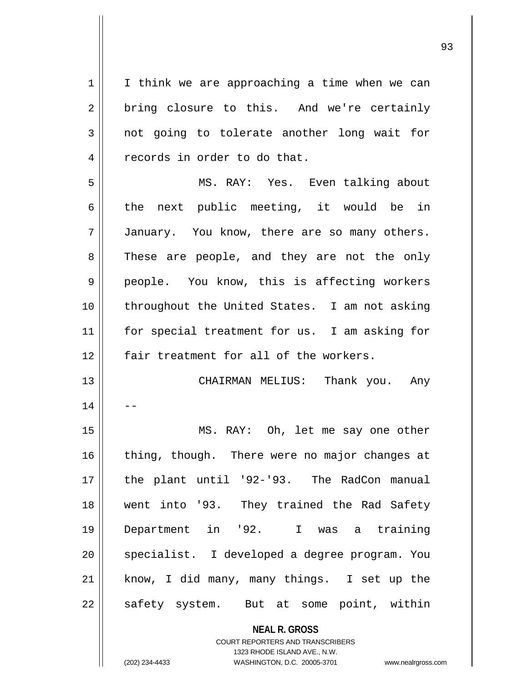$1 \parallel$  I think we are approaching a time when we can 2 || bring closure to this. And we're certainly 3 || not going to tolerate another long wait for 4 || records in order to do that.

5 MS. RAY: Yes. Even talking about  $6 \parallel$  the next public meeting, it would be in 7 January. You know, there are so many others. 8 These are people, and they are not the only 9 people. You know, this is affecting workers 10 throughout the United States. I am not asking 11 || for special treatment for us. I am asking for 12 fair treatment for all of the workers.

13 CHAIRMAN MELIUS: Thank you. Any

 MS. RAY: Oh, let me say one other 16 thing, though. There were no major changes at the plant until '92-'93. The RadCon manual went into '93. They trained the Rad Safety Department in '92. I was a training 20 || specialist. I developed a degree program. You know, I did many, many things. I set up the 22 || safety system. But at some point, within

# **NEAL R. GROSS** COURT REPORTERS AND TRANSCRIBERS 1323 RHODE ISLAND AVE., N.W. (202) 234-4433 WASHINGTON, D.C. 20005-3701 www.nealrgross.com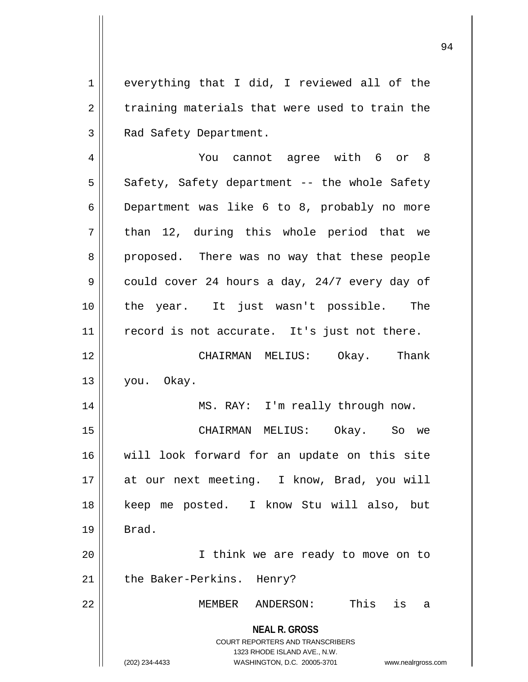1 everything that I did, I reviewed all of the  $2 \parallel$  training materials that were used to train the 3 | Rad Safety Department.

**NEAL R. GROSS** COURT REPORTERS AND TRANSCRIBERS 1323 RHODE ISLAND AVE., N.W. (202) 234-4433 WASHINGTON, D.C. 20005-3701 www.nealrgross.com 4 You cannot agree with 6 or 8  $5 \parallel$  Safety, Safety department -- the whole Safety 6 Department was like 6 to 8, probably no more  $7 \parallel$  than 12, during this whole period that we 8 || proposed. There was no way that these people  $9 \parallel$  could cover 24 hours a day, 24/7 every day of 10 the year. It just wasn't possible. The  $11$  record is not accurate. It's just not there. 12 CHAIRMAN MELIUS: Okay. Thank 13 you. Okay. 14 | MS. RAY: I'm really through now. 15 CHAIRMAN MELIUS: Okay. So we 16 will look forward for an update on this site 17 at our next meeting. I know, Brad, you will 18 keep me posted. I know Stu will also, but  $19 \parallel$  Brad. 20 I think we are ready to move on to  $21$  | the Baker-Perkins. Henry? 22 MEMBER ANDERSON: This is a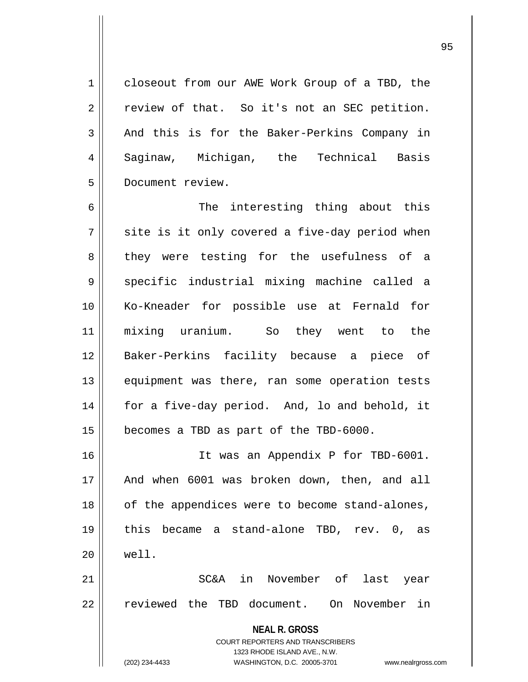1 || closeout from our AWE Work Group of a TBD, the  $2 \parallel$  review of that. So it's not an SEC petition.  $3 \parallel$  And this is for the Baker-Perkins Company in 4 Saginaw, Michigan, the Technical Basis 5 Document review.

6 The interesting thing about this  $7 \parallel$  site is it only covered a five-day period when 8 they were testing for the usefulness of a 9 || specific industrial mixing machine called a 10 Ko-Kneader for possible use at Fernald for 11 mixing uranium. So they went to the 12 Baker-Perkins facility because a piece of 13 || equipment was there, ran some operation tests 14 for a five-day period. And, lo and behold, it 15 becomes a TBD as part of the TBD-6000.

 It was an Appendix P for TBD-6001. And when 6001 was broken down, then, and all 18 || of the appendices were to become stand-alones, this became a stand-alone TBD, rev. 0, as  $\parallel$  well.

21 SC&A in November of last year 22 || reviewed the TBD document. On November in

> **NEAL R. GROSS** COURT REPORTERS AND TRANSCRIBERS 1323 RHODE ISLAND AVE., N.W. (202) 234-4433 WASHINGTON, D.C. 20005-3701 www.nealrgross.com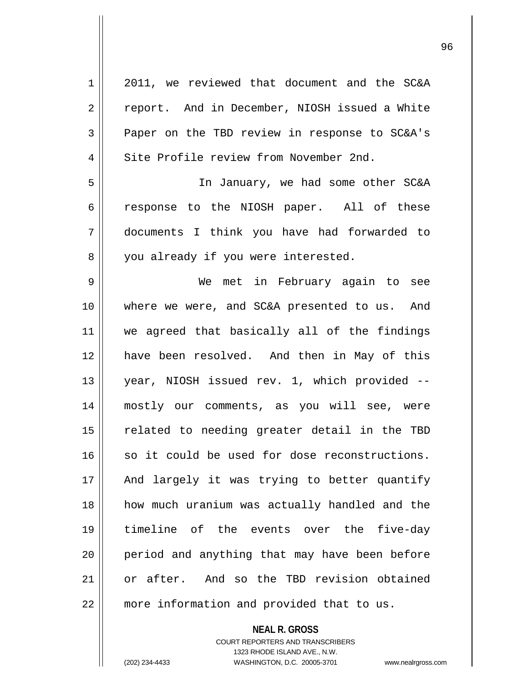1 2011, we reviewed that document and the SC&A 2 report. And in December, NIOSH issued a White  $3$  Paper on the TBD review in response to SC&A's 4 | Site Profile review from November 2nd. 5 In January, we had some other SC&A 6 componse to the NIOSH paper. All of these 7 documents I think you have had forwarded to 8 || you already if you were interested. 9 We met in February again to see 10 where we were, and SC&A presented to us. And 11 we agreed that basically all of the findings 12 have been resolved. And then in May of this 13 || year, NIOSH issued rev. 1, which provided --14 mostly our comments, as you will see, were 15 || related to needing greater detail in the TBD 16 || so it could be used for dose reconstructions. 17 || And largely it was trying to better quantify 18 how much uranium was actually handled and the 19 timeline of the events over the five-day 20 || period and anything that may have been before 21 or after. And so the TBD revision obtained 22 | more information and provided that to us.

> **NEAL R. GROSS** COURT REPORTERS AND TRANSCRIBERS 1323 RHODE ISLAND AVE., N.W. (202) 234-4433 WASHINGTON, D.C. 20005-3701 www.nealrgross.com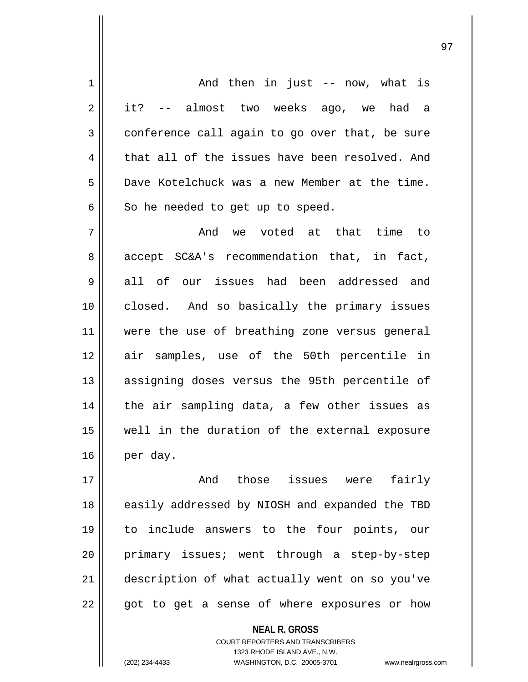$1$  |  $\blacksquare$  And then in just -- now, what is  $2 \parallel$  it? -- almost two weeks ago, we had a 3 conference call again to go over that, be sure  $4 \parallel$  that all of the issues have been resolved. And 5 Dave Kotelchuck was a new Member at the time.  $6 \parallel$  So he needed to get up to speed.  $7 \parallel$  and we voted at that time to 8 accept SC&A's recommendation that, in fact,  $9 \parallel$  all of our issues had been addressed and 10 || closed. And so basically the primary issues 11 were the use of breathing zone versus general 12 air samples, use of the 50th percentile in 13 || assigning doses versus the 95th percentile of  $14$  | the air sampling data, a few other issues as 15 well in the duration of the external exposure  $16$  per day.

 And those issues were fairly 18 || easily addressed by NIOSH and expanded the TBD to include answers to the four points, our primary issues; went through a step-by-step description of what actually went on so you've 22 || got to get a sense of where exposures or how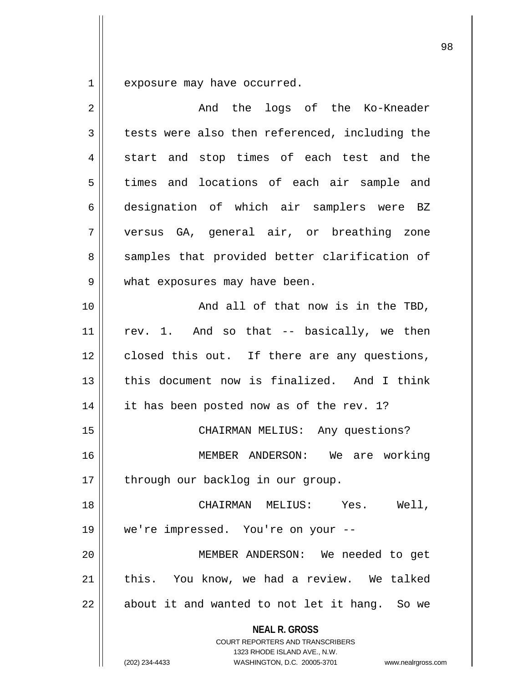$1 \parallel$  exposure may have occurred.

| $\overline{a}$ | And the logs of the Ko-Kneader                                                                                                                                  |
|----------------|-----------------------------------------------------------------------------------------------------------------------------------------------------------------|
| 3              | tests were also then referenced, including the                                                                                                                  |
| 4              | start and stop times of each test and the                                                                                                                       |
| 5              | times and locations of each air sample and                                                                                                                      |
| 6              | designation of which air samplers were BZ                                                                                                                       |
| 7              | versus GA, general air, or breathing zone                                                                                                                       |
| 8              | samples that provided better clarification of                                                                                                                   |
| 9              | what exposures may have been.                                                                                                                                   |
| 10             | And all of that now is in the TBD,                                                                                                                              |
| 11             | rev. 1. And so that -- basically, we then                                                                                                                       |
| 12             | closed this out. If there are any questions,                                                                                                                    |
| 13             | this document now is finalized. And I think                                                                                                                     |
| 14             | it has been posted now as of the rev. 1?                                                                                                                        |
| 15             | CHAIRMAN MELIUS: Any questions?                                                                                                                                 |
| 16             | MEMBER ANDERSON: We are working                                                                                                                                 |
| 17             | through our backlog in our group.                                                                                                                               |
| 18             | CHAIRMAN MELIUS: Yes.<br>Well,                                                                                                                                  |
| 19             | we're impressed. You're on your --                                                                                                                              |
| 20             | MEMBER ANDERSON: We needed to get                                                                                                                               |
| 21             | this. You know, we had a review. We talked                                                                                                                      |
| 22             | about it and wanted to not let it hang. So we                                                                                                                   |
|                | <b>NEAL R. GROSS</b><br>COURT REPORTERS AND TRANSCRIBERS<br>1323 RHODE ISLAND AVE., N.W.<br>(202) 234-4433<br>WASHINGTON, D.C. 20005-3701<br>www.nealrgross.com |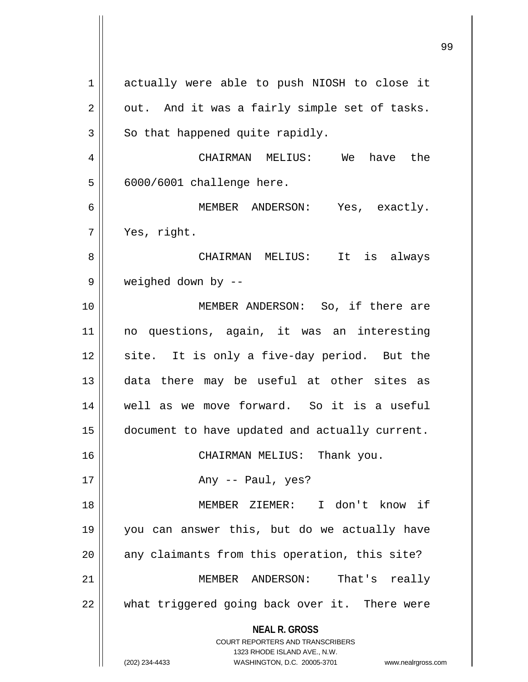| $\mathbf 1$    | actually were able to push NIOSH to close it                                                    |
|----------------|-------------------------------------------------------------------------------------------------|
| $\overline{2}$ | out. And it was a fairly simple set of tasks.                                                   |
| 3              | So that happened quite rapidly.                                                                 |
| 4              | CHAIRMAN MELIUS: We have the                                                                    |
| 5              | 6000/6001 challenge here.                                                                       |
| 6              | MEMBER ANDERSON: Yes, exactly.                                                                  |
| 7              | Yes, right.                                                                                     |
| 8              | CHAIRMAN MELIUS: It<br>is always                                                                |
| 9              | weighed down by --                                                                              |
| 10             | MEMBER ANDERSON: So, if there are                                                               |
| 11             | no questions, again, it was an interesting                                                      |
| 12             | site. It is only a five-day period. But the                                                     |
| 13             | data there may be useful at other sites as                                                      |
| 14             | well as we move forward. So it is a useful                                                      |
| 15             | document to have updated and actually current.                                                  |
| 16             | CHAIRMAN MELIUS: Thank you.                                                                     |
| 17             | Any -- Paul, yes?                                                                               |
| 18             | MEMBER ZIEMER: I don't know if                                                                  |
| 19             | you can answer this, but do we actually have                                                    |
| 20             | any claimants from this operation, this site?                                                   |
| 21             | MEMBER ANDERSON: That's really                                                                  |
| 22             | what triggered going back over it. There were                                                   |
|                | <b>NEAL R. GROSS</b><br><b>COURT REPORTERS AND TRANSCRIBERS</b><br>1323 RHODE ISLAND AVE., N.W. |
|                | (202) 234-4433<br>WASHINGTON, D.C. 20005-3701<br>www.nealrgross.com                             |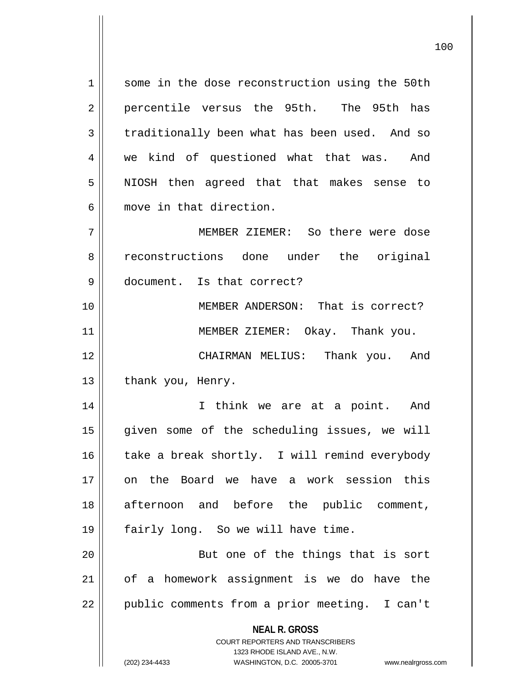1 some in the dose reconstruction using the 50th 2 || percentile versus the 95th. The 95th has 3 traditionally been what has been used. And so 4 we kind of questioned what that was. And 5 || NIOSH then agreed that that makes sense to 6 move in that direction. 7 MEMBER ZIEMER: So there were dose 8 reconstructions done under the original 9 document. Is that correct? 10 MEMBER ANDERSON: That is correct? 11 || MEMBER ZIEMER: Okay. Thank you. 12 CHAIRMAN MELIUS: Thank you. And 13 | thank you, Henry. 14 I think we are at a point. And 15 given some of the scheduling issues, we will

16 take a break shortly. I will remind everybody 17 on the Board we have a work session this 18 afternoon and before the public comment, 19 || fairly long. So we will have time. 20 || But one of the things that is sort

21 of a homework assignment is we do have the 22 || public comments from a prior meeting. I can't

**NEAL R. GROSS**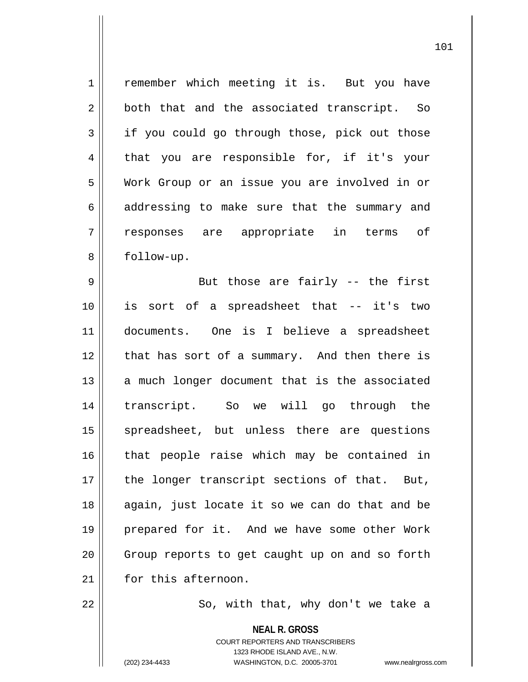1 remember which meeting it is. But you have  $2 \parallel$  both that and the associated transcript. So 3 || if you could go through those, pick out those  $4 \parallel$  that you are responsible for, if it's your 5 || Work Group or an issue you are involved in or  $6 \parallel$  addressing to make sure that the summary and 7 responses are appropriate in terms of 8 | follow-up.

 $9 \parallel$  But those are fairly -- the first 10 is sort of a spreadsheet that -- it's two 11 documents. One is I believe a spreadsheet 12 || that has sort of a summary. And then there is  $13$  a much longer document that is the associated 14 transcript. So we will go through the 15 || spreadsheet, but unless there are questions 16 || that people raise which may be contained in  $17$  | the longer transcript sections of that. But, 18 || again, just locate it so we can do that and be 19 prepared for it. And we have some other Work  $20$  | Group reports to get caught up on and so forth 21 | for this afternoon.

 $22$  ||  $\sim$  So, with that, why don't we take a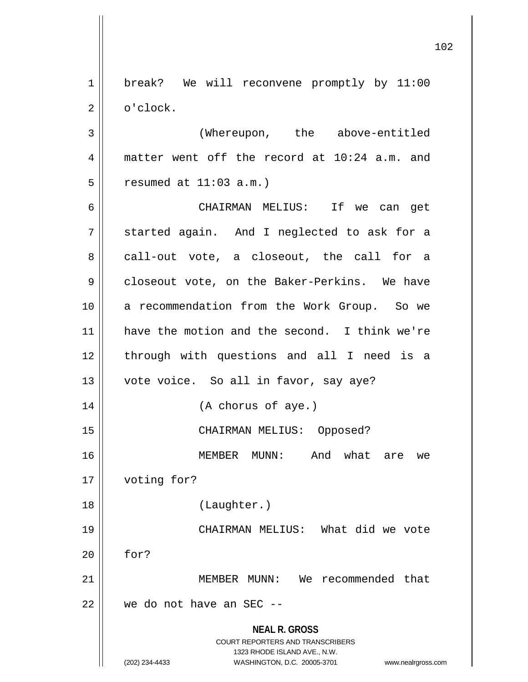1 break? We will reconvene promptly by 11:00 2 | o'clock.

3 (Whereupon, the above-entitled 4 matter went off the record at 10:24 a.m. and  $5 \parallel$  resumed at 11:03 a.m.)

**NEAL R. GROSS** COURT REPORTERS AND TRANSCRIBERS 1323 RHODE ISLAND AVE., N.W. (202) 234-4433 WASHINGTON, D.C. 20005-3701 www.nealrgross.com 6 CHAIRMAN MELIUS: If we can get  $7 \parallel$  started again. And I neglected to ask for a 8 call-out vote, a closeout, the call for a 9 | closeout vote, on the Baker-Perkins. We have 10 a recommendation from the Work Group. So we 11 have the motion and the second. I think we're 12 through with questions and all I need is a 13 || vote voice. So all in favor, say aye? 14 || (A chorus of aye.) 15 CHAIRMAN MELIUS: Opposed? 16 MEMBER MUNN: And what are we 17 | voting for? 18 (Laughter.) 19 CHAIRMAN MELIUS: What did we vote  $20$  | for? 21 MEMBER MUNN: We recommended that  $22$  || we do not have an SEC --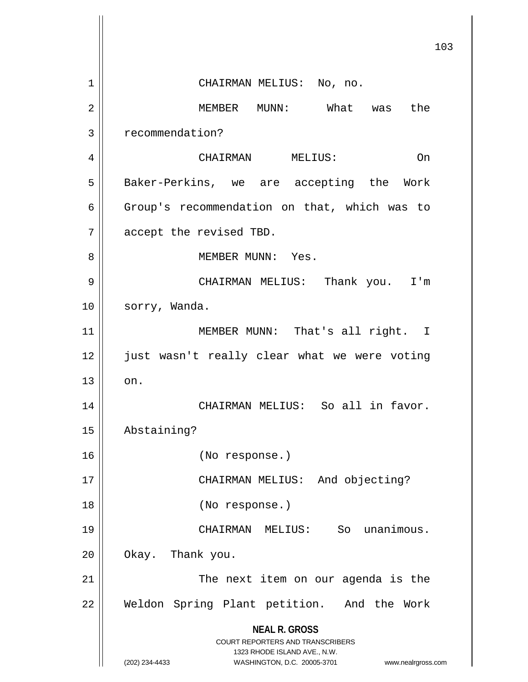|             | 103                                                                                                 |
|-------------|-----------------------------------------------------------------------------------------------------|
| $\mathbf 1$ | CHAIRMAN MELIUS: No, no.                                                                            |
| 2           | MEMBER MUNN: What was<br>the                                                                        |
| 3           | recommendation?                                                                                     |
| 4           | CHAIRMAN MELIUS:<br>On                                                                              |
| 5           | Baker-Perkins, we are accepting the Work                                                            |
| 6           | Group's recommendation on that, which was to                                                        |
| 7           | accept the revised TBD.                                                                             |
| 8           | MEMBER MUNN: Yes.                                                                                   |
| 9           | CHAIRMAN MELIUS: Thank you. I'm                                                                     |
| 10          | sorry, Wanda.                                                                                       |
| 11          | MEMBER MUNN: That's all right. I                                                                    |
| 12          | just wasn't really clear what we were voting                                                        |
| 13          | on.                                                                                                 |
| 14          | CHAIRMAN MELIUS: So all in favor.                                                                   |
| 15          | Abstaining?                                                                                         |
| 16          | (No response.)                                                                                      |
| 17          | CHAIRMAN MELIUS: And objecting?                                                                     |
| 18          | (No response.)                                                                                      |
| 19          | CHAIRMAN MELIUS: So unanimous.                                                                      |
| 20          | Okay. Thank you.                                                                                    |
| 21          | The next item on our agenda is the                                                                  |
| 22          | Weldon Spring Plant petition. And the Work                                                          |
|             | <b>NEAL R. GROSS</b><br><b>COURT REPORTERS AND TRANSCRIBERS</b>                                     |
|             | 1323 RHODE ISLAND AVE., N.W.<br>(202) 234-4433<br>WASHINGTON, D.C. 20005-3701<br>www.nealrgross.com |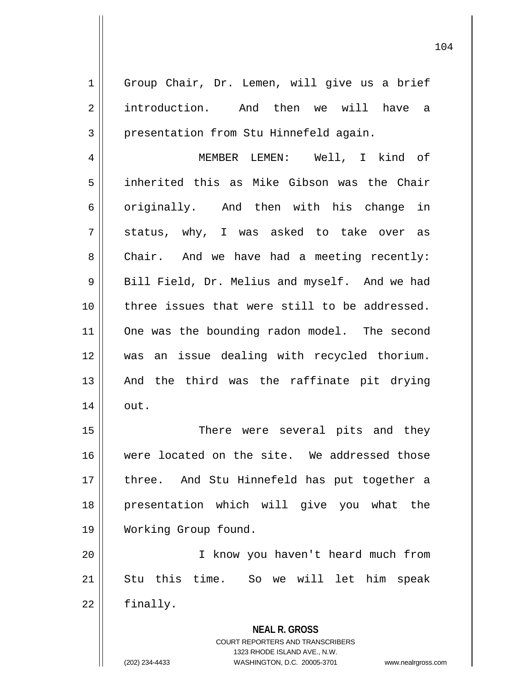1 Group Chair, Dr. Lemen, will give us a brief 2 introduction. And then we will have a 3 | presentation from Stu Hinnefeld again.

4 MEMBER LEMEN: Well, I kind of 5 inherited this as Mike Gibson was the Chair 6 || originally. And then with his change in  $7 \parallel$  status, why, I was asked to take over as 8 | Chair. And we have had a meeting recently: 9 Bill Field, Dr. Melius and myself. And we had 10 three issues that were still to be addressed. 11 || One was the bounding radon model. The second 12 was an issue dealing with recycled thorium.  $13$  || And the third was the raffinate pit drying  $14 \parallel \quad \text{out.}$ 

15 || There were several pits and they 16 were located on the site. We addressed those 17 || three. And Stu Hinnefeld has put together a 18 presentation which will give you what the 19 Working Group found.

20 I know you haven't heard much from 21 || Stu this time. So we will let him speak  $22$  | finally.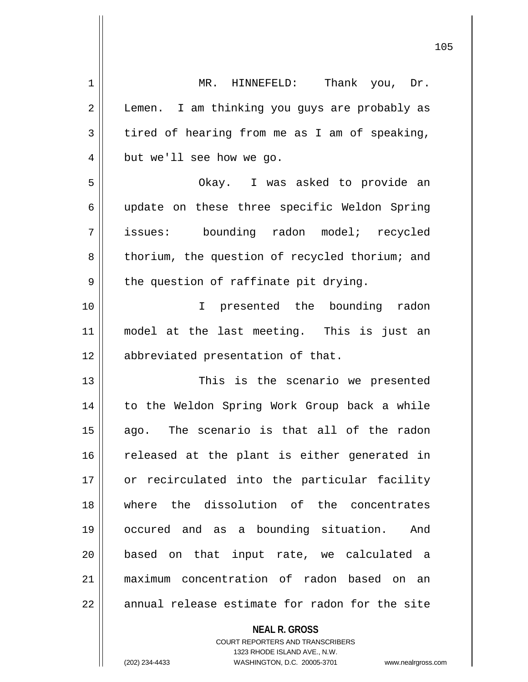| 1  | MR. HINNEFELD:<br>Thank you, Dr.               |
|----|------------------------------------------------|
| 2  | Lemen. I am thinking you guys are probably as  |
| 3  | tired of hearing from me as I am of speaking,  |
| 4  | but we'll see how we go.                       |
| 5  | Okay. I was asked to provide an                |
| 6  | update on these three specific Weldon Spring   |
| 7  | issues: bounding radon model; recycled         |
| 8  | thorium, the question of recycled thorium; and |
| 9  | the question of raffinate pit drying.          |
| 10 | I presented the bounding radon                 |
| 11 | model at the last meeting. This is just an     |
| 12 | abbreviated presentation of that.              |
| 13 | This is the scenario we presented              |
| 14 | to the Weldon Spring Work Group back a while   |
| 15 | The scenario is that all of the radon<br>ago.  |
| 16 | released at the plant is either generated in   |
| 17 | or recirculated into the particular facility   |
| 18 | where the dissolution of the concentrates      |
| 19 | occured and as a bounding situation. And       |
| 20 | based on that input rate, we calculated a      |
| 21 | maximum concentration of radon based on an     |
| 22 | annual release estimate for radon for the site |
|    | <b>NEAL R. GROSS</b>                           |

COURT REPORTERS AND TRANSCRIBERS 1323 RHODE ISLAND AVE., N.W.

(202) 234-4433 WASHINGTON, D.C. 20005-3701 www.nealrgross.com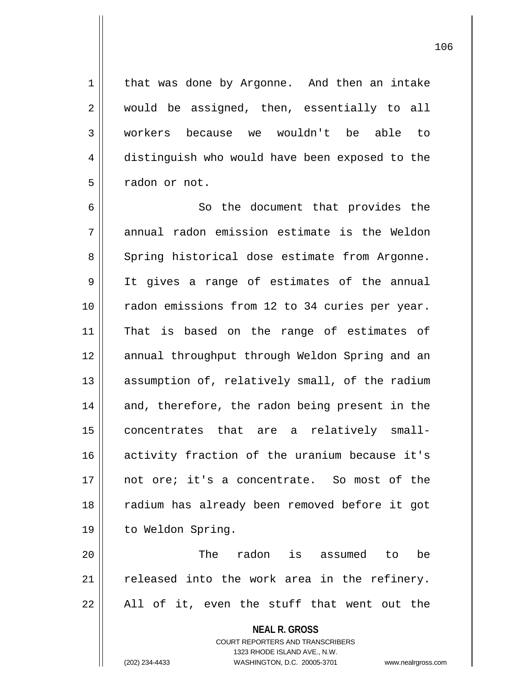1 || that was done by Argonne. And then an intake 2 || would be assigned, then, essentially to all 3 workers because we wouldn't be able to 4 distinguish who would have been exposed to the 5 | radon or not.

6 || So the document that provides the  $7 \parallel$  annual radon emission estimate is the Weldon 8 || Spring historical dose estimate from Argonne. It gives a range of estimates of the annual radon emissions from 12 to 34 curies per year. That is based on the range of estimates of 12 || annual throughput through Weldon Spring and an 13 || assumption of, relatively small, of the radium and, therefore, the radon being present in the concentrates that are a relatively small- activity fraction of the uranium because it's not ore; it's a concentrate. So most of the radium has already been removed before it got to Weldon Spring.

20 The radon is assumed to be  $21$  released into the work area in the refinery.  $22$  || All of it, even the stuff that went out the

# **NEAL R. GROSS**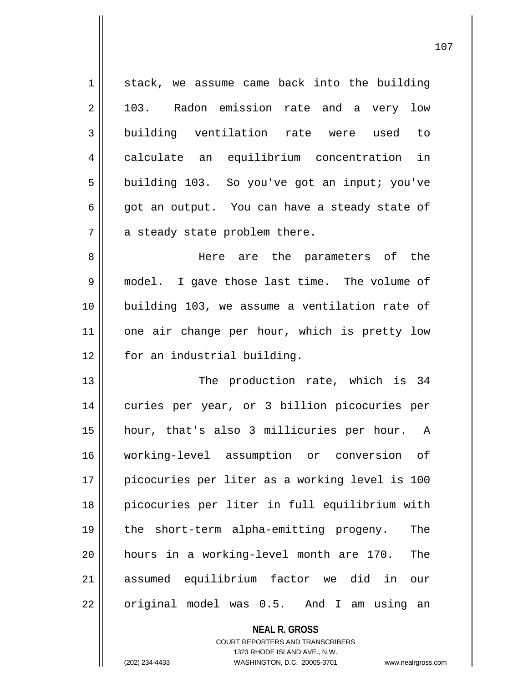| $\mathbf 1$ | stack, we assume came back into the building   |
|-------------|------------------------------------------------|
| 2           | 103. Radon emission rate and a very low        |
| 3           | building ventilation rate were used to         |
| 4           | calculate an equilibrium concentration in      |
| 5           | building 103. So you've got an input; you've   |
| 6           | got an output. You can have a steady state of  |
| 7           | a steady state problem there.                  |
| 8           | Here are the parameters of the                 |
| $\mathsf 9$ | model. I gave those last time. The volume of   |
| 10          | building 103, we assume a ventilation rate of  |
| 11          | one air change per hour, which is pretty low   |
| 12          | for an industrial building.                    |
| 13          | The production rate, which is 34               |
| 14          | curies per year, or 3 billion picocuries per   |
| 15          | hour, that's also 3 millicuries per hour. A    |
| 16          | working-level assumption or conversion<br>of   |
| 17          | picocuries per liter as a working level is 100 |
| 18          | picocuries per liter in full equilibrium with  |
| 19          | the short-term alpha-emitting progeny.<br>The  |
| 20          | hours in a working-level month are 170.<br>The |
| 21          | assumed equilibrium factor we did<br>in<br>our |
| 22          | original model was 0.5. And I am using an      |

**NEAL R. GROSS** COURT REPORTERS AND TRANSCRIBERS 1323 RHODE ISLAND AVE., N.W. (202) 234-4433 WASHINGTON, D.C. 20005-3701 www.nealrgross.com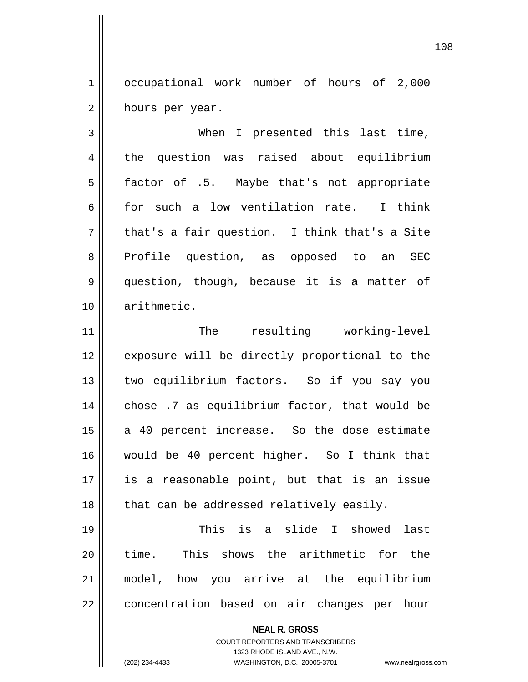1 occupational work number of hours of 2,000 2 || hours per year.

3 When I presented this last time, 4 the question was raised about equilibrium 5 | factor of .5. Maybe that's not appropriate 6 for such a low ventilation rate. I think  $7 \parallel$  that's a fair question. I think that's a Site 8 Profile question, as opposed to an SEC 9 || question, though, because it is a matter of 10 arithmetic.

11 || The resulting working-level 12 || exposure will be directly proportional to the 13 || two equilibrium factors. So if you say you 14 | chose .7 as equilibrium factor, that would be  $15$  a 40 percent increase. So the dose estimate 16 would be 40 percent higher. So I think that 17 is a reasonable point, but that is an issue  $18$  || that can be addressed relatively easily.

19 This is a slide I showed last 20 || time. This shows the arithmetic for the 21 model, how you arrive at the equilibrium 22 | concentration based on air changes per hour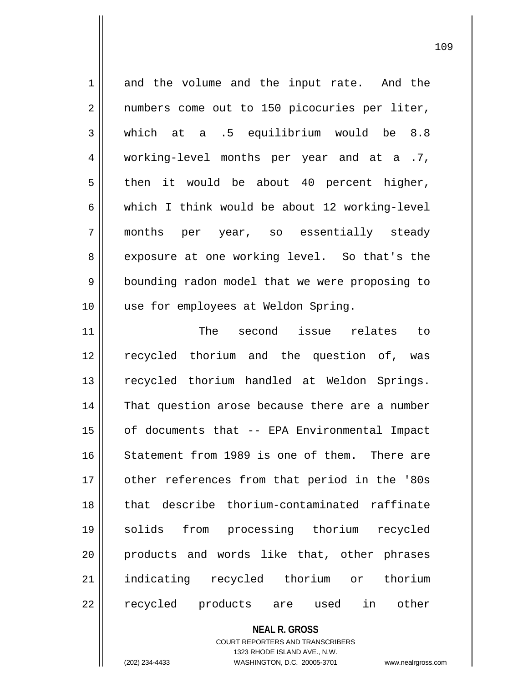1 and the volume and the input rate. And the 2 || numbers come out to 150 picocuries per liter, 3 which at a .5 equilibrium would be 8.8 4 working-level months per year and at a .7,  $5 \parallel$  then it would be about 40 percent higher, 6 which I think would be about 12 working-level 7 months per year, so essentially steady 8 exposure at one working level. So that's the 9 || bounding radon model that we were proposing to 10 || use for employees at Weldon Spring.

11 The second issue relates to 12 recycled thorium and the question of, was 13 || recycled thorium handled at Weldon Springs. 14 || That question arose because there are a number 15 of documents that -- EPA Environmental Impact 16 Statement from 1989 is one of them. There are 17 other references from that period in the '80s 18 that describe thorium-contaminated raffinate 19 solids from processing thorium recycled 20 || products and words like that, other phrases 21 indicating recycled thorium or thorium 22 || recycled products are used in other

### **NEAL R. GROSS**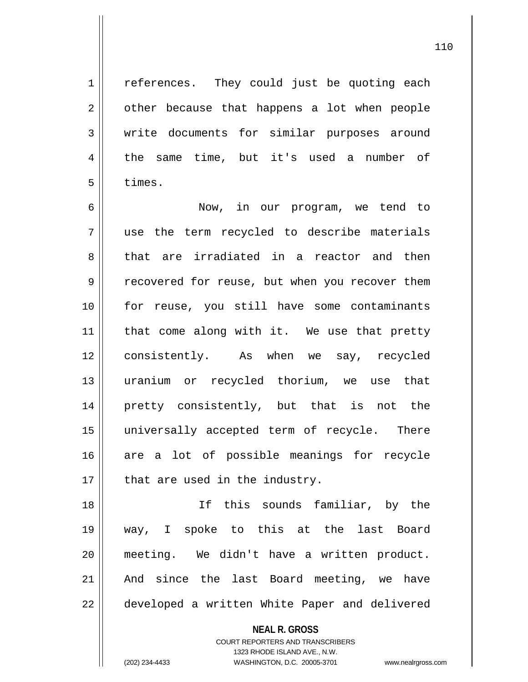1 | references. They could just be quoting each  $2 \parallel$  other because that happens a lot when people 3 write documents for similar purposes around 4 the same time, but it's used a number of  $5 \parallel$  times.

 Now, in our program, we tend to use the term recycled to describe materials 8 that are irradiated in a reactor and then 9 The recovered for reuse, but when you recover them for reuse, you still have some contaminants 11 || that come along with it. We use that pretty consistently. As when we say, recycled uranium or recycled thorium, we use that pretty consistently, but that is not the universally accepted term of recycle. There 16 are a lot of possible meanings for recycle | that are used in the industry.

18 If this sounds familiar, by the 19 way, I spoke to this at the last Board 20 meeting. We didn't have a written product. 21 || And since the last Board meeting, we have 22 || developed a written White Paper and delivered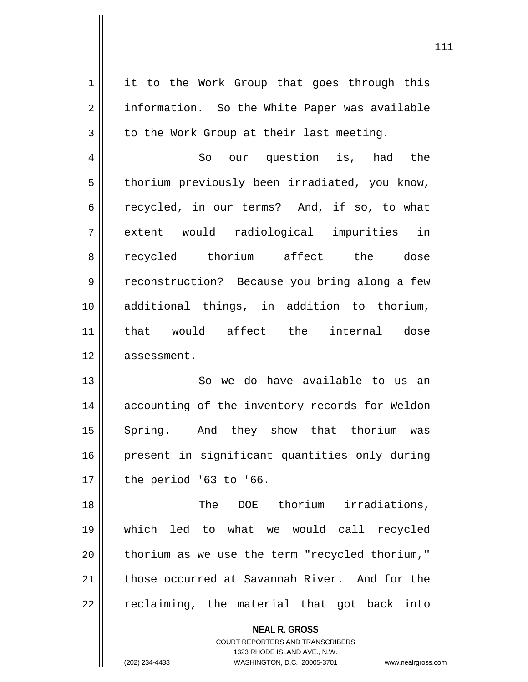1 | it to the Work Group that goes through this 2 | information. So the White Paper was available  $3 \parallel$  to the Work Group at their last meeting. 4 So our question is, had the  $5 \parallel$  thorium previously been irradiated, you know, 6 cecycled, in our terms? And, if so, to what 7 extent would radiological impurities in 8 || recycled thorium affect the dose 9 || reconstruction? Because you bring along a few 10 additional things, in addition to thorium, 11 that would affect the internal dose 12 || assessment. 13 || So we do have available to us an 14 || accounting of the inventory records for Weldon 15 || Spring. And they show that thorium was 16 present in significant quantities only during  $17$  | the period '63 to '66. 18 || The DOE thorium irradiations, 19 which led to what we would call recycled 20 || thorium as we use the term "recycled thorium," 21 those occurred at Savannah River. And for the 22 || reclaiming, the material that got back into

> **NEAL R. GROSS** COURT REPORTERS AND TRANSCRIBERS 1323 RHODE ISLAND AVE., N.W.

(202) 234-4433 WASHINGTON, D.C. 20005-3701 www.nealrgross.com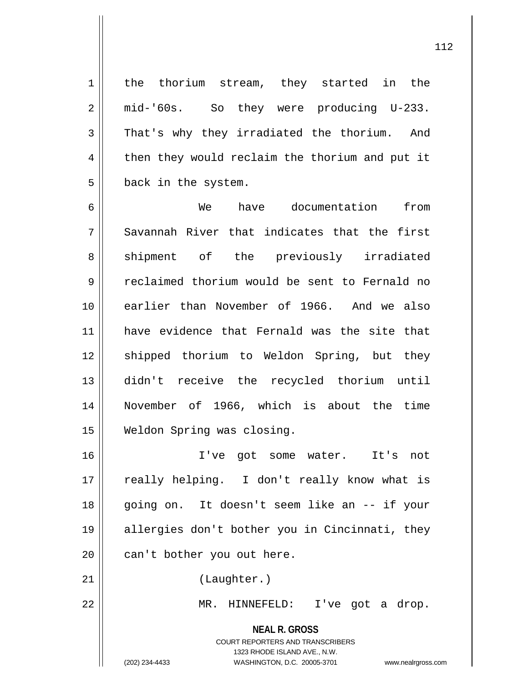1 | the thorium stream, they started in the 2 || mid-'60s. So they were producing U-233.  $3 \parallel$  That's why they irradiated the thorium. And  $4 \parallel$  then they would reclaim the thorium and put it  $5 \parallel$  back in the system.

 We have documentation from  $7 \parallel$  Savannah River that indicates that the first 8 || shipment of the previously irradiated reclaimed thorium would be sent to Fernald no earlier than November of 1966. And we also have evidence that Fernald was the site that 12 || shipped thorium to Weldon Spring, but they didn't receive the recycled thorium until November of 1966, which is about the time Weldon Spring was closing.

 I've got some water. It's not 17 || really helping. I don't really know what is going on. It doesn't seem like an -- if your allergies don't bother you in Cincinnati, they | can't bother you out here.

21 (Laughter.)

22 MR. HINNEFELD: I've got a drop.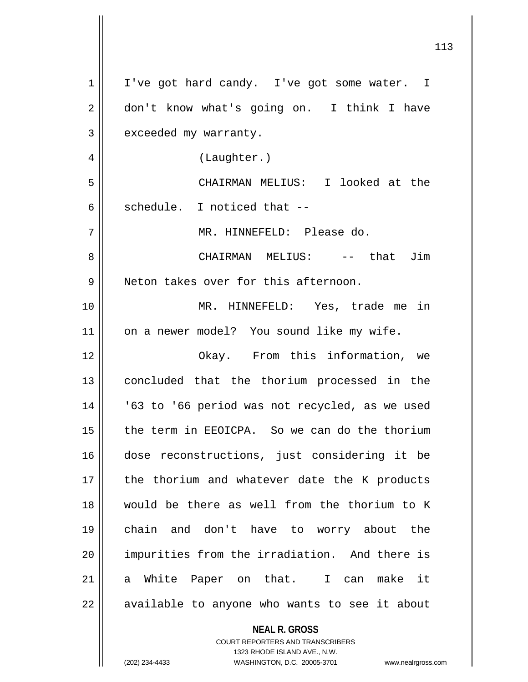| 1  | I've got hard candy. I've got some water. I    |
|----|------------------------------------------------|
| 2  | don't know what's going on. I think I have     |
| 3  | exceeded my warranty.                          |
| 4  | (Laughter.)                                    |
| 5  | CHAIRMAN MELIUS: I looked at the               |
| 6  | schedule. I noticed that --                    |
| 7  | MR. HINNEFELD: Please do.                      |
| 8  | CHAIRMAN MELIUS: -- that Jim                   |
| 9  | Neton takes over for this afternoon.           |
| 10 | MR. HINNEFELD: Yes, trade me in                |
| 11 | on a newer model? You sound like my wife.      |
| 12 | Okay. From this information, we                |
| 13 | concluded that the thorium processed in the    |
| 14 | '63 to '66 period was not recycled, as we used |
| 15 | the term in EEOICPA. So we can do the thorium  |
| 16 | dose reconstructions, just considering it be   |
| 17 | the thorium and whatever date the K products   |
| 18 | would be there as well from the thorium to K   |
| 19 | chain and don't have to worry about the        |
| 20 | impurities from the irradiation. And there is  |
| 21 | White Paper on that. I can make it<br>a        |
| 22 | available to anyone who wants to see it about  |
|    | <b>NEAL R. GROSS</b>                           |

COURT REPORTERS AND TRANSCRIBERS 1323 RHODE ISLAND AVE., N.W.

(202) 234-4433 WASHINGTON, D.C. 20005-3701 www.nealrgross.com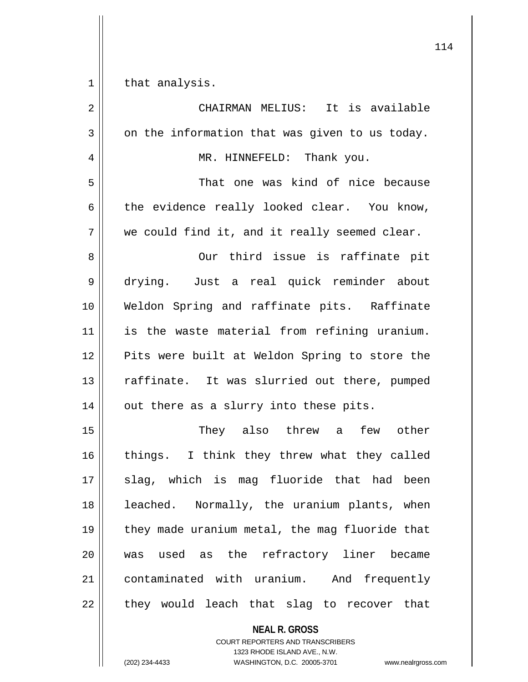$1 \parallel$  that analysis.

| 2  | CHAIRMAN MELIUS: It is available               |
|----|------------------------------------------------|
| 3  | on the information that was given to us today. |
| 4  | MR. HINNEFELD: Thank you.                      |
| 5  | That one was kind of nice because              |
| 6  | the evidence really looked clear. You know,    |
| 7  | we could find it, and it really seemed clear.  |
| 8  | Our third issue is raffinate pit               |
| 9  | drying. Just a real quick reminder about       |
| 10 | Weldon Spring and raffinate pits. Raffinate    |
| 11 | is the waste material from refining uranium.   |
| 12 | Pits were built at Weldon Spring to store the  |
| 13 | raffinate. It was slurried out there, pumped   |
| 14 | out there as a slurry into these pits.         |
| 15 | They also threw a few other                    |
| 16 | things. I think they threw what they called    |
| 17 | slag, which is mag fluoride that had been      |
| 18 | leached. Normally, the uranium plants, when    |
| 19 | they made uranium metal, the mag fluoride that |
| 20 | was used as the refractory liner became        |
| 21 | contaminated with uranium. And frequently      |
| 22 | they would leach that slag to recover that     |
|    | <b>NEAL R. GROSS</b>                           |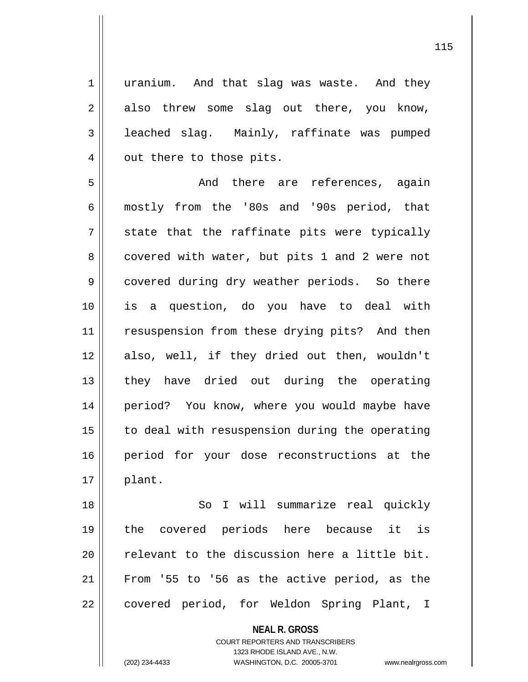1 || uranium. And that slag was waste. And they  $2 \parallel$  also threw some slag out there, you know, 3 leached slag. Mainly, raffinate was pumped 4 | out there to those pits.

5 And there are references, again 6 mostly from the '80s and '90s period, that  $7 \parallel$  state that the raffinate pits were typically 8 covered with water, but pits 1 and 2 were not 9 | covered during dry weather periods. So there 10 is a question, do you have to deal with 11 || resuspension from these drying pits? And then 12 also, well, if they dried out then, wouldn't 13 || they have dried out during the operating 14 period? You know, where you would maybe have 15 || to deal with resuspension during the operating 16 || period for your dose reconstructions at the  $17$  || plant.

18 || So I will summarize real quickly 19 the covered periods here because it is  $20$   $\parallel$  relevant to the discussion here a little bit. 21 From '55 to '56 as the active period, as the 22 || covered period, for Weldon Spring Plant, I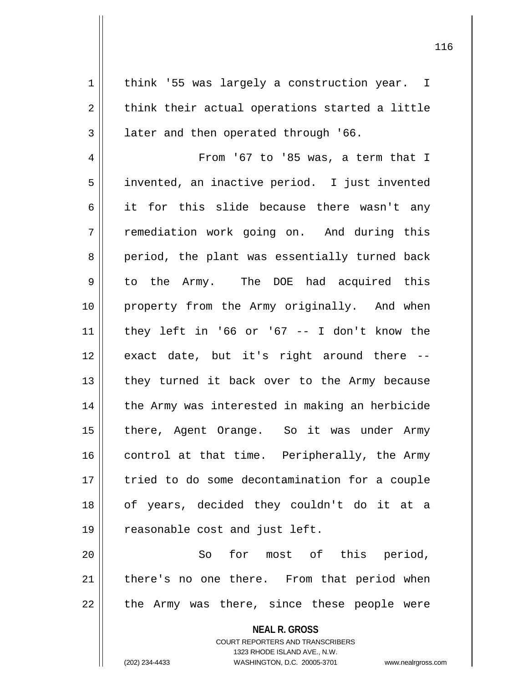1 || think '55 was largely a construction year. I  $2 \parallel$  think their actual operations started a little  $3 \parallel$  later and then operated through '66.

4 From '67 to '85 was, a term that I 5 || invented, an inactive period. I just invented 6 it for this slide because there wasn't any 7 The memediation work going on. And during this 8 || period, the plant was essentially turned back 9 to the Army. The DOE had acquired this 10 property from the Army originally. And when 11 they left in '66 or '67 -- I don't know the 12 exact date, but it's right around there --  $13$  || they turned it back over to the Army because 14 || the Army was interested in making an herbicide 15 || there, Agent Orange. So it was under Army 16 control at that time. Peripherally, the Army 17 tried to do some decontamination for a couple 18 of years, decided they couldn't do it at a  $19$  | reasonable cost and just left.

20 So for most of this period, 21 || there's no one there. From that period when  $22$  || the Army was there, since these people were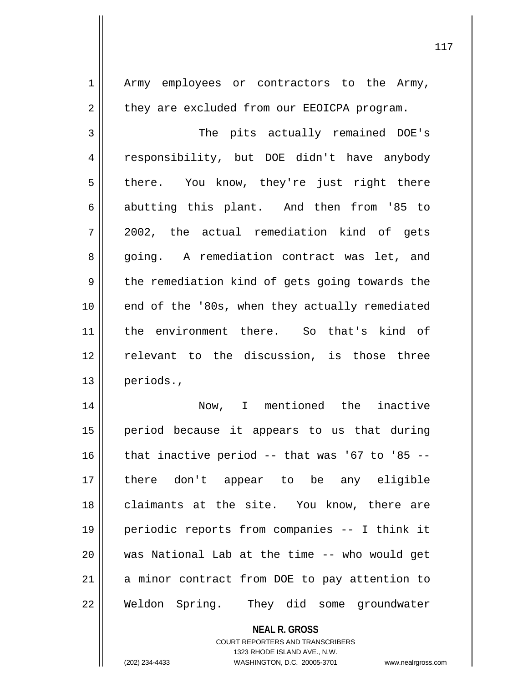1 || Army employees or contractors to the Army,  $2 \parallel$  they are excluded from our EEOICPA program.

3 || The pits actually remained DOE's 4 || responsibility, but DOE didn't have anybody 5 || there. You know, they're just right there  $6 \parallel$  abutting this plant. And then from '85 to 7 2002, the actual remediation kind of gets 8 || qoing. A remediation contract was let, and  $9 \parallel$  the remediation kind of gets going towards the 10 || end of the '80s, when they actually remediated 11 the environment there. So that's kind of 12 || relevant to the discussion, is those three 13 periods.,

 Now, I mentioned the inactive period because it appears to us that during | that inactive period -- that was '67 to '85 -- there don't appear to be any eligible 18 || claimants at the site. You know, there are periodic reports from companies -- I think it was National Lab at the time -- who would get 21 || a minor contract from DOE to pay attention to Weldon Spring. They did some groundwater

# **NEAL R. GROSS**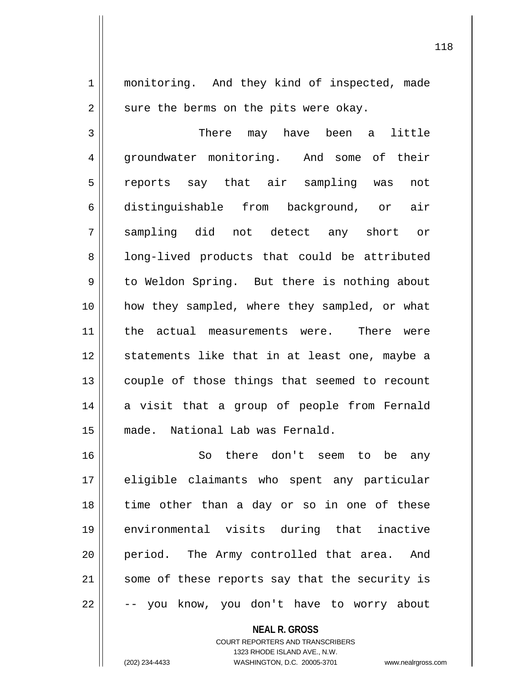1 || monitoring. And they kind of inspected, made  $2 \parallel$  sure the berms on the pits were okay.

3 There may have been a little 4 groundwater monitoring. And some of their 5 reports say that air sampling was not 6 distinguishable from background, or air 7 sampling did not detect any short or 8 || long-lived products that could be attributed 9 to Weldon Spring. But there is nothing about 10 how they sampled, where they sampled, or what 11 the actual measurements were. There were 12 || statements like that in at least one, maybe a 13 || couple of those things that seemed to recount 14 a visit that a group of people from Fernald 15 made. National Lab was Fernald.

 So there don't seem to be any eligible claimants who spent any particular time other than a day or so in one of these environmental visits during that inactive 20 || period. The Army controlled that area. And some of these reports say that the security is  $\parallel$  -- you know, you don't have to worry about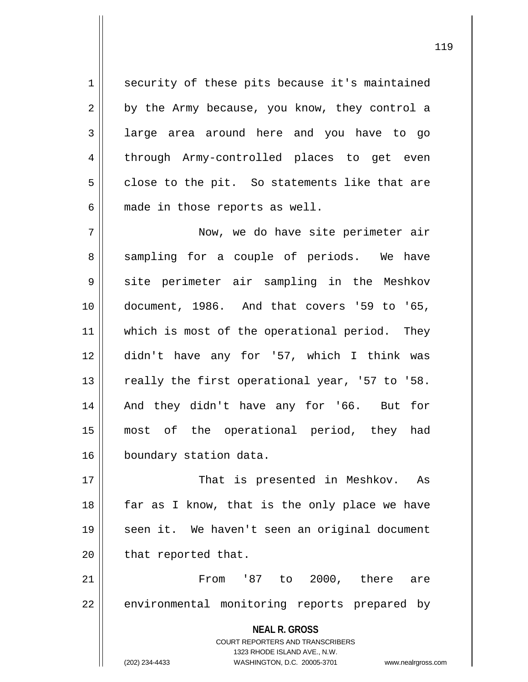1 security of these pits because it's maintained  $2 \parallel$  by the Army because, you know, they control a  $3 \parallel$  large area around here and you have to go 4 || through Army-controlled places to get even  $5 \parallel$  close to the pit. So statements like that are  $6 \parallel$  made in those reports as well.

7 Now, we do have site perimeter air 8 sampling for a couple of periods. We have 9 site perimeter air sampling in the Meshkov 10 document, 1986. And that covers '59 to '65, 11 || which is most of the operational period. They 12 didn't have any for '57, which I think was 13  $\parallel$  really the first operational year, '57 to '58. 14 || And they didn't have any for '66. But for 15 most of the operational period, they had 16 boundary station data.

 That is presented in Meshkov. As 18 || far as I know, that is the only place we have seen it. We haven't seen an original document | that reported that.

21 From '87 to 2000, there are 22 || environmental monitoring reports prepared by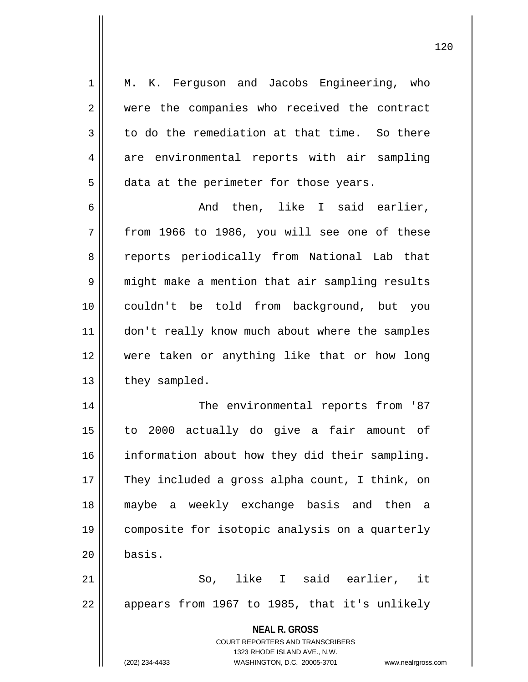**NEAL R. GROSS** COURT REPORTERS AND TRANSCRIBERS 1 || M. K. Ferguson and Jacobs Engineering, who 2 || were the companies who received the contract  $3 \parallel$  to do the remediation at that time. So there 4 are environmental reports with air sampling  $5 \parallel$  data at the perimeter for those years.  $6 \parallel$  and then, like I said earlier,  $7$  || from 1966 to 1986, you will see one of these 8 || reports periodically from National Lab that 9 | might make a mention that air sampling results 10 couldn't be told from background, but you 11 || don't really know much about where the samples 12 were taken or anything like that or how long  $13$  | they sampled. 14 || The environmental reports from '87 15 to 2000 actually do give a fair amount of 16 | information about how they did their sampling. 17 || They included a gross alpha count, I think, on 18 maybe a weekly exchange basis and then a 19 composite for isotopic analysis on a quarterly 20 basis. 21 So, like I said earlier, it  $22$  | appears from 1967 to 1985, that it's unlikely

1323 RHODE ISLAND AVE., N.W.

(202) 234-4433 WASHINGTON, D.C. 20005-3701 www.nealrgross.com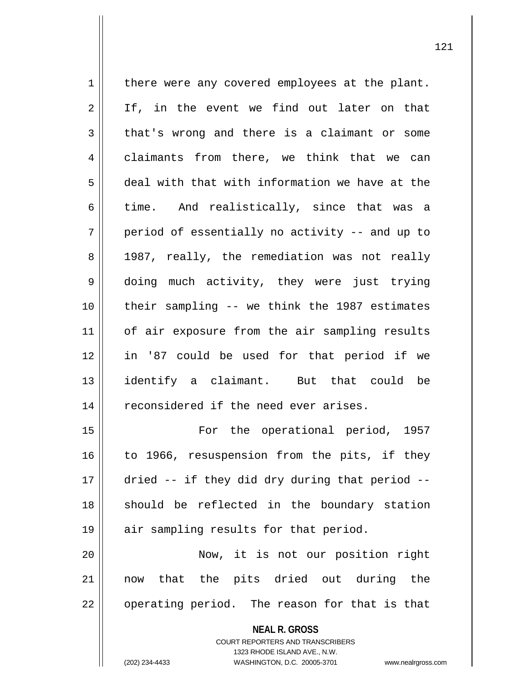| $\mathbf 1$ | there were any covered employees at the plant.           |
|-------------|----------------------------------------------------------|
| 2           | If, in the event we find out later on that               |
| 3           | that's wrong and there is a claimant or some             |
| 4           | claimants from there, we think that we can               |
| 5           | deal with that with information we have at the           |
| 6           | time. And realistically, since that was a                |
| 7           | period of essentially no activity -- and up to           |
| 8           | 1987, really, the remediation was not really             |
| 9           | doing much activity, they were just trying               |
| 10          | their sampling -- we think the 1987 estimates            |
| 11          | of air exposure from the air sampling results            |
| 12          | in '87 could be used for that period if we               |
| 13          | identify a claimant. But that could be                   |
| 14          | reconsidered if the need ever arises.                    |
| 15          | For the operational period, 1957                         |
| 16          | to 1966, resuspension from the pits, if they             |
| 17          | dried -- if they did dry during that period --           |
| 18          | should be reflected in the boundary station              |
| 19          | air sampling results for that period.                    |
| 20          | Now, it is not our position right                        |
| 21          | now that the pits dried out during the                   |
| 22          | operating period. The reason for that is that            |
|             | <b>NEAL R. GROSS</b><br>COURT REPORTERS AND TRANSCRIBERS |

1323 RHODE ISLAND AVE., N.W.

 $\mathsf{I}$  $\prod_{i=1}^{n}$ 

(202) 234-4433 WASHINGTON, D.C. 20005-3701 www.nealrgross.com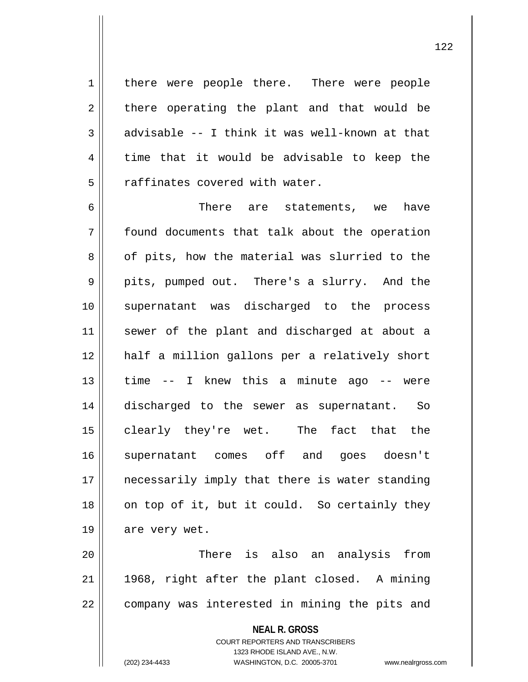1 | there were people there. There were people  $2 \parallel$  there operating the plant and that would be  $3 \parallel$  advisable -- I think it was well-known at that  $4 \parallel$  time that it would be advisable to keep the  $5$   $\parallel$  raffinates covered with water.

 There are statements, we have found documents that talk about the operation 8 of pits, how the material was slurried to the 9 || pits, pumped out. There's a slurry. And the supernatant was discharged to the process sewer of the plant and discharged at about a half a million gallons per a relatively short time -- I knew this a minute ago -- were discharged to the sewer as supernatant. So clearly they're wet. The fact that the supernatant comes off and goes doesn't 17 || necessarily imply that there is water standing 18 || on top of it, but it could. So certainly they  $19 \parallel$  are very wet.

20 There is also an analysis from  $21$  || 1968, right after the plant closed. A mining 22 || company was interested in mining the pits and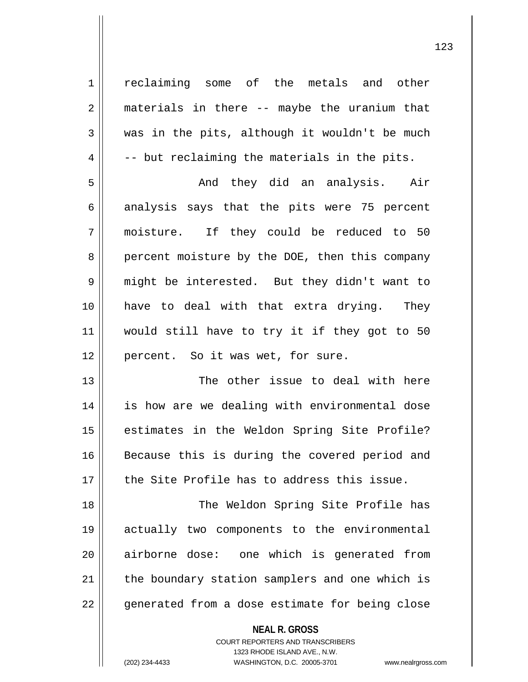| 1           | reclaiming some of the metals and other        |
|-------------|------------------------------------------------|
| 2           | materials in there -- maybe the uranium that   |
| 3           | was in the pits, although it wouldn't be much  |
| 4           | -- but reclaiming the materials in the pits.   |
| 5           | And they did an analysis. Air                  |
| 6           | analysis says that the pits were 75 percent    |
| 7           | moisture. If they could be reduced to 50       |
| $\,8\,$     | percent moisture by the DOE, then this company |
| $\mathsf 9$ | might be interested. But they didn't want to   |
| 10          | have to deal with that extra drying. They      |
| 11          | would still have to try it if they got to 50   |
| 12          | percent. So it was wet, for sure.              |
| 13          | The other issue to deal with here              |
| 14          | is how are we dealing with environmental dose  |
| 15          | estimates in the Weldon Spring Site Profile?   |
| 16          | Because this is during the covered period and  |
| 17          | the Site Profile has to address this issue.    |
| 18          | The Weldon Spring Site Profile has             |
| 19          | actually two components to the environmental   |
| 20          | airborne dose: one which is generated from     |
| 21          | the boundary station samplers and one which is |
| 22          | generated from a dose estimate for being close |

**NEAL R. GROSS** COURT REPORTERS AND TRANSCRIBERS 1323 RHODE ISLAND AVE., N.W. (202) 234-4433 WASHINGTON, D.C. 20005-3701 www.nealrgross.com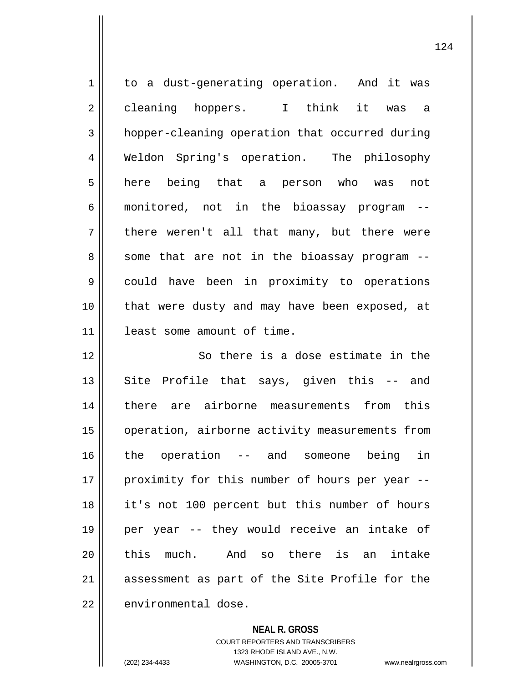| 1  | to a dust-generating operation. And it was     |
|----|------------------------------------------------|
| 2  | it was<br>cleaning hoppers. I think<br>a       |
| 3  | hopper-cleaning operation that occurred during |
| 4  | Weldon Spring's operation. The philosophy      |
| 5  | here being that a person who was<br>not        |
| 6  | monitored, not in the bioassay program --      |
| 7  | there weren't all that many, but there were    |
| 8  | some that are not in the bioassay program --   |
| 9  | could have been in proximity to operations     |
| 10 | that were dusty and may have been exposed, at  |
| 11 | least some amount of time.                     |
| 12 | So there is a dose estimate in the             |
| 13 | Site Profile that says, given this -- and      |
| 14 | there are airborne measurements from<br>this   |
| 15 | operation, airborne activity measurements from |
| 16 | the operation -- and someone being in          |
| 17 | proximity for this number of hours per year -- |
| 18 | it's not 100 percent but this number of hours  |
| 19 | per year -- they would receive an intake of    |
| 20 | this much.<br>And so there is an intake        |
| 21 | assessment as part of the Site Profile for the |
| 22 | environmental dose.                            |

**NEAL R. GROSS**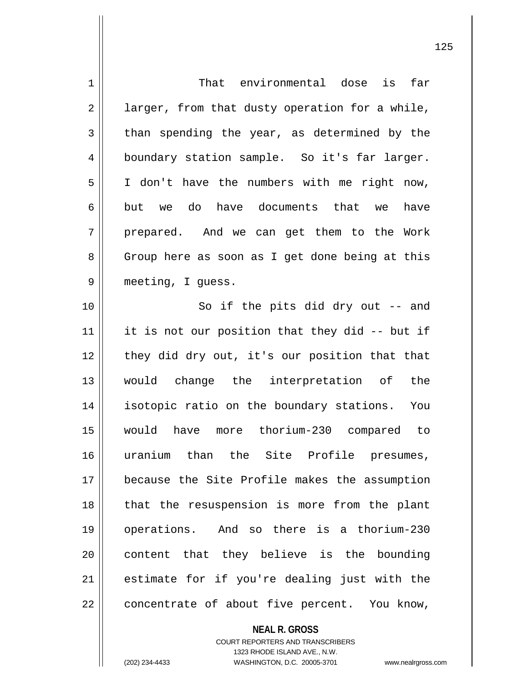| $\mathbf 1$ | That environmental dose is<br>far              |
|-------------|------------------------------------------------|
| 2           | larger, from that dusty operation for a while, |
| 3           | than spending the year, as determined by the   |
| 4           | boundary station sample. So it's far larger.   |
| 5           | I don't have the numbers with me right now,    |
| 6           | but we do have documents that we<br>have       |
| 7           | prepared. And we can get them to the Work      |
| 8           | Group here as soon as I get done being at this |
| 9           | meeting, I guess.                              |
| 10          | So if the pits did dry out -- and              |
| 11          | it is not our position that they did -- but if |
| 12          | they did dry out, it's our position that that  |
| 13          | would change the interpretation of<br>the      |
| 14          | isotopic ratio on the boundary stations. You   |
| 15          | would have more thorium-230 compared to        |
| 16          | uranium than the Site Profile presumes,        |
| 17          | because the Site Profile makes the assumption  |
| 18          | that the resuspension is more from the plant   |
| 19          | operations. And so there is a thorium-230      |
| 20          | content that they believe is the bounding      |
| 21          | estimate for if you're dealing just with the   |
| 22          | concentrate of about five percent. You know,   |

**NEAL R. GROSS** COURT REPORTERS AND TRANSCRIBERS 1323 RHODE ISLAND AVE., N.W. (202) 234-4433 WASHINGTON, D.C. 20005-3701 www.nealrgross.com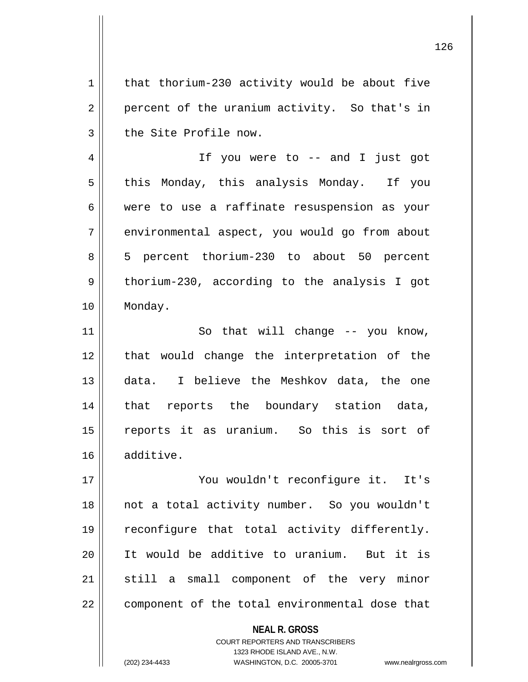$1 \parallel$  that thorium-230 activity would be about five  $2 \parallel$  percent of the uranium activity. So that's in 3 the Site Profile now.

4 || If you were to -- and I just got 5 || this Monday, this analysis Monday. If you 6 were to use a raffinate resuspension as your 7 | environmental aspect, you would go from about 8 || 5 percent thorium-230 to about 50 percent  $9 \parallel$  thorium-230, according to the analysis I got 10 Monday.

11 || So that will change -- you know, 12 || that would change the interpretation of the 13 data. I believe the Meshkov data, the one 14 || that reports the boundary station data, 15 reports it as uranium. So this is sort of 16 additive.

17 || You wouldn't reconfigure it. It's 18 || not a total activity number. So you wouldn't 19 || reconfigure that total activity differently. 20 It would be additive to uranium. But it is  $21$  still a small component of the very minor 22 || component of the total environmental dose that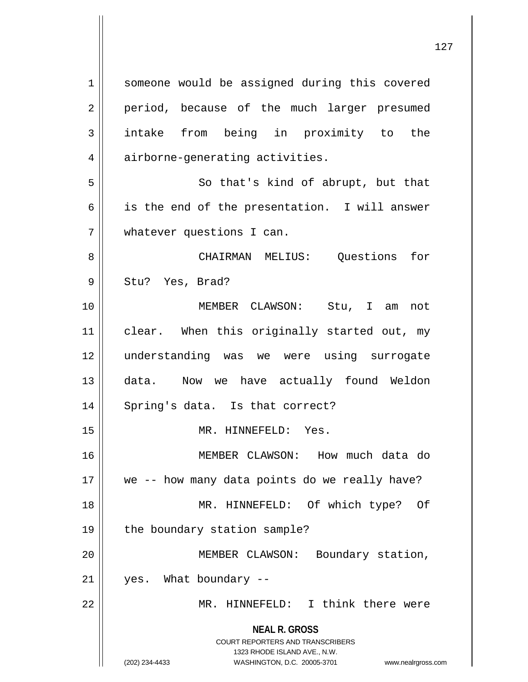**NEAL R. GROSS** COURT REPORTERS AND TRANSCRIBERS 1323 RHODE ISLAND AVE., N.W. 1 || someone would be assigned during this covered 2 || period, because of the much larger presumed 3 intake from being in proximity to the  $4 \parallel$  airborne-generating activities. 5 || So that's kind of abrupt, but that  $6 \parallel$  is the end of the presentation. I will answer 7 whatever questions I can. 8 CHAIRMAN MELIUS: Questions for 9 || Stu? Yes, Brad? 10 MEMBER CLAWSON: Stu, I am not 11 || clear. When this originally started out, my 12 understanding was we were using surrogate 13 data. Now we have actually found Weldon 14 || Spring's data. Is that correct? 15 MR. HINNEFELD: Yes. 16 MEMBER CLAWSON: How much data do 17 || we -- how many data points do we really have? 18 || MR. HINNEFELD: Of which type? Of  $19 \parallel$  the boundary station sample? 20 MEMBER CLAWSON: Boundary station,  $21$  | yes. What boundary --22 MR. HINNEFELD: I think there were

(202) 234-4433 WASHINGTON, D.C. 20005-3701 www.nealrgross.com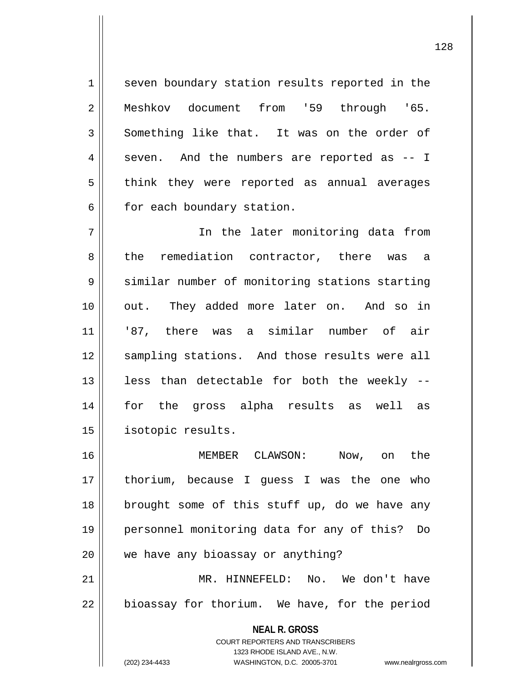1 || seven boundary station results reported in the 2 Meshkov document from '59 through '65. 3 Something like that. It was on the order of  $4 \parallel$  seven. And the numbers are reported as  $-1$ 5 || think they were reported as annual averages  $6 \parallel$  for each boundary station.

 In the later monitoring data from 8 the remediation contractor, there was a 9 Similar number of monitoring stations starting out. They added more later on. And so in '87, there was a similar number of air 12 || sampling stations. And those results were all || less than detectable for both the weekly -- for the gross alpha results as well as isotopic results.

16 MEMBER CLAWSON: Now, on the 17 || thorium, because I guess I was the one who 18 || brought some of this stuff up, do we have any 19 personnel monitoring data for any of this? Do 20 | we have any bioassay or anything?

21 MR. HINNEFELD: No. We don't have  $22$  || bioassay for thorium. We have, for the period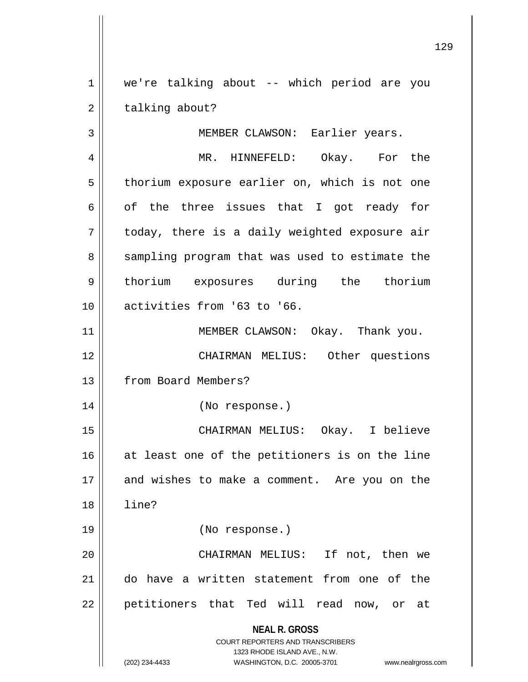1 | we're talking about -- which period are you 2 | talking about?

3 || MEMBER CLAWSON: Earlier years.

4 MR. HINNEFELD: Okay. For the 5 | thorium exposure earlier on, which is not one  $6 \parallel$  of the three issues that I got ready for  $7 \parallel$  today, there is a daily weighted exposure air 8 Sampling program that was used to estimate the 9 || thorium exposures during the thorium 10 activities from '63 to '66. 11 || MEMBER CLAWSON: Okay. Thank you. 12 CHAIRMAN MELIUS: Other questions 13 | from Board Members? 14 (No response.) 15 CHAIRMAN MELIUS: Okay. I believe

16 || at least one of the petitioners is on the line 17 || and wishes to make a comment. Are you on the 18 line?

19 (No response.)

20 CHAIRMAN MELIUS: If not, then we 21 do have a written statement from one of the 22 || petitioners that Ted will read now, or at

## **NEAL R. GROSS**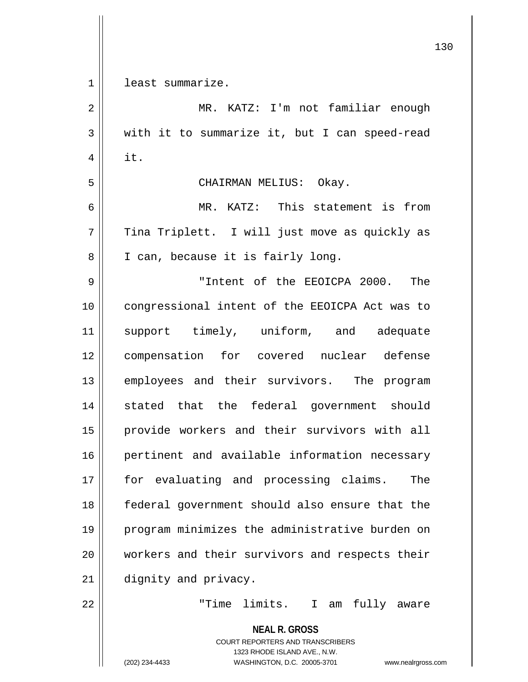| 1              | least summarize.                               |
|----------------|------------------------------------------------|
| $\overline{2}$ | MR. KATZ: I'm not familiar enough              |
| 3              | with it to summarize it, but I can speed-read  |
| $\overline{4}$ | it.                                            |
| 5              | CHAIRMAN MELIUS: Okay.                         |
| 6              | MR. KATZ: This statement is from               |
| 7              | Tina Triplett. I will just move as quickly as  |
| 8              | I can, because it is fairly long.              |
| 9              | "Intent of the EEOICPA 2000. The               |
| 10             | congressional intent of the EEOICPA Act was to |
| 11             | support timely, uniform, and adequate          |
| 12             | compensation for covered nuclear defense       |
| 13             | employees and their survivors. The program     |
| 14             | stated that the federal government should      |
| 15             | provide workers and their survivors with all   |
| 16             | pertinent and available information necessary  |
| 17             | for evaluating and processing claims.<br>The   |
| 18             | federal government should also ensure that the |
| 19             | program minimizes the administrative burden on |
| 20             | workers and their survivors and respects their |
| 21             | dignity and privacy.                           |
| 22             | "Time limits. I am<br>fully aware              |
|                | <b>NEAL R. GROSS</b>                           |

COURT REPORTERS AND TRANSCRIBERS 1323 RHODE ISLAND AVE., N.W. (202) 234-4433 WASHINGTON, D.C. 20005-3701 www.nealrgross.com

 $\mathbb{I}$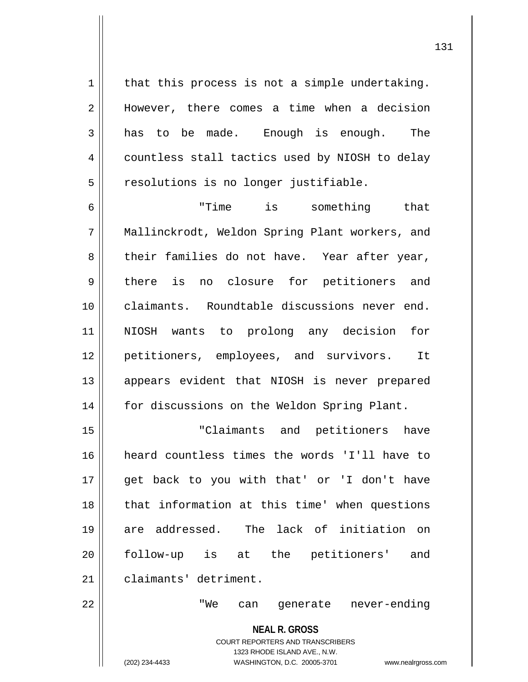$1$  that this process is not a simple undertaking. 2 | However, there comes a time when a decision  $3 \parallel$  has to be made. Enough is enough. The 4 countless stall tactics used by NIOSH to delay  $5$   $\parallel$  resolutions is no longer justifiable.

6 "Time is something that 7 Mallinckrodt, Weldon Spring Plant workers, and 8 their families do not have. Year after year, 9 || there is no closure for petitioners and 10 claimants. Roundtable discussions never end. 11 NIOSH wants to prolong any decision for 12 petitioners, employees, and survivors. It 13 || appears evident that NIOSH is never prepared 14 | for discussions on the Weldon Spring Plant.

15 || Claimants and petitioners have heard countless times the words 'I'll have to get back to you with that' or 'I don't have || that information at this time' when questions are addressed. The lack of initiation on follow-up is at the petitioners' and 21 | claimants' detriment.

22 "We can generate never-ending

**NEAL R. GROSS** COURT REPORTERS AND TRANSCRIBERS 1323 RHODE ISLAND AVE., N.W.

(202) 234-4433 WASHINGTON, D.C. 20005-3701 www.nealrgross.com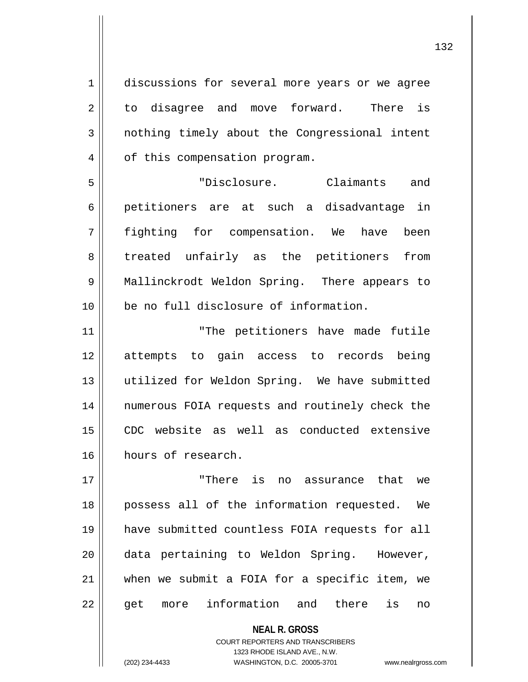1 discussions for several more years or we agree 2 to disagree and move forward. There is 3 nothing timely about the Congressional intent 4 | of this compensation program.

 "Disclosure. Claimants and petitioners are at such a disadvantage in fighting for compensation. We have been 8 treated unfairly as the petitioners from 9 | Mallinckrodt Weldon Spring. There appears to be no full disclosure of information.

11 || The petitioners have made futile 12 attempts to gain access to records being 13 utilized for Weldon Spring. We have submitted 14 || numerous FOIA requests and routinely check the 15 CDC website as well as conducted extensive 16 | hours of research.

 "There is no assurance that we possess all of the information requested. We have submitted countless FOIA requests for all 20 || data pertaining to Weldon Spring. However, | when we submit a FOIA for a specific item, we 22 || get more information and there is no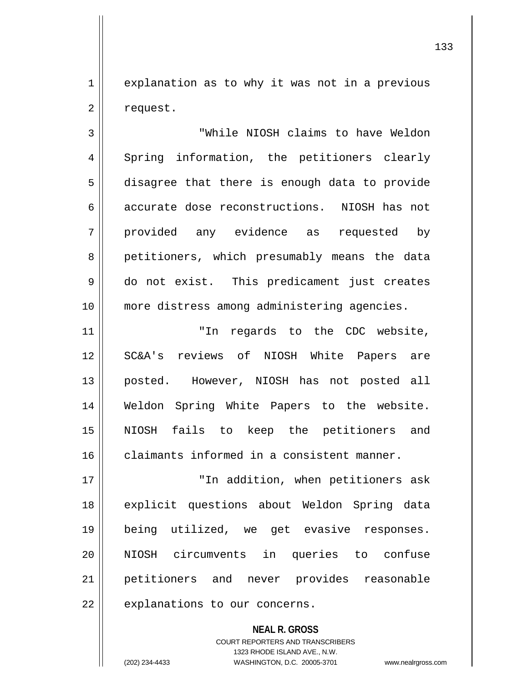1 explanation as to why it was not in a previous 2 | request.

 "While NIOSH claims to have Weldon 4 || Spring information, the petitioners clearly 5 disagree that there is enough data to provide accurate dose reconstructions. NIOSH has not provided any evidence as requested by 8 || petitioners, which presumably means the data do not exist. This predicament just creates more distress among administering agencies.

11 || The regards to the CDC website, SC&A's reviews of NIOSH White Papers are posted. However, NIOSH has not posted all Weldon Spring White Papers to the website. NIOSH fails to keep the petitioners and 16 claimants informed in a consistent manner.

17 || The addition, when petitioners ask explicit questions about Weldon Spring data being utilized, we get evasive responses. NIOSH circumvents in queries to confuse petitioners and never provides reasonable | explanations to our concerns.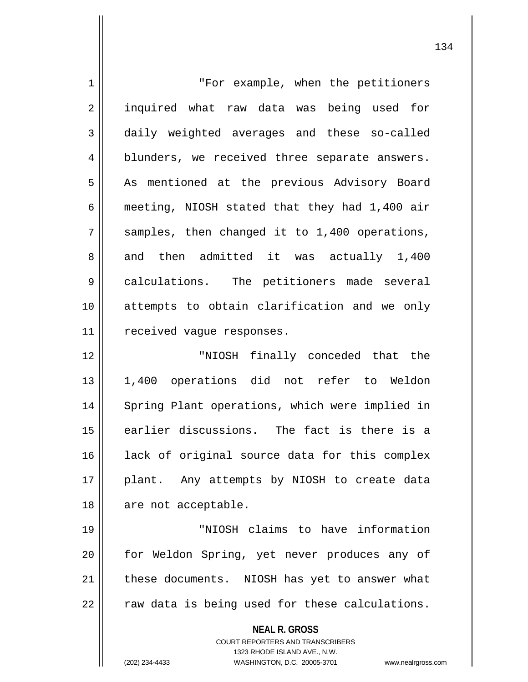| $\mathbf 1$ | "For example, when the petitioners                                                                                                                                   |
|-------------|----------------------------------------------------------------------------------------------------------------------------------------------------------------------|
| 2           | inquired what raw data was being used for                                                                                                                            |
| 3           | daily weighted averages and these so-called                                                                                                                          |
| 4           | blunders, we received three separate answers.                                                                                                                        |
| 5           | As mentioned at the previous Advisory Board                                                                                                                          |
| 6           | meeting, NIOSH stated that they had 1,400 air                                                                                                                        |
| 7           | samples, then changed it to 1,400 operations,                                                                                                                        |
| 8           | and then admitted it was actually 1,400                                                                                                                              |
| 9           | calculations. The petitioners made several                                                                                                                           |
| 10          | attempts to obtain clarification and we only                                                                                                                         |
| 11          | received vague responses.                                                                                                                                            |
| 12          | "NIOSH finally conceded that the                                                                                                                                     |
| 13          | 1,400 operations did not refer to Weldon                                                                                                                             |
| 14          | Spring Plant operations, which were implied in                                                                                                                       |
| 15          | earlier discussions. The fact is there is a                                                                                                                          |
| 16          | lack of original source data for this complex                                                                                                                        |
| 17          | plant. Any attempts by NIOSH to create data                                                                                                                          |
| 18          | are not acceptable.                                                                                                                                                  |
| 19          | "NIOSH claims to have information                                                                                                                                    |
| 20          | for Weldon Spring, yet never produces any of                                                                                                                         |
| 21          | these documents. NIOSH has yet to answer what                                                                                                                        |
| 22          | raw data is being used for these calculations.                                                                                                                       |
|             | <b>NEAL R. GROSS</b><br><b>COURT REPORTERS AND TRANSCRIBERS</b><br>1323 RHODE ISLAND AVE., N.W.<br>(202) 234-4433<br>WASHINGTON, D.C. 20005-3701<br>www.nealrgross.c |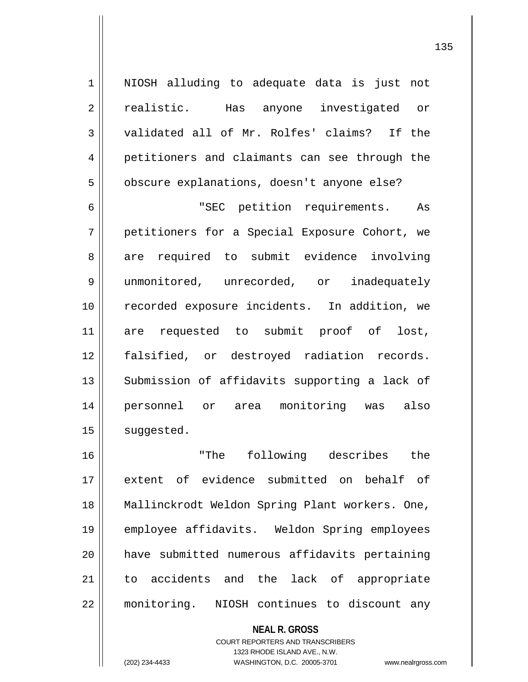135

1 NIOSH alluding to adequate data is just not 2 || realistic. Has anyone investigated or 3 validated all of Mr. Rolfes' claims? If the 4 petitioners and claimants can see through the 5 | obscure explanations, doesn't anyone else?

6 "SEC petition requirements. As 7 || petitioners for a Special Exposure Cohort, we 8 are required to submit evidence involving 9 unmonitored, unrecorded, or inadequately 10 recorded exposure incidents. In addition, we 11 are requested to submit proof of lost, 12 falsified, or destroyed radiation records. 13 || Submission of affidavits supporting a lack of 14 personnel or area monitoring was also  $15$  suggested.

 "The following describes the extent of evidence submitted on behalf of 18 || Mallinckrodt Weldon Spring Plant workers. One, employee affidavits. Weldon Spring employees have submitted numerous affidavits pertaining to accidents and the lack of appropriate monitoring. NIOSH continues to discount any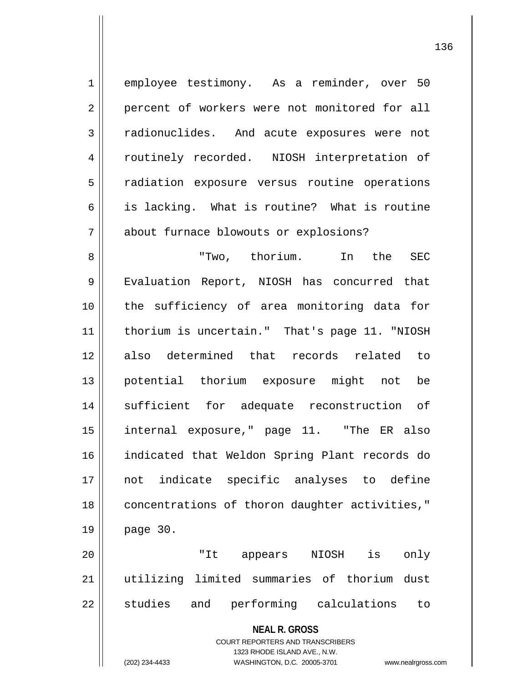**NEAL R. GROSS** COURT REPORTERS AND TRANSCRIBERS 1 employee testimony. As a reminder, over 50 2 || percent of workers were not monitored for all 3 radionuclides. And acute exposures were not 4 || routinely recorded. NIOSH interpretation of 5 || radiation exposure versus routine operations 6 is lacking. What is routine? What is routine 7 about furnace blowouts or explosions? 8 "Two, thorium. In the SEC 9 || Evaluation Report, NIOSH has concurred that 10 the sufficiency of area monitoring data for 11 thorium is uncertain." That's page 11. "NIOSH 12 also determined that records related to 13 potential thorium exposure might not be 14 || sufficient for adequate reconstruction of 15 internal exposure," page 11. "The ER also 16 indicated that Weldon Spring Plant records do 17 not indicate specific analyses to define 18 | concentrations of thoron daughter activities," 19 page 30. 20 || "It appears NIOSH is only 21 utilizing limited summaries of thorium dust 22 || studies and performing calculations to

1323 RHODE ISLAND AVE., N.W.

(202) 234-4433 WASHINGTON, D.C. 20005-3701 www.nealrgross.com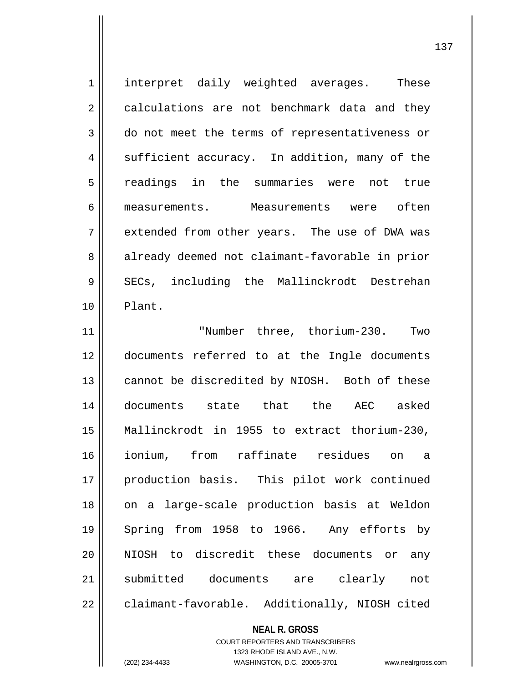1 || interpret daily weighted averages. These 2 | calculations are not benchmark data and they 3 do not meet the terms of representativeness or  $4 \parallel$  sufficient accuracy. In addition, many of the 5 readings in the summaries were not true 6 measurements. Measurements were often 7 extended from other years. The use of DWA was 8 | already deemed not claimant-favorable in prior 9 SECs, including the Mallinckrodt Destrehan 10 Plant. 11 "Number three, thorium-230. Two 12 documents referred to at the Ingle documents 13 || cannot be discredited by NIOSH. Both of these 14 documents state that the AEC asked 15 Mallinckrodt in 1955 to extract thorium-230, 16 ionium, from raffinate residues on a 17 || production basis. This pilot work continued 18 || on a large-scale production basis at Weldon 19 Spring from 1958 to 1966. Any efforts by 20 NIOSH to discredit these documents or any 21 submitted documents are clearly not 22 | claimant-favorable. Additionally, NIOSH cited

**NEAL R. GROSS**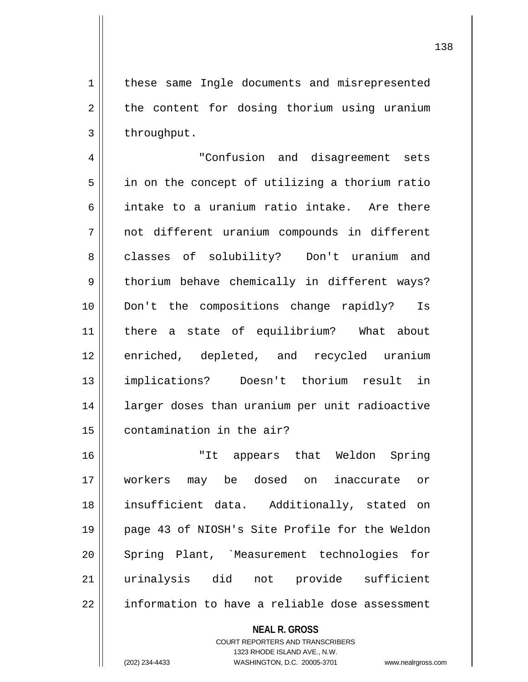1 | these same Ingle documents and misrepresented 2 || the content for dosing thorium using uranium  $3 \parallel$  throughput.

 "Confusion and disagreement sets  $5 \parallel$  in on the concept of utilizing a thorium ratio intake to a uranium ratio intake. Are there not different uranium compounds in different 8 classes of solubility? Don't uranium and 9 || thorium behave chemically in different ways? Don't the compositions change rapidly? Is there a state of equilibrium? What about enriched, depleted, and recycled uranium implications? Doesn't thorium result in larger doses than uranium per unit radioactive contamination in the air?

 "It appears that Weldon Spring workers may be dosed on inaccurate or insufficient data. Additionally, stated on page 43 of NIOSH's Site Profile for the Weldon 20 || Spring Plant, `Measurement technologies for urinalysis did not provide sufficient 22 || information to have a reliable dose assessment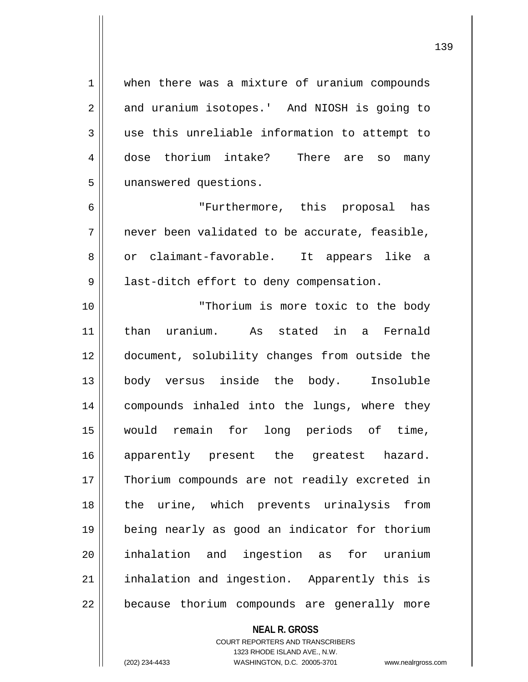1 when there was a mixture of uranium compounds 2 || and uranium isotopes.' And NIOSH is going to 3 || use this unreliable information to attempt to 4 dose thorium intake? There are so many 5 | unanswered questions.

6 "Furthermore, this proposal has  $7 \parallel$  never been validated to be accurate, feasible, 8 or claimant-favorable. It appears like a 9 | last-ditch effort to deny compensation.

 "Thorium is more toxic to the body than uranium. As stated in a Fernald document, solubility changes from outside the body versus inside the body. Insoluble compounds inhaled into the lungs, where they would remain for long periods of time, 16 || apparently present the greatest hazard. 17 || Thorium compounds are not readily excreted in the urine, which prevents urinalysis from being nearly as good an indicator for thorium inhalation and ingestion as for uranium 21 || inhalation and ingestion. Apparently this is 22 || because thorium compounds are generally more

#### **NEAL R. GROSS**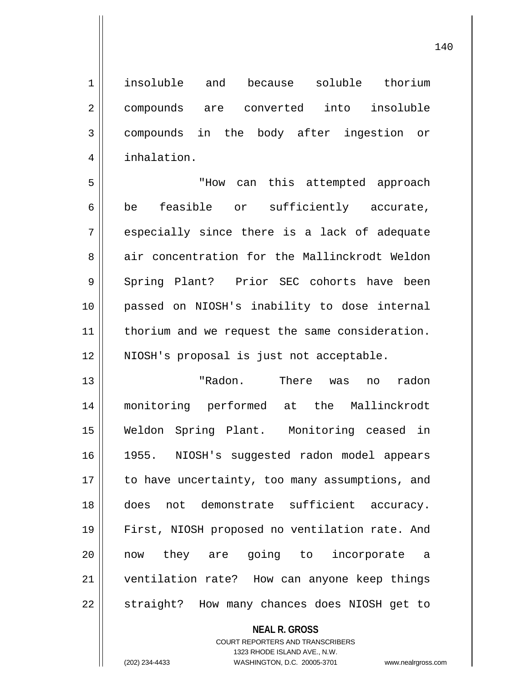insoluble and because soluble thorium compounds are converted into insoluble compounds in the body after ingestion or inhalation.

5 "How can this attempted approach  $6 \parallel$  be feasible or sufficiently accurate,  $7 \parallel$  especially since there is a lack of adequate 8 air concentration for the Mallinckrodt Weldon 9 || Spring Plant? Prior SEC cohorts have been 10 passed on NIOSH's inability to dose internal 11 | thorium and we request the same consideration. 12 || NIOSH's proposal is just not acceptable.

 "Radon. There was no radon monitoring performed at the Mallinckrodt Weldon Spring Plant. Monitoring ceased in 1955. NIOSH's suggested radon model appears 17 || to have uncertainty, too many assumptions, and does not demonstrate sufficient accuracy. First, NIOSH proposed no ventilation rate. And 20 || now they are going to incorporate a ventilation rate? How can anyone keep things 22 || straight? How many chances does NIOSH get to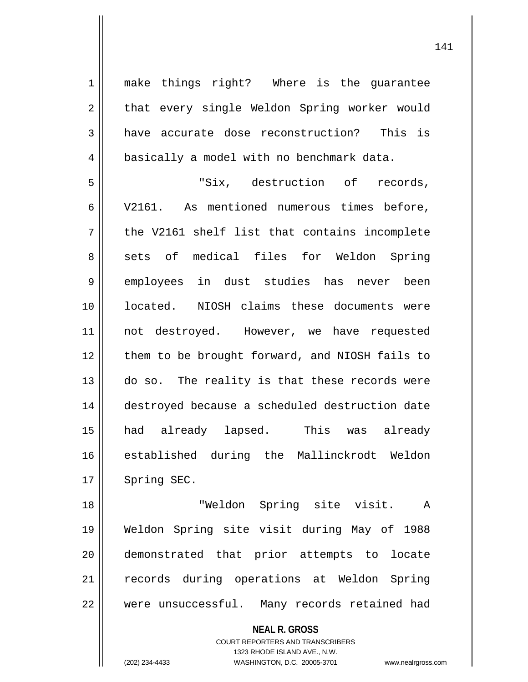1 || make things right? Where is the guarantee 2 | that every single Weldon Spring worker would 3 have accurate dose reconstruction? This is 4 | basically a model with no benchmark data. 5 "Six, destruction of records, 6 V2161. As mentioned numerous times before,  $7 \parallel$  the V2161 shelf list that contains incomplete 8 sets of medical files for Weldon Spring 9 employees in dust studies has never been 10 located. NIOSH claims these documents were 11 || not destroyed. However, we have requested 12 || them to be brought forward, and NIOSH fails to  $13$   $\parallel$  do so. The reality is that these records were 14 destroyed because a scheduled destruction date 15 had already lapsed. This was already 16 established during the Mallinckrodt Weldon 17 | Spring SEC. 18 "Weldon Spring site visit. A 19 Weldon Spring site visit during May of 1988 20 demonstrated that prior attempts to locate 21 || records during operations at Weldon Spring 22 Were unsuccessful. Many records retained had

**NEAL R. GROSS**

COURT REPORTERS AND TRANSCRIBERS 1323 RHODE ISLAND AVE., N.W. (202) 234-4433 WASHINGTON, D.C. 20005-3701 www.nealrgross.com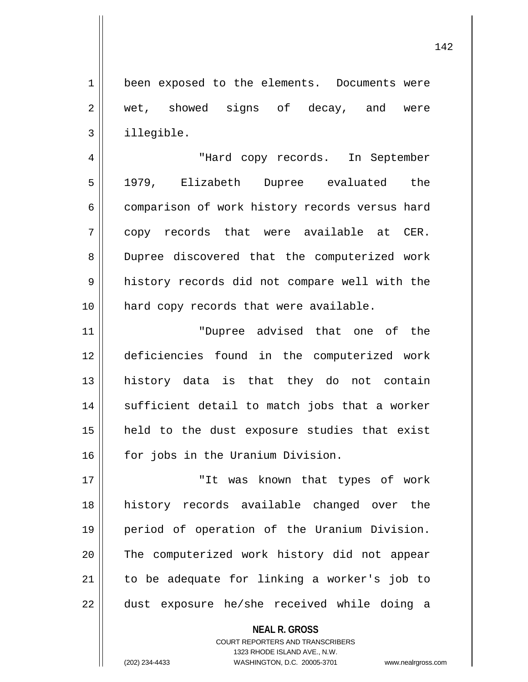142

1 | been exposed to the elements. Documents were 2 || wet, showed signs of decay, and were 3 illegible.

4 "Hard copy records. In September 5 || 1979, Elizabeth Dupree evaluated the 6 comparison of work history records versus hard 7 copy records that were available at CER. 8 Dupree discovered that the computerized work 9 history records did not compare well with the 10 hard copy records that were available.

 "Dupree advised that one of the deficiencies found in the computerized work history data is that they do not contain 14 || sufficient detail to match jobs that a worker held to the dust exposure studies that exist 16 || for jobs in the Uranium Division.

17 || "It was known that types of work history records available changed over the period of operation of the Uranium Division. 20 The computerized work history did not appear to be adequate for linking a worker's job to || dust exposure he/she received while doing a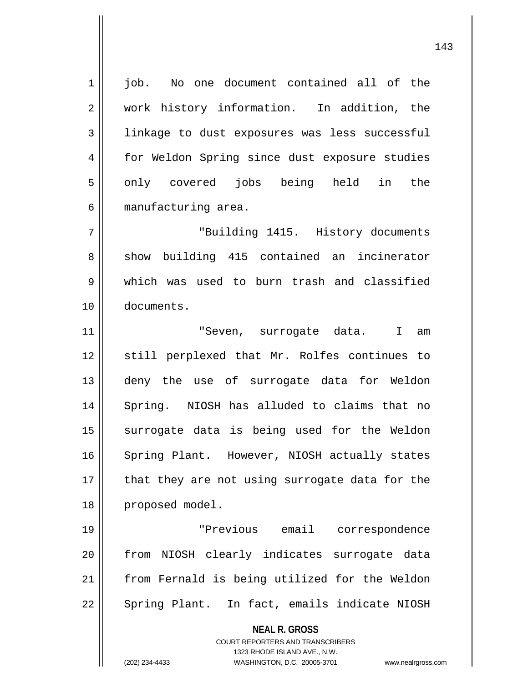1 | iob. No one document contained all of the 2 || work history information. In addition, the 3 | linkage to dust exposures was less successful 4 || for Weldon Spring since dust exposure studies 5 only covered jobs being held in the 6 manufacturing area.

 "Building 1415. History documents 8 show building 415 contained an incinerator which was used to burn trash and classified documents.

11 || The Post Terror Seven, surrogate data. I am 12 || still perplexed that Mr. Rolfes continues to 13 deny the use of surrogate data for Weldon 14 Spring. NIOSH has alluded to claims that no 15 || surrogate data is being used for the Weldon 16 || Spring Plant. However, NIOSH actually states  $17$  || that they are not using surrogate data for the 18 || proposed model.

19 "Previous email correspondence 20 || from NIOSH clearly indicates surrogate data 21 from Fernald is being utilized for the Weldon  $22 \parallel$  Spring Plant. In fact, emails indicate NIOSH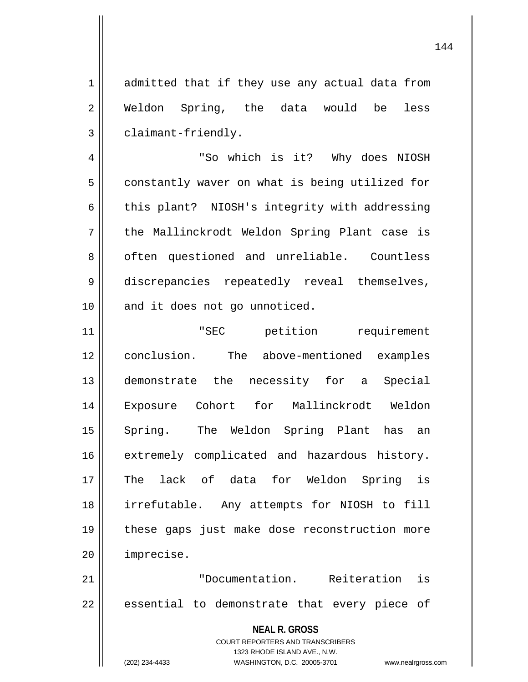1 admitted that if they use any actual data from 2 || Weldon Spring, the data would be less 3 | claimant-friendly.

4 "So which is it? Why does NIOSH  $5$  | constantly waver on what is being utilized for  $6 \parallel$  this plant? NIOSH's integrity with addressing 7 || the Mallinckrodt Weldon Spring Plant case is 8 || often questioned and unreliable. Countless 9 discrepancies repeatedly reveal themselves, 10 || and it does not go unnoticed.

11 || THE SEC petition requirement conclusion. The above-mentioned examples demonstrate the necessity for a Special Exposure Cohort for Mallinckrodt Weldon 15 || Spring. The Weldon Spring Plant has an 16 || extremely complicated and hazardous history. The lack of data for Weldon Spring is irrefutable. Any attempts for NIOSH to fill these gaps just make dose reconstruction more imprecise.

21 "Documentation. Reiteration is 22 || essential to demonstrate that every piece of

#### **NEAL R. GROSS** COURT REPORTERS AND TRANSCRIBERS

1323 RHODE ISLAND AVE., N.W. (202) 234-4433 WASHINGTON, D.C. 20005-3701 www.nealrgross.com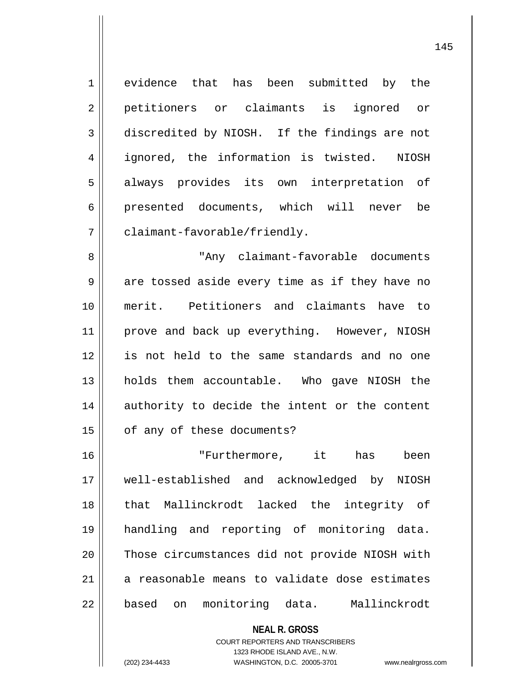1 | evidence that has been submitted by the 2 petitioners or claimants is ignored or 3 discredited by NIOSH. If the findings are not 4 | ignored, the information is twisted. NIOSH 5 always provides its own interpretation of 6 || presented documents, which will never be 7 claimant-favorable/friendly.

8 "Any claimant-favorable documents  $9 \parallel$  are tossed aside every time as if they have no 10 merit. Petitioners and claimants have to 11 || prove and back up everything. However, NIOSH 12 is not held to the same standards and no one 13 holds them accountable. Who gave NIOSH the 14 authority to decide the intent or the content 15 | of any of these documents?

 "Furthermore, it has been well-established and acknowledged by NIOSH that Mallinckrodt lacked the integrity of handling and reporting of monitoring data. Those circumstances did not provide NIOSH with a reasonable means to validate dose estimates 22 || based on monitoring data. Mallinckrodt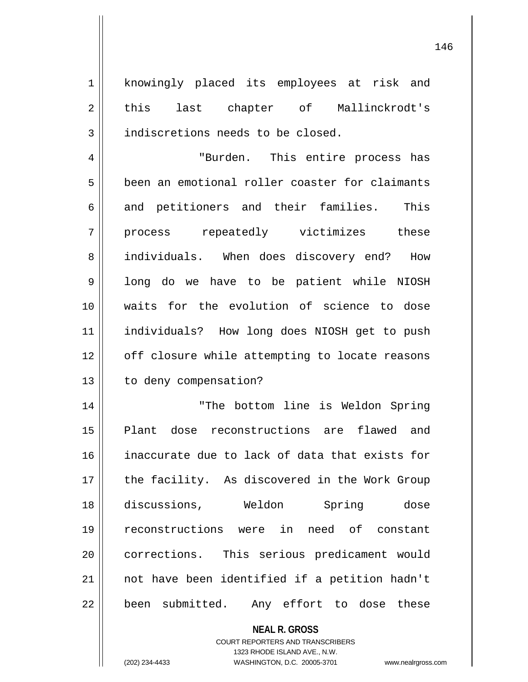1 || knowingly placed its employees at risk and 2 this last chapter of Mallinckrodt's 3 || indiscretions needs to be closed. 4 "Burden. This entire process has 5 **b**een an emotional roller coaster for claimants 6 || and petitioners and their families. This 7 || process repeatedly victimizes these 8 individuals. When does discovery end? How 9 || long do we have to be patient while NIOSH 10 waits for the evolution of science to dose 11 individuals? How long does NIOSH get to push 12 || off closure while attempting to locate reasons 13 | to deny compensation? 14 "The bottom line is Weldon Spring 15 Plant dose reconstructions are flawed and 16 inaccurate due to lack of data that exists for 17 || the facility. As discovered in the Work Group 18 discussions, Weldon Spring dose 19 reconstructions were in need of constant 20 | corrections. This serious predicament would 21 not have been identified if a petition hadn't  $22$  | been submitted. Any effort to dose these

> **NEAL R. GROSS** COURT REPORTERS AND TRANSCRIBERS 1323 RHODE ISLAND AVE., N.W.

(202) 234-4433 WASHINGTON, D.C. 20005-3701 www.nealrgross.com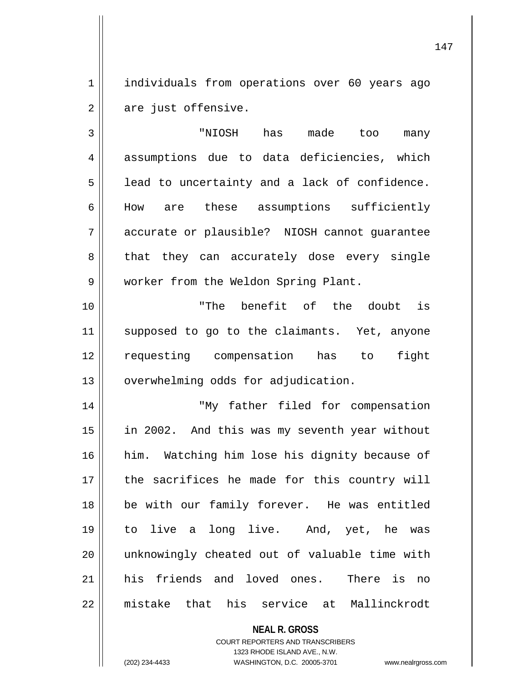1 | individuals from operations over 60 years ago  $2 \parallel$  are just offensive.

3 "NIOSH has made too many 4 assumptions due to data deficiencies, which  $5 \parallel$  lead to uncertainty and a lack of confidence. 6 || How are these assumptions sufficiently 7 accurate or plausible? NIOSH cannot guarantee 8 || that they can accurately dose every single 9 Worker from the Weldon Spring Plant.

10 "The benefit of the doubt is 11 || supposed to go to the claimants. Yet, anyone 12 requesting compensation has to fight 13 | overwhelming odds for adjudication.

14 || Wy father filed for compensation in 2002. And this was my seventh year without 16 || him. Watching him lose his dignity because of the sacrifices he made for this country will 18 || be with our family forever. He was entitled to live a long live. And, yet, he was unknowingly cheated out of valuable time with his friends and loved ones. There is no mistake that his service at Mallinckrodt

# **NEAL R. GROSS**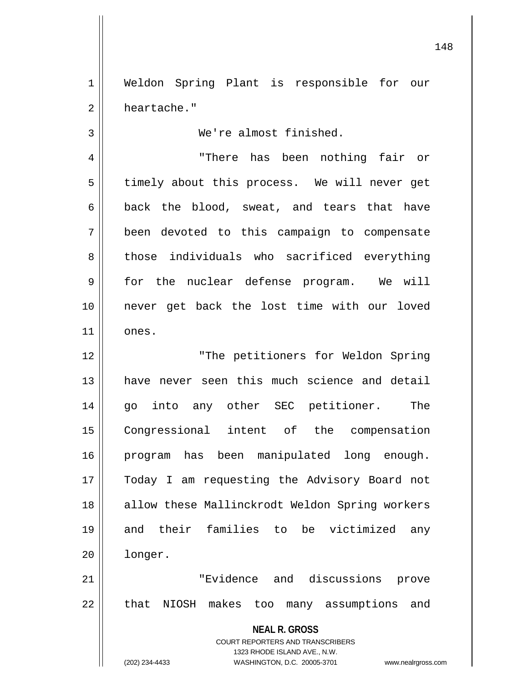1 || Weldon Spring Plant is responsible for our 2<sup>l</sup> heartache."

3 | We're almost finished.

4 "There has been nothing fair or 5 | timely about this process. We will never get  $6 \parallel$  back the blood, sweat, and tears that have 7 been devoted to this campaign to compensate 8 those individuals who sacrificed everything 9 for the nuclear defense program. We will 10 never get back the lost time with our loved  $11$  ones.

12 "The petitioners for Weldon Spring 13 || have never seen this much science and detail 14 go into any other SEC petitioner. The 15 Congressional intent of the compensation 16 program has been manipulated long enough. 17 || Today I am requesting the Advisory Board not 18 || allow these Mallinckrodt Weldon Spring workers 19 and their families to be victimized any 20 | longer.

21 "Evidence and discussions prove 22 || that NIOSH makes too many assumptions and

> **NEAL R. GROSS** COURT REPORTERS AND TRANSCRIBERS 1323 RHODE ISLAND AVE., N.W.

(202) 234-4433 WASHINGTON, D.C. 20005-3701 www.nealrgross.com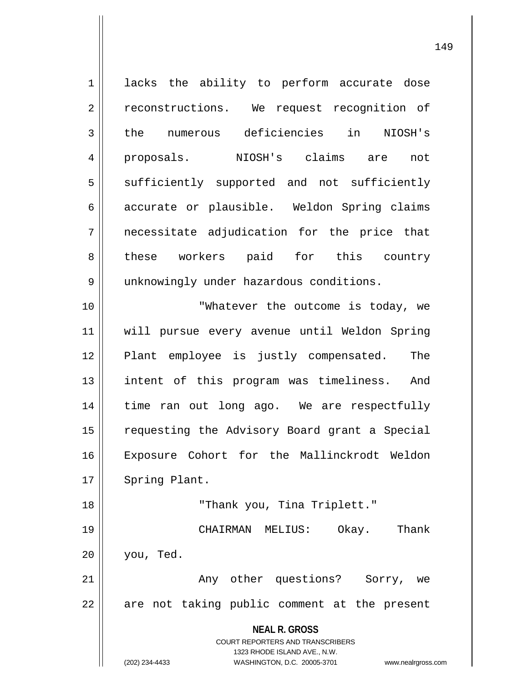| $\mathbf 1$    | lacks the ability to perform accurate dose                                                          |
|----------------|-----------------------------------------------------------------------------------------------------|
| $\overline{2}$ | reconstructions. We request recognition of                                                          |
| 3              | the numerous deficiencies in NIOSH's                                                                |
| $\overline{4}$ | proposals. NIOSH's claims are<br>not                                                                |
| 5              | sufficiently supported and not sufficiently                                                         |
| 6              | accurate or plausible. Weldon Spring claims                                                         |
| 7              | necessitate adjudication for the price that                                                         |
| 8              | these workers paid for this country                                                                 |
| 9              | unknowingly under hazardous conditions.                                                             |
| 10             | "Whatever the outcome is today, we                                                                  |
| 11             | will pursue every avenue until Weldon Spring                                                        |
| 12             | Plant employee is justly compensated.<br>The                                                        |
| 13             | intent of this program was timeliness.<br>And                                                       |
| 14             | time ran out long ago. We are respectfully                                                          |
| 15             | requesting the Advisory Board grant a Special                                                       |
| 16             | Exposure Cohort for the Mallinckrodt Weldon                                                         |
| 17             | Spring Plant.                                                                                       |
| 18             | "Thank you, Tina Triplett."                                                                         |
| 19             | Okay. Thank<br>CHAIRMAN MELIUS:                                                                     |
| 20             | you, Ted.                                                                                           |
| 21             | Any other questions? Sorry, we                                                                      |
| 22             | are not taking public comment at the present                                                        |
|                | <b>NEAL R. GROSS</b>                                                                                |
|                | COURT REPORTERS AND TRANSCRIBERS                                                                    |
|                | 1323 RHODE ISLAND AVE., N.W.<br>(202) 234-4433<br>WASHINGTON, D.C. 20005-3701<br>www.nealrgross.com |
|                |                                                                                                     |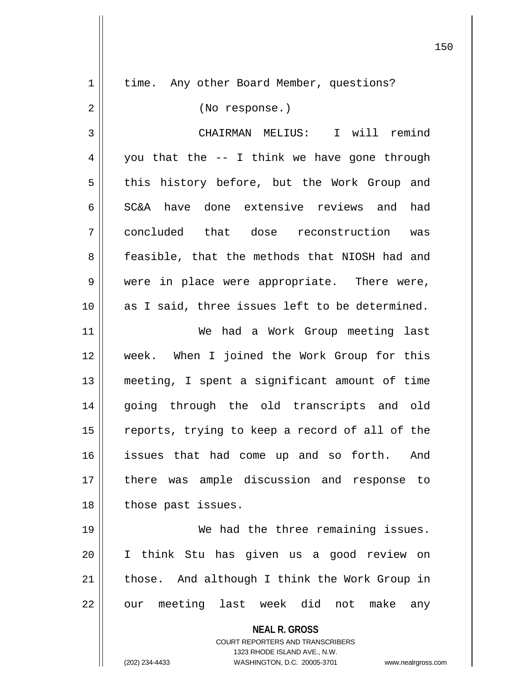| 1  | time. Any other Board Member, questions?                                                                                                                               |
|----|------------------------------------------------------------------------------------------------------------------------------------------------------------------------|
| 2  | (No response.)                                                                                                                                                         |
| 3  | CHAIRMAN MELIUS: I will remind                                                                                                                                         |
| 4  | you that the -- I think we have gone through                                                                                                                           |
| 5  | this history before, but the Work Group and                                                                                                                            |
| 6  | SC&A have done extensive reviews and had                                                                                                                               |
| 7  | concluded that dose reconstruction was                                                                                                                                 |
| 8  | feasible, that the methods that NIOSH had and                                                                                                                          |
| 9  | were in place were appropriate. There were,                                                                                                                            |
| 10 | as I said, three issues left to be determined.                                                                                                                         |
| 11 | We had a Work Group meeting last                                                                                                                                       |
| 12 | week. When I joined the Work Group for this                                                                                                                            |
| 13 | meeting, I spent a significant amount of time                                                                                                                          |
| 14 | going through the old transcripts and old                                                                                                                              |
| 15 | reports, trying to keep a record of all of the                                                                                                                         |
| 16 | issues that had come up and so forth.<br>And                                                                                                                           |
| 17 | there was ample discussion and response to                                                                                                                             |
| 18 | those past issues.                                                                                                                                                     |
| 19 | We had the three remaining issues.                                                                                                                                     |
| 20 | I think Stu has given us a good review on                                                                                                                              |
| 21 | those. And although I think the Work Group in                                                                                                                          |
| 22 | our meeting last week did not make<br>any                                                                                                                              |
|    | <b>NEAL R. GROSS</b><br><b>COURT REPORTERS AND TRANSCRIBERS</b><br>1323 RHODE ISLAND AVE., N.W.<br>(202) 234-4433<br>WASHINGTON, D.C. 20005-3701<br>www.nealrgross.com |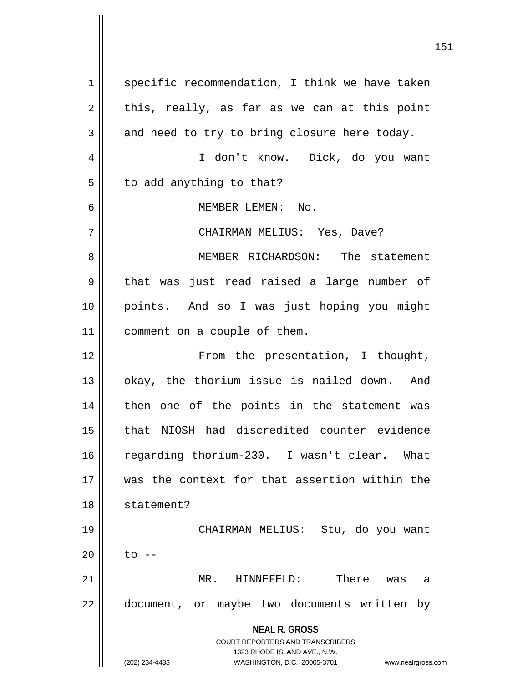**NEAL R. GROSS** COURT REPORTERS AND TRANSCRIBERS 1323 RHODE ISLAND AVE., N.W. (202) 234-4433 WASHINGTON, D.C. 20005-3701 www.nealrgross.com 1 | specific recommendation, I think we have taken  $2 \parallel$  this, really, as far as we can at this point  $3 \parallel$  and need to try to bring closure here today. 4 I don't know. Dick, do you want  $5 \parallel$  to add anything to that? 6 MEMBER LEMEN: No. 7 CHAIRMAN MELIUS: Yes, Dave? 8 MEMBER RICHARDSON: The statement 9 || that was just read raised a large number of 10 points. And so I was just hoping you might 11 | comment on a couple of them. 12 || From the presentation, I thought, 13 || okay, the thorium issue is nailed down. And 14 || then one of the points in the statement was 15 that NIOSH had discredited counter evidence 16 regarding thorium-230. I wasn't clear. What 17 was the context for that assertion within the 18 || statement? 19 CHAIRMAN MELIUS: Stu, do you want  $20 \parallel$  to  $-$ 21 MR. HINNEFELD: There was a 22 || document, or maybe two documents written by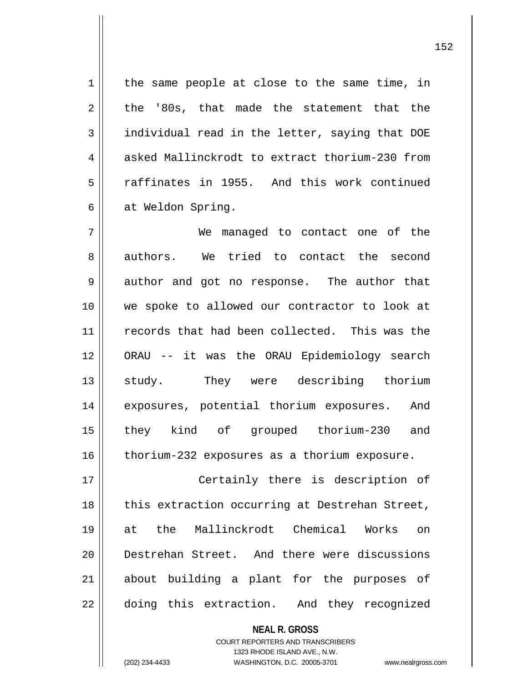$1 \parallel$  the same people at close to the same time, in  $2 \parallel$  the '80s, that made the statement that the  $3$  individual read in the letter, saying that DOE 4 asked Mallinckrodt to extract thorium-230 from 5 || raffinates in 1955. And this work continued  $6 \parallel$  at Weldon Spring.

7 We managed to contact one of the 8 authors. We tried to contact the second 9 author and got no response. The author that 10 we spoke to allowed our contractor to look at 11 || records that had been collected. This was the 12 ORAU -- it was the ORAU Epidemiology search 13 || study. They were describing thorium 14 || exposures, potential thorium exposures. And 15 they kind of grouped thorium-230 and  $16$  | thorium-232 exposures as a thorium exposure.

17 || Certainly there is description of 18 || this extraction occurring at Destrehan Street, 19 at the Mallinckrodt Chemical Works on 20 || Destrehan Street. And there were discussions 21 about building a plant for the purposes of 22 || doing this extraction. And they recognized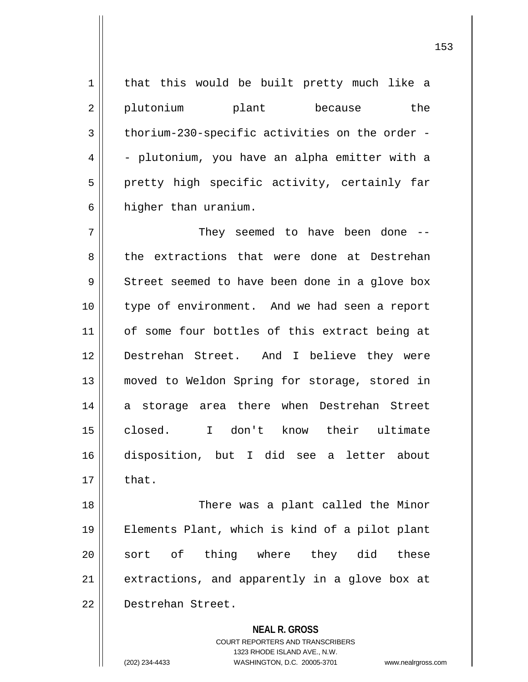$1$  that this would be built pretty much like a 2 plutonium plant because the  $3$  | thorium-230-specific activities on the order - $4 \parallel$  - plutonium, you have an alpha emitter with a 5 || pretty high specific activity, certainly far 6 higher than uranium.

7 || They seemed to have been done --8 the extractions that were done at Destrehan  $9 \parallel$  Street seemed to have been done in a glove box 10 type of environment. And we had seen a report 11 || of some four bottles of this extract being at 12 Destrehan Street. And I believe they were 13 moved to Weldon Spring for storage, stored in 14 a storage area there when Destrehan Street 15 closed. I don't know their ultimate 16 disposition, but I did see a letter about  $17 \parallel$  that.

18 || There was a plant called the Minor 19 Elements Plant, which is kind of a pilot plant 20 Sort of thing where they did these  $21$  extractions, and apparently in a glove box at 22 Destrehan Street.

# **NEAL R. GROSS**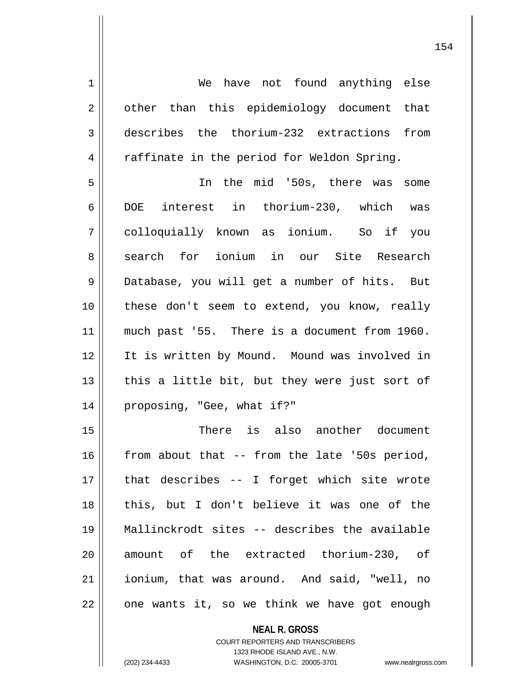1 We have not found anything else 2 || other than this epidemiology document that 3 describes the thorium-232 extractions from 4 || raffinate in the period for Weldon Spring.

 In the mid '50s, there was some 6 || DOE interest in thorium-230, which was colloquially known as ionium. So if you 8 Search for ionium in our Site Research Database, you will get a number of hits. But these don't seem to extend, you know, really much past '55. There is a document from 1960. It is written by Mound. Mound was involved in  $\parallel$  this a little bit, but they were just sort of proposing, "Gee, what if?"

 There is also another document from about that -- from the late '50s period, 17 || that describes -- I forget which site wrote this, but I don't believe it was one of the Mallinckrodt sites -- describes the available 20 || amount of the extracted thorium-230, of ionium, that was around. And said, "well, no || one wants it, so we think we have got enough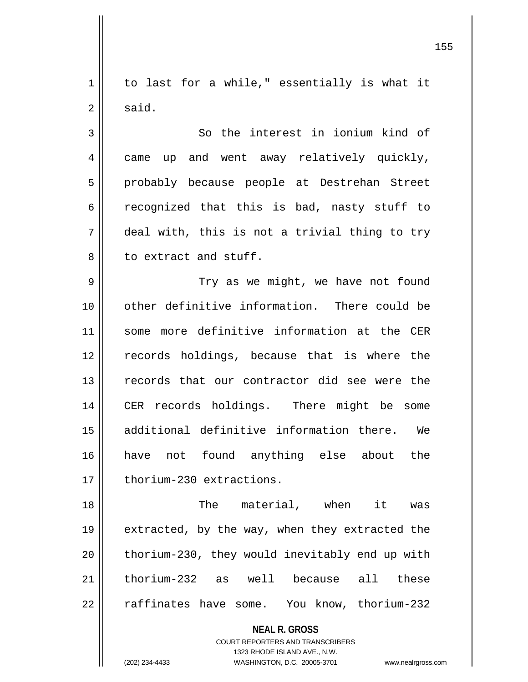$1$  to last for a while," essentially is what it  $2 \parallel$  said.

3 || So the interest in ionium kind of 4 || came up and went away relatively quickly, 5 probably because people at Destrehan Street 6  $\parallel$  recognized that this is bad, nasty stuff to  $7 \parallel$  deal with, this is not a trivial thing to try 8 || to extract and stuff.

 Try as we might, we have not found other definitive information. There could be some more definitive information at the CER 12 || records holdings, because that is where the 13 || records that our contractor did see were the CER records holdings. There might be some additional definitive information there. We have not found anything else about the 17 l thorium-230 extractions.

18 || The material, when it was 19 || extracted, by the way, when they extracted the 20 || thorium-230, they would inevitably end up with 21 thorium-232 as well because all these 22 | raffinates have some. You know, thorium-232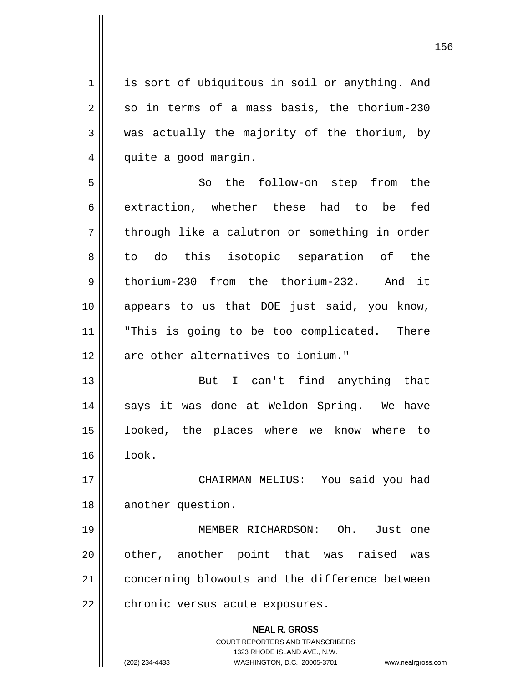1 || is sort of ubiquitous in soil or anything. And  $2 \parallel$  so in terms of a mass basis, the thorium-230  $3 \parallel$  was actually the majority of the thorium, by 4 | quite a good margin.

5 So the follow-on step from the 6 extraction, whether these had to be fed 7 through like a calutron or something in order 8 to do this isotopic separation of the 9 thorium-230 from the thorium-232. And it 10 appears to us that DOE just said, you know, 11 "This is going to be too complicated. There 12 are other alternatives to ionium."

13 || But I can't find anything that 14 || says it was done at Weldon Spring. We have 15 looked, the places where we know where to  $16 \parallel$   $100k$ .

17 CHAIRMAN MELIUS: You said you had 18 || another question.

19 MEMBER RICHARDSON: Oh. Just one 20 || other, another point that was raised was 21 | concerning blowouts and the difference between  $22$  | chronic versus acute exposures.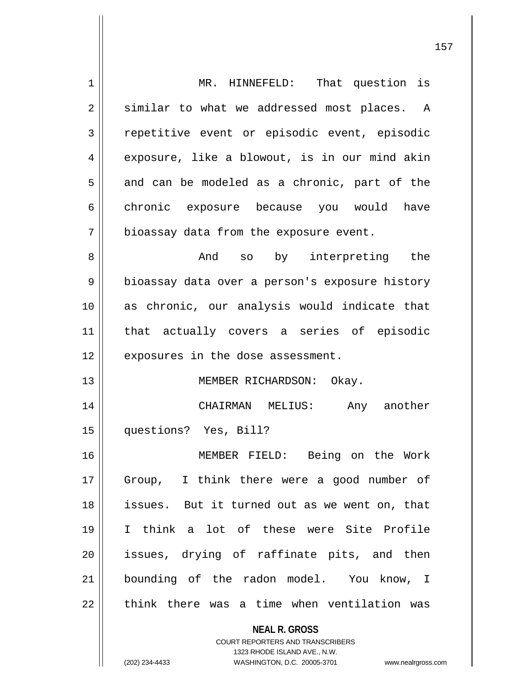| 1  | MR. HINNEFELD: That question is                                   |
|----|-------------------------------------------------------------------|
| 2  | similar to what we addressed most places. A                       |
| 3  | repetitive event or episodic event, episodic                      |
| 4  | exposure, like a blowout, is in our mind akin                     |
| 5  | and can be modeled as a chronic, part of the                      |
| 6  | chronic exposure because you would have                           |
| 7  | bioassay data from the exposure event.                            |
| 8  | And so by interpreting the                                        |
| 9  | bioassay data over a person's exposure history                    |
| 10 | as chronic, our analysis would indicate that                      |
| 11 | that actually covers a series of episodic                         |
| 12 | exposures in the dose assessment.                                 |
| 13 | MEMBER RICHARDSON: Okay.                                          |
| 14 | CHAIRMAN MELIUS: Any another                                      |
| 15 | questions? Yes, Bill?                                             |
| 16 | MEMBER FIELD: Being on the Work                                   |
| 17 | Group, I think there were a good number of                        |
| 18 | issues. But it turned out as we went on, that                     |
| 19 | I think a lot of these were Site Profile                          |
| 20 | issues, drying of raffinate pits, and then                        |
| 21 | bounding of the radon model. You know, I                          |
| 22 | think there was a time when ventilation was                       |
|    | <b>NEAL R. GROSS</b>                                              |
|    | <b>COURT REPORTERS AND TRANSCRIBERS</b>                           |
|    | 1323 RHODE ISLAND AVE., N.W.                                      |
|    | (202) 234-4433<br>WASHINGTON, D.C. 20005-3701<br>www.nealrgross.c |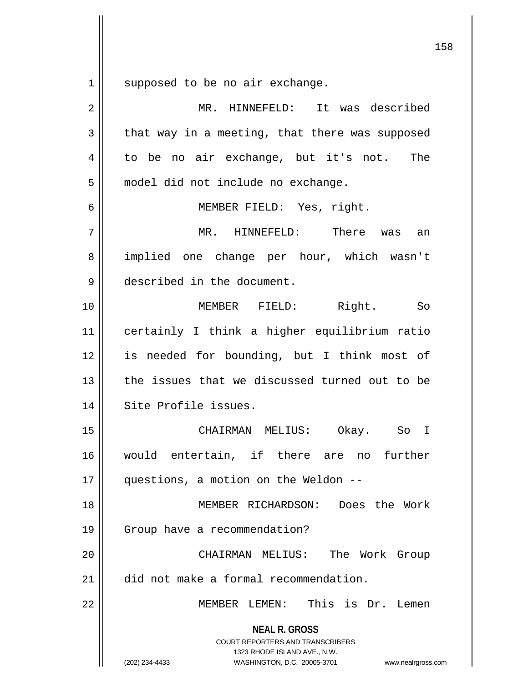supposed to be no air exchange.

| $\overline{2}$ | MR. HINNEFELD: It was described                                                                                                                                        |
|----------------|------------------------------------------------------------------------------------------------------------------------------------------------------------------------|
| 3              | that way in a meeting, that there was supposed                                                                                                                         |
| 4              | to be no air exchange, but it's not. The                                                                                                                               |
| 5              | model did not include no exchange.                                                                                                                                     |
| 6              | MEMBER FIELD: Yes, right.                                                                                                                                              |
| 7              | MR. HINNEFELD: There was<br>an                                                                                                                                         |
| 8              | implied one change per hour, which wasn't                                                                                                                              |
| 9              | described in the document.                                                                                                                                             |
| 10             | Right.<br>So<br>MEMBER FIELD:                                                                                                                                          |
| 11             | certainly I think a higher equilibrium ratio                                                                                                                           |
| 12             | is needed for bounding, but I think most of                                                                                                                            |
| 13             | the issues that we discussed turned out to be                                                                                                                          |
| 14             | Site Profile issues.                                                                                                                                                   |
| 15             | CHAIRMAN MELIUS: Okay. So I                                                                                                                                            |
| 16             | would entertain, if there are no further                                                                                                                               |
| 17             | questions, a motion on the Weldon --                                                                                                                                   |
| 18             | MEMBER RICHARDSON: Does the Work                                                                                                                                       |
| 19             | Group have a recommendation?                                                                                                                                           |
| 20             | CHAIRMAN MELIUS: The Work Group                                                                                                                                        |
| 21             | did not make a formal recommendation.                                                                                                                                  |
| 22             | This is Dr. Lemen<br>MEMBER LEMEN:                                                                                                                                     |
|                | <b>NEAL R. GROSS</b><br><b>COURT REPORTERS AND TRANSCRIBERS</b><br>1323 RHODE ISLAND AVE., N.W.<br>(202) 234-4433<br>WASHINGTON, D.C. 20005-3701<br>www.nealrgross.com |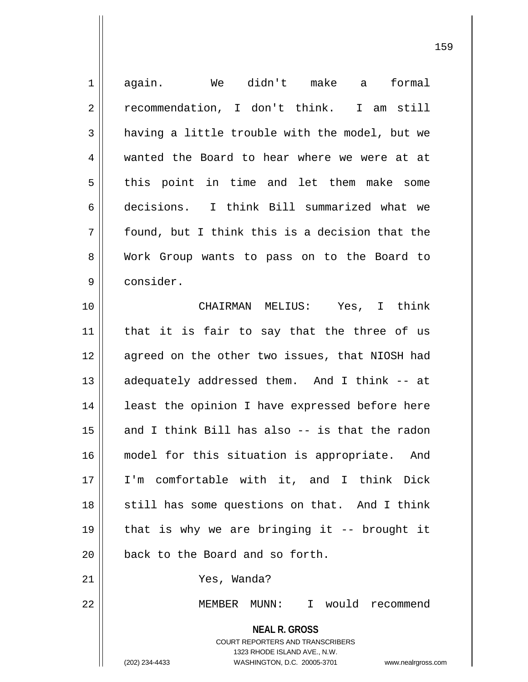**NEAL R. GROSS** COURT REPORTERS AND TRANSCRIBERS 1323 RHODE ISLAND AVE., N.W. (202) 234-4433 WASHINGTON, D.C. 20005-3701 www.nealrgross.com 1 again. We didn't make a formal 2 recommendation, I don't think. I am still  $3 \parallel$  having a little trouble with the model, but we 4 wanted the Board to hear where we were at at  $5 \parallel$  this point in time and let them make some 6 decisions. I think Bill summarized what we  $7 \parallel$  found, but I think this is a decision that the 8 Work Group wants to pass on to the Board to 9 consider. 10 || CHAIRMAN MELIUS: Yes, I think  $11$  that it is fair to say that the three of us 12 || agreed on the other two issues, that NIOSH had 13 || adequately addressed them. And I think -- at  $14$  | least the opinion I have expressed before here  $15$  and I think Bill has also  $-$  is that the radon 16 || model for this situation is appropriate. And 17 I'm comfortable with it, and I think Dick 18 || still has some questions on that. And I think 19  $\parallel$  that is why we are bringing it -- brought it 20 | back to the Board and so forth. 21 Yes, Wanda? 22 MEMBER MUNN: I would recommend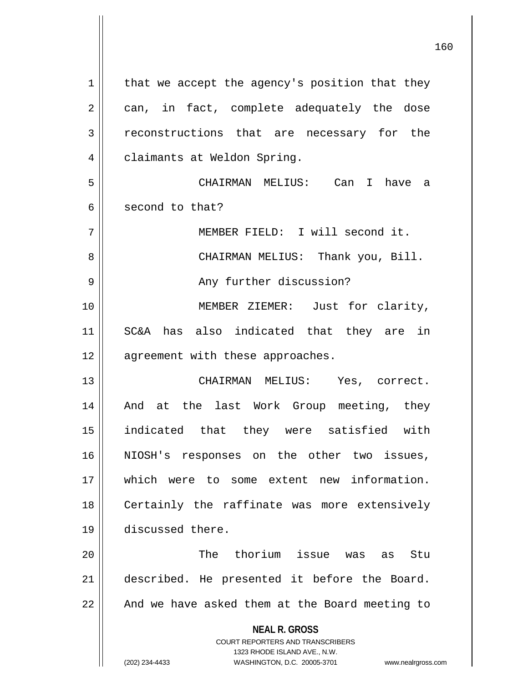**NEAL R. GROSS** COURT REPORTERS AND TRANSCRIBERS 1323 RHODE ISLAND AVE., N.W. (202) 234-4433 WASHINGTON, D.C. 20005-3701 www.nealrgross.com  $1 \parallel$  that we accept the agency's position that they  $2 \parallel$  can, in fact, complete adequately the dose 3 reconstructions that are necessary for the 4 | claimants at Weldon Spring. 5 CHAIRMAN MELIUS: Can I have a 6 second to that? 7 MEMBER FIELD: I will second it. 8 CHAIRMAN MELIUS: Thank you, Bill. 9 Any further discussion? 10 MEMBER ZIEMER: Just for clarity, 11 SC&A has also indicated that they are in 12 || agreement with these approaches. 13 CHAIRMAN MELIUS: Yes, correct. 14 || And at the last Work Group meeting, they 15 indicated that they were satisfied with 16 NIOSH's responses on the other two issues, 17 which were to some extent new information. 18 || Certainly the raffinate was more extensively 19 discussed there. 20 The thorium issue was as Stu 21 described. He presented it before the Board. 22 || And we have asked them at the Board meeting to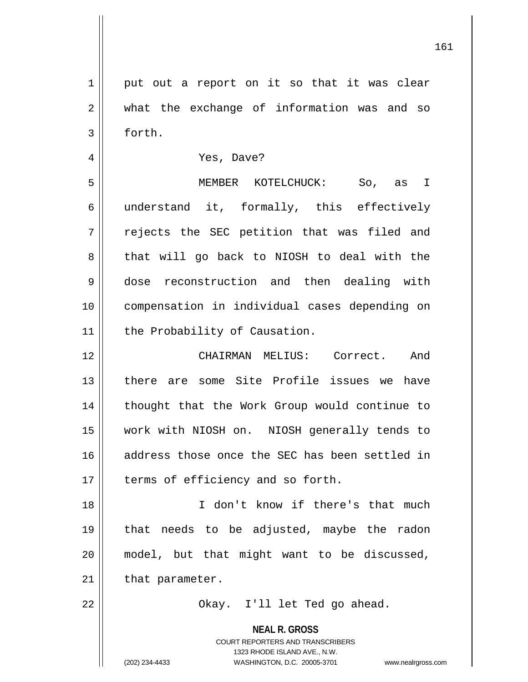**NEAL R. GROSS** COURT REPORTERS AND TRANSCRIBERS 1323 RHODE ISLAND AVE., N.W. 1 || put out a report on it so that it was clear 2 what the exchange of information was and so  $3 \parallel$  forth. 4 || Yes, Dave? 5 MEMBER KOTELCHUCK: So, as I 6 understand it, formally, this effectively  $7 \parallel$  rejects the SEC petition that was filed and 8 || that will go back to NIOSH to deal with the 9 dose reconstruction and then dealing with 10 compensation in individual cases depending on 11 | the Probability of Causation. 12 CHAIRMAN MELIUS: Correct. And 13 there are some Site Profile issues we have 14 || thought that the Work Group would continue to 15 work with NIOSH on. NIOSH generally tends to 16 address those once the SEC has been settled in 17 || terms of efficiency and so forth. 18 I don't know if there's that much 19 that needs to be adjusted, maybe the radon 20 model, but that might want to be discussed,  $21$  | that parameter. 22 Okay. I'll let Ted go ahead.

(202) 234-4433 WASHINGTON, D.C. 20005-3701 www.nealrgross.com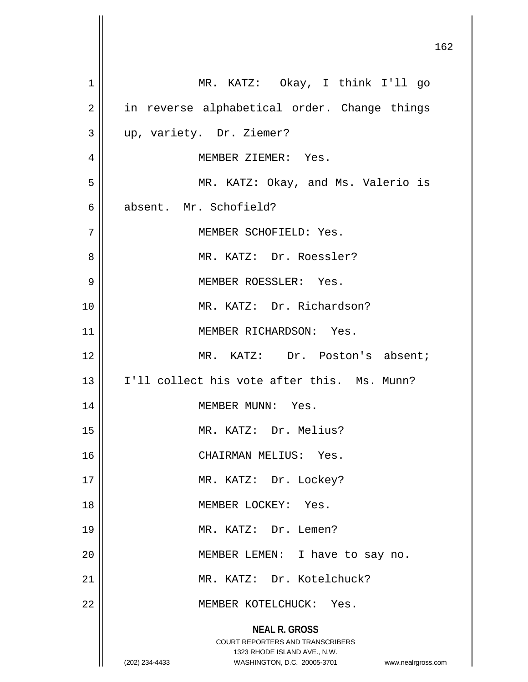**NEAL R. GROSS** COURT REPORTERS AND TRANSCRIBERS 1323 RHODE ISLAND AVE., N.W. (202) 234-4433 WASHINGTON, D.C. 20005-3701 www.nealrgross.com 1 MR. KATZ: Okay, I think I'll go 2 || in reverse alphabetical order. Change things 3 || up, variety. Dr. Ziemer? 4 MEMBER ZIEMER: Yes. 5 MR. KATZ: Okay, and Ms. Valerio is 6 absent. Mr. Schofield? 7 | MEMBER SCHOFIELD: Yes. 8 MR. KATZ: Dr. Roessler? 9 MEMBER ROESSLER: Yes. 10 || MR. KATZ: Dr. Richardson? 11 || MEMBER RICHARDSON: Yes. 12 MR. KATZ: Dr. Poston's absent; 13 || I'll collect his vote after this. Ms. Munn? 14 || MEMBER MUNN: Yes. 15 || MR. KATZ: Dr. Melius? 16 CHAIRMAN MELIUS: Yes. 17 || MR. KATZ: Dr. Lockey? 18 MEMBER LOCKEY: Yes. 19 || MR. KATZ: Dr. Lemen? 20 MEMBER LEMEN: I have to say no. 21 MR. KATZ: Dr. Kotelchuck? 22 MEMBER KOTELCHUCK: Yes.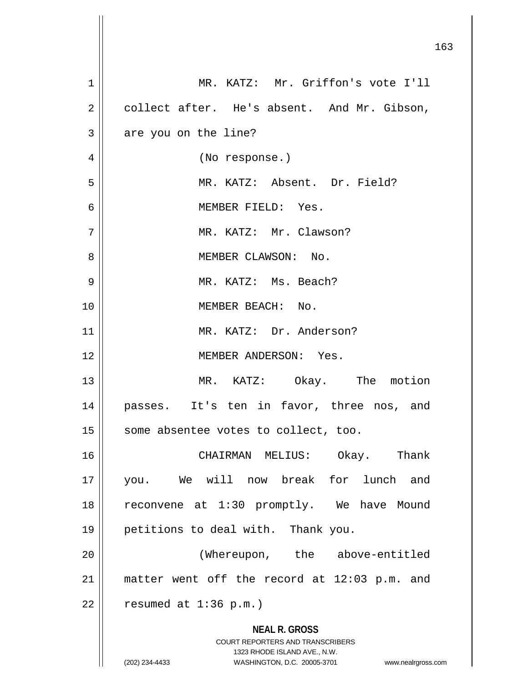**NEAL R. GROSS** COURT REPORTERS AND TRANSCRIBERS 1323 RHODE ISLAND AVE., N.W. (202) 234-4433 WASHINGTON, D.C. 20005-3701 www.nealrgross.com 1 MR. KATZ: Mr. Griffon's vote I'll  $2 \parallel$  collect after. He's absent. And Mr. Gibson,  $3 \parallel$  are you on the line? 4 || (No response.) 5 MR. KATZ: Absent. Dr. Field? 6 MEMBER FIELD: Yes. 7 || MR. KATZ: Mr. Clawson? 8 MEMBER CLAWSON: No. 9 MR. KATZ: Ms. Beach? 10 MEMBER BEACH: No. 11 || MR. KATZ: Dr. Anderson? 12 MEMBER ANDERSON: Yes. 13 MR. KATZ: Okay. The motion 14 passes. It's ten in favor, three nos, and 15 || some absentee votes to collect, too. 16 CHAIRMAN MELIUS: Okay. Thank 17 you. We will now break for lunch and 18 || reconvene at 1:30 promptly. We have Mound 19 || petitions to deal with. Thank you. 20 (Whereupon, the above-entitled 21 matter went off the record at 12:03 p.m. and  $22$  | resumed at 1:36 p.m.)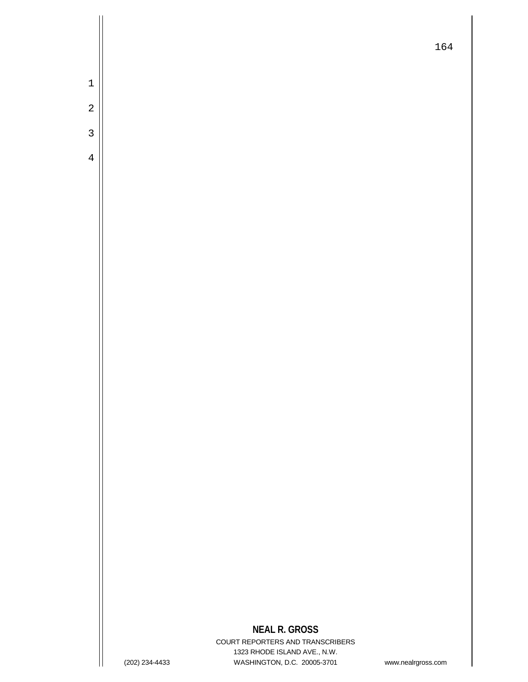1 2 3

4

**NEAL R. GROSS**

COURT REPORTERS AND TRANSCRIBERS 1323 RHODE ISLAND AVE., N.W. (202) 234-4433 WASHINGTON, D.C. 20005-3701 www.nealrgross.com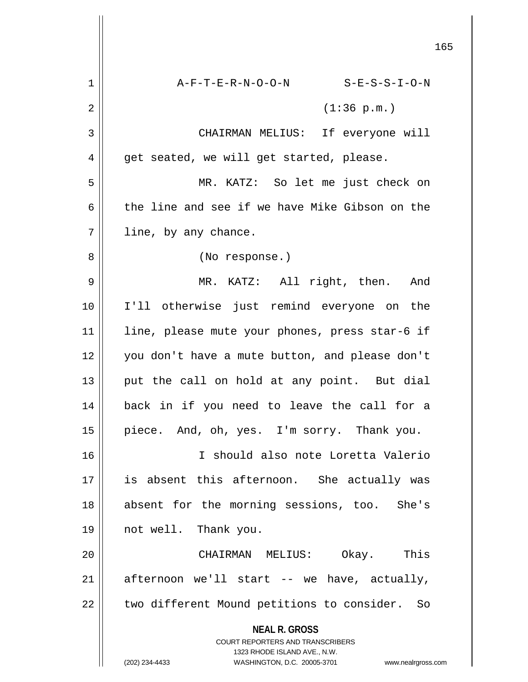**NEAL R. GROSS** COURT REPORTERS AND TRANSCRIBERS 1323 RHODE ISLAND AVE., N.W. (202) 234-4433 WASHINGTON, D.C. 20005-3701 www.nealrgross.com  $1 \parallel$   $A-F-T-E-R-N-O-O-N$   $S-E-S-S-I-O-N$  $2 \parallel$  (1:36 p.m.) 3 CHAIRMAN MELIUS: If everyone will  $4 \parallel$  get seated, we will get started, please. 5 MR. KATZ: So let me just check on 6 the line and see if we have Mike Gibson on the  $7 \parallel$  line, by any chance. 8 || (No response.) 9 MR. KATZ: All right, then. And 10 I'll otherwise just remind everyone on the 11 || line, please mute your phones, press star-6 if 12 || you don't have a mute button, and please don't  $13$  || put the call on hold at any point. But dial 14 back in if you need to leave the call for a 15 piece. And, oh, yes. I'm sorry. Thank you. 16 I should also note Loretta Valerio 17 is absent this afternoon. She actually was 18 absent for the morning sessions, too. She's 19 not well. Thank you. 20 CHAIRMAN MELIUS: Okay. This  $21$  afternoon we'll start -- we have, actually, 22 || two different Mound petitions to consider. So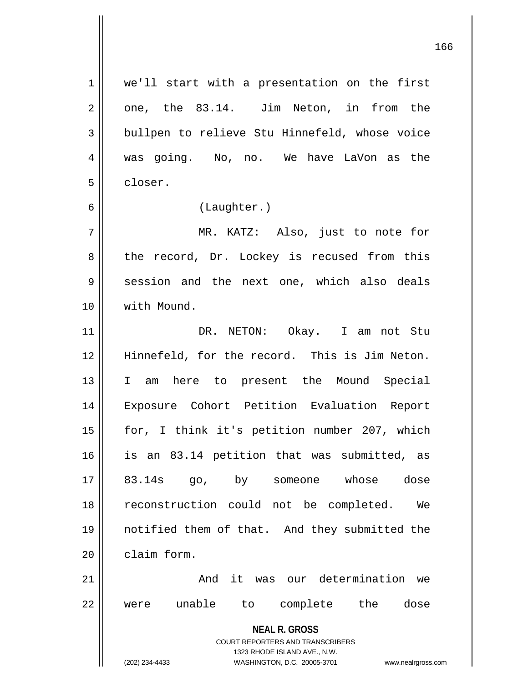**NEAL R. GROSS** COURT REPORTERS AND TRANSCRIBERS 1323 RHODE ISLAND AVE., N.W. (202) 234-4433 WASHINGTON, D.C. 20005-3701 www.nealrgross.com 1 || we'll start with a presentation on the first  $2 \parallel$  one, the 83.14. Jim Neton, in from the 3 bullpen to relieve Stu Hinnefeld, whose voice 4 was going. No, no. We have LaVon as the 5 closer. 6 (Laughter.) 7 MR. KATZ: Also, just to note for 8 the record, Dr. Lockey is recused from this 9 || session and the next one, which also deals 10 with Mound. 11 DR. NETON: Okay. I am not Stu 12 Hinnefeld, for the record. This is Jim Neton. 13 I am here to present the Mound Special 14 Exposure Cohort Petition Evaluation Report 15 for, I think it's petition number 207, which 16 is an 83.14 petition that was submitted, as 17 83.14s go, by someone whose dose 18 || reconstruction could not be completed. We 19 notified them of that. And they submitted the 20 claim form. 21 And it was our determination we 22 were unable to complete the dose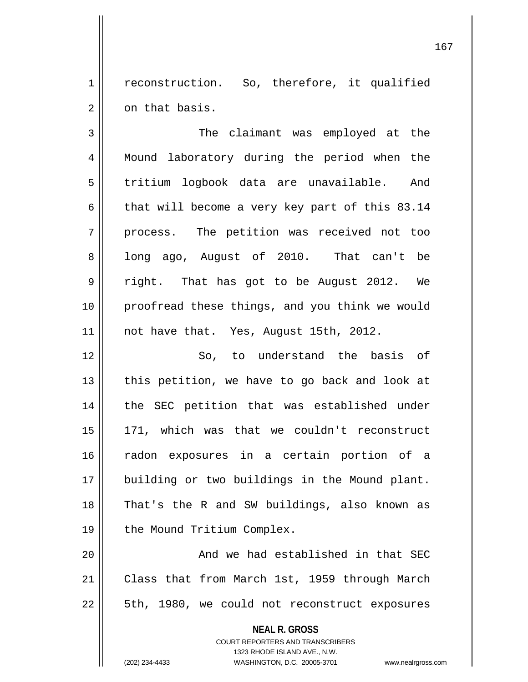1 | reconstruction. So, therefore, it qualified 2 | on that basis.

3 The claimant was employed at the 4 Mound laboratory during the period when the 5 | tritium logbook data are unavailable. And 6 | that will become a very key part of this 83.14 7 || process. The petition was received not too 8 || long ago, August of 2010. That can't be 9 right. That has got to be August 2012. We 10 || proofread these things, and you think we would 11 || not have that. Yes, August 15th, 2012.

12 So, to understand the basis of  $13$  || this petition, we have to go back and look at 14 || the SEC petition that was established under 15 171, which was that we couldn't reconstruct 16 radon exposures in a certain portion of a 17 || building or two buildings in the Mound plant. 18 || That's the R and SW buildings, also known as 19 | the Mound Tritium Complex.

20 || And we had established in that SEC 21 | Class that from March 1st, 1959 through March 22 | 5th, 1980, we could not reconstruct exposures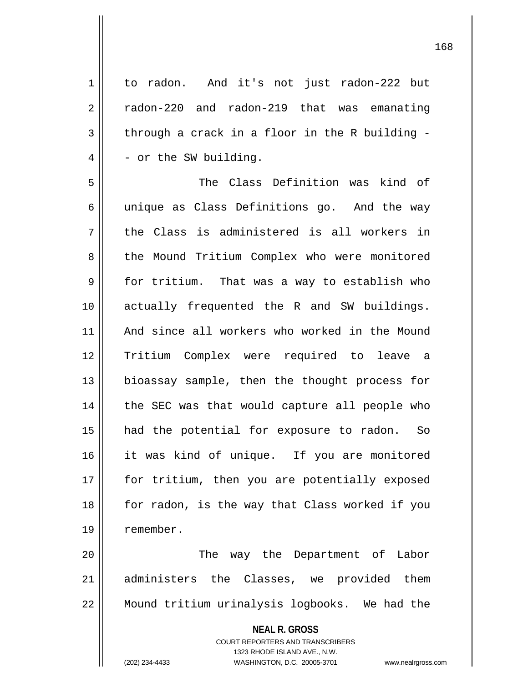1 to radon. And it's not just radon-222 but 2 | radon-220 and radon-219 that was emanating  $3 \parallel$  through a crack in a floor in the R building - $4 \parallel -$  or the SW building.

5 The Class Definition was kind of 6 || unique as Class Definitions go. And the way 7 || the Class is administered is all workers in 8 | the Mound Tritium Complex who were monitored 9 for tritium. That was a way to establish who 10 actually frequented the R and SW buildings. 11 And since all workers who worked in the Mound 12 Tritium Complex were required to leave a 13 bioassay sample, then the thought process for 14 || the SEC was that would capture all people who 15 had the potential for exposure to radon. So 16 it was kind of unique. If you are monitored 17 || for tritium, then you are potentially exposed 18 || for radon, is the way that Class worked if you 19 remember.

20 The way the Department of Labor 21 administers the Classes, we provided them 22 Mound tritium urinalysis logbooks. We had the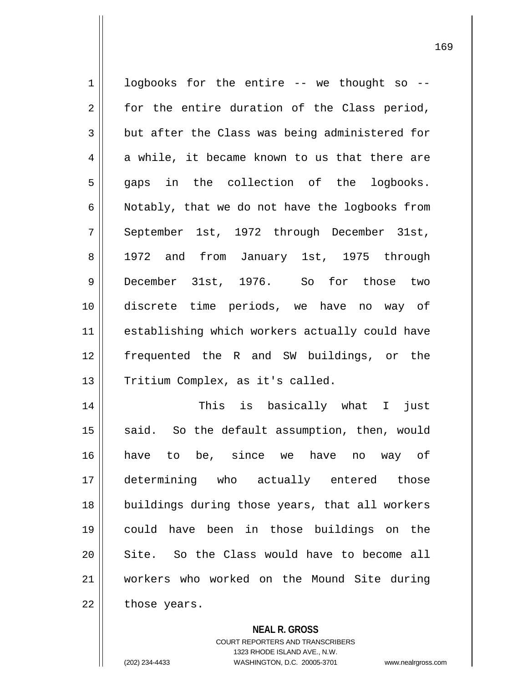1 || logbooks for the entire -- we thought so -- $2 \parallel$  for the entire duration of the Class period,  $3 \parallel$  but after the Class was being administered for  $4 \parallel$  a while, it became known to us that there are  $5 \parallel$  gaps in the collection of the logbooks.  $6 \parallel$  Notably, that we do not have the logbooks from 7 September 1st, 1972 through December 31st, 8 1972 and from January 1st, 1975 through 9 December 31st, 1976. So for those two 10 discrete time periods, we have no way of 11 || establishing which workers actually could have 12 frequented the R and SW buildings, or the 13 || Tritium Complex, as it's called. 14 This is basically what I just  $15$  said. So the default assumption, then, would 16 have to be, since we have no way of 17 determining who actually entered those 18 buildings during those years, that all workers 19 could have been in those buildings on the 20 || Site. So the Class would have to become all 21 workers who worked on the Mound Site during

 $22$  | those years.

**NEAL R. GROSS**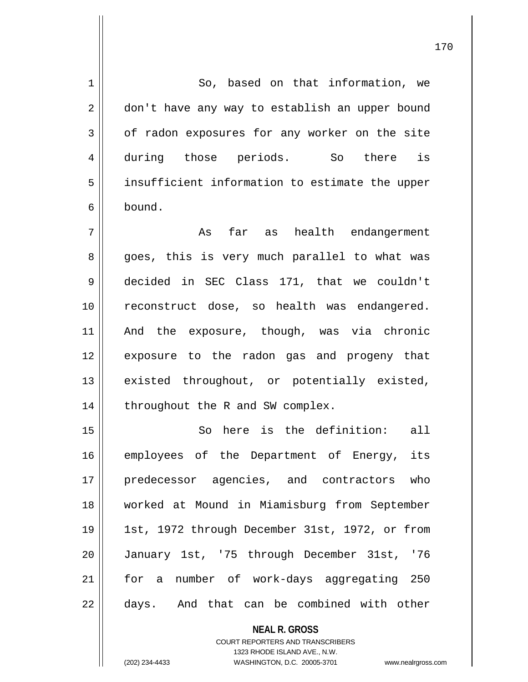1 So, based on that information, we 2 | don't have any way to establish an upper bound 3 of radon exposures for any worker on the site 4 during those periods. So there is 5 || insufficient information to estimate the upper 6 bound. 7 As far as health endangerment

8 || goes, this is very much parallel to what was 9 decided in SEC Class 171, that we couldn't 10 || reconstruct dose, so health was endangered. 11 And the exposure, though, was via chronic 12 exposure to the radon gas and progeny that 13 || existed throughout, or potentially existed,  $14$  | throughout the R and SW complex.

 So here is the definition: all 16 employees of the Department of Energy, its predecessor agencies, and contractors who worked at Mound in Miamisburg from September 1st, 1972 through December 31st, 1972, or from January 1st, '75 through December 31st, '76 for a number of work-days aggregating 250 22 days. And that can be combined with other

# **NEAL R. GROSS**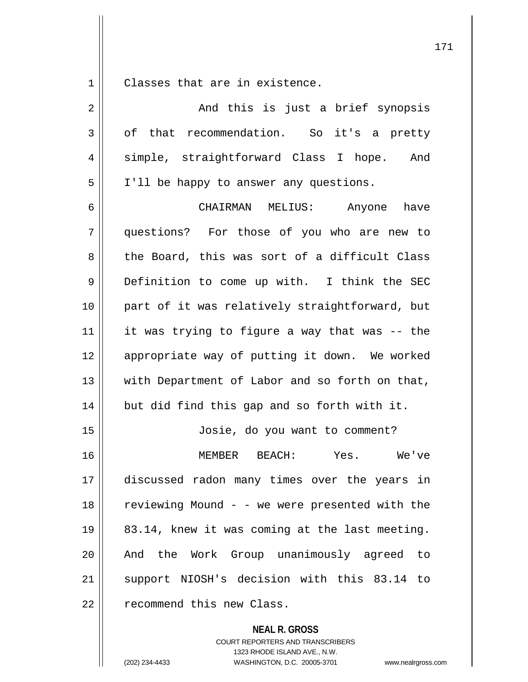Classes that are in existence.

| 2               | And this is just a brief synopsis              |
|-----------------|------------------------------------------------|
| 3               | of that recommendation. So it's a pretty       |
| 4               | simple, straightforward Class I hope.<br>And   |
| 5               | I'll be happy to answer any questions.         |
| 6               | CHAIRMAN MELIUS: Anyone<br>have                |
| 7               | questions? For those of you who are new to     |
| 8               | the Board, this was sort of a difficult Class  |
| 9               | Definition to come up with. I think the SEC    |
| 10              | part of it was relatively straightforward, but |
| 11              | it was trying to figure a way that was -- the  |
| 12              | appropriate way of putting it down. We worked  |
| 13              | with Department of Labor and so forth on that, |
| 14              | but did find this gap and so forth with it.    |
| 15              | Josie, do you want to comment?                 |
| 16              | MEMBER BEACH:<br>Yes.<br>We've                 |
| 17 <sub>1</sub> | discussed radon many times over the years in   |
| 18              | reviewing Mound - - we were presented with the |
| 19              | 83.14, knew it was coming at the last meeting. |
| 20              | And the Work Group unanimously agreed to       |
| 21              | support NIOSH's decision with this 83.14 to    |
| 22              | recommend this new Class.                      |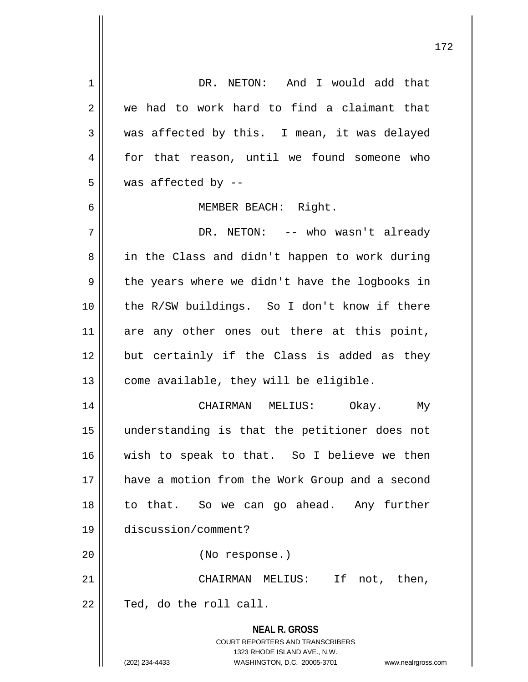**NEAL R. GROSS** COURT REPORTERS AND TRANSCRIBERS 1323 RHODE ISLAND AVE., N.W. (202) 234-4433 WASHINGTON, D.C. 20005-3701 www.nealrgross.com 1 DR. NETON: And I would add that  $2 \parallel$  we had to work hard to find a claimant that 3 was affected by this. I mean, it was delayed 4 for that reason, until we found someone who  $5 \parallel$  was affected by --6 MEMBER BEACH: Right. 7 DR. NETON: -- who wasn't already 8 | in the Class and didn't happen to work during  $9 \parallel$  the years where we didn't have the logbooks in 10 the R/SW buildings. So I don't know if there  $11$  are any other ones out there at this point, 12 || but certainly if the Class is added as they  $13$  | come available, they will be eligible. 14 CHAIRMAN MELIUS: Okay. My 15 understanding is that the petitioner does not 16 wish to speak to that. So I believe we then 17 || have a motion from the Work Group and a second 18 to that. So we can go ahead. Any further 19 discussion/comment? 20 (No response.) 21 CHAIRMAN MELIUS: If not, then,  $22$  || Ted, do the roll call.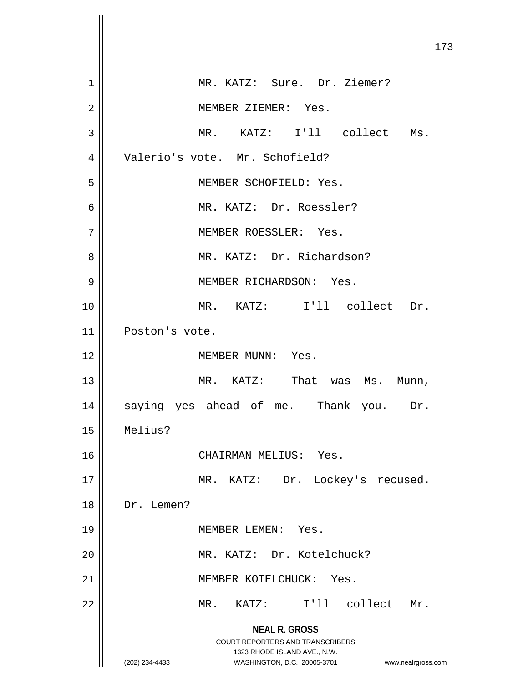**NEAL R. GROSS** COURT REPORTERS AND TRANSCRIBERS 1323 RHODE ISLAND AVE., N.W. (202) 234-4433 WASHINGTON, D.C. 20005-3701 www.nealrgross.com 173 1 || MR. KATZ: Sure. Dr. Ziemer? 2 | NEMBER ZIEMER: Yes. 3 MR. KATZ: I'll collect Ms. 4 || Valerio's vote. Mr. Schofield? 5 MEMBER SCHOFIELD: Yes. 6 MR. KATZ: Dr. Roessler? 7 || MEMBER ROESSLER: Yes. 8 NR. KATZ: Dr. Richardson? 9 MEMBER RICHARDSON: Yes. 10 MR. KATZ: I'll collect Dr. 11 | Poston's vote. 12 MEMBER MUNN: Yes. 13 MR. KATZ: That was Ms. Munn, 14 saying yes ahead of me. Thank you. Dr. 15 Melius? 16 CHAIRMAN MELIUS: Yes. 17 || MR. KATZ: Dr. Lockey's recused. 18 Dr. Lemen? 19 MEMBER LEMEN: Yes. 20 MR. KATZ: Dr. Kotelchuck? 21 MEMBER KOTELCHUCK: Yes. 22 MR. KATZ: I'll collect Mr.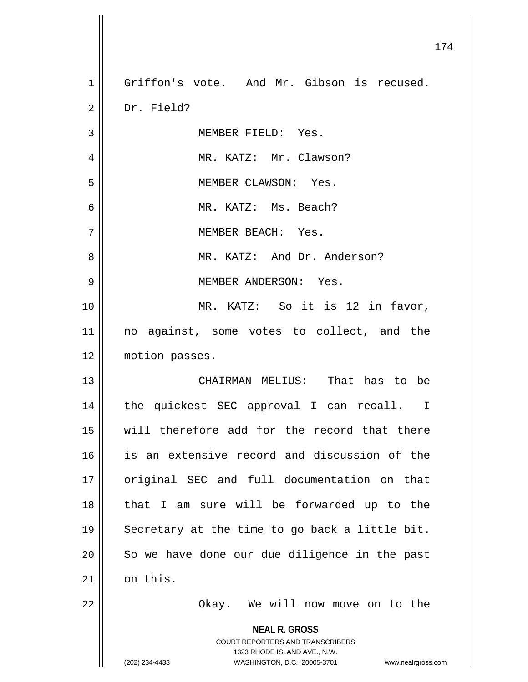|                | 17                                                                  |
|----------------|---------------------------------------------------------------------|
| $\mathbf 1$    | Griffon's vote. And Mr. Gibson is recused.                          |
| $\overline{2}$ | Dr. Field?                                                          |
| 3              | MEMBER FIELD: Yes.                                                  |
| $\overline{4}$ | MR. KATZ: Mr. Clawson?                                              |
| 5              | MEMBER CLAWSON: Yes.                                                |
| 6              | MR. KATZ: Ms. Beach?                                                |
| 7              | MEMBER BEACH: Yes.                                                  |
| 8              | MR. KATZ: And Dr. Anderson?                                         |
| 9              | MEMBER ANDERSON: Yes.                                               |
| 10             | MR. KATZ: So it is 12 in favor,                                     |
| 11             | no against, some votes to collect, and the                          |
| 12             | motion passes.                                                      |
| 13             | CHAIRMAN MELIUS: That has to be                                     |
| 14             | the quickest SEC approval I can recall. I                           |
| 15             | will therefore add for the record that there                        |
| 16             | is an extensive record and discussion of the                        |
| 17             | original SEC and full documentation on that                         |
| 18             | that I am sure will be forwarded up to the                          |
| 19             | Secretary at the time to go back a little bit.                      |
| 20             | So we have done our due diligence in the past                       |
| 21             | on this.                                                            |
| 22             | Okay. We will now move on to the                                    |
|                | <b>NEAL R. GROSS</b>                                                |
|                | COURT REPORTERS AND TRANSCRIBERS<br>1323 RHODE ISLAND AVE., N.W.    |
|                | (202) 234-4433<br>WASHINGTON, D.C. 20005-3701<br>www.nealrgross.com |

 $\mathbf{I}$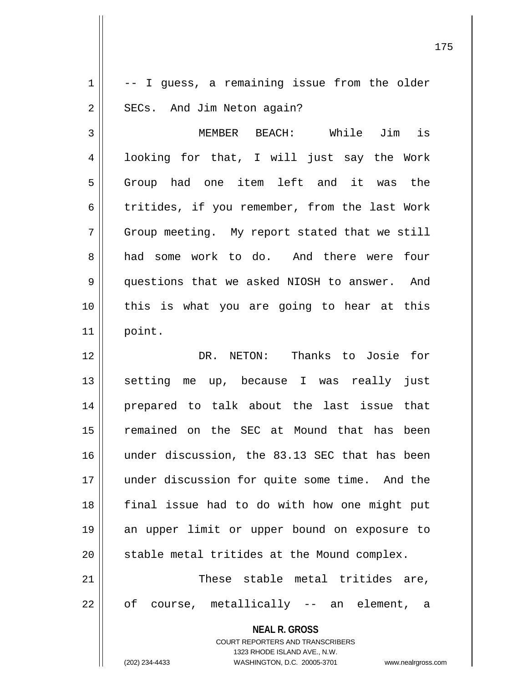$1 \parallel$  -- I guess, a remaining issue from the older 2 || SECs. And Jim Neton again?

3 MEMBER BEACH: While Jim is 4 looking for that, I will just say the Work 5 Group had one item left and it was the  $6 \parallel$  tritides, if you remember, from the last Work  $7 \parallel$  Group meeting. My report stated that we still 8 and some work to do. And there were four 9 questions that we asked NIOSH to answer. And 10 this is what you are going to hear at this  $11$  point.

 DR. NETON: Thanks to Josie for 13 || setting me up, because I was really just prepared to talk about the last issue that remained on the SEC at Mound that has been under discussion, the 83.13 SEC that has been under discussion for quite some time. And the final issue had to do with how one might put an upper limit or upper bound on exposure to | stable metal tritides at the Mound complex.  $\parallel$  These stable metal tritides are,  $22 \parallel$  of course, metallically -- an element, a

**NEAL R. GROSS**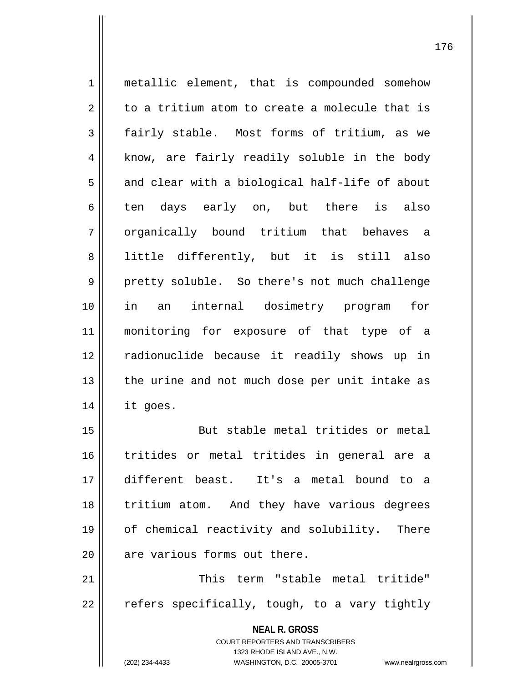1 metallic element, that is compounded somehow  $2 \parallel$  to a tritium atom to create a molecule that is  $3 \parallel$  fairly stable. Most forms of tritium, as we 4 || know, are fairly readily soluble in the body  $5 \parallel$  and clear with a biological half-life of about 6 ten days early on, but there is also 7 organically bound tritium that behaves a 8 || little differently, but it is still also 9 || pretty soluble. So there's not much challenge 10 in an internal dosimetry program for 11 monitoring for exposure of that type of a 12 radionuclide because it readily shows up in 13 || the urine and not much dose per unit intake as 14 it goes. 15 || But stable metal tritides or metal 16 tritides or metal tritides in general are a 17 different beast. It's a metal bound to a 18 tritium atom. And they have various degrees

176

19 of chemical reactivity and solubility. There  $20$   $\parallel$  are various forms out there.

21 This term "stable metal tritide"  $22$  || refers specifically, tough, to a vary tightly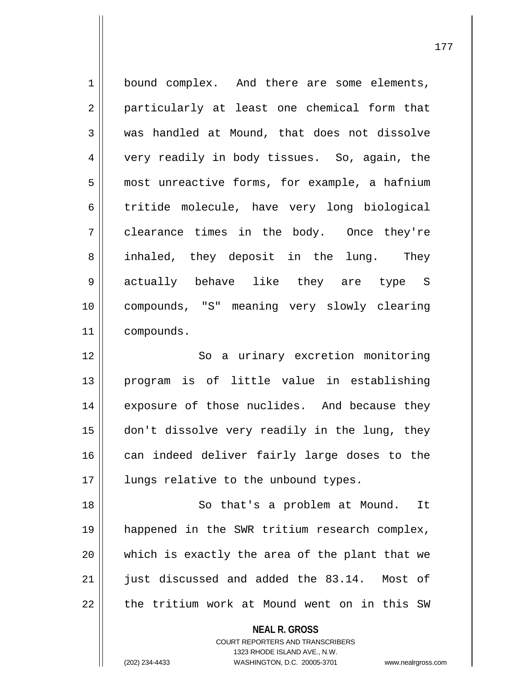1 bound complex. And there are some elements, 2 || particularly at least one chemical form that  $3 \parallel$  was handled at Mound, that does not dissolve 4 very readily in body tissues. So, again, the 5 | most unreactive forms, for example, a hafnium 6 tritide molecule, have very long biological 7 clearance times in the body. Once they're 8 || inhaled, they deposit in the lung. They 9 actually behave like they are type S 10 compounds, "S" meaning very slowly clearing 11 compounds. 12 || So a urinary excretion monitoring 13 program is of little value in establishing 14 || exposure of those nuclides. And because they 15 don't dissolve very readily in the lung, they 16 || can indeed deliver fairly large doses to the 17 || lungs relative to the unbound types. 18 || So that's a problem at Mound. It 19 happened in the SWR tritium research complex, 20 which is exactly the area of the plant that we  $21$  || just discussed and added the 83.14. Most of

 $22$   $\parallel$  the tritium work at Mound went on in this SW

**NEAL R. GROSS**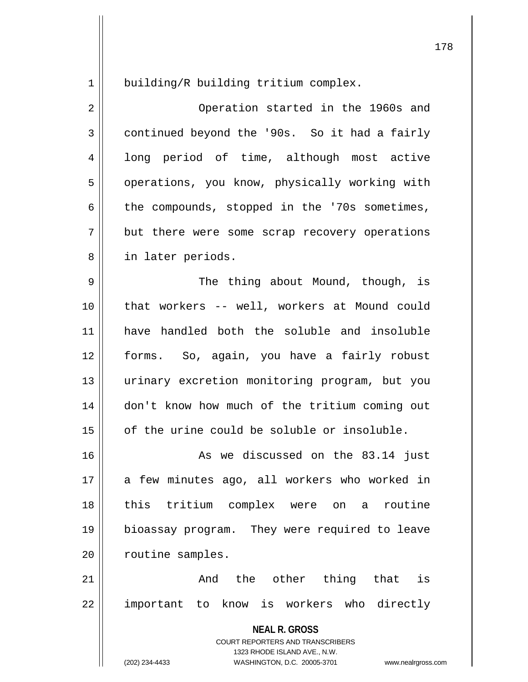1 | building/R building tritium complex.

2 || Operation started in the 1960s and  $3 \parallel$  continued beyond the '90s. So it had a fairly 4 || long period of time, although most active 5 | operations, you know, physically working with  $6 \parallel$  the compounds, stopped in the '70s sometimes, 7 but there were some scrap recovery operations 8 || in later periods. 9 The thing about Mound, though, is 10 that workers -- well, workers at Mound could 11 have handled both the soluble and insoluble 12 forms. So, again, you have a fairly robust 13 urinary excretion monitoring program, but you 14 don't know how much of the tritium coming out  $15$  of the urine could be soluble or insoluble. 16 || As we discussed on the 83.14 just 17 a few minutes ago, all workers who worked in 18 this tritium complex were on a routine 19 bioassay program. They were required to leave 20 || routine samples.

21 And the other thing that is 22 || important to know is workers who directly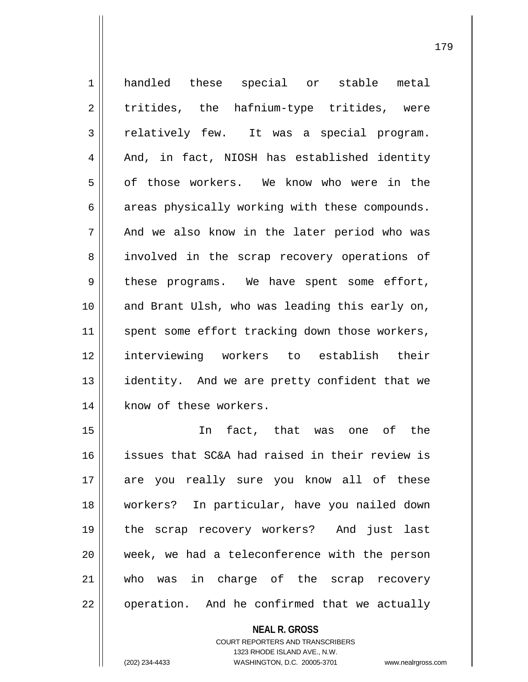1 handled these special or stable metal  $2 \parallel$  tritides, the hafnium-type tritides, were 3 || relatively few. It was a special program.  $4 \parallel$  And, in fact, NIOSH has established identity 5 || of those workers. We know who were in the  $6 \parallel$  areas physically working with these compounds.  $7 \parallel$  And we also know in the later period who was 8 || involved in the scrap recovery operations of 9 || these programs. We have spent some effort, 10 and Brant Ulsh, who was leading this early on, 11 || spent some effort tracking down those workers, 12 interviewing workers to establish their 13 || identity. And we are pretty confident that we 14 || know of these workers.

 In fact, that was one of the issues that SC&A had raised in their review is 17 are you really sure you know all of these workers? In particular, have you nailed down the scrap recovery workers? And just last week, we had a teleconference with the person who was in charge of the scrap recovery 22 | operation. And he confirmed that we actually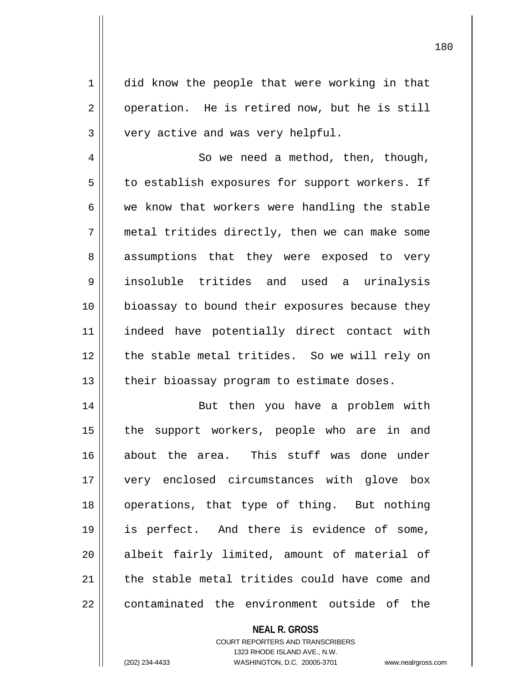1 did know the people that were working in that  $2 \parallel$  operation. He is retired now, but he is still 3 | very active and was very helpful.

4 | So we need a method, then, though,  $5 \parallel$  to establish exposures for support workers. If  $6 \parallel$  we know that workers were handling the stable 7 metal tritides directly, then we can make some 8 assumptions that they were exposed to very 9 insoluble tritides and used a urinalysis 10 bioassay to bound their exposures because they 11 indeed have potentially direct contact with 12 || the stable metal tritides. So we will rely on 13 | their bioassay program to estimate doses.

14 || But then you have a problem with 15 || the support workers, people who are in and 16 about the area. This stuff was done under 17 very enclosed circumstances with glove box 18 || operations, that type of thing. But nothing 19 is perfect. And there is evidence of some, 20 || albeit fairly limited, amount of material of 21  $\parallel$  the stable metal tritides could have come and 22 || contaminated the environment outside of the

## **NEAL R. GROSS**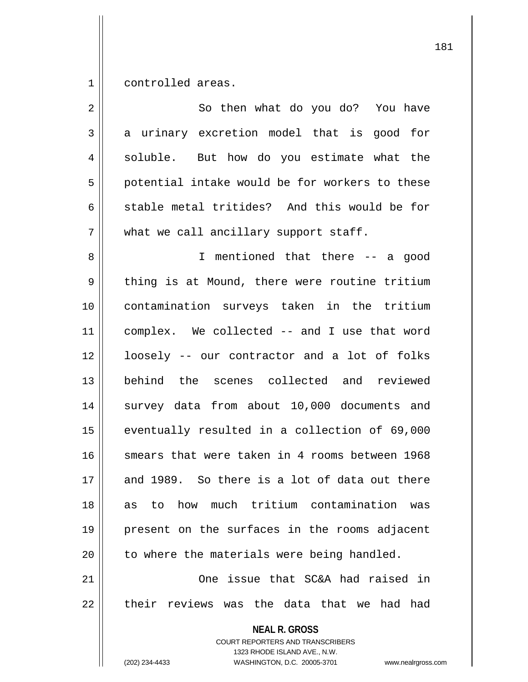1 controlled areas.

| $\overline{2}$ | So then what do you do? You have                                                                                                                                       |
|----------------|------------------------------------------------------------------------------------------------------------------------------------------------------------------------|
| 3              | a urinary excretion model that is good for                                                                                                                             |
| 4              | soluble. But how do you estimate what the                                                                                                                              |
| 5              | potential intake would be for workers to these                                                                                                                         |
| 6              | stable metal tritides? And this would be for                                                                                                                           |
| 7              | what we call ancillary support staff.                                                                                                                                  |
| 8              | I mentioned that there -- a good                                                                                                                                       |
| 9              | thing is at Mound, there were routine tritium                                                                                                                          |
| 10             | contamination surveys taken in the tritium                                                                                                                             |
| 11             | complex. We collected -- and I use that word                                                                                                                           |
| 12             | loosely -- our contractor and a lot of folks                                                                                                                           |
| 13             | behind the scenes collected and reviewed                                                                                                                               |
| 14             | survey data from about 10,000 documents and                                                                                                                            |
| 15             | eventually resulted in a collection of 69,000                                                                                                                          |
| 16             | smears that were taken in 4 rooms between 1968                                                                                                                         |
| 17             | and 1989. So there is a lot of data out there                                                                                                                          |
| 18             | to how much tritium contamination<br>as<br>was                                                                                                                         |
| 19             | present on the surfaces in the rooms adjacent                                                                                                                          |
| 20             | to where the materials were being handled.                                                                                                                             |
| 21             | One issue that SC&A had raised in                                                                                                                                      |
| 22             | their reviews was the data that we had had                                                                                                                             |
|                | <b>NEAL R. GROSS</b><br><b>COURT REPORTERS AND TRANSCRIBERS</b><br>1323 RHODE ISLAND AVE., N.W.<br>(202) 234-4433<br>WASHINGTON, D.C. 20005-3701<br>www.nealrgross.com |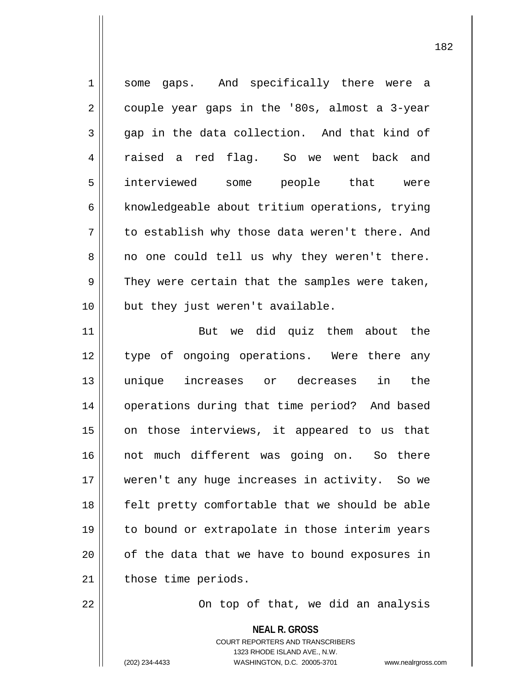1 || some gaps. And specifically there were a 2 || couple year gaps in the '80s, almost a 3-year  $3 \parallel$  gap in the data collection. And that kind of 4 || raised a red flag. So we went back and 5 || interviewed some people that were 6 | knowledgeable about tritium operations, trying  $7 \parallel$  to establish why those data weren't there. And  $8 \parallel$  no one could tell us why they weren't there.  $9 \parallel$  They were certain that the samples were taken, 10 || but they just weren't available. 11 || But we did quiz them about the 12 || type of ongoing operations. Were there any 13 unique increases or decreases in the 14 || operations during that time period? And based 15 || on those interviews, it appeared to us that 16 || not much different was going on. So there 17 weren't any huge increases in activity. So we 18 felt pretty comfortable that we should be able 19 to bound or extrapolate in those interim years  $20$  | of the data that we have to bound exposures in  $21$  | those time periods.

22 || Contop of that, we did an analysis

**NEAL R. GROSS** COURT REPORTERS AND TRANSCRIBERS 1323 RHODE ISLAND AVE., N.W. (202) 234-4433 WASHINGTON, D.C. 20005-3701 www.nealrgross.com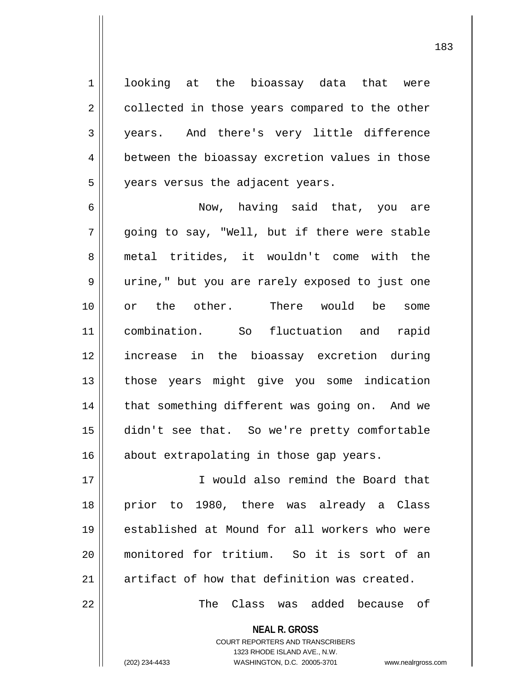1 looking at the bioassay data that were  $2 \parallel$  collected in those years compared to the other 3 years. And there's very little difference 4 | between the bioassay excretion values in those

5 | years versus the adjacent years.

6 Now, having said that, you are 7 || qoinq to say, "Well, but if there were stable 8 || metal tritides, it wouldn't come with the 9 || urine," but you are rarely exposed to just one 10 or the other. There would be some 11 combination. So fluctuation and rapid 12 increase in the bioassay excretion during 13 those years might give you some indication 14 || that something different was going on. And we 15 didn't see that. So we're pretty comfortable 16 | about extrapolating in those gap years.

 I would also remind the Board that prior to 1980, there was already a Class established at Mound for all workers who were monitored for tritium. So it is sort of an  $\parallel$  artifact of how that definition was created.

22 The Class was added because of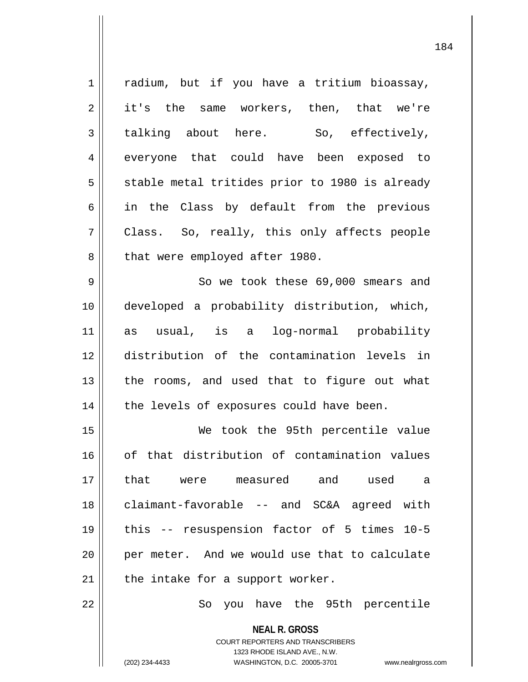| $1\,$          | radium, but if you have a tritium bioassay,                                                                                                                          |
|----------------|----------------------------------------------------------------------------------------------------------------------------------------------------------------------|
| $\overline{2}$ | it's the same workers, then, that we're                                                                                                                              |
| 3              | talking about here. So, effectively,                                                                                                                                 |
| $\overline{4}$ | everyone that could have been exposed to                                                                                                                             |
| 5              | stable metal tritides prior to 1980 is already                                                                                                                       |
| 6              | in the Class by default from the previous                                                                                                                            |
| 7              | Class. So, really, this only affects people                                                                                                                          |
| 8              | that were employed after 1980.                                                                                                                                       |
| 9              | So we took these 69,000 smears and                                                                                                                                   |
| 10             | developed a probability distribution, which,                                                                                                                         |
| 11             | as usual, is a log-normal probability                                                                                                                                |
| 12             | distribution of the contamination levels in                                                                                                                          |
| 13             | the rooms, and used that to figure out what                                                                                                                          |
| 14             | the levels of exposures could have been.                                                                                                                             |
| 15             | We took the 95th percentile value                                                                                                                                    |
| 16             | of that distribution of contamination values                                                                                                                         |
| 17             | that were measured and used<br>a                                                                                                                                     |
| 18             | claimant-favorable -- and SC&A agreed with                                                                                                                           |
| 19             | this -- resuspension factor of 5 times 10-5                                                                                                                          |
| 20             | per meter. And we would use that to calculate                                                                                                                        |
| 21             | the intake for a support worker.                                                                                                                                     |
| 22             | So you have the 95th percentile                                                                                                                                      |
|                | <b>NEAL R. GROSS</b><br><b>COURT REPORTERS AND TRANSCRIBERS</b><br>1323 RHODE ISLAND AVE., N.W.<br>WASHINGTON, D.C. 20005-3701<br>(202) 234-4433<br>www.nealrgross.c |
|                |                                                                                                                                                                      |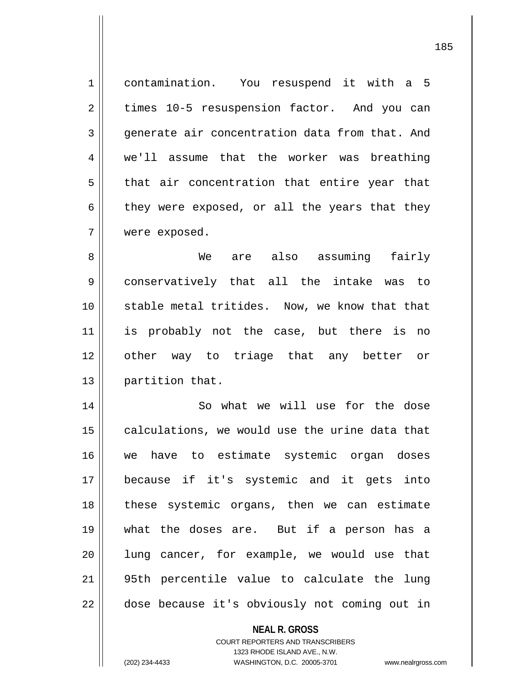1 contamination. You resuspend it with a 5 2 times 10-5 resuspension factor. And you can 3 generate air concentration data from that. And 4 || we'll assume that the worker was breathing  $5 \parallel$  that air concentration that entire year that  $6 \parallel$  they were exposed, or all the years that they 7 were exposed.

8 We are also assuming fairly 9 || conservatively that all the intake was to 10 || stable metal tritides. Now, we know that that 11 is probably not the case, but there is no 12 other way to triage that any better or 13 || partition that.

14 || So what we will use for the dose calculations, we would use the urine data that we have to estimate systemic organ doses because if it's systemic and it gets into these systemic organs, then we can estimate what the doses are. But if a person has a || lung cancer, for example, we would use that 95th percentile value to calculate the lung 22 || dose because it's obviously not coming out in

## **NEAL R. GROSS**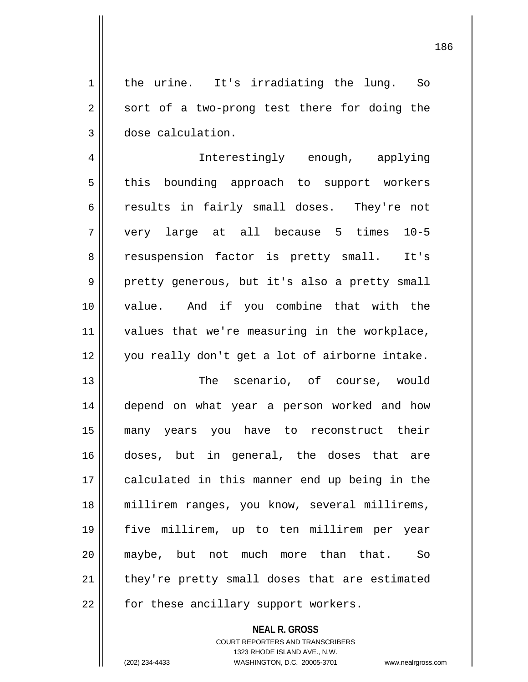1 | the urine. It's irradiating the lung. So  $2 \parallel$  sort of a two-prong test there for doing the 3 dose calculation.

4 Interestingly enough, applying 5 || this bounding approach to support workers 6 cass 6 results in fairly small doses. They're not 7 very large at all because 5 times 10-5 8 || resuspension factor is pretty small. It's 9 pretty generous, but it's also a pretty small 10 value. And if you combine that with the 11 || values that we're measuring in the workplace, 12 you really don't get a lot of airborne intake.

 The scenario, of course, would depend on what year a person worked and how many years you have to reconstruct their doses, but in general, the doses that are 17 || calculated in this manner end up being in the millirem ranges, you know, several millirems, five millirem, up to ten millirem per year 20 || maybe, but not much more than that. So | they're pretty small doses that are estimated || for these ancillary support workers.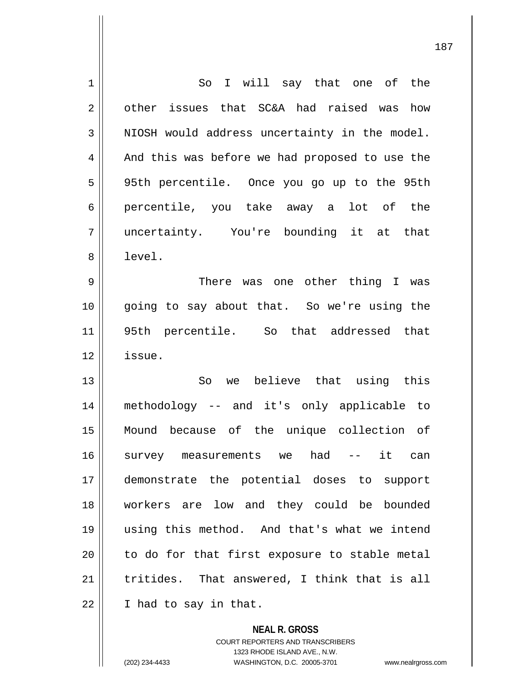| 1  | I will say that one of the<br>So               |
|----|------------------------------------------------|
| 2  | other issues that SC&A had raised was<br>how   |
| 3  | NIOSH would address uncertainty in the model.  |
| 4  | And this was before we had proposed to use the |
| 5  | 95th percentile. Once you go up to the 95th    |
| 6  | percentile, you take away a<br>lot of the      |
| 7  | uncertainty. You're bounding it at that        |
| 8  | level.                                         |
| 9  | There was one other thing I was                |
| 10 | going to say about that. So we're using the    |
| 11 | 95th percentile. So that addressed that        |
| 12 | issue.                                         |
| 13 | we believe that using this<br>So               |
| 14 | methodology -- and it's only applicable to     |
| 15 | Mound because of the unique collection of      |
| 16 | -- it can<br>had<br>survey measurements we     |
| 17 | demonstrate the potential doses to support     |
| 18 | workers are low and they could be bounded      |
| 19 | using this method. And that's what we intend   |
| 20 | to do for that first exposure to stable metal  |
|    |                                                |
| 21 | tritides. That answered, I think that is all   |
|    |                                                |

**NEAL R. GROSS** COURT REPORTERS AND TRANSCRIBERS 1323 RHODE ISLAND AVE., N.W. (202) 234-4433 WASHINGTON, D.C. 20005-3701 www.nealrgross.com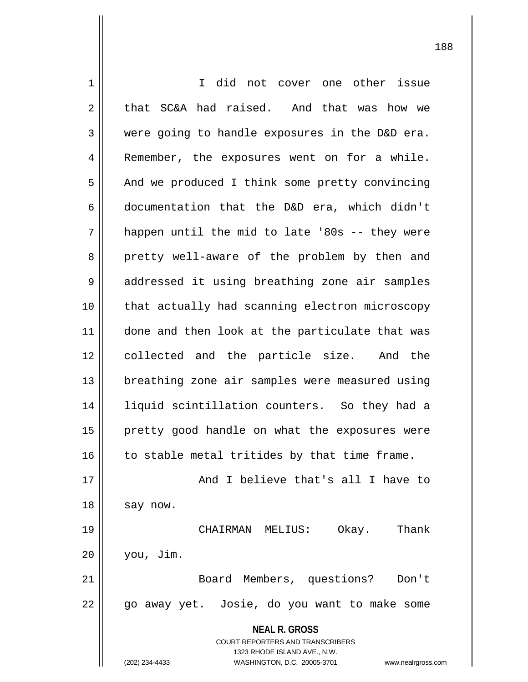**NEAL R. GROSS** COURT REPORTERS AND TRANSCRIBERS 1323 RHODE ISLAND AVE., N.W. (202) 234-4433 WASHINGTON, D.C. 20005-3701 www.nealrgross.com 1 I did not cover one other issue  $2 \parallel$  that SC&A had raised. And that was how we  $3 \parallel$  were going to handle exposures in the D&D era. 4 Remember, the exposures went on for a while. 5 | And we produced I think some pretty convincing 6 documentation that the D&D era, which didn't 7 happen until the mid to late '80s -- they were 8 pretty well-aware of the problem by then and 9 addressed it using breathing zone air samples 10 that actually had scanning electron microscopy 11 || done and then look at the particulate that was 12 || collected and the particle size. And the 13 || breathing zone air samples were measured using 14 liquid scintillation counters. So they had a 15 || pretty good handle on what the exposures were  $16$  to stable metal tritides by that time frame. 17 || And I believe that's all I have to  $18 \parallel$  say now. 19 CHAIRMAN MELIUS: Okay. Thank  $20$  |  $you$ , Jim. 21 Board Members, questions? Don't 22 || go away yet. Josie, do you want to make some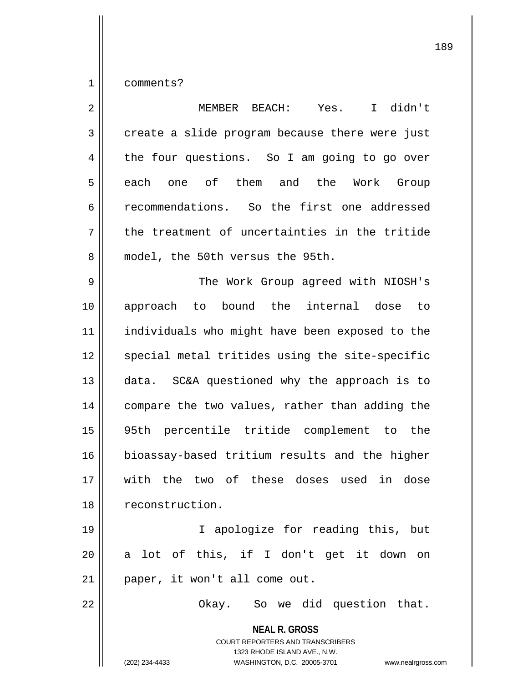| $\overline{c}$ | I didn't<br>MEMBER BEACH:<br>Yes.                                                                                                                                      |
|----------------|------------------------------------------------------------------------------------------------------------------------------------------------------------------------|
| 3              | create a slide program because there were just                                                                                                                         |
| 4              | the four questions. So I am going to go over                                                                                                                           |
| 5              | one of them and the<br>each<br>Work Group                                                                                                                              |
| 6              | recommendations. So the first one addressed                                                                                                                            |
| 7              | the treatment of uncertainties in the tritide                                                                                                                          |
| 8              | model, the 50th versus the 95th.                                                                                                                                       |
| 9              | The Work Group agreed with NIOSH's                                                                                                                                     |
| 10             | approach to bound the internal dose to                                                                                                                                 |
| 11             | individuals who might have been exposed to the                                                                                                                         |
| 12             | special metal tritides using the site-specific                                                                                                                         |
| 13             | data. SC&A questioned why the approach is to                                                                                                                           |
| 14             | compare the two values, rather than adding the                                                                                                                         |
| 15             | 95th percentile tritide complement to the                                                                                                                              |
| 16             | bioassay-based tritium results and the higher                                                                                                                          |
| 17             | with the two of these doses used in dose                                                                                                                               |
| 18             | reconstruction.                                                                                                                                                        |
| 19             | I apologize for reading this, but                                                                                                                                      |
| 20             | a lot of this, if I don't get it down<br>on.                                                                                                                           |
| 21             | paper, it won't all come out.                                                                                                                                          |
| 22             | Okay. So we did question that.                                                                                                                                         |
|                | <b>NEAL R. GROSS</b><br><b>COURT REPORTERS AND TRANSCRIBERS</b><br>1323 RHODE ISLAND AVE., N.W.<br>(202) 234-4433<br>WASHINGTON, D.C. 20005-3701<br>www.nealrgross.com |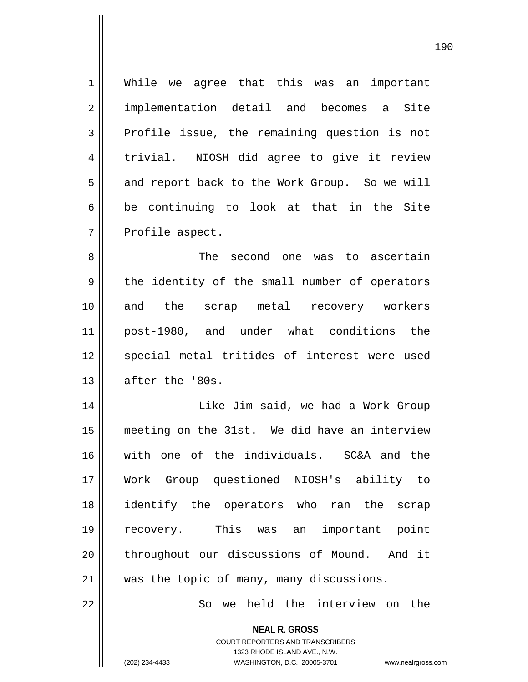1 || While we agree that this was an important 2 implementation detail and becomes a Site  $3 \parallel$  Profile issue, the remaining question is not 4 || trivial. NIOSH did agree to give it review 5 | and report back to the Work Group. So we will  $6 \parallel$  be continuing to look at that in the Site  $7$  || Profile aspect.

8 The second one was to ascertain  $9 \parallel$  the identity of the small number of operators 10 || and the scrap metal recovery workers 11 post-1980, and under what conditions the 12 || special metal tritides of interest were used 13  $\parallel$  after the '80s.

14 || Like Jim said, we had a Work Group meeting on the 31st. We did have an interview with one of the individuals. SC&A and the Work Group questioned NIOSH's ability to identify the operators who ran the scrap recovery. This was an important point 20 || throughout our discussions of Mound. And it 21 || was the topic of many, many discussions.

22 || So we held the interview on the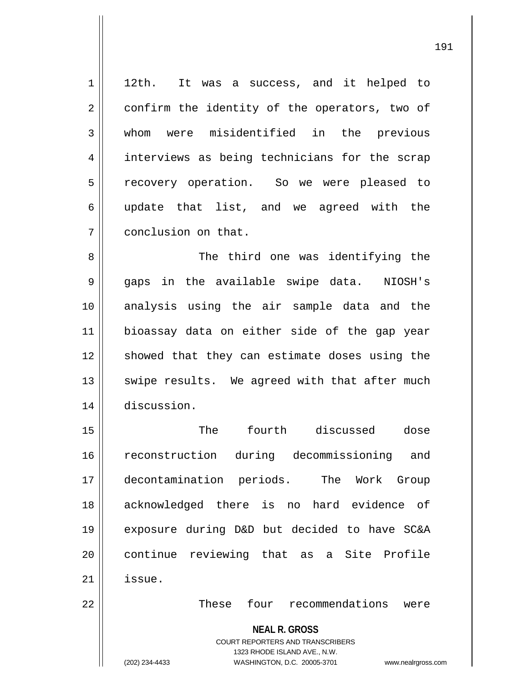1 || 12th. It was a success, and it helped to  $2 \parallel$  confirm the identity of the operators, two of 3 whom were misidentified in the previous 4 || interviews as being technicians for the scrap 5 recovery operation. So we were pleased to 6 update that list, and we agreed with the 7 conclusion on that.

 The third one was identifying the 9 gaps in the available swipe data. NIOSH's analysis using the air sample data and the bioassay data on either side of the gap year 12 || showed that they can estimate doses using the  $\parallel$  swipe results. We agreed with that after much discussion.

15 The fourth discussed dose 16 reconstruction during decommissioning and 17 decontamination periods. The Work Group 18 || acknowledged there is no hard evidence of 19 exposure during D&D but decided to have SC&A 20 || continue reviewing that as a Site Profile 21 issue.

22 These four recommendations were

**NEAL R. GROSS**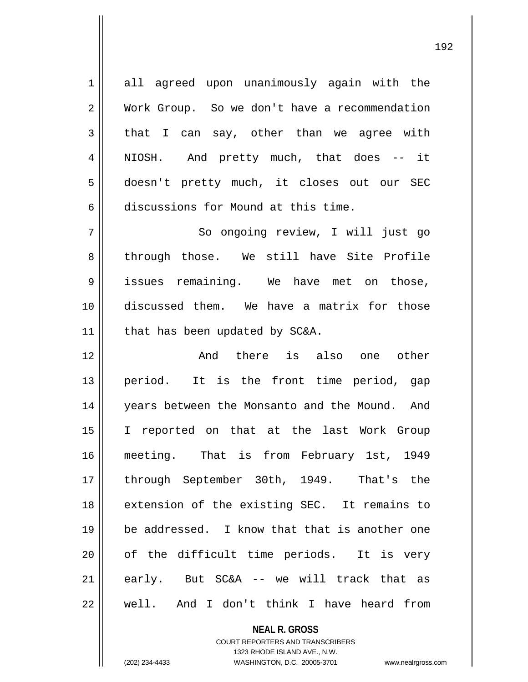1 all agreed upon unanimously again with the 2 Work Group. So we don't have a recommendation  $3 \parallel$  that I can say, other than we agree with 4 || NIOSH. And pretty much, that does -- it 5 || doesn't pretty much, it closes out our SEC 6 discussions for Mound at this time. 7 || So ongoing review, I will just go 8 through those. We still have Site Profile 9 issues remaining. We have met on those, 10 discussed them. We have a matrix for those  $11$  | that has been updated by SC&A.

12 And there is also one other 13 || period. It is the front time period, gap 14 || years between the Monsanto and the Mound. And 15 I reported on that at the last Work Group 16 meeting. That is from February 1st, 1949 17 || through September 30th, 1949. That's the 18 || extension of the existing SEC. It remains to 19 be addressed. I know that that is another one 20 || of the difficult time periods. It is very  $21$  early. But SC&A -- we will track that as 22 well. And I don't think I have heard from

## **NEAL R. GROSS**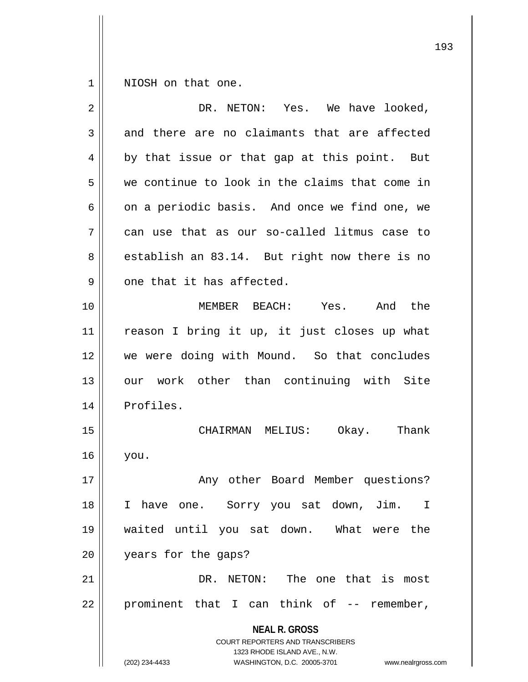NIOSH on that one.

| $\overline{2}$ | DR. NETON: Yes. We have looked,                                                                                                                                        |
|----------------|------------------------------------------------------------------------------------------------------------------------------------------------------------------------|
| 3              | and there are no claimants that are affected                                                                                                                           |
| 4              | by that issue or that gap at this point. But                                                                                                                           |
| 5              | we continue to look in the claims that come in                                                                                                                         |
| 6              | on a periodic basis. And once we find one, we                                                                                                                          |
| 7              | can use that as our so-called litmus case to                                                                                                                           |
| 8              | establish an 83.14. But right now there is no                                                                                                                          |
| 9              | one that it has affected.                                                                                                                                              |
| 10             | MEMBER BEACH: Yes. And<br>the                                                                                                                                          |
| 11             | reason I bring it up, it just closes up what                                                                                                                           |
| 12             | we were doing with Mound. So that concludes                                                                                                                            |
| 13             | our work other than continuing with Site                                                                                                                               |
| 14             | Profiles.                                                                                                                                                              |
| 15             | Thank<br>CHAIRMAN MELIUS:<br>Okay.                                                                                                                                     |
| 16             | you.                                                                                                                                                                   |
| 17             | Any other Board Member questions?                                                                                                                                      |
| 18             | I have one.  Sorry you sat down, Jim.<br>I                                                                                                                             |
| 19             | waited until you sat down. What were the                                                                                                                               |
| 20             | years for the gaps?                                                                                                                                                    |
| 21             | DR. NETON: The one that is most                                                                                                                                        |
| 22             | prominent that I can think of $-$ - remember,                                                                                                                          |
|                | <b>NEAL R. GROSS</b><br><b>COURT REPORTERS AND TRANSCRIBERS</b><br>1323 RHODE ISLAND AVE., N.W.<br>WASHINGTON, D.C. 20005-3701<br>(202) 234-4433<br>www.nealrgross.com |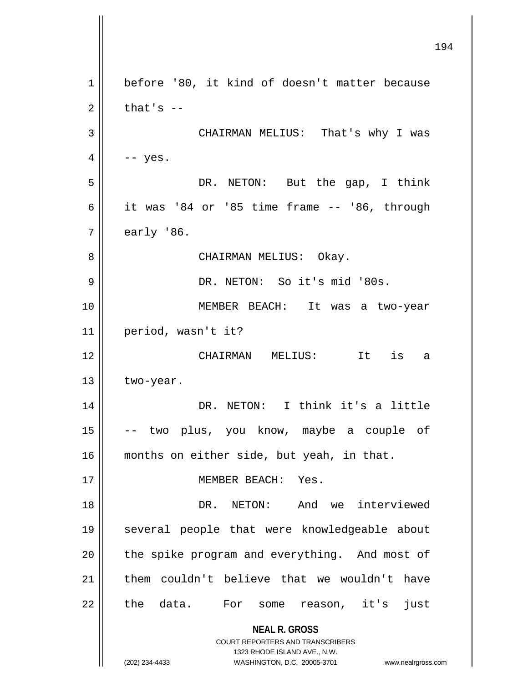**NEAL R. GROSS** COURT REPORTERS AND TRANSCRIBERS 1323 RHODE ISLAND AVE., N.W. (202) 234-4433 WASHINGTON, D.C. 20005-3701 www.nealrgross.com 1 | before '80, it kind of doesn't matter because  $2 \parallel$  that's  $-$ 3 CHAIRMAN MELIUS: That's why I was  $4 \parallel - - \text{yes}.$ 5 DR. NETON: But the gap, I think  $6 \parallel$  it was '84 or '85 time frame -- '86, through  $7 \parallel$  early '86. 8 CHAIRMAN MELIUS: Okay. 9 || DR. NETON: So it's mid '80s. 10 MEMBER BEACH: It was a two-year 11 period, wasn't it? 12 CHAIRMAN MELIUS: It is a  $13$  | two-year. 14 DR. NETON: I think it's a little 15 -- two plus, you know, maybe a couple of 16 || months on either side, but yeah, in that. 17 MEMBER BEACH: Yes. 18 DR. NETON: And we interviewed 19 several people that were knowledgeable about  $20$  | the spike program and everything. And most of 21 them couldn't believe that we wouldn't have 22 || the data. For some reason, it's just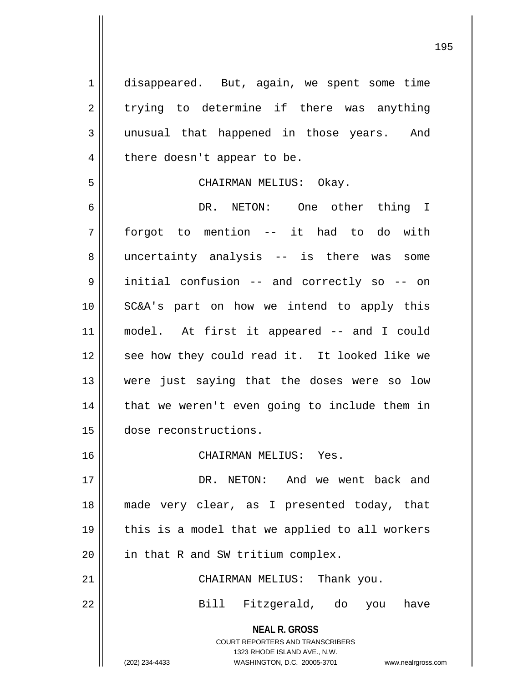**NEAL R. GROSS** COURT REPORTERS AND TRANSCRIBERS 1323 RHODE ISLAND AVE., N.W. 1 disappeared. But, again, we spent some time  $2 \parallel$  trying to determine if there was anything 3 unusual that happened in those years. And  $4 \parallel$  there doesn't appear to be. 5 CHAIRMAN MELIUS: Okay. 6 DR. NETON: One other thing I 7 forgot to mention -- it had to do with 8 uncertainty analysis -- is there was some 9 initial confusion -- and correctly so -- on 10 SC&A's part on how we intend to apply this 11 model. At first it appeared -- and I could 12 || see how they could read it. It looked like we 13 were just saying that the doses were so low 14 || that we weren't even going to include them in 15 dose reconstructions. 16 CHAIRMAN MELIUS: Yes. 17 || DR. NETON: And we went back and 18 made very clear, as I presented today, that  $19 \parallel$  this is a model that we applied to all workers  $20$  | in that R and SW tritium complex. 21 || CHAIRMAN MELIUS: Thank you. 22 || **Bill Fitzgerald, do you have** 

(202) 234-4433 WASHINGTON, D.C. 20005-3701 www.nealrgross.com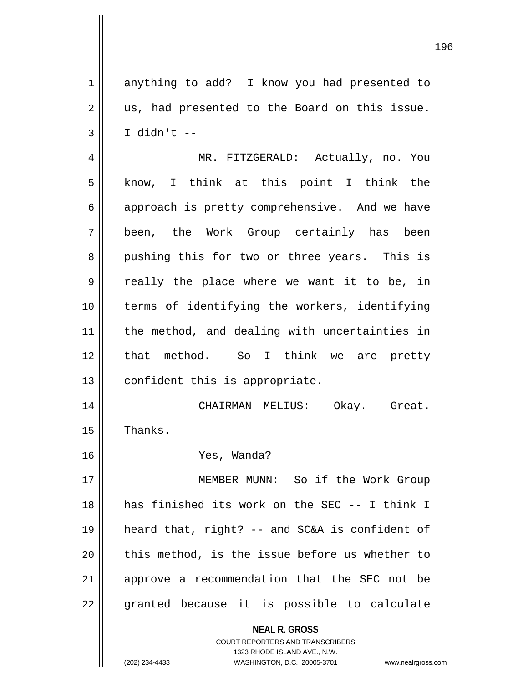1 anything to add? I know you had presented to  $2 \parallel$  us, had presented to the Board on this issue.  $3 \parallel$  I didn't --

4 | MR. FITZGERALD: Actually, no. You 5 || know, I think at this point I think the 6 approach is pretty comprehensive. And we have 7 been, the Work Group certainly has been 8 || pushing this for two or three years. This is 9 || really the place where we want it to be, in 10 terms of identifying the workers, identifying 11 || the method, and dealing with uncertainties in 12 || that method. So I think we are pretty  $13$  confident this is appropriate.

14 CHAIRMAN MELIUS: Okay. Great. 15 | Thanks.

16 Yes, Wanda?

 MEMBER MUNN: So if the Work Group has finished its work on the SEC -- I think I heard that, right? -- and SC&A is confident of || this method, is the issue before us whether to approve a recommendation that the SEC not be || granted because it is possible to calculate

**NEAL R. GROSS**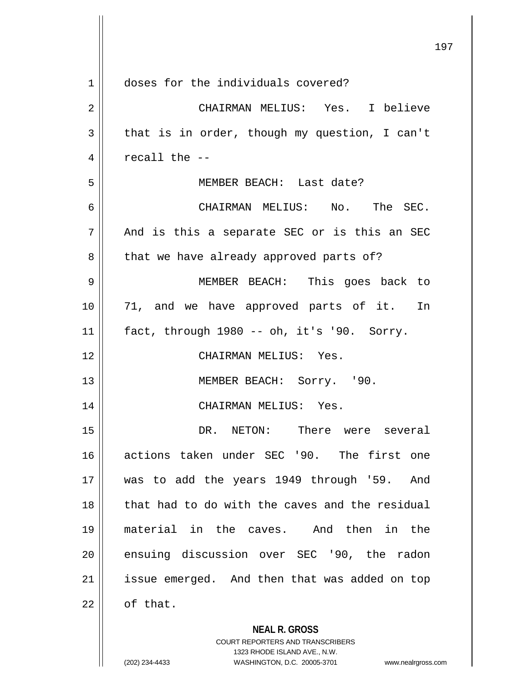|                | 197                                                      |
|----------------|----------------------------------------------------------|
| $\mathbf 1$    | doses for the individuals covered?                       |
| $\overline{2}$ | CHAIRMAN MELIUS: Yes. I believe                          |
| 3              | that is in order, though my question, I can't            |
| 4              | recall the --                                            |
| 5              | MEMBER BEACH: Last date?                                 |
| 6              | CHAIRMAN MELIUS: No. The SEC.                            |
| 7              | And is this a separate SEC or is this an SEC             |
| 8              | that we have already approved parts of?                  |
| 9              | MEMBER BEACH: This goes back to                          |
| 10             | 71, and we have approved parts of it. In                 |
| 11             | fact, through 1980 -- oh, it's '90. Sorry.               |
| 12             | CHAIRMAN MELIUS: Yes.                                    |
| 13             | MEMBER BEACH: Sorry. '90.                                |
| 14             | CHAIRMAN MELIUS: Yes.                                    |
| 15             | DR. NETON: There were several                            |
| 16             | actions taken under SEC '90. The first one               |
| 17             | was to add the years 1949 through '59.<br>And            |
| 18             | that had to do with the caves and the residual           |
| 19             | material in the caves. And then in the                   |
| 20             | ensuing discussion over SEC '90, the radon               |
| 21             | issue emerged. And then that was added on top            |
| 22             | of that.                                                 |
|                | <b>NEAL R. GROSS</b><br>COURT REPORTERS AND TRANSCRIBERS |

1323 RHODE ISLAND AVE., N.W.

 $\mathop{\text{||}}$ 

(202) 234-4433 WASHINGTON, D.C. 20005-3701 www.nealrgross.com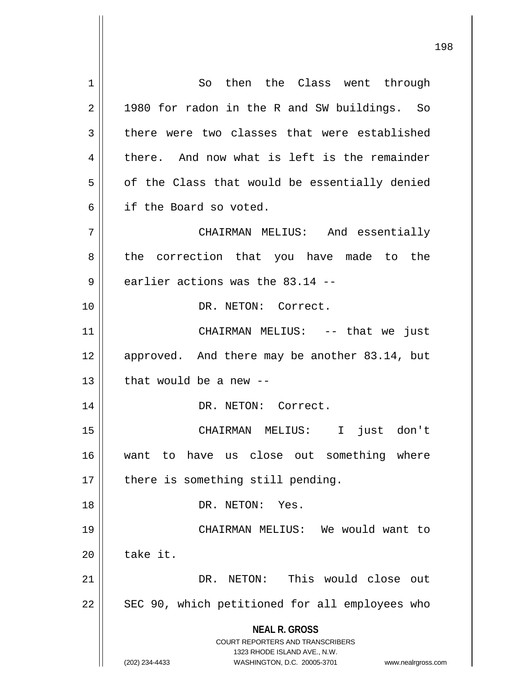**NEAL R. GROSS** COURT REPORTERS AND TRANSCRIBERS 1323 RHODE ISLAND AVE., N.W. (202) 234-4433 WASHINGTON, D.C. 20005-3701 www.nealrgross.com 1 So then the Class went through 2 || 1980 for radon in the R and SW buildings. So 3 || there were two classes that were established  $4 \parallel$  there. And now what is left is the remainder  $5 \parallel$  of the Class that would be essentially denied 6 || if the Board so voted. 7 CHAIRMAN MELIUS: And essentially 8 the correction that you have made to the  $9$  | earlier actions was the 83.14 --10 || DR. NETON: Correct. 11 || CHAIRMAN MELIUS: -- that we just 12 || approved. And there may be another 83.14, but 13  $\parallel$  that would be a new --14 || DR. NETON: Correct. 15 CHAIRMAN MELIUS: I just don't 16 want to have us close out something where  $17$  | there is something still pending. 18 DR. NETON: Yes. 19 CHAIRMAN MELIUS: We would want to  $20$  | take it. 21 DR. NETON: This would close out  $22$   $\parallel$  SEC 90, which petitioned for all employees who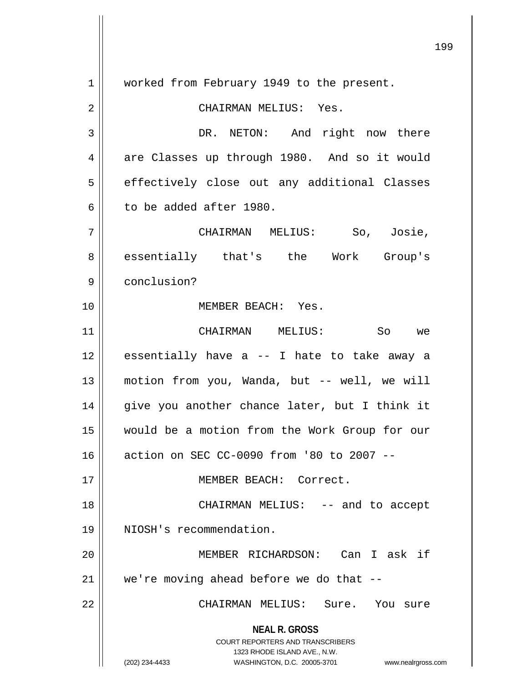**NEAL R. GROSS** COURT REPORTERS AND TRANSCRIBERS 1323 RHODE ISLAND AVE., N.W. (202) 234-4433 WASHINGTON, D.C. 20005-3701 www.nealrgross.com 1 | worked from February 1949 to the present. 2 CHAIRMAN MELIUS: Yes. 3 || DR. NETON: And right now there 4 || are Classes up through 1980. And so it would 5 | effectively close out any additional Classes  $6 \parallel$  to be added after 1980. 7 CHAIRMAN MELIUS: So, Josie, 8 || essentially that's the Work Group's 9 conclusion? 10 MEMBER BEACH: Yes. 11 CHAIRMAN MELIUS: So we  $12$  || essentially have a -- I hate to take away a 13 motion from you, Wanda, but -- well, we will 14 || give you another chance later, but I think it 15 would be a motion from the Work Group for our 16 action on SEC CC-0090 from '80 to 2007 -- 17 MEMBER BEACH: Correct. 18 || CHAIRMAN MELIUS: -- and to accept 19 NIOSH's recommendation. 20 MEMBER RICHARDSON: Can I ask if  $21$  | we're moving ahead before we do that  $-$ 22 CHAIRMAN MELIUS: Sure. You sure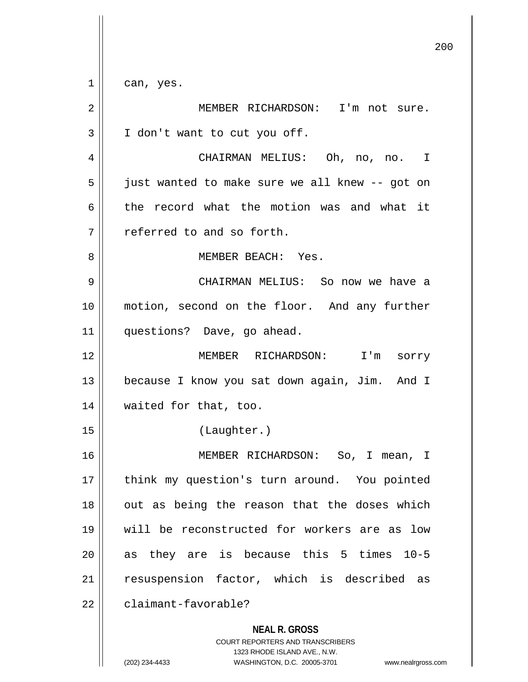$1 \parallel$  can, yes.

| $\overline{2}$ | MEMBER RICHARDSON: I'm not sure.                                                                                                                               |
|----------------|----------------------------------------------------------------------------------------------------------------------------------------------------------------|
| 3              | I don't want to cut you off.                                                                                                                                   |
| 4              | CHAIRMAN MELIUS: Oh, no, no. I                                                                                                                                 |
| 5              | just wanted to make sure we all knew -- got on                                                                                                                 |
| 6              | the record what the motion was and what it                                                                                                                     |
| 7              | referred to and so forth.                                                                                                                                      |
| 8              | MEMBER BEACH: Yes.                                                                                                                                             |
| 9              | CHAIRMAN MELIUS: So now we have a                                                                                                                              |
| 10             | motion, second on the floor. And any further                                                                                                                   |
| 11             | questions? Dave, go ahead.                                                                                                                                     |
| 12             | MEMBER RICHARDSON: I'm sorry                                                                                                                                   |
| 13             | because I know you sat down again, Jim. And I                                                                                                                  |
| 14             | waited for that, too.                                                                                                                                          |
| 15             | (Laughter.)                                                                                                                                                    |
| 16             | MEMBER RICHARDSON: So, I mean, I                                                                                                                               |
| 17             | think my question's turn around. You pointed                                                                                                                   |
| 18             | out as being the reason that the doses which                                                                                                                   |
| 19             | will be reconstructed for workers are as low                                                                                                                   |
| 20             | as they are is because this 5 times 10-5                                                                                                                       |
| 21             | resuspension factor, which is described<br>as                                                                                                                  |
| 22             | claimant-favorable?                                                                                                                                            |
|                | <b>NEAL R. GROSS</b><br>COURT REPORTERS AND TRANSCRIBERS<br>1323 RHODE ISLAND AVE., N.W.<br>WASHINGTON, D.C. 20005-3701<br>(202) 234-4433<br>www.nealrgross.co |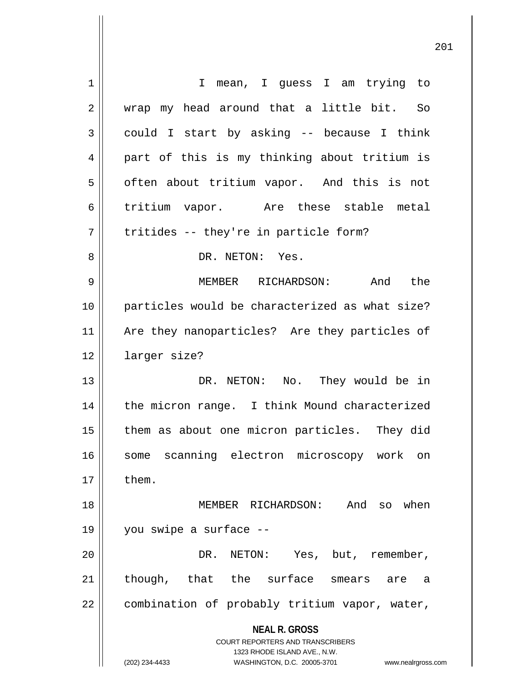| $\mathbf 1$ | mean, I guess I am trying to<br>I.                                                       |
|-------------|------------------------------------------------------------------------------------------|
| 2           | wrap my head around that a little bit. So                                                |
| 3           | could I start by asking -- because I think                                               |
| 4           | part of this is my thinking about tritium is                                             |
| 5           | often about tritium vapor. And this is not                                               |
| 6           | tritium vapor. Are these stable metal                                                    |
| 7           | tritides -- they're in particle form?                                                    |
| 8           | DR. NETON: Yes.                                                                          |
| 9           | MEMBER RICHARDSON: And the                                                               |
| 10          | particles would be characterized as what size?                                           |
| 11          | Are they nanoparticles? Are they particles of                                            |
| 12          | larger size?                                                                             |
| 13          | DR. NETON: No. They would be in                                                          |
| 14          | the micron range. I think Mound characterized                                            |
| 15          | them as about one micron particles. They did                                             |
| 16          | scanning electron microscopy work<br>on<br>some                                          |
| 17          | them.                                                                                    |
| 18          | MEMBER RICHARDSON:<br>And<br>so when                                                     |
| 19          | you swipe a surface --                                                                   |
| 20          | NETON: Yes, but, remember,<br>DR.                                                        |
| 21          | though, that the surface smears are<br>а                                                 |
| 22          | combination of probably tritium vapor, water,                                            |
|             | <b>NEAL R. GROSS</b><br>COURT REPORTERS AND TRANSCRIBERS<br>1323 RHODE ISLAND AVE., N.W. |
|             | (202) 234-4433<br>WASHINGTON, D.C. 20005-3701<br>www.nealrgross.com                      |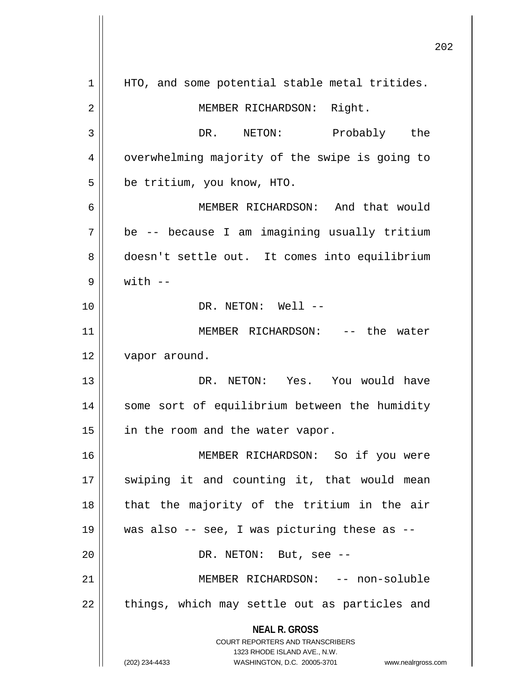|    | 202                                                                                                 |
|----|-----------------------------------------------------------------------------------------------------|
| 1  | HTO, and some potential stable metal tritides.                                                      |
| 2  | MEMBER RICHARDSON: Right.                                                                           |
| 3  | DR. NETON: Probably the                                                                             |
| 4  | overwhelming majority of the swipe is going to                                                      |
| 5  | be tritium, you know, HTO.                                                                          |
| 6  | MEMBER RICHARDSON: And that would                                                                   |
| 7  | be -- because I am imagining usually tritium                                                        |
| 8  | doesn't settle out. It comes into equilibrium                                                       |
| 9  | $with --$                                                                                           |
| 10 | DR. NETON: Well --                                                                                  |
| 11 | MEMBER RICHARDSON: -- the water                                                                     |
| 12 | vapor around.                                                                                       |
| 13 | DR. NETON: Yes. You would have                                                                      |
| 14 | some sort of equilibrium between the humidity                                                       |
| 15 | in the room and the water vapor.                                                                    |
| 16 | MEMBER RICHARDSON: So if you were                                                                   |
| 17 | swiping it and counting it, that would mean                                                         |
| 18 | that the majority of the tritium in the air                                                         |
| 19 | was also -- see, I was picturing these as --                                                        |
| 20 | DR. NETON: But, see --                                                                              |
| 21 | MEMBER RICHARDSON: -- non-soluble                                                                   |
| 22 | things, which may settle out as particles and                                                       |
|    | <b>NEAL R. GROSS</b><br>COURT REPORTERS AND TRANSCRIBERS                                            |
|    | 1323 RHODE ISLAND AVE., N.W.<br>(202) 234-4433<br>WASHINGTON, D.C. 20005-3701<br>www.nealrgross.com |

 $\mathsf{I}$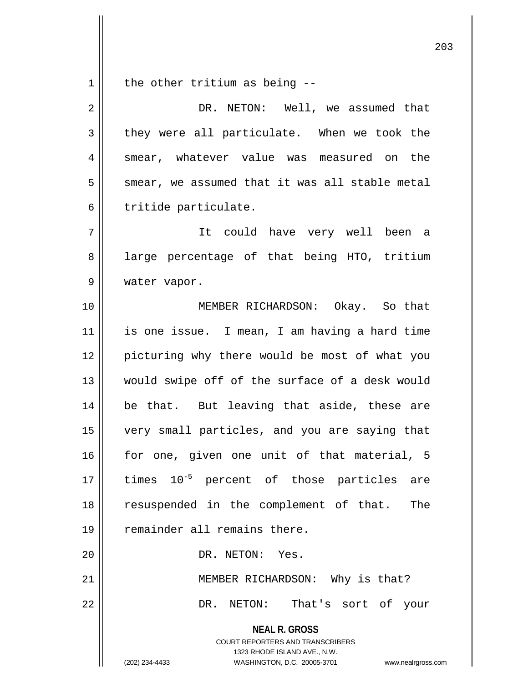$1 \parallel$  the other tritium as being --

| $\sqrt{2}$     | DR. NETON: Well, we assumed that                                                                                                                                       |
|----------------|------------------------------------------------------------------------------------------------------------------------------------------------------------------------|
| 3              | they were all particulate. When we took the                                                                                                                            |
| $\overline{4}$ | smear, whatever value was measured on the                                                                                                                              |
| 5              | smear, we assumed that it was all stable metal                                                                                                                         |
| 6              | tritide particulate.                                                                                                                                                   |
| 7              | It could have very well been a                                                                                                                                         |
| 8              | large percentage of that being HTO, tritium                                                                                                                            |
| 9              | water vapor.                                                                                                                                                           |
| 10             | MEMBER RICHARDSON: Okay. So that                                                                                                                                       |
| 11             | is one issue. I mean, I am having a hard time                                                                                                                          |
| 12             | picturing why there would be most of what you                                                                                                                          |
| 13             | would swipe off of the surface of a desk would                                                                                                                         |
| 14             | be that. But leaving that aside, these are                                                                                                                             |
| 15             | very small particles, and you are saying that                                                                                                                          |
| 16             | for one, given one unit of that material, 5                                                                                                                            |
| 17             | times 10 <sup>-5</sup> percent of those particles are                                                                                                                  |
| 18             | resuspended in the complement of that.<br>The                                                                                                                          |
| 19             | remainder all remains there.                                                                                                                                           |
| 20             | DR. NETON: Yes.                                                                                                                                                        |
| 21             | MEMBER RICHARDSON: Why is that?                                                                                                                                        |
| 22             | DR. NETON: That's sort of your                                                                                                                                         |
|                | <b>NEAL R. GROSS</b><br><b>COURT REPORTERS AND TRANSCRIBERS</b><br>1323 RHODE ISLAND AVE., N.W.<br>(202) 234-4433<br>WASHINGTON, D.C. 20005-3701<br>www.nealrgross.com |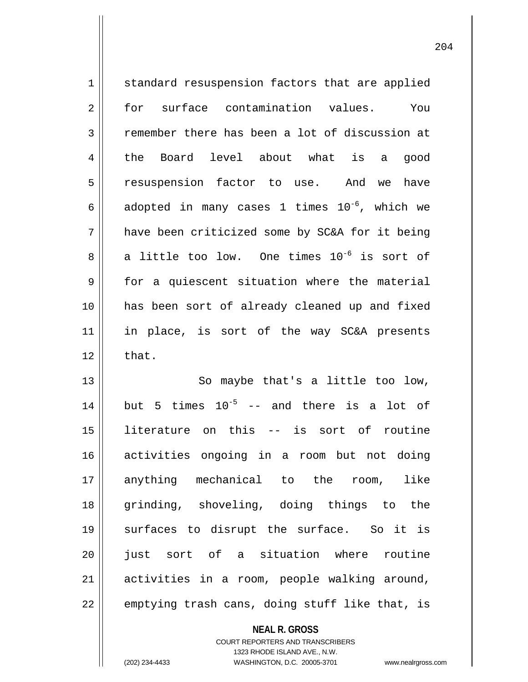| 1           | standard resuspension factors that are applied          |
|-------------|---------------------------------------------------------|
| 2           | for surface contamination values.<br>You                |
| 3           | remember there has been a lot of discussion at          |
| 4           | the Board level about what is a<br>good                 |
| 5           | resuspension factor to use. And we<br>have              |
| 6           | adopted in many cases 1 times $10^{-6}$ , which we      |
| 7           | have been criticized some by SC&A for it being          |
| 8           | a little too low. One times 10 <sup>-6</sup> is sort of |
| $\mathsf 9$ | for a quiescent situation where the material            |
| 10          | has been sort of already cleaned up and fixed           |
| 11          | in place, is sort of the way SC&A presents              |
| 12          | that.                                                   |
| 13          | So maybe that's a little too low,                       |
| 14          | but 5 times $10^{-5}$ -- and there is a lot of          |
| 15          | literature on this -- is sort of routine                |
| 16          | activities ongoing in a room but not doing              |
| 17          | anything mechanical to the room,<br>like                |
| 18          | grinding, shoveling, doing things to the                |
| 19          | surfaces to disrupt the surface. So it is               |
| 20          | just sort of a situation where routine                  |
| 21          | activities in a room, people walking around,            |
| 22          | emptying trash cans, doing stuff like that, is          |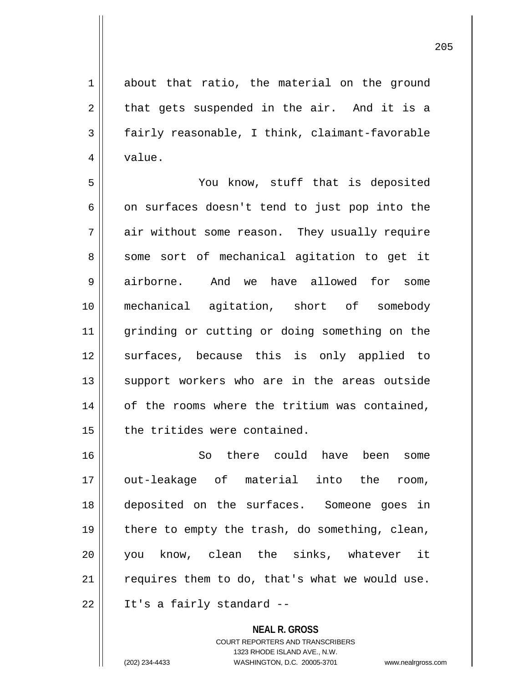$1$  about that ratio, the material on the ground  $2 \parallel$  that gets suspended in the air. And it is a  $3 \parallel$  fairly reasonable, I think, claimant-favorable 4 | value.

5 You know, stuff that is deposited  $6 \parallel$  on surfaces doesn't tend to just pop into the  $7 \parallel$  air without some reason. They usually require 8 || some sort of mechanical agitation to get it 9 airborne. And we have allowed for some 10 mechanical agitation, short of somebody 11 grinding or cutting or doing something on the 12 surfaces, because this is only applied to 13 || support workers who are in the areas outside 14 || of the rooms where the tritium was contained, 15 || the tritides were contained.

 So there could have been some out-leakage of material into the room, deposited on the surfaces. Someone goes in  $\parallel$  there to empty the trash, do something, clean, you know, clean the sinks, whatever it || requires them to do, that's what we would use.  $22 \parallel$  It's a fairly standard --

## **NEAL R. GROSS**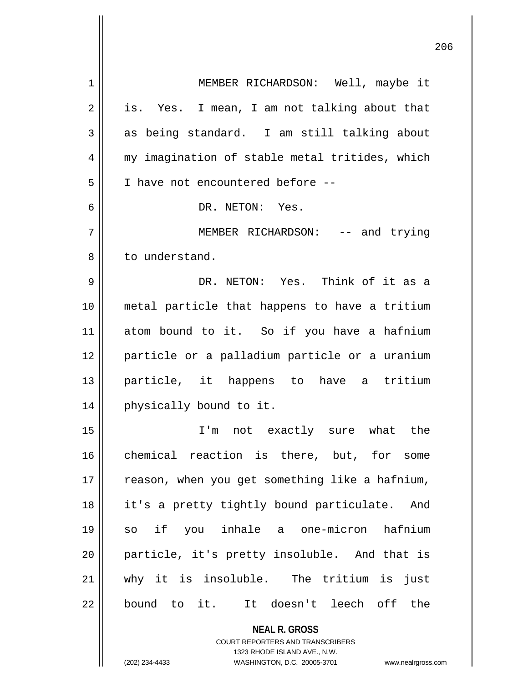| 1  | MEMBER RICHARDSON: Well, maybe it              |
|----|------------------------------------------------|
| 2  | is. Yes. I mean, I am not talking about that   |
| 3  | as being standard. I am still talking about    |
| 4  | my imagination of stable metal tritides, which |
| 5  | I have not encountered before --               |
| 6  | DR. NETON: Yes.                                |
| 7  | MEMBER RICHARDSON: -- and trying               |
| 8  | to understand.                                 |
| 9  | DR. NETON: Yes. Think of it as a               |
| 10 | metal particle that happens to have a tritium  |
| 11 | atom bound to it. So if you have a hafnium     |
| 12 | particle or a palladium particle or a uranium  |
| 13 | particle, it happens to have a tritium         |
| 14 | physically bound to it.                        |
| 15 | not exactly sure what the<br>$I'$ m            |
| 16 | chemical reaction is there, but, for some      |
| 17 | reason, when you get something like a hafnium, |
| 18 | it's a pretty tightly bound particulate. And   |
| 19 | so if you inhale a one-micron hafnium          |
| 20 | particle, it's pretty insoluble. And that is   |
| 21 | why it is insoluble. The tritium is just       |
| 22 | bound to it. It doesn't leech off the          |
|    | <b>NEAL R. GROSS</b>                           |

COURT REPORTERS AND TRANSCRIBERS 1323 RHODE ISLAND AVE., N.W. (202) 234-4433 WASHINGTON, D.C. 20005-3701 www.nealrgross.com

 $\mathsf{II}$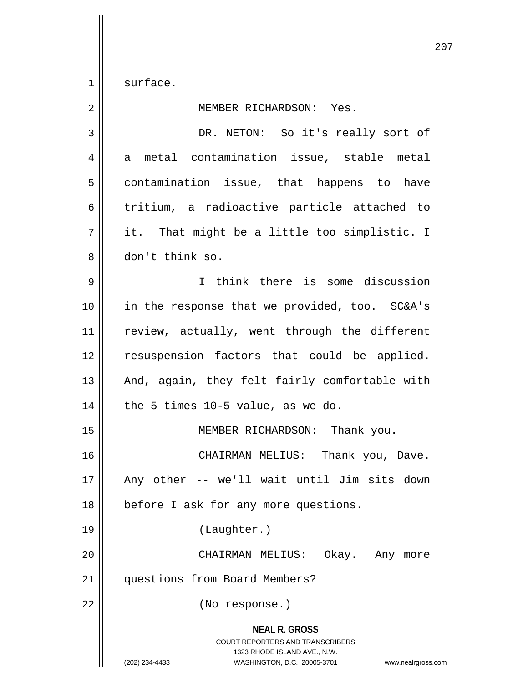$1 \parallel$  surface.

| $\overline{2}$ | MEMBER RICHARDSON: Yes.                                                                                                                                                |
|----------------|------------------------------------------------------------------------------------------------------------------------------------------------------------------------|
| 3              | DR. NETON: So it's really sort of                                                                                                                                      |
| 4              | a metal contamination issue, stable metal                                                                                                                              |
| 5              | contamination issue, that happens to have                                                                                                                              |
| 6              | tritium, a radioactive particle attached to                                                                                                                            |
| 7              | it. That might be a little too simplistic. I                                                                                                                           |
| 8              | don't think so.                                                                                                                                                        |
| 9              | I think there is some discussion                                                                                                                                       |
| 10             | in the response that we provided, too. SC&A's                                                                                                                          |
| 11             | review, actually, went through the different                                                                                                                           |
| 12             | resuspension factors that could be applied.                                                                                                                            |
| 13             | And, again, they felt fairly comfortable with                                                                                                                          |
| 14             | the 5 times 10-5 value, as we do.                                                                                                                                      |
| 15             | MEMBER RICHARDSON: Thank you.                                                                                                                                          |
| 16             | CHAIRMAN MELIUS: Thank you, Dave.                                                                                                                                      |
| 17             | Any other -- we'll wait until Jim sits down                                                                                                                            |
| 18             | before I ask for any more questions.                                                                                                                                   |
| 19             | (Laughter.)                                                                                                                                                            |
| 20             | CHAIRMAN MELIUS: Okay. Any more                                                                                                                                        |
| 21             | questions from Board Members?                                                                                                                                          |
| 22             | (No response.)                                                                                                                                                         |
|                | <b>NEAL R. GROSS</b><br><b>COURT REPORTERS AND TRANSCRIBERS</b><br>1323 RHODE ISLAND AVE., N.W.<br>WASHINGTON, D.C. 20005-3701<br>(202) 234-4433<br>www.nealrgross.com |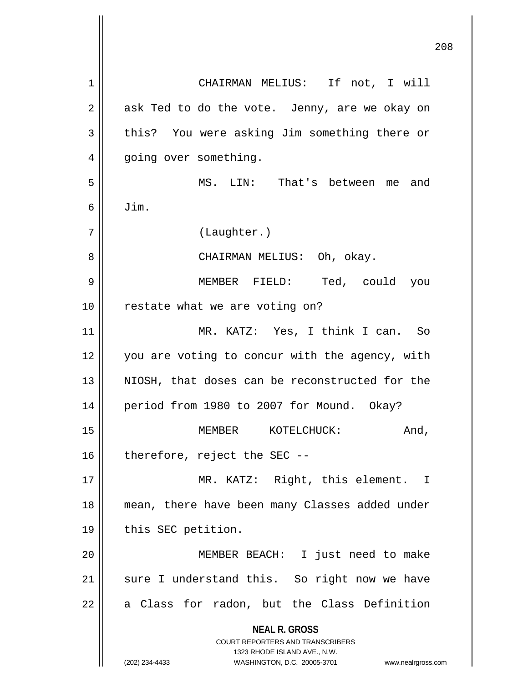**NEAL R. GROSS** COURT REPORTERS AND TRANSCRIBERS 1323 RHODE ISLAND AVE., N.W. (202) 234-4433 WASHINGTON, D.C. 20005-3701 www.nealrgross.com 1 CHAIRMAN MELIUS: If not, I will  $2 \parallel$  ask Ted to do the vote. Jenny, are we okay on  $3 \parallel$  this? You were asking Jim something there or 4 || going over something. 5 MS. LIN: That's between me and  $6 \parallel$  Jim. 7 (Laughter.) 8 CHAIRMAN MELIUS: Oh, okay. 9 MEMBER FIELD: Ted, could you 10 || restate what we are voting on? 11 MR. KATZ: Yes, I think I can. So 12 || you are voting to concur with the agency, with 13 || NIOSH, that doses can be reconstructed for the 14 | period from 1980 to 2007 for Mound. Okay? 15 MEMBER KOTELCHUCK: And,  $16$  | therefore, reject the SEC --17 MR. KATZ: Right, this element. I 18 mean, there have been many Classes added under 19 || this SEC petition. 20 MEMBER BEACH: I just need to make  $21$  sure I understand this. So right now we have  $22 \parallel$  a Class for radon, but the Class Definition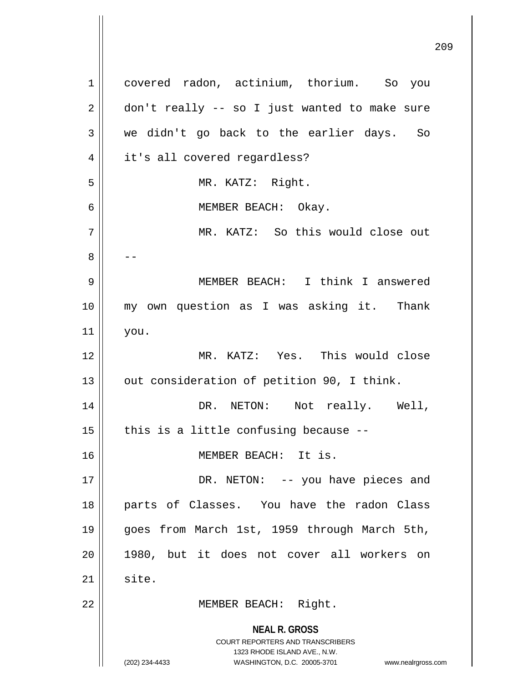**NEAL R. GROSS** COURT REPORTERS AND TRANSCRIBERS 1323 RHODE ISLAND AVE., N.W. (202) 234-4433 WASHINGTON, D.C. 20005-3701 www.nealrgross.com 1 || covered radon, actinium, thorium. So you  $2 \parallel$  don't really -- so I just wanted to make sure 3 we didn't go back to the earlier days. So 4 || it's all covered regardless? 5 MR. KATZ: Right. 6 MEMBER BEACH: Okay. 7 MR. KATZ: So this would close out  $8 \parallel - -$ 9 MEMBER BEACH: I think I answered 10 my own question as I was asking it. Thank 11 you. 12 MR. KATZ: Yes. This would close  $13$  | out consideration of petition 90, I think. 14 DR. NETON: Not really. Well, 15  $\parallel$  this is a little confusing because --16 MEMBER BEACH: It is. 17 || DR. NETON: -- you have pieces and 18 || parts of Classes. You have the radon Class 19 goes from March 1st, 1959 through March 5th, 20 1980, but it does not cover all workers on  $21$  site. 22 MEMBER BEACH: Right.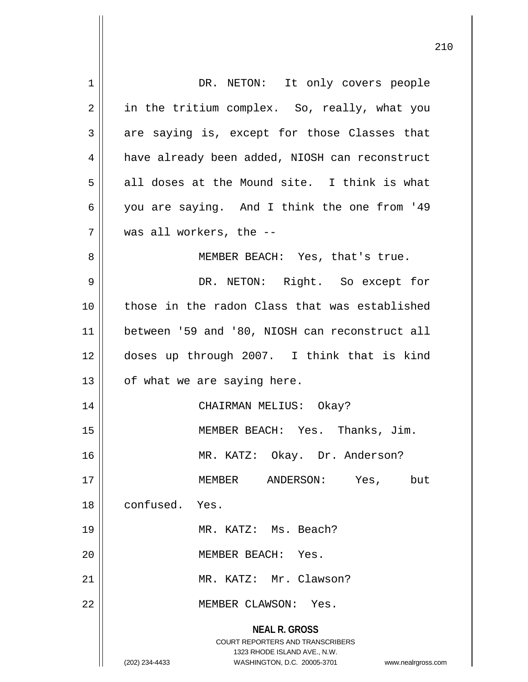| 1  | DR. NETON: It only covers people                                                                                                                                |
|----|-----------------------------------------------------------------------------------------------------------------------------------------------------------------|
| 2  | in the tritium complex. So, really, what you                                                                                                                    |
| 3  | are saying is, except for those Classes that                                                                                                                    |
| 4  | have already been added, NIOSH can reconstruct                                                                                                                  |
| 5  | all doses at the Mound site. I think is what                                                                                                                    |
| 6  | you are saying. And I think the one from '49                                                                                                                    |
| 7  | was all workers, the --                                                                                                                                         |
| 8  | MEMBER BEACH: Yes, that's true.                                                                                                                                 |
| 9  | DR. NETON: Right. So except for                                                                                                                                 |
| 10 | those in the radon Class that was established                                                                                                                   |
| 11 | between '59 and '80, NIOSH can reconstruct all                                                                                                                  |
| 12 | doses up through 2007. I think that is kind                                                                                                                     |
| 13 | of what we are saying here.                                                                                                                                     |
| 14 | CHAIRMAN MELIUS: Okay?                                                                                                                                          |
| 15 | MEMBER BEACH: Yes. Thanks, Jim.                                                                                                                                 |
| 16 | MR. KATZ: Okay. Dr. Anderson?                                                                                                                                   |
| 17 | but<br>MEMBER<br>ANDERSON:<br>Yes,                                                                                                                              |
| 18 | confused. Yes.                                                                                                                                                  |
| 19 | MR. KATZ: Ms. Beach?                                                                                                                                            |
| 20 | MEMBER BEACH: Yes.                                                                                                                                              |
| 21 | MR. KATZ: Mr. Clawson?                                                                                                                                          |
| 22 | MEMBER CLAWSON: Yes.                                                                                                                                            |
|    | <b>NEAL R. GROSS</b><br>COURT REPORTERS AND TRANSCRIBERS<br>1323 RHODE ISLAND AVE., N.W.<br>WASHINGTON, D.C. 20005-3701<br>(202) 234-4433<br>www.nealrgross.com |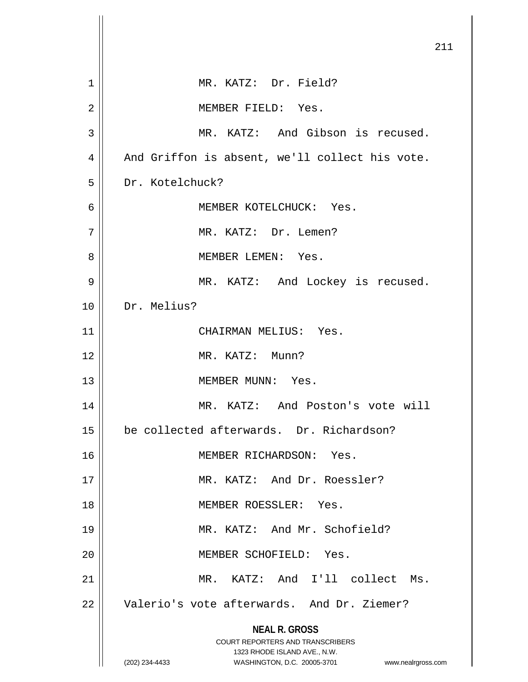|    | 21                                                                                                  |
|----|-----------------------------------------------------------------------------------------------------|
| 1  | MR. KATZ: Dr. Field?                                                                                |
| 2  | MEMBER FIELD: Yes.                                                                                  |
| 3  | MR. KATZ: And Gibson is recused.                                                                    |
| 4  | And Griffon is absent, we'll collect his vote.                                                      |
| 5  | Dr. Kotelchuck?                                                                                     |
| 6  | MEMBER KOTELCHUCK: Yes.                                                                             |
| 7  | MR. KATZ: Dr. Lemen?                                                                                |
| 8  | MEMBER LEMEN: Yes.                                                                                  |
| 9  | MR. KATZ: And Lockey is recused.                                                                    |
| 10 | Dr. Melius?                                                                                         |
| 11 | CHAIRMAN MELIUS: Yes.                                                                               |
| 12 | MR. KATZ: Munn?                                                                                     |
| 13 | MEMBER MUNN: Yes.                                                                                   |
| 14 | MR. KATZ: And Poston's vote will                                                                    |
| 15 | be collected afterwards. Dr. Richardson?                                                            |
| 16 | MEMBER RICHARDSON: Yes.                                                                             |
| 17 | MR. KATZ: And Dr. Roessler?                                                                         |
| 18 | MEMBER ROESSLER: Yes.                                                                               |
| 19 | MR. KATZ: And Mr. Schofield?                                                                        |
| 20 | MEMBER SCHOFIELD: Yes.                                                                              |
| 21 | MR. KATZ: And I'll collect<br>Ms.                                                                   |
| 22 | Valerio's vote afterwards. And Dr. Ziemer?                                                          |
|    | <b>NEAL R. GROSS</b><br>COURT REPORTERS AND TRANSCRIBERS                                            |
|    | 1323 RHODE ISLAND AVE., N.W.<br>(202) 234-4433<br>WASHINGTON, D.C. 20005-3701<br>www.nealrgross.com |

 $\overline{1}$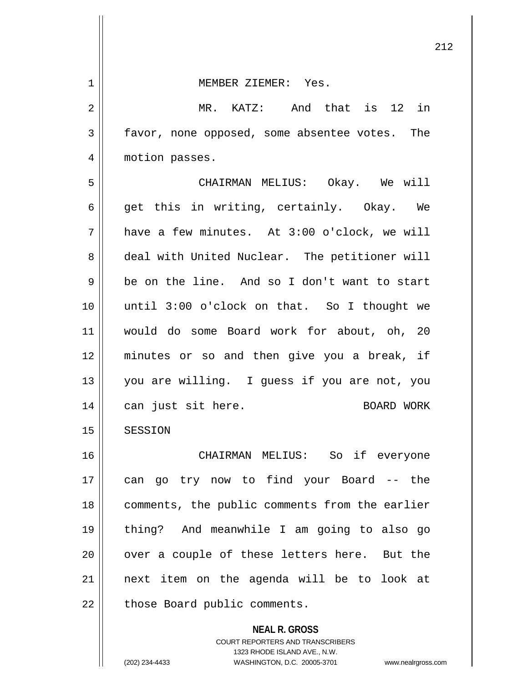| $\mathbf 1$    | MEMBER ZIEMER: Yes.                                      |
|----------------|----------------------------------------------------------|
| $\overline{2}$ | MR. KATZ: And that is 12 in                              |
| 3              | favor, none opposed, some absentee votes. The            |
| 4              | motion passes.                                           |
| 5              | CHAIRMAN MELIUS: Okay. We will                           |
| 6              | get this in writing, certainly. Okay. We                 |
| 7              | have a few minutes. At 3:00 o'clock, we will             |
| 8              | deal with United Nuclear. The petitioner will            |
| 9              | be on the line. And so I don't want to start             |
| 10             | until 3:00 o'clock on that. So I thought we              |
| 11             | would do some Board work for about, oh, 20               |
| 12             | minutes or so and then give you a break, if              |
| 13             | you are willing. I guess if you are not, you             |
| 14             | can just sit here.<br>BOARD WORK                         |
| 15             | SESSION                                                  |
| 16             | CHAIRMAN MELIUS: So if everyone                          |
| 17             | can go try now to find your Board -- the                 |
| 18             | comments, the public comments from the earlier           |
| 19             | thing? And meanwhile I am going to also go               |
| 20             | over a couple of these letters here. But the             |
| 21             | next item on the agenda will be to look at               |
| 22             | those Board public comments.                             |
|                | <b>NEAL R. GROSS</b><br>COURT REPORTERS AND TRANSCRIBERS |

1323 RHODE ISLAND AVE., N.W.

 $\mathsf{II}$ 

(202) 234-4433 WASHINGTON, D.C. 20005-3701 www.nealrgross.com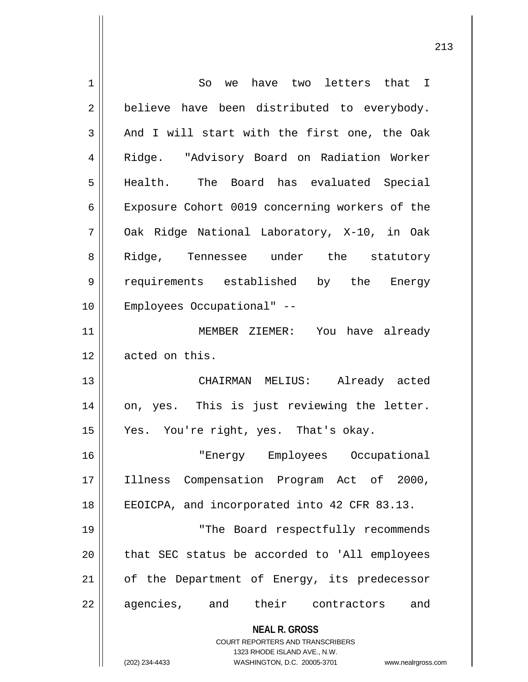| 1  | So we have two letters that I                                                                                                                                   |
|----|-----------------------------------------------------------------------------------------------------------------------------------------------------------------|
| 2  | believe have been distributed to everybody.                                                                                                                     |
| 3  | And I will start with the first one, the Oak                                                                                                                    |
| 4  | Ridge. "Advisory Board on Radiation Worker                                                                                                                      |
| 5  | Health. The Board has evaluated Special                                                                                                                         |
| 6  | Exposure Cohort 0019 concerning workers of the                                                                                                                  |
| 7  | Oak Ridge National Laboratory, X-10, in Oak                                                                                                                     |
| 8  | Ridge, Tennessee under the statutory                                                                                                                            |
| 9  | requirements established by the Energy                                                                                                                          |
| 10 | Employees Occupational" --                                                                                                                                      |
| 11 | MEMBER ZIEMER: You have already                                                                                                                                 |
| 12 | acted on this.                                                                                                                                                  |
| 13 | CHAIRMAN MELIUS: Already acted                                                                                                                                  |
| 14 | on, yes. This is just reviewing the letter.                                                                                                                     |
| 15 | Yes. You're right, yes. That's okay.                                                                                                                            |
| 16 | "Energy Employees Occupational                                                                                                                                  |
| 17 | Illness Compensation Program Act of 2000,                                                                                                                       |
| 18 | EEOICPA, and incorporated into 42 CFR 83.13.                                                                                                                    |
| 19 | "The Board respectfully recommends                                                                                                                              |
| 20 | that SEC status be accorded to 'All employees                                                                                                                   |
| 21 | of the Department of Energy, its predecessor                                                                                                                    |
| 22 | agencies, and their contractors<br>and                                                                                                                          |
|    | <b>NEAL R. GROSS</b><br>COURT REPORTERS AND TRANSCRIBERS<br>1323 RHODE ISLAND AVE., N.W.<br>(202) 234-4433<br>WASHINGTON, D.C. 20005-3701<br>www.nealrgross.com |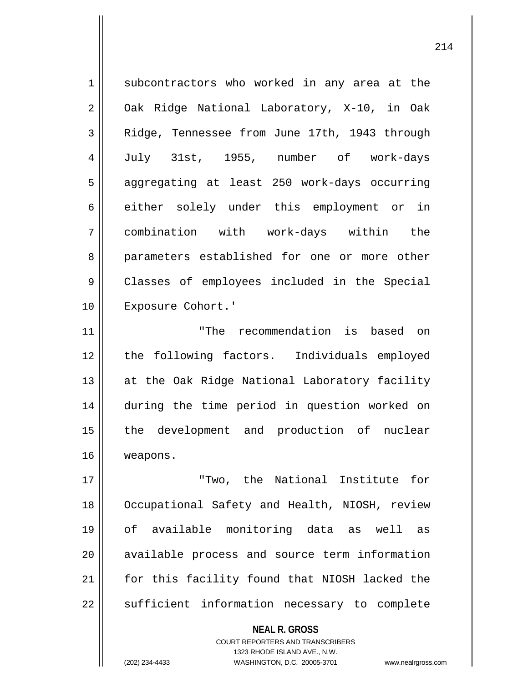1 subcontractors who worked in any area at the 2 | Oak Ridge National Laboratory, X-10, in Oak 3 | Ridge, Tennessee from June 17th, 1943 through 4 July 31st, 1955, number of work-days 5 | aggregating at least 250 work-days occurring 6 either solely under this employment or in 7 combination with work-days within the 8 parameters established for one or more other 9 Classes of employees included in the Special 10 || Exposure Cohort.' 11 "The recommendation is based on

12 the following factors. Individuals employed 13 || at the Oak Ridge National Laboratory facility 14 during the time period in question worked on 15 the development and production of nuclear 16 weapons.

17 || Two, the National Institute for 18 || Occupational Safety and Health, NIOSH, review 19 of available monitoring data as well as 20 || available process and source term information 21 for this facility found that NIOSH lacked the  $22$   $\parallel$  sufficient information necessary to complete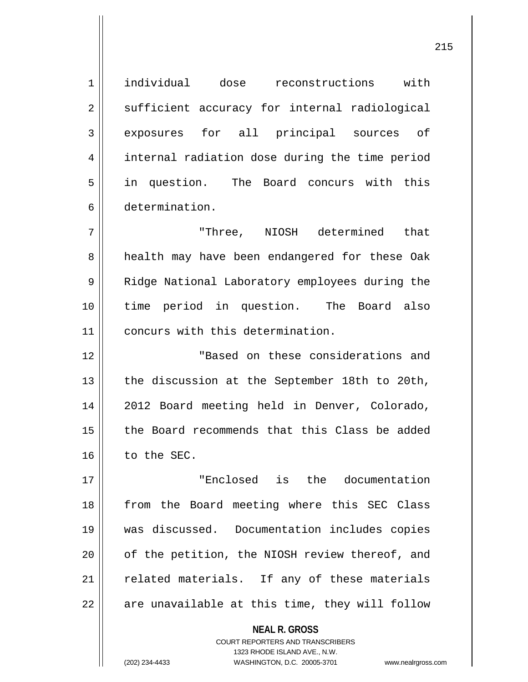individual dose reconstructions with 2 || sufficient accuracy for internal radiological exposures for all principal sources of 4 | internal radiation dose during the time period in question. The Board concurs with this determination.

7 "Three, NIOSH determined that 8 || health may have been endangered for these Oak 9 || Ridge National Laboratory employees during the 10 time period in question. The Board also 11 | concurs with this determination.

 "Based on these considerations and  $\parallel$  the discussion at the September 18th to 20th, 14 || 2012 Board meeting held in Denver, Colorado, the Board recommends that this Class be added to the SEC.

 "Enclosed is the documentation from the Board meeting where this SEC Class was discussed. Documentation includes copies 20 || of the petition, the NIOSH review thereof, and  $\parallel$  related materials. If any of these materials  $\parallel$  are unavailable at this time, they will follow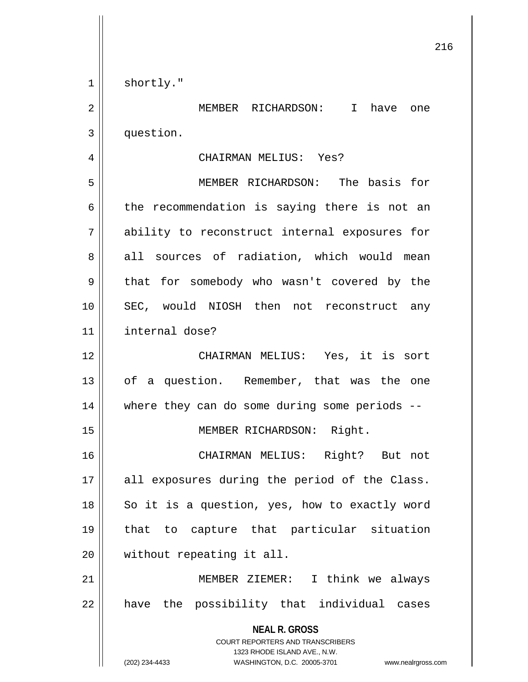$1 \parallel$  shortly."

2 MEMBER RICHARDSON: I have one 3 | question.

## 4 CHAIRMAN MELIUS: Yes?

5 MEMBER RICHARDSON: The basis for  $6 \parallel$  the recommendation is saying there is not an 7 ability to reconstruct internal exposures for 8 all sources of radiation, which would mean  $9 \parallel$  that for somebody who wasn't covered by the 10 SEC, would NIOSH then not reconstruct any 11 internal dose?

12 CHAIRMAN MELIUS: Yes, it is sort 13 || of a question. Remember, that was the one 14 where they can do some during some periods -- 15 || MEMBER RICHARDSON: Right.

 CHAIRMAN MELIUS: Right? But not 17 || all exposures during the period of the Class. So it is a question, yes, how to exactly word that to capture that particular situation without repeating it all.

21 MEMBER ZIEMER: I think we always  $22$  || have the possibility that individual cases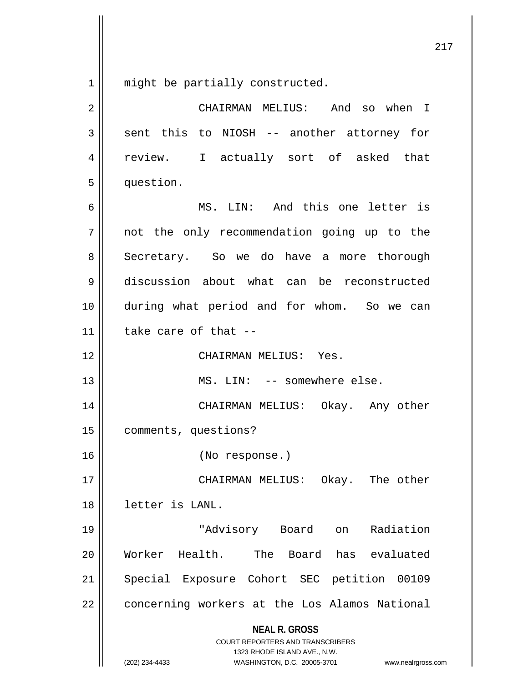might be partially constructed.

| $\overline{2}$ | CHAIRMAN MELIUS: And so when I                                                                                                                                         |
|----------------|------------------------------------------------------------------------------------------------------------------------------------------------------------------------|
| 3              | sent this to NIOSH -- another attorney for                                                                                                                             |
| 4              | review. I actually sort of asked that                                                                                                                                  |
| 5              | question.                                                                                                                                                              |
| 6              | MS. LIN: And this one letter is                                                                                                                                        |
| 7              | not the only recommendation going up to the                                                                                                                            |
| 8              | Secretary. So we do have a more thorough                                                                                                                               |
| 9              | discussion about what can be reconstructed                                                                                                                             |
| 10             | during what period and for whom. So we can                                                                                                                             |
| 11             | take care of that --                                                                                                                                                   |
| 12             | CHAIRMAN MELIUS: Yes.                                                                                                                                                  |
| 13             | MS. LIN: -- somewhere else.                                                                                                                                            |
| 14             | CHAIRMAN MELIUS: Okay. Any other                                                                                                                                       |
| 15             | comments, questions?                                                                                                                                                   |
| 16             | (No response.)                                                                                                                                                         |
| 17             | CHAIRMAN MELIUS: Okay. The other                                                                                                                                       |
| 18             | letter is LANL.                                                                                                                                                        |
| 19             | Radiation<br>"Advisory Board<br>on                                                                                                                                     |
| 20             | Worker Health. The Board<br>has evaluated                                                                                                                              |
| 21             | Special Exposure Cohort SEC petition 00109                                                                                                                             |
| 22             | concerning workers at the Los Alamos National                                                                                                                          |
|                | <b>NEAL R. GROSS</b><br><b>COURT REPORTERS AND TRANSCRIBERS</b><br>1323 RHODE ISLAND AVE., N.W.<br>(202) 234-4433<br>WASHINGTON, D.C. 20005-3701<br>www.nealrgross.com |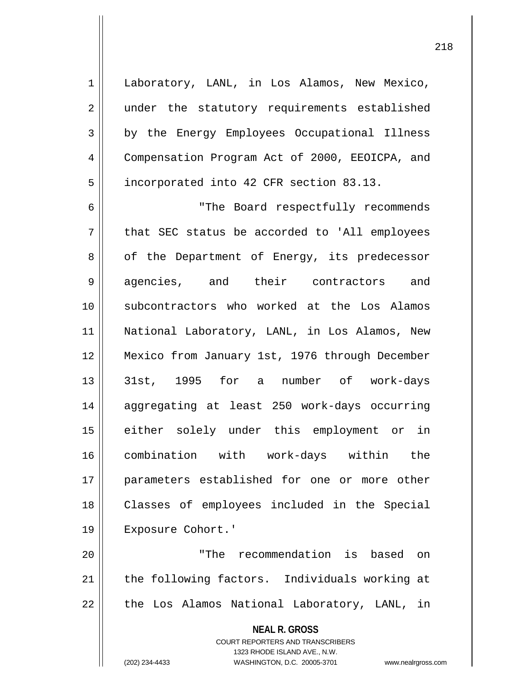1 || Laboratory, LANL, in Los Alamos, New Mexico, 2 || under the statutory requirements established 3 by the Energy Employees Occupational Illness 4 Compensation Program Act of 2000, EEOICPA, and 5 | incorporated into 42 CFR section 83.13.

 "The Board respectfully recommends  $7 \parallel$  that SEC status be accorded to 'All employees 8 || of the Department of Energy, its predecessor 9 agencies, and their contractors and subcontractors who worked at the Los Alamos National Laboratory, LANL, in Los Alamos, New Mexico from January 1st, 1976 through December 13 31st, 1995 for a number of work-days aggregating at least 250 work-days occurring either solely under this employment or in combination with work-days within the parameters established for one or more other Classes of employees included in the Special Exposure Cohort.'

20 "The recommendation is based on 21 the following factors. Individuals working at  $22$  || the Los Alamos National Laboratory, LANL, in

#### **NEAL R. GROSS**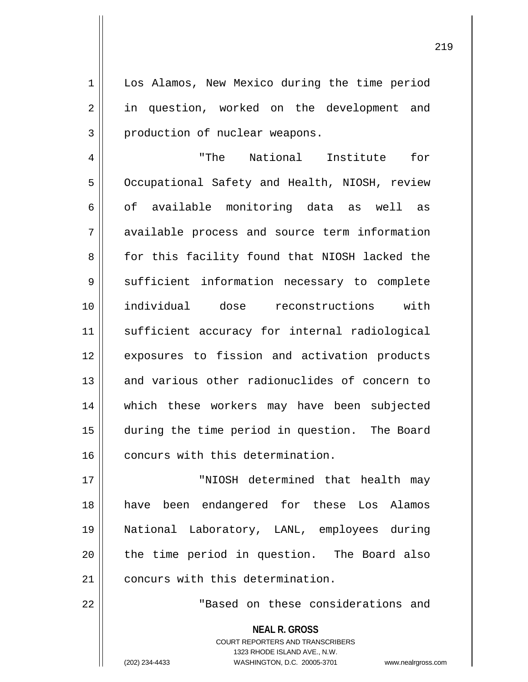1 || Los Alamos, New Mexico during the time period 2 || in question, worked on the development and 3 | production of nuclear weapons.

4 "The National Institute for 5 | Occupational Safety and Health, NIOSH, review  $6 \parallel$  of available monitoring data as well as 7 available process and source term information 8 for this facility found that NIOSH lacked the 9 || sufficient information necessary to complete 10 individual dose reconstructions with 11 sufficient accuracy for internal radiological 12 exposures to fission and activation products 13 and various other radionuclides of concern to 14 which these workers may have been subjected 15 during the time period in question. The Board 16 concurs with this determination.

17 "NIOSH determined that health may 18 have been endangered for these Los Alamos 19 National Laboratory, LANL, employees during 20 || the time period in question. The Board also 21 concurs with this determination.

22 "Based on these considerations and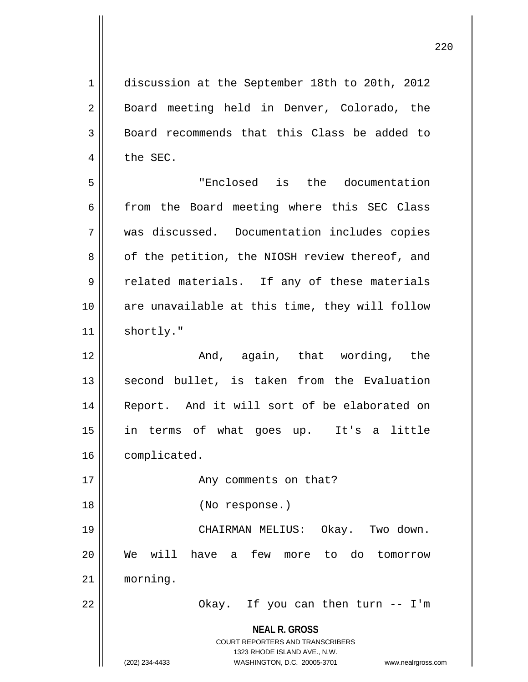1 discussion at the September 18th to 20th, 2012 2 || Board meeting held in Denver, Colorado, the 3 Board recommends that this Class be added to 4 | the SEC.

5 "Enclosed is the documentation  $6$  from the Board meeting where this SEC Class 7 was discussed. Documentation includes copies 8 || of the petition, the NIOSH review thereof, and 9 || related materials. If any of these materials 10 || are unavailable at this time, they will follow  $11$  shortly."

12 || The Rand, again, that wording, the 13 || second bullet, is taken from the Evaluation 14 || Report. And it will sort of be elaborated on 15 in terms of what goes up. It's a little 16 | complicated.

17 || **Any comments on that?** 

18 (No response.)

19 CHAIRMAN MELIUS: Okay. Two down. 20 We will have a few more to do tomorrow 21 morning.

22 Okay. If you can then turn -- I'm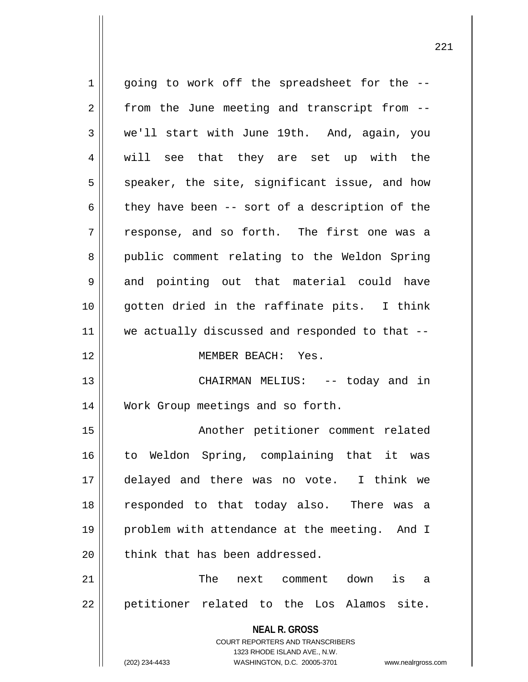| $\mathbf 1$ | going to work off the spreadsheet for the --                                             |
|-------------|------------------------------------------------------------------------------------------|
| 2           | from the June meeting and transcript from --                                             |
| 3           | we'll start with June 19th. And, again, you                                              |
| 4           | will see that they are set up with the                                                   |
| 5           | speaker, the site, significant issue, and how                                            |
| 6           | they have been -- sort of a description of the                                           |
| 7           | response, and so forth. The first one was a                                              |
| 8           | public comment relating to the Weldon Spring                                             |
| 9           | and pointing out that material could have                                                |
| 10          | gotten dried in the raffinate pits. I think                                              |
| 11          | we actually discussed and responded to that --                                           |
| 12          | MEMBER BEACH: Yes.                                                                       |
| 13          | CHAIRMAN MELIUS: -- today and in                                                         |
| 14          | Work Group meetings and so forth.                                                        |
| 15          | Another petitioner comment related                                                       |
| 16          | Weldon Spring, complaining that it<br>to<br>was                                          |
| 17          | delayed and there was no vote. I think we                                                |
| 18          | responded to that today also. There<br>was a                                             |
| 19          | problem with attendance at the meeting. And I                                            |
| 20          | think that has been addressed.                                                           |
| 21          | The<br>down<br>is<br>next comment<br>a                                                   |
| 22          | petitioner related to the Los Alamos site.                                               |
|             | <b>NEAL R. GROSS</b><br>COURT REPORTERS AND TRANSCRIBERS<br>1323 RHODE ISLAND AVE., N.W. |
|             | (202) 234-4433<br>WASHINGTON, D.C. 20005-3701<br>www.nealrgross.com                      |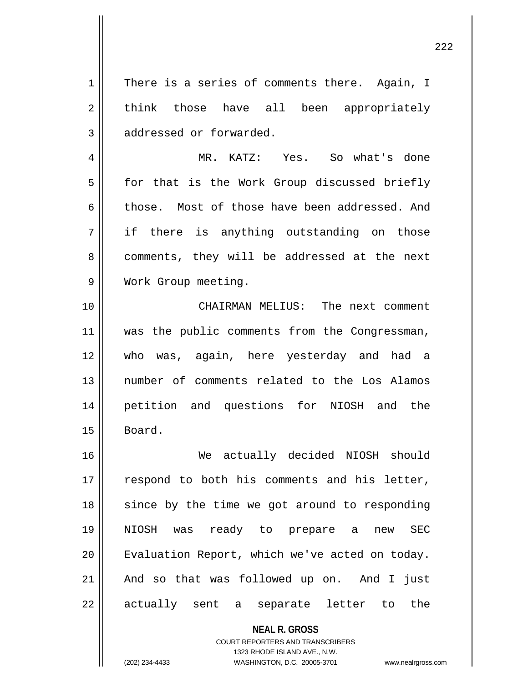222

**NEAL R. GROSS** 1 | There is a series of comments there. Again, I 2 think those have all been appropriately 3 addressed or forwarded. 4 MR. KATZ: Yes. So what's done  $5 \parallel$  for that is the Work Group discussed briefly 6 those. Most of those have been addressed. And 7 if there is anything outstanding on those 8 comments, they will be addressed at the next 9 Work Group meeting. 10 CHAIRMAN MELIUS: The next comment 11 || was the public comments from the Congressman, 12 who was, again, here yesterday and had a 13 number of comments related to the Los Alamos 14 petition and questions for NIOSH and the 15 Board. 16 We actually decided NIOSH should 17 || respond to both his comments and his letter, 18 || since by the time we got around to responding 19 NIOSH was ready to prepare a new SEC 20 || Evaluation Report, which we've acted on today.  $21$  | And so that was followed up on. And I just 22 || actually sent a separate letter to the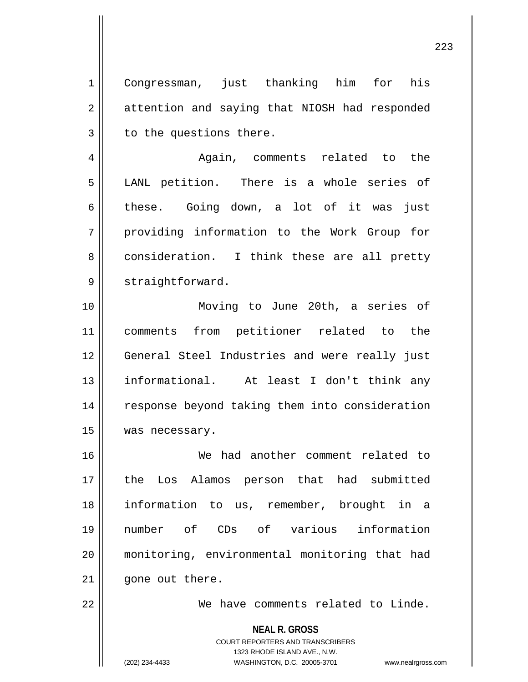1 || Congressman, just thanking him for his 2 || attention and saying that NIOSH had responded  $3$  | to the questions there.

4 Again, comments related to the 5 LANL petition. There is a whole series of 6 these. Going down, a lot of it was just 7 || providing information to the Work Group for 8 consideration. I think these are all pretty 9 | straightforward.

 Moving to June 20th, a series of comments from petitioner related to the General Steel Industries and were really just informational. At least I don't think any 14 || response beyond taking them into consideration 15 | was necessary.

 We had another comment related to the Los Alamos person that had submitted information to us, remember, brought in a number of CDs of various information monitoring, environmental monitoring that had || gone out there.

22 We have comments related to Linde.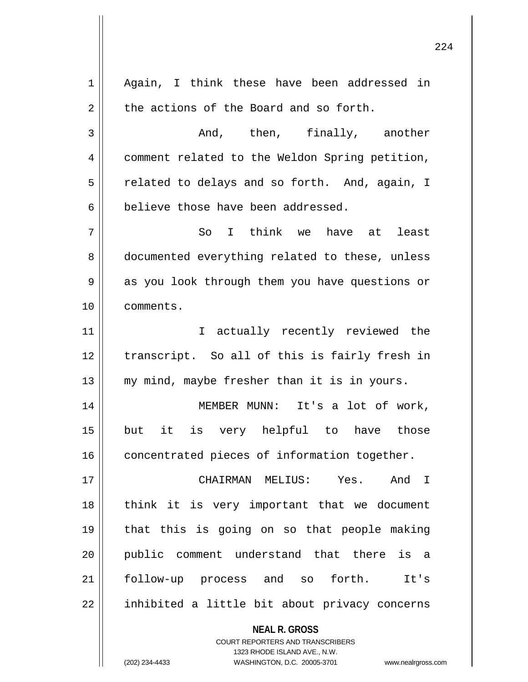**NEAL R. GROSS** COURT REPORTERS AND TRANSCRIBERS 1 || Again, I think these have been addressed in  $2 \parallel$  the actions of the Board and so forth. 3 and, then, finally, another 4 comment related to the Weldon Spring petition, 5 | related to delays and so forth. And, again, I  $6$  || believe those have been addressed. 7 So I think we have at least 8 documented everything related to these, unless 9 || as you look through them you have questions or 10 comments. 11 || T actually recently reviewed the 12 || transcript. So all of this is fairly fresh in  $13$  || my mind, maybe fresher than it is in yours. 14 MEMBER MUNN: It's a lot of work, 15 but it is very helpful to have those 16 | concentrated pieces of information together. 17 CHAIRMAN MELIUS: Yes. And I 18 think it is very important that we document 19 that this is going on so that people making 20 || public comment understand that there is a 21 follow-up process and so forth. It's 22 || inhibited a little bit about privacy concerns

1323 RHODE ISLAND AVE., N.W.

(202) 234-4433 WASHINGTON, D.C. 20005-3701 www.nealrgross.com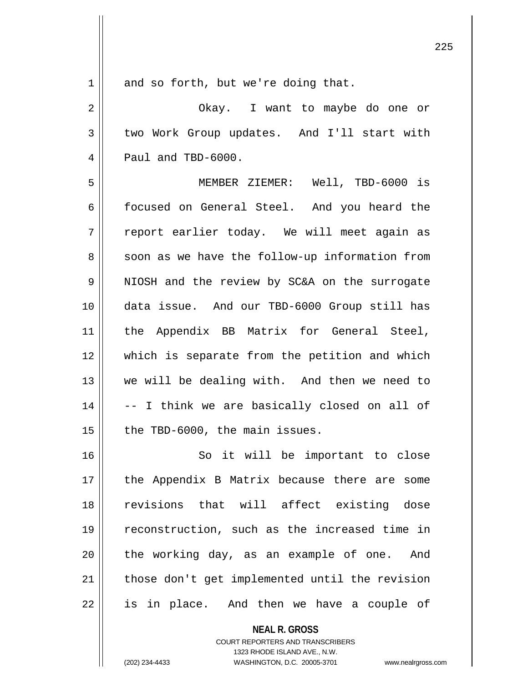1 and so forth, but we're doing that.

2 || Chay. I want to maybe do one or 3 two Work Group updates. And I'll start with  $4 \parallel$  Paul and TBD-6000.

 MEMBER ZIEMER: Well, TBD-6000 is **6** focused on General Steel. And you heard the report earlier today. We will meet again as 8 || soon as we have the follow-up information from 9 || NIOSH and the review by SC&A on the surrogate data issue. And our TBD-6000 Group still has the Appendix BB Matrix for General Steel, which is separate from the petition and which we will be dealing with. And then we need to  $\parallel$  -- I think we are basically closed on all of | the TBD-6000, the main issues.

 So it will be important to close 17 || the Appendix B Matrix because there are some revisions that will affect existing dose reconstruction, such as the increased time in || the working day, as an example of one. And | those don't get implemented until the revision 22 || is in place. And then we have a couple of

### **NEAL R. GROSS** COURT REPORTERS AND TRANSCRIBERS 1323 RHODE ISLAND AVE., N.W.

(202) 234-4433 WASHINGTON, D.C. 20005-3701 www.nealrgross.com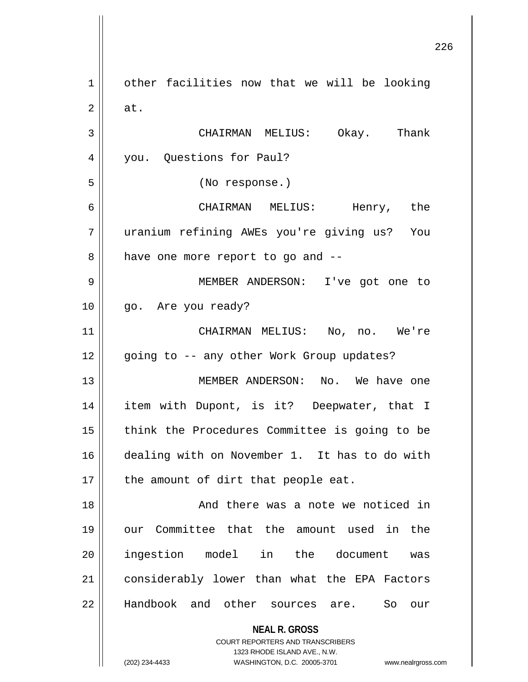**NEAL R. GROSS** COURT REPORTERS AND TRANSCRIBERS 1323 RHODE ISLAND AVE., N.W. (202) 234-4433 WASHINGTON, D.C. 20005-3701 www.nealrgross.com 1 | other facilities now that we will be looking  $2 \parallel$  at. 3 CHAIRMAN MELIUS: Okay. Thank 4 | you. Questions for Paul? 5 (No response.) 6 CHAIRMAN MELIUS: Henry, the 7 uranium refining AWEs you're giving us? You  $8 \parallel$  have one more report to go and  $-$ 9 MEMBER ANDERSON: I've got one to 10 || go. Are you ready? 11 CHAIRMAN MELIUS: No, no. We're 12 || going to -- any other Work Group updates? 13 MEMBER ANDERSON: No. We have one 14 item with Dupont, is it? Deepwater, that I 15 || think the Procedures Committee is going to be 16 dealing with on November 1. It has to do with  $17$  || the amount of dirt that people eat. 18 || The Mand there was a note we noticed in 19 our Committee that the amount used in the 20 ingestion model in the document was 21 considerably lower than what the EPA Factors 22 Handbook and other sources are. So our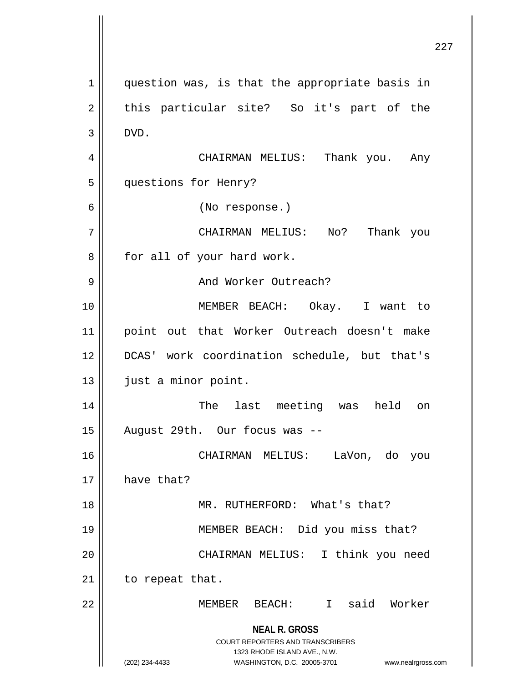**NEAL R. GROSS** COURT REPORTERS AND TRANSCRIBERS 1323 RHODE ISLAND AVE., N.W. (202) 234-4433 WASHINGTON, D.C. 20005-3701 www.nealrgross.com 1 question was, is that the appropriate basis in  $2 \parallel$  this particular site? So it's part of the  $3 \parallel$  DVD. 4 CHAIRMAN MELIUS: Thank you. Any 5 questions for Henry? 6 (No response.) 7 CHAIRMAN MELIUS: No? Thank you 8 || for all of your hard work. 9 And Worker Outreach? 10 MEMBER BEACH: Okay. I want to 11 point out that Worker Outreach doesn't make 12 DCAS' work coordination schedule, but that's 13 | just a minor point. 14 The last meeting was held on 15 August 29th. Our focus was -- 16 CHAIRMAN MELIUS: LaVon, do you 17 have that? 18 || MR. RUTHERFORD: What's that? 19 MEMBER BEACH: Did you miss that? 20 CHAIRMAN MELIUS: I think you need  $21$  | to repeat that. 22 MEMBER BEACH: I said Worker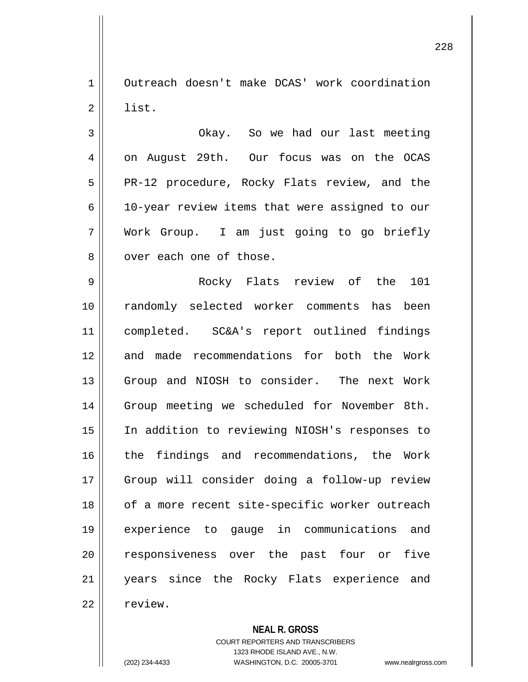1 | Outreach doesn't make DCAS' work coordination  $2 \parallel$  list.

3 Okay. So we had our last meeting 4 on August 29th. Our focus was on the OCAS 5 || PR-12 procedure, Rocky Flats review, and the 6 0 10-year review items that were assigned to our 7 Work Group. I am just going to go briefly 8 || over each one of those.

 Rocky Flats review of the 101 randomly selected worker comments has been completed. SC&A's report outlined findings 12 and made recommendations for both the Work Group and NIOSH to consider. The next Work Group meeting we scheduled for November 8th. In addition to reviewing NIOSH's responses to the findings and recommendations, the Work Group will consider doing a follow-up review 18 || of a more recent site-specific worker outreach experience to gauge in communications and 20 || responsiveness over the past four or five years since the Rocky Flats experience and 22 | review.

**NEAL R. GROSS**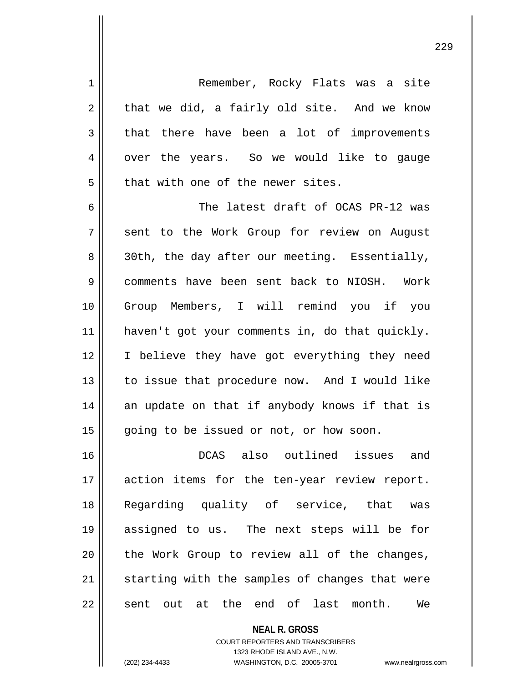1 Remember, Rocky Flats was a site  $2 \parallel$  that we did, a fairly old site. And we know  $3 \parallel$  that there have been a lot of improvements 4 || over the years. So we would like to gauge  $5$  || that with one of the newer sites. 6 The latest draft of OCAS PR-12 was 7 || sent to the Work Group for review on August  $8 \parallel$  30th, the day after our meeting. Essentially, 9 comments have been sent back to NIOSH. Work 10 Group Members, I will remind you if you 11 haven't got your comments in, do that quickly. 12 || I believe they have got everything they need 13 || to issue that procedure now. And I would like 14 || an update on that if anybody knows if that is 15 | going to be issued or not, or how soon. 16 DCAS also outlined issues and 17 action items for the ten-year review report. 18 Regarding quality of service, that was

**NEAL R. GROSS** assigned to us. The next steps will be for | the Work Group to review all of the changes, starting with the samples of changes that were sent out at the end of last month. We

> COURT REPORTERS AND TRANSCRIBERS 1323 RHODE ISLAND AVE., N.W. (202) 234-4433 WASHINGTON, D.C. 20005-3701 www.nealrgross.com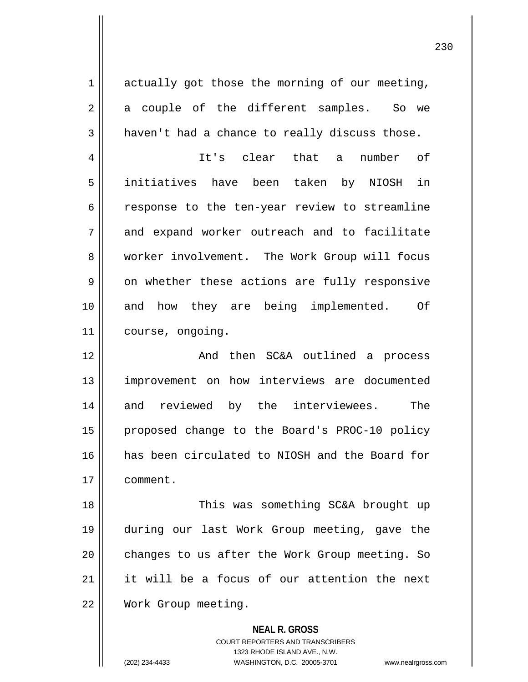$1 \parallel$  actually got those the morning of our meeting,  $2 \parallel$  a couple of the different samples. So we  $3 \parallel$  haven't had a chance to really discuss those. 4 || It's clear that a number of 5 initiatives have been taken by NIOSH in 6 contarge to the ten-year review to streamline 7 and expand worker outreach and to facilitate 8 || worker involvement. The Work Group will focus  $9 \parallel$  on whether these actions are fully responsive 10 and how they are being implemented. Of 11 | course, ongoing. 12 And then SC&A outlined a process 13 || improvement on how interviews are documented 14 and reviewed by the interviewees. The 15 || proposed change to the Board's PROC-10 policy 16 has been circulated to NIOSH and the Board for 17 comment. 18 || This was something SC&A brought up 19 during our last Work Group meeting, gave the  $20$   $\vert$  changes to us after the Work Group meeting. So 21  $\parallel$  it will be a focus of our attention the next 22 Work Group meeting.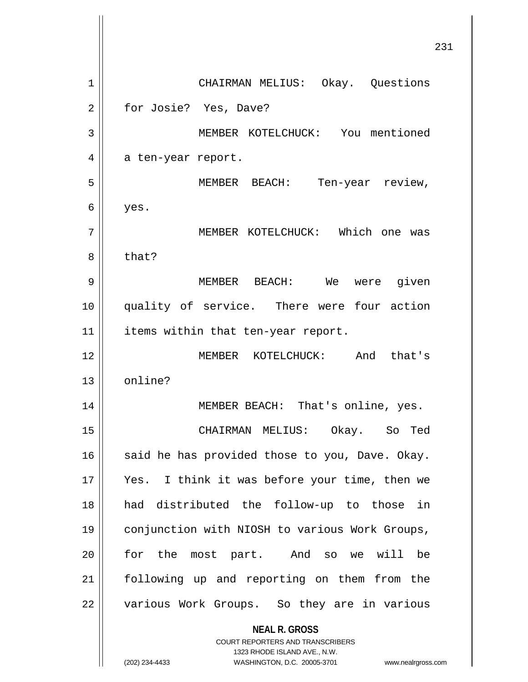**NEAL R. GROSS** COURT REPORTERS AND TRANSCRIBERS 1323 RHODE ISLAND AVE., N.W. 231 1 CHAIRMAN MELIUS: Okay. Questions 2 | for Josie? Yes, Dave? 3 || MEMBER KOTELCHUCK: You mentioned 4 | a ten-year report. 5 MEMBER BEACH: Ten-year review,  $6 \mid$  yes. 7 MEMBER KOTELCHUCK: Which one was  $8 \parallel$  that? 9 MEMBER BEACH: We were given 10 quality of service. There were four action 11 || items within that ten-year report. 12 MEMBER KOTELCHUCK: And that's  $13 \parallel$  online? 14 MEMBER BEACH: That's online, yes. 15 CHAIRMAN MELIUS: Okay. So Ted  $16$  said he has provided those to you, Dave. Okay. 17 || Yes. I think it was before your time, then we 18 had distributed the follow-up to those in 19 conjunction with NIOSH to various Work Groups, 20 for the most part. And so we will be 21 following up and reporting on them from the 22 || various Work Groups. So they are in various

(202) 234-4433 WASHINGTON, D.C. 20005-3701 www.nealrgross.com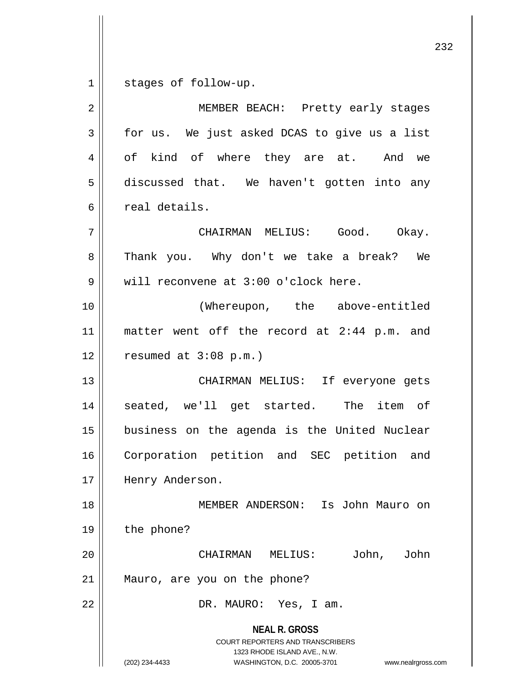$1 \parallel$  stages of follow-up.

| $\overline{2}$ | MEMBER BEACH: Pretty early stages                                                                                                                                      |
|----------------|------------------------------------------------------------------------------------------------------------------------------------------------------------------------|
| 3              | for us. We just asked DCAS to give us a list                                                                                                                           |
| 4              | of kind of where they are at. And we                                                                                                                                   |
| 5              | discussed that. We haven't gotten into any                                                                                                                             |
| 6              | real details.                                                                                                                                                          |
| 7              | CHAIRMAN MELIUS: Good. Okay.                                                                                                                                           |
| 8              | Thank you. Why don't we take a break? We                                                                                                                               |
| 9              | will reconvene at 3:00 o'clock here.                                                                                                                                   |
| 10             | (Whereupon, the above-entitled                                                                                                                                         |
| 11             | matter went off the record at 2:44 p.m. and                                                                                                                            |
| 12             | resumed at $3:08$ p.m.)                                                                                                                                                |
| 13             | CHAIRMAN MELIUS: If everyone gets                                                                                                                                      |
| 14             | seated, we'll get started. The item of                                                                                                                                 |
| 15             | business on the agenda is the United Nuclear                                                                                                                           |
| 16             | Corporation petition and SEC petition and                                                                                                                              |
| 17             | Henry Anderson.                                                                                                                                                        |
| 18             | MEMBER ANDERSON: Is John Mauro on                                                                                                                                      |
| 19             | the phone?                                                                                                                                                             |
| 20             | CHAIRMAN MELIUS:<br>John, John                                                                                                                                         |
| 21             | Mauro, are you on the phone?                                                                                                                                           |
| 22             | DR. MAURO: Yes, I am.                                                                                                                                                  |
|                | <b>NEAL R. GROSS</b><br><b>COURT REPORTERS AND TRANSCRIBERS</b><br>1323 RHODE ISLAND AVE., N.W.<br>(202) 234-4433<br>WASHINGTON, D.C. 20005-3701<br>www.nealrgross.com |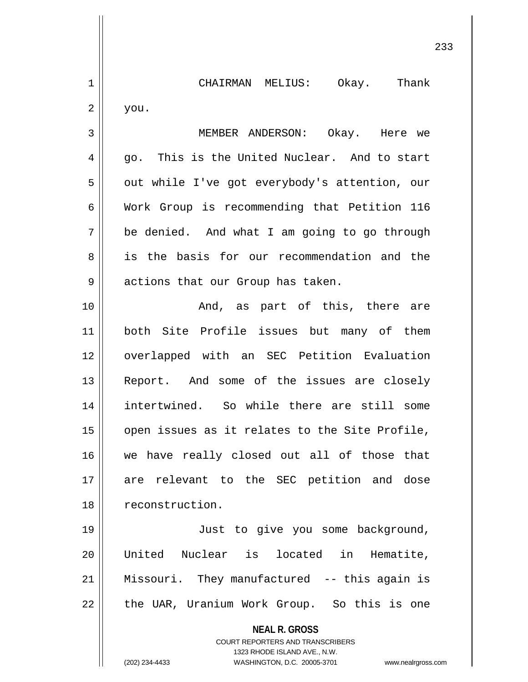**NEAL R. GROSS** COURT REPORTERS AND TRANSCRIBERS 1323 RHODE ISLAND AVE., N.W. (202) 234-4433 WASHINGTON, D.C. 20005-3701 www.nealrgross.com 1 CHAIRMAN MELIUS: Okay. Thank  $2 \parallel$  you. 3 MEMBER ANDERSON: Okay. Here we  $4 \parallel$  go. This is the United Nuclear. And to start  $5 \parallel$  out while I've got everybody's attention, our 6 Work Group is recommending that Petition 116 7 be denied. And what I am going to go through 8 as is the basis for our recommendation and the 9 || actions that our Group has taken. 10 || The Rand, as part of this, there are 11 both Site Profile issues but many of them 12 overlapped with an SEC Petition Evaluation 13 || Report. And some of the issues are closely 14 intertwined. So while there are still some  $15$  | open issues as it relates to the Site Profile, 16 we have really closed out all of those that 17 are relevant to the SEC petition and dose 18 | reconstruction. 19 || Just to give you some background, 20 United Nuclear is located in Hematite, 21 Missouri. They manufactured -- this again is 22 || the UAR, Uranium Work Group. So this is one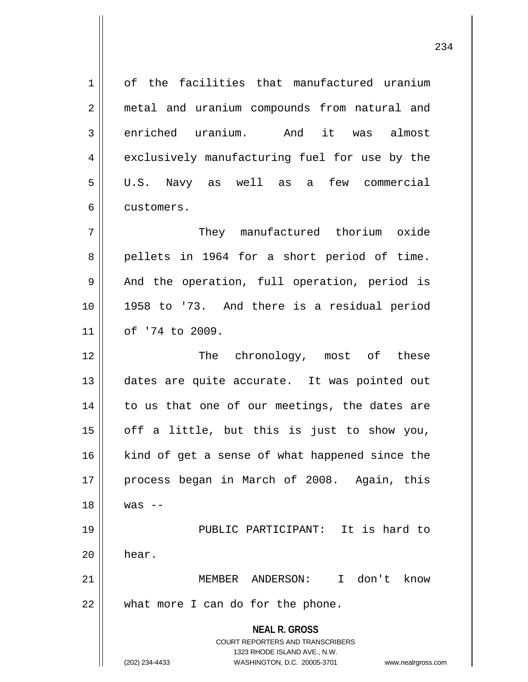**NEAL R. GROSS** COURT REPORTERS AND TRANSCRIBERS 1323 RHODE ISLAND AVE., N.W. (202) 234-4433 WASHINGTON, D.C. 20005-3701 www.nealrgross.com 1 of the facilities that manufactured uranium 2 || metal and uranium compounds from natural and 3 enriched uranium. And it was almost 4 || exclusively manufacturing fuel for use by the 5 U.S. Navy as well as a few commercial 6 customers. 7 They manufactured thorium oxide 8 || pellets in 1964 for a short period of time. 9 || And the operation, full operation, period is 10 1958 to '73. And there is a residual period 11 of '74 to 2009. 12 || The chronology, most of these 13 dates are quite accurate. It was pointed out  $14$  to us that one of our meetings, the dates are  $15$  | off a little, but this is just to show you, 16 || kind of get a sense of what happened since the 17 || process began in March of 2008. Again, this  $18 \parallel \text{was --}$ 19 PUBLIC PARTICIPANT: It is hard to  $20 \parallel$  hear. 21 MEMBER ANDERSON: I don't know  $22$  || what more I can do for the phone.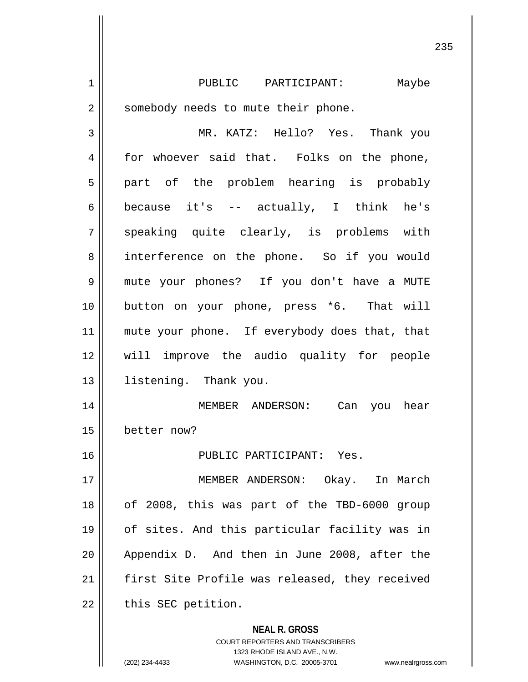**NEAL R. GROSS** COURT REPORTERS AND TRANSCRIBERS 1 PUBLIC PARTICIPANT: Maybe 2 | somebody needs to mute their phone. 3 MR. KATZ: Hello? Yes. Thank you 4 for whoever said that. Folks on the phone, 5 || part of the problem hearing is probably 6 because it's  $-$  actually, I think he's 7 || speaking quite clearly, is problems with 8 || interference on the phone. So if you would 9 mute your phones? If you don't have a MUTE 10 button on your phone, press \*6. That will 11 || mute your phone. If everybody does that, that 12 will improve the audio quality for people 13 listening. Thank you. 14 MEMBER ANDERSON: Can you hear 15 better now? 16 PUBLIC PARTICIPANT: Yes. 17 MEMBER ANDERSON: Okay. In March 18 || of 2008, this was part of the TBD-6000 group 19 of sites. And this particular facility was in 20 || Appendix D. And then in June 2008, after the  $21$  | first Site Profile was released, they received  $22$  | this SEC petition.

1323 RHODE ISLAND AVE., N.W.

(202) 234-4433 WASHINGTON, D.C. 20005-3701 www.nealrgross.com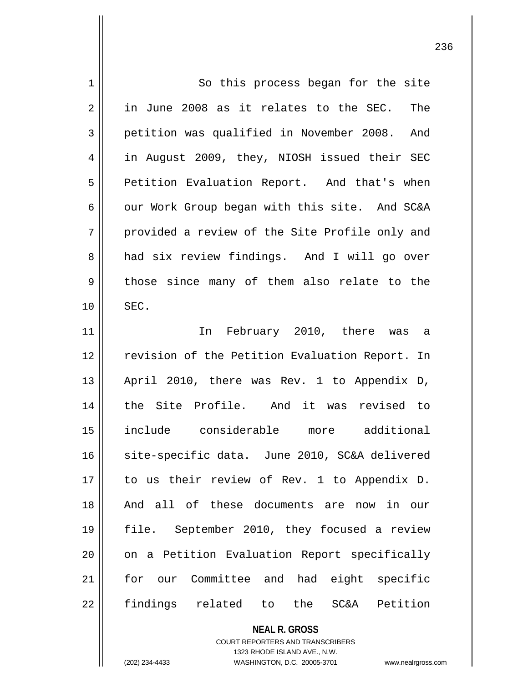| $\mathbf 1$ | So this process began for the site             |
|-------------|------------------------------------------------|
| 2           | in June 2008 as it relates to the SEC.<br>The  |
| 3           | petition was qualified in November 2008. And   |
| 4           | in August 2009, they, NIOSH issued their SEC   |
| 5           | Petition Evaluation Report. And that's when    |
| 6           | our Work Group began with this site. And SC&A  |
| 7           | provided a review of the Site Profile only and |
| 8           | had six review findings. And I will go over    |
| 9           | those since many of them also relate to the    |
| 10          | SEC.                                           |
| 11          | In February 2010, there was a                  |
| 12          | revision of the Petition Evaluation Report. In |
| 13          | April 2010, there was Rev. 1 to Appendix D,    |
| 14          | the Site Profile. And it was revised to        |
| 15          | include considerable more additional           |
| 16          | site-specific data. June 2010, SC&A delivered  |
| 17          | to us their review of Rev. 1 to Appendix D.    |
| 18          | And all of these documents are now in our      |
| 19          | file. September 2010, they focused a review    |
| 20          | on a Petition Evaluation Report specifically   |
| 21          | for our Committee and had eight specific       |
| 22          | findings related to the SC&A Petition          |
|             | <b>NEAL R. GROSS</b>                           |

COURT REPORTERS AND TRANSCRIBERS 1323 RHODE ISLAND AVE., N.W.

 $\mathsf{II}$ 

(202) 234-4433 WASHINGTON, D.C. 20005-3701 www.nealrgross.com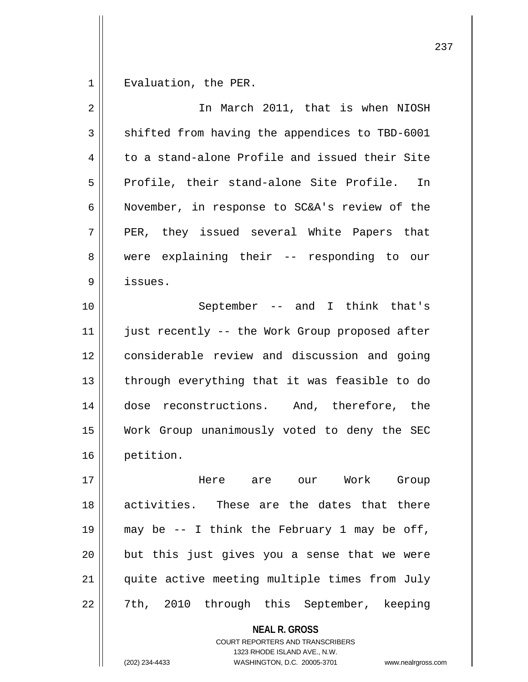Evaluation, the PER.

| $\overline{2}$ | In March 2011, that is when NIOSH              |
|----------------|------------------------------------------------|
| 3              | shifted from having the appendices to TBD-6001 |
| 4              | to a stand-alone Profile and issued their Site |
| 5              | Profile, their stand-alone Site Profile. In    |
| 6              | November, in response to SC&A's review of the  |
| 7              | PER, they issued several White Papers that     |
| 8              | were explaining their -- responding to our     |
| 9              | issues.                                        |
| 10             | September -- and I think that's                |
| 11             | just recently -- the Work Group proposed after |
| 12             | considerable review and discussion and going   |
| 13             | through everything that it was feasible to do  |
| 14             | dose reconstructions. And, therefore, the      |
| 15             | Work Group unanimously voted to deny the SEC   |
| 16             | petition.                                      |
| 17             | Here are our Work Group                        |
| 18             | activities. These are the dates that there     |
| 19             | may be -- I think the February 1 may be off,   |
| 20             | but this just gives you a sense that we were   |
| 21             | quite active meeting multiple times from July  |
| 22             | 7th, 2010 through this September, keeping      |
|                | <b>NEAL R. GROSS</b>                           |

COURT REPORTERS AND TRANSCRIBERS 1323 RHODE ISLAND AVE., N.W.

 $\mathsf{I}$ 

(202) 234-4433 WASHINGTON, D.C. 20005-3701 www.nealrgross.com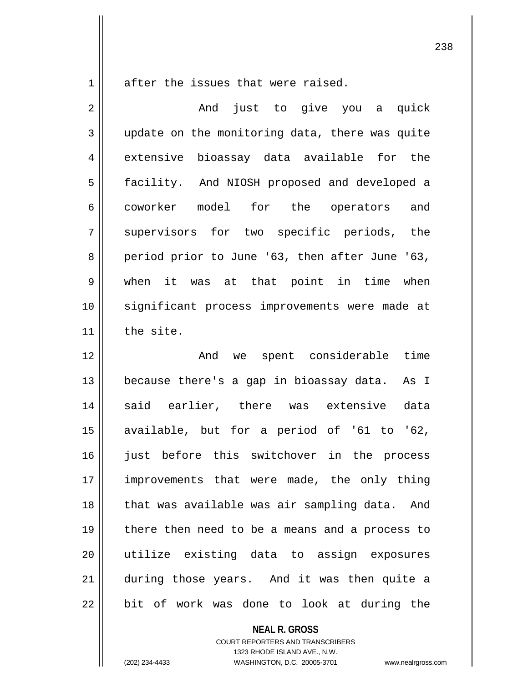after the issues that were raised.

| $\overline{2}$ | And<br>just to give you a quick                 |
|----------------|-------------------------------------------------|
| 3              | update on the monitoring data, there was quite  |
| 4              | extensive bioassay data available for the       |
| 5              | facility. And NIOSH proposed and developed a    |
| 6              | model for the operators<br>coworker<br>and      |
| 7              | supervisors for two specific periods, the       |
| 8              | period prior to June '63, then after June '63,  |
| 9              | when it was at that point in time<br>when       |
| 10             | significant process improvements were made at   |
| 11             | the site.                                       |
| 12             | we spent considerable time<br>And               |
| 13             | because there's a gap in bioassay data.<br>As I |
| 14             | said earlier, there was extensive<br>data       |
| 15             | available, but for a period of '61 to '62,      |
| 16             | just before this switchover in the process      |
| 17             | improvements that were made, the only thing     |
| 18             | that was available was air sampling data. And   |
| 19             | there then need to be a means and a process to  |
| 20             | utilize existing data to assign exposures       |
| 21             | during those years. And it was then quite a     |
| 22             | bit of work was done to look at during the      |

**NEAL R. GROSS** COURT REPORTERS AND TRANSCRIBERS

1323 RHODE ISLAND AVE., N.W.

(202) 234-4433 WASHINGTON, D.C. 20005-3701 www.nealrgross.com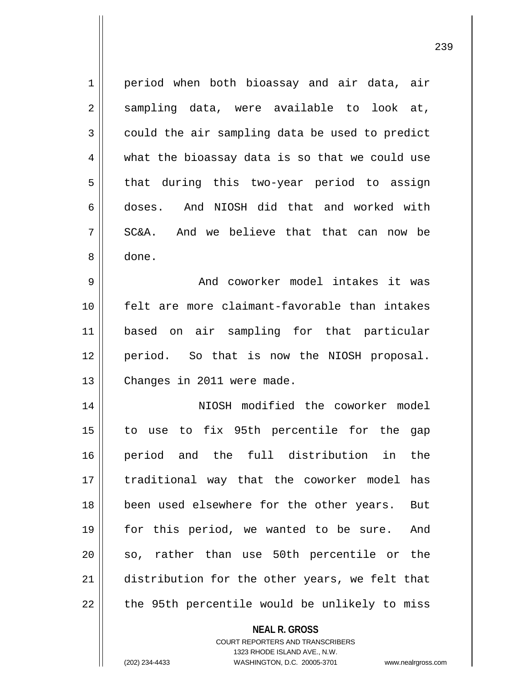period when both bioassay and air data, air  $2 \parallel$  sampling data, were available to look at,  $3 \parallel$  could the air sampling data be used to predict  $4 \parallel$  what the bioassay data is so that we could use  $5 \parallel$  that during this two-year period to assign doses. And NIOSH did that and worked with || SC&A. And we believe that that can now be done.

 And coworker model intakes it was felt are more claimant-favorable than intakes based on air sampling for that particular period. So that is now the NIOSH proposal. 13 || Changes in 2011 were made.

 NIOSH modified the coworker model to use to fix 95th percentile for the gap period and the full distribution in the traditional way that the coworker model has been used elsewhere for the other years. But for this period, we wanted to be sure. And so, rather than use 50th percentile or the distribution for the other years, we felt that || the 95th percentile would be unlikely to miss

### **NEAL R. GROSS**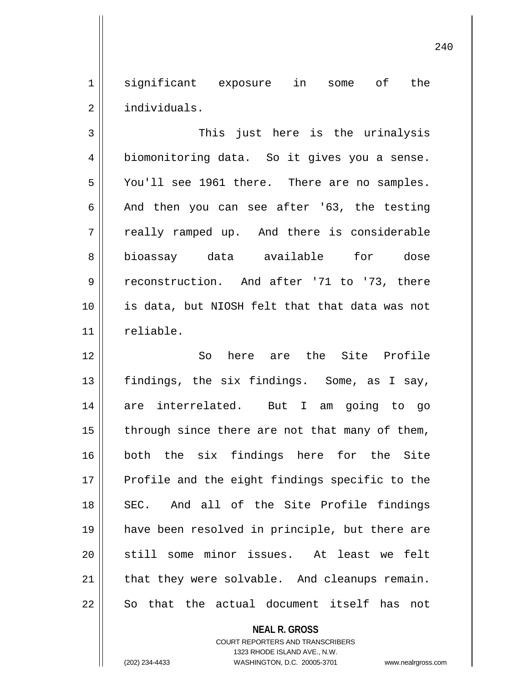1 || significant exposure in some of the 2 individuals.

3 This just here is the urinalysis 4 biomonitoring data. So it gives you a sense. 5 You'll see 1961 there. There are no samples. 6  $\parallel$  And then you can see after '63, the testing  $7 \parallel$  really ramped up. And there is considerable 8 bioassay data available for dose 9 || reconstruction. And after '71 to '73, there 10 is data, but NIOSH felt that that data was not 11 reliable.

 So here are the Site Profile 13 || findings, the six findings. Some, as I say, are interrelated. But I am going to go | through since there are not that many of them, both the six findings here for the Site Profile and the eight findings specific to the 18 || SEC. And all of the Site Profile findings have been resolved in principle, but there are 20 || still some minor issues. At least we felt | that they were solvable. And cleanups remain.  $\parallel$  So that the actual document itself has not

# **NEAL R. GROSS**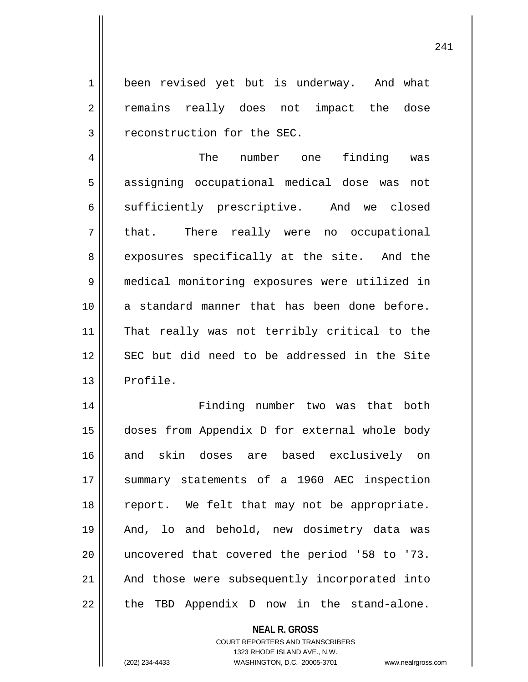1 || been revised yet but is underway. And what 2 remains really does not impact the dose 3 | reconstruction for the SEC.

4 The number one finding was 5 || assigning occupational medical dose was not 6 sufficiently prescriptive. And we closed 7 || that. There really were no occupational 8 exposures specifically at the site. And the 9 medical monitoring exposures were utilized in 10 || a standard manner that has been done before. 11 That really was not terribly critical to the 12 SEC but did need to be addressed in the Site 13 || Profile.

 Finding number two was that both doses from Appendix D for external whole body and skin doses are based exclusively on summary statements of a 1960 AEC inspection 18 || report. We felt that may not be appropriate. And, lo and behold, new dosimetry data was uncovered that covered the period '58 to '73. 21 || And those were subsequently incorporated into || the TBD Appendix D now in the stand-alone.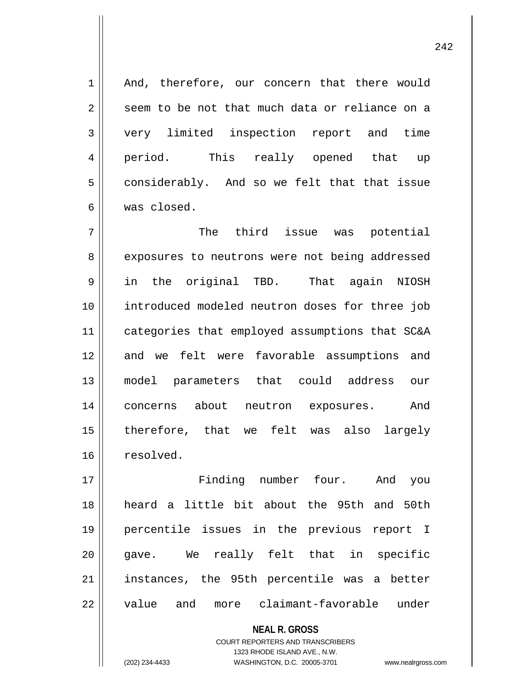1 || And, therefore, our concern that there would  $2 \parallel$  seem to be not that much data or reliance on a 3 very limited inspection report and time 4 || period. This really opened that up  $5$  | considerably. And so we felt that that issue 6 was closed.

7 || The third issue was potential 8 || exposures to neutrons were not being addressed 9 in the original TBD. That again NIOSH 10 introduced modeled neutron doses for three job 11 || categories that employed assumptions that SC&A 12 and we felt were favorable assumptions and 13 model parameters that could address our 14 concerns about neutron exposures. And 15 therefore, that we felt was also largely 16 resolved.

17 Finding number four. And you 18 heard a little bit about the 95th and 50th 19 percentile issues in the previous report I 20 || gave. We really felt that in specific 21 || instances, the 95th percentile was a better 22 || value and more claimant-favorable under

**NEAL R. GROSS**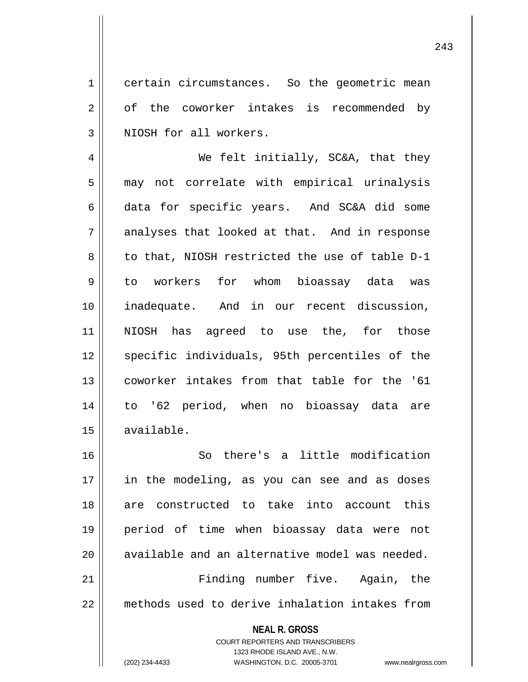1 certain circumstances. So the geometric mean  $2 \parallel$  of the coworker intakes is recommended by 3 || NIOSH for all workers.

4 We felt initially, SC&A, that they 5 || may not correlate with empirical urinalysis 6 data for specific years. And SC&A did some  $7 \parallel$  analyses that looked at that. And in response 8 to that, NIOSH restricted the use of table D-1 9 to workers for whom bioassay data was 10 || inadequate. And in our recent discussion, 11 NIOSH has agreed to use the, for those 12 || specific individuals, 95th percentiles of the 13 coworker intakes from that table for the '61 14 to '62 period, when no bioassay data are 15 available.

 So there's a little modification 17 || in the modeling, as you can see and as doses are constructed to take into account this period of time when bioassay data were not || available and an alternative model was needed. Finding number five. Again, the methods used to derive inhalation intakes from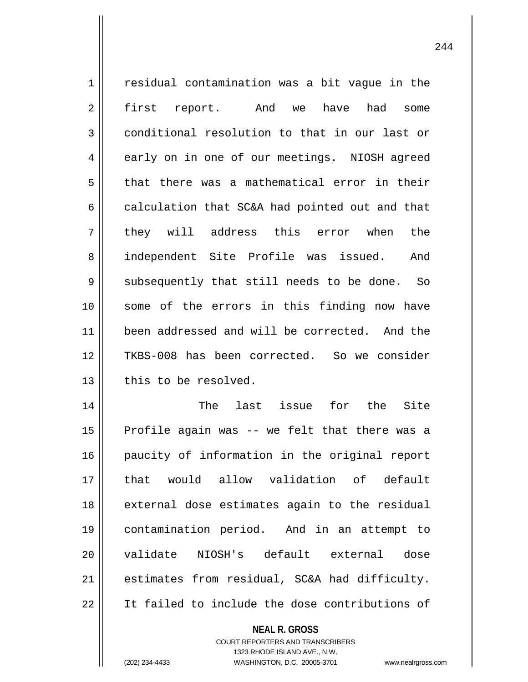1 | residual contamination was a bit vaque in the 2 first report. And we have had some  $3 \parallel$  conditional resolution to that in our last or 4 || early on in one of our meetings. NIOSH agreed || that there was a mathematical error in their  $6 \parallel$  calculation that SC&A had pointed out and that they will address this error when the independent Site Profile was issued. And  $9 \parallel$  subsequently that still needs to be done. So some of the errors in this finding now have been addressed and will be corrected. And the TKBS-008 has been corrected. So we consider  $\parallel$  this to be resolved. The last issue for the Site  $\parallel$  Profile again was -- we felt that there was a paucity of information in the original report that would allow validation of default

18 || external dose estimates again to the residual 19 contamination period. And in an attempt to 20 validate NIOSH's default external dose 21 | estimates from residual, SC&A had difficulty. 22 || It failed to include the dose contributions of

> **NEAL R. GROSS** COURT REPORTERS AND TRANSCRIBERS 1323 RHODE ISLAND AVE., N.W.

(202) 234-4433 WASHINGTON, D.C. 20005-3701 www.nealrgross.com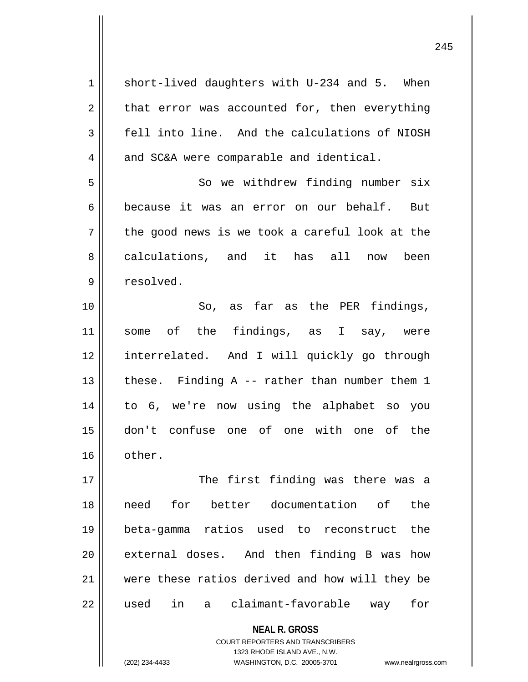**NEAL R. GROSS** COURT REPORTERS AND TRANSCRIBERS  $1 \parallel$  short-lived daughters with U-234 and 5. When  $2 \parallel$  that error was accounted for, then everything  $3 \parallel$  fell into line. And the calculations of NIOSH  $4 \parallel$  and SC&A were comparable and identical. 5 || So we withdrew finding number six 6 because it was an error on our behalf. But  $7 \parallel$  the good news is we took a careful look at the 8 calculations, and it has all now been 9 resolved. 10 || So, as far as the PER findings, 11 || some of the findings, as I say, were 12 interrelated. And I will quickly go through 13  $\parallel$  these. Finding A -- rather than number them 1 14 to 6, we're now using the alphabet so you 15 don't confuse one of one with one of the 16 other. 17 The first finding was there was a 18 need for better documentation of the 19 beta-gamma ratios used to reconstruct the 20 || external doses. And then finding B was how 21 were these ratios derived and how will they be 22 used in a claimant-favorable way for

1323 RHODE ISLAND AVE., N.W.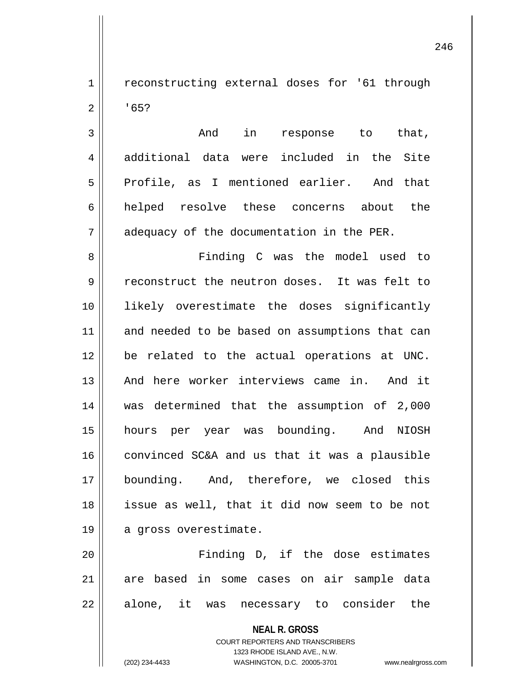1 | reconstructing external doses for '61 through  $2 \parallel$  '65?

3 and in response to that,  $4 \parallel$  additional data were included in the Site 5 Profile, as I mentioned earlier. And that 6 helped resolve these concerns about the 7 || adequacy of the documentation in the PER.

 Finding C was the model used to reconstruct the neutron doses. It was felt to likely overestimate the doses significantly 11 and needed to be based on assumptions that can be related to the actual operations at UNC. 13 || And here worker interviews came in. And it was determined that the assumption of 2,000 hours per year was bounding. And NIOSH convinced SC&A and us that it was a plausible bounding. And, therefore, we closed this 18 || issue as well, that it did now seem to be not 19 || a gross overestimate.

20 Finding D, if the dose estimates 21 || are based in some cases on air sample data  $22 \parallel$  alone, it was necessary to consider the

> **NEAL R. GROSS** COURT REPORTERS AND TRANSCRIBERS 1323 RHODE ISLAND AVE., N.W. (202) 234-4433 WASHINGTON, D.C. 20005-3701 www.nealrgross.com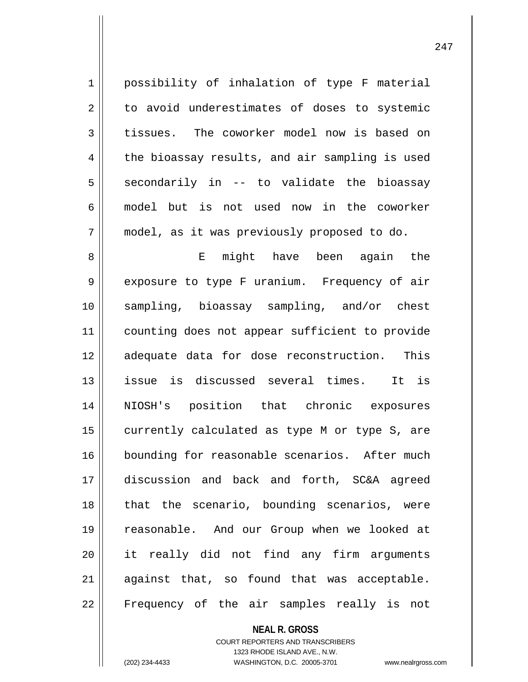**NEAL R. GROSS** COURT REPORTERS AND TRANSCRIBERS 1323 RHODE ISLAND AVE., N.W. (202) 234-4433 WASHINGTON, D.C. 20005-3701 www.nealrgross.com

247

1 | possibility of inhalation of type F material  $2 \parallel$  to avoid underestimates of doses to systemic 3 tissues. The coworker model now is based on  $4 \parallel$  the bioassay results, and air sampling is used  $5 \parallel$  secondarily in -- to validate the bioassay 6 model but is not used now in the coworker 7 model, as it was previously proposed to do.

 E might have been again the 9 exposure to type F uranium. Frequency of air sampling, bioassay sampling, and/or chest counting does not appear sufficient to provide adequate data for dose reconstruction. This issue is discussed several times. It is NIOSH's position that chronic exposures 15 || currently calculated as type M or type S, are bounding for reasonable scenarios. After much discussion and back and forth, SC&A agreed 18 || that the scenario, bounding scenarios, were reasonable. And our Group when we looked at it really did not find any firm arguments against that, so found that was acceptable. 22 || Frequency of the air samples really is not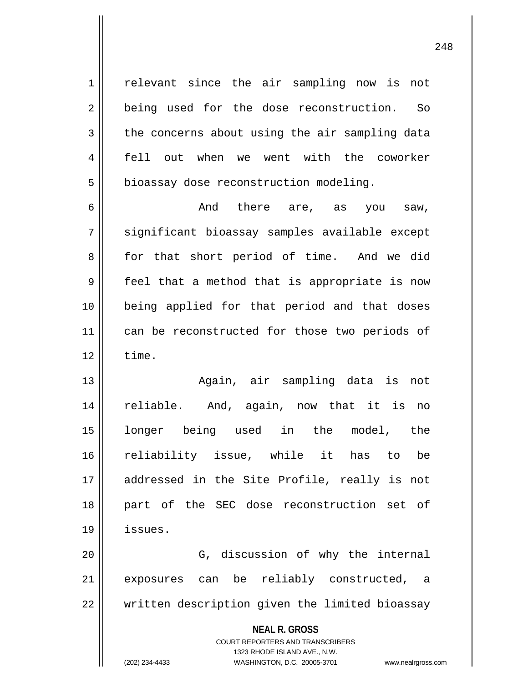1 || relevant since the air sampling now is not 2 || being used for the dose reconstruction. So  $3 \parallel$  the concerns about using the air sampling data 4 fell out when we went with the coworker  $5 \parallel$  bioassay dose reconstruction modeling.

6 And there are, as you saw, 7 || significant bioassay samples available except 8 for that short period of time. And we did  $9 \parallel$  feel that a method that is appropriate is now 10 being applied for that period and that doses 11 || can be reconstructed for those two periods of  $12 \parallel$  time.

 Again, air sampling data is not reliable. And, again, now that it is no longer being used in the model, the reliability issue, while it has to be addressed in the Site Profile, really is not 18 || part of the SEC dose reconstruction set of 19 issues.

20 || G, discussion of why the internal 21 exposures can be reliably constructed, a 22 || written description given the limited bioassay

## **NEAL R. GROSS**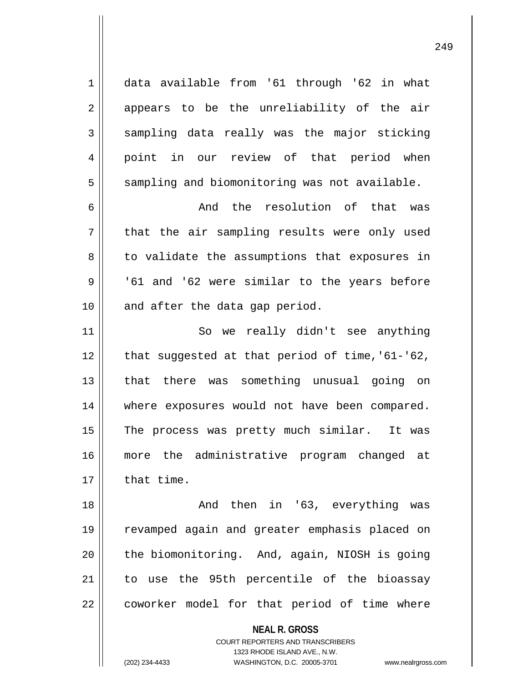1 data available from '61 through '62 in what 2 || appears to be the unreliability of the air  $3 \parallel$  sampling data really was the major sticking 4 || point in our review of that period when 5 | sampling and biomonitoring was not available.

6 and the resolution of that was  $7 \parallel$  that the air sampling results were only used  $8 \parallel$  to validate the assumptions that exposures in 9 || 161 and 162 were similar to the years before  $10$  | and after the data gap period.

11 || So we really didn't see anything 12  $\parallel$  that suggested at that period of time, '61-'62, 13 || that there was something unusual going on 14 || where exposures would not have been compared. 15 || The process was pretty much similar. It was 16 more the administrative program changed at  $17 \parallel$  that time.

 And then in '63, everything was revamped again and greater emphasis placed on | the biomonitoring. And, again, NIOSH is going 21 || to use the 95th percentile of the bioassay  $\parallel$  coworker model for that period of time where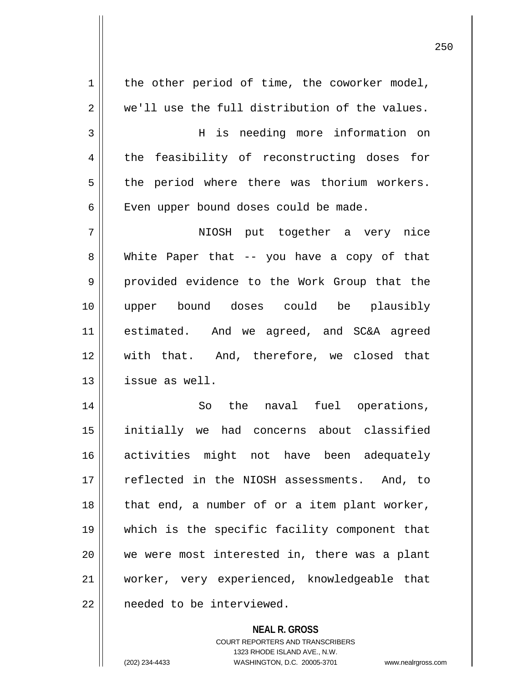| $\mathbf 1$ | the other period of time, the coworker model,  |
|-------------|------------------------------------------------|
| 2           | we'll use the full distribution of the values. |
| 3           | H is needing more information on               |
| 4           | the feasibility of reconstructing doses for    |
| 5           | the period where there was thorium workers.    |
| 6           | Even upper bound doses could be made.          |
| 7           | NIOSH put together a very nice                 |
| 8           | White Paper that -- you have a copy of that    |
| 9           | provided evidence to the Work Group that the   |
| 10          | upper bound doses could be plausibly           |
| 11          | estimated. And we agreed, and SC&A agreed      |
| 12          | with that. And, therefore, we closed that      |
| 13          | issue as well.                                 |
| 14          | So the naval fuel operations,                  |
| 15          | initially we had concerns about classified     |
| 16          | activities might not have been adequately      |
| 17          | reflected in the NIOSH assessments.<br>And, to |
| 18          | that end, a number of or a item plant worker,  |
| 19          | which is the specific facility component that  |
| 20          | we were most interested in, there was a plant  |
| 21          | worker, very experienced, knowledgeable that   |
| 22          | needed to be interviewed.                      |
|             |                                                |

**NEAL R. GROSS**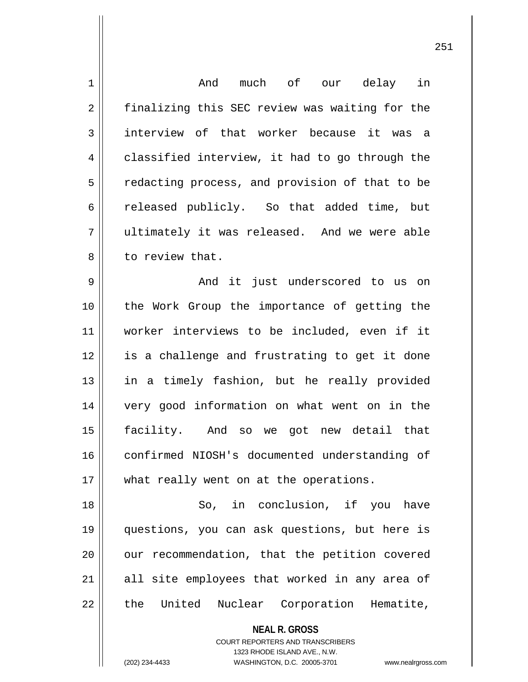| 1           | And much of our delay in                                                                                                                                             |
|-------------|----------------------------------------------------------------------------------------------------------------------------------------------------------------------|
| 2           | finalizing this SEC review was waiting for the                                                                                                                       |
| 3           | interview of that worker because it was<br>a                                                                                                                         |
| 4           | classified interview, it had to go through the                                                                                                                       |
| 5           | redacting process, and provision of that to be                                                                                                                       |
| 6           | released publicly. So that added time, but                                                                                                                           |
| 7           | ultimately it was released. And we were able                                                                                                                         |
| 8           | to review that.                                                                                                                                                      |
| $\mathsf 9$ | And it just underscored to us on                                                                                                                                     |
| 10          | the Work Group the importance of getting the                                                                                                                         |
| 11          | worker interviews to be included, even if it                                                                                                                         |
| 12          | is a challenge and frustrating to get it done                                                                                                                        |
| 13          | in a timely fashion, but he really provided                                                                                                                          |
| 14          | very good information on what went on in the                                                                                                                         |
| 15          | facility. And so we got new detail that                                                                                                                              |
| 16          | confirmed NIOSH's documented understanding of                                                                                                                        |
| 17          | what really went on at the operations.                                                                                                                               |
| 18          | So, in conclusion, if you have                                                                                                                                       |
| 19          | questions, you can ask questions, but here is                                                                                                                        |
| 20          | our recommendation, that the petition covered                                                                                                                        |
| 21          | all site employees that worked in any area of                                                                                                                        |
| 22          | the United Nuclear Corporation Hematite,                                                                                                                             |
|             | <b>NEAL R. GROSS</b><br><b>COURT REPORTERS AND TRANSCRIBERS</b><br>1323 RHODE ISLAND AVE., N.W.<br>(202) 234-4433<br>WASHINGTON, D.C. 20005-3701<br>www.nealrgross.c |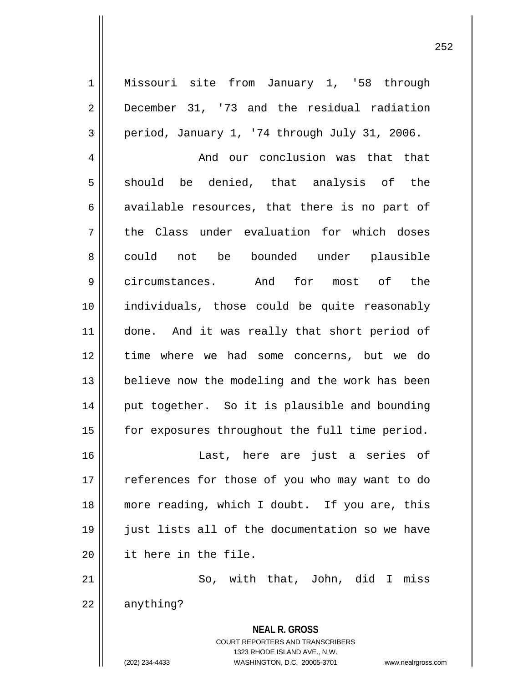252

1 || Missouri site from January 1, '58 through 2 December 31, '73 and the residual radiation  $3 \parallel$  period, January 1, '74 through July 31, 2006.

4 And our conclusion was that that  $5 \parallel$  should be denied, that analysis of the 6 available resources, that there is no part of 7 || the Class under evaluation for which doses 8 could not be bounded under plausible 9 circumstances. And for most of the 10 individuals, those could be quite reasonably 11 || done. And it was really that short period of 12 time where we had some concerns, but we do 13 || believe now the modeling and the work has been 14 || put together. So it is plausible and bounding 15 | for exposures throughout the full time period.

 Last, here are just a series of 17 || references for those of you who may want to do more reading, which I doubt. If you are, this just lists all of the documentation so we have it here in the file.

 $21$   $\parallel$  So, with that, John, did I miss  $22$  | anything?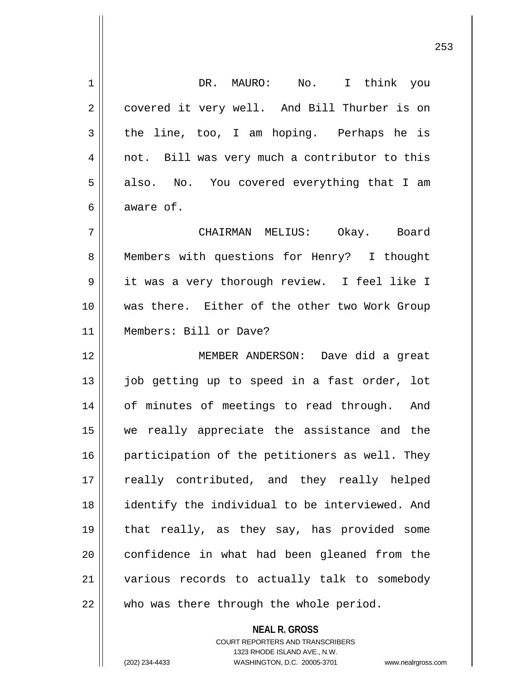1 DR. MAURO: No. I think you 2 covered it very well. And Bill Thurber is on  $3 \parallel$  the line, too, I am hoping. Perhaps he is 4 || not. Bill was very much a contributor to this  $5 \parallel$  also. No. You covered everything that I am 6 aware of. 7 CHAIRMAN MELIUS: Okay. Board 8 Members with questions for Henry? I thought 9 || it was a very thorough review. I feel like I 10 || was there. Either of the other two Work Group 11 Members: Bill or Dave? 12 || MEMBER ANDERSON: Dave did a great  $13$  job getting up to speed in a fast order, lot 14 || of minutes of meetings to read through. And 15 we really appreciate the assistance and the 16 || participation of the petitioners as well. They 17 || really contributed, and they really helped 18 identify the individual to be interviewed. And 19 that really, as they say, has provided some 20 || confidence in what had been gleaned from the 21 || various records to actually talk to somebody  $22$  || who was there through the whole period.

> COURT REPORTERS AND TRANSCRIBERS 1323 RHODE ISLAND AVE., N.W. (202) 234-4433 WASHINGTON, D.C. 20005-3701 www.nealrgross.com

**NEAL R. GROSS**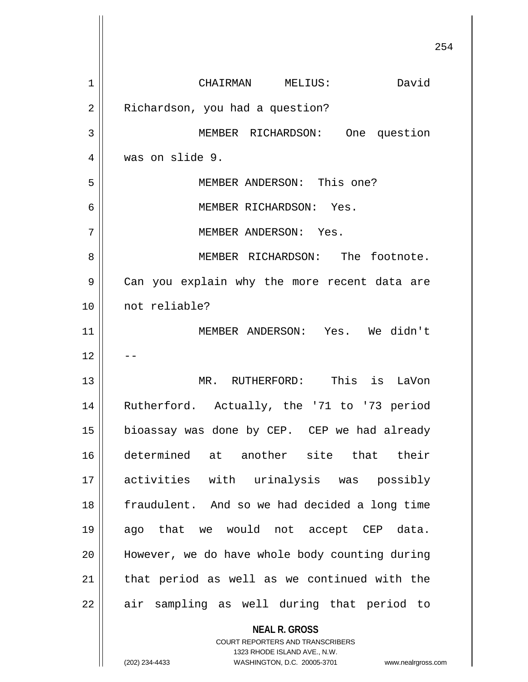| 1  | David<br>CHAIRMAN MELIUS:                      |
|----|------------------------------------------------|
| 2  | Richardson, you had a question?                |
| 3  | MEMBER RICHARDSON: One question                |
| 4  | was on slide 9.                                |
| 5  | MEMBER ANDERSON: This one?                     |
| 6  | MEMBER RICHARDSON: Yes.                        |
| 7  | MEMBER ANDERSON: Yes.                          |
| 8  | MEMBER RICHARDSON: The footnote.               |
| 9  | Can you explain why the more recent data are   |
| 10 | not reliable?                                  |
| 11 | MEMBER ANDERSON: Yes. We didn't                |
| 12 |                                                |
| 13 | MR. RUTHERFORD: This is LaVon                  |
| 14 | Rutherford. Actually, the '71 to '73 period    |
| 15 | bioassay was done by CEP. CEP we had already   |
| 16 | determined at another site that their          |
| 17 | activities with urinalysis was possibly        |
| 18 | fraudulent. And so we had decided a long time  |
| 19 | ago that we would not accept CEP data.         |
| 20 | However, we do have whole body counting during |
| 21 | that period as well as we continued with the   |
| 22 | air sampling as well during that period to     |
|    | <b>NEAL R. GROSS</b>                           |

COURT REPORTERS AND TRANSCRIBERS 1323 RHODE ISLAND AVE., N.W. (202) 234-4433 WASHINGTON, D.C. 20005-3701 www.nealrgross.com

 $\mathsf{II}$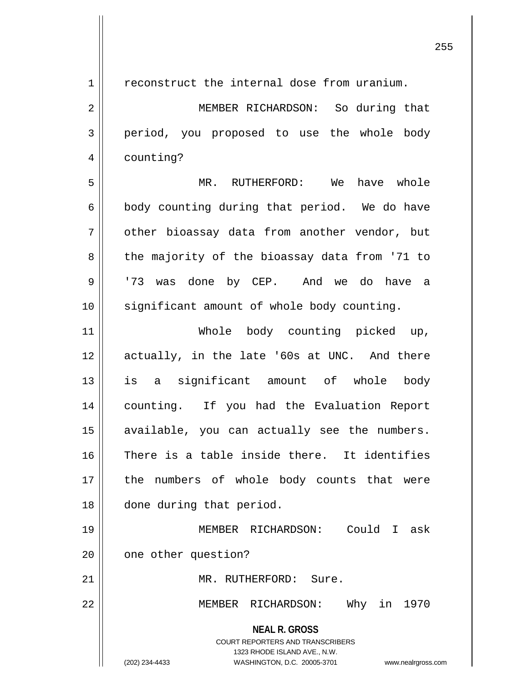| $\mathbf 1$    | reconstruct the internal dose from uranium.                                                     |
|----------------|-------------------------------------------------------------------------------------------------|
| $\sqrt{2}$     | MEMBER RICHARDSON: So during that                                                               |
| $\mathfrak{Z}$ | period, you proposed to use the whole body                                                      |
| 4              | counting?                                                                                       |
| 5              | MR. RUTHERFORD: We<br>have whole                                                                |
| 6              | body counting during that period. We do have                                                    |
| 7              | other bioassay data from another vendor, but                                                    |
| 8              | the majority of the bioassay data from '71 to                                                   |
| 9              | '73 was done by CEP. And we do have a                                                           |
| 10             | significant amount of whole body counting.                                                      |
| 11             | Whole body counting picked up,                                                                  |
| 12             | actually, in the late '60s at UNC. And there                                                    |
| 13             | is a significant amount of whole body                                                           |
| 14             | counting. If you had the Evaluation Report                                                      |
| 15             | available, you can actually see the numbers.                                                    |
| 16             | There is a table inside there. It identifies                                                    |
| 17             | the numbers of whole body counts that were                                                      |
| 18             | done during that period.                                                                        |
| 19             | MEMBER RICHARDSON: Could I ask                                                                  |
| 20             | one other question?                                                                             |
| 21             | MR. RUTHERFORD: Sure.                                                                           |
| 22             | MEMBER RICHARDSON:<br>Why in 1970                                                               |
|                | <b>NEAL R. GROSS</b><br><b>COURT REPORTERS AND TRANSCRIBERS</b><br>1323 RHODE ISLAND AVE., N.W. |
|                | (202) 234-4433<br>WASHINGTON, D.C. 20005-3701<br>www.nealrgross.c                               |

w.nealrgross.com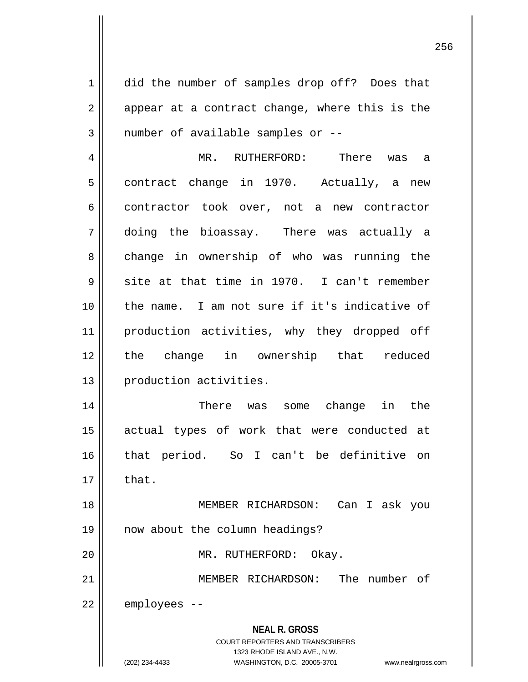1 did the number of samples drop off? Does that  $2 \parallel$  appear at a contract change, where this is the  $3$  || number of available samples or  $-$ -4 MR. RUTHERFORD: There was a 5 || contract change in 1970. Actually, a new 6 contractor took over, not a new contractor 7 doing the bioassay. There was actually a 8 change in ownership of who was running the 9 Site at that time in 1970. I can't remember 10 the name. I am not sure if it's indicative of 11 || production activities, why they dropped off 12 the change in ownership that reduced 13 || production activities. 14 There was some change in the 15 actual types of work that were conducted at 16 that period. So I can't be definitive on  $17 \parallel$  that. 18 MEMBER RICHARDSON: Can I ask you

19 now about the column headings? 20 MR. RUTHERFORD: Okay.

21 MEMBER RICHARDSON: The number of

 $22$  | employees  $-$ 

## **NEAL R. GROSS**

COURT REPORTERS AND TRANSCRIBERS 1323 RHODE ISLAND AVE., N.W. (202) 234-4433 WASHINGTON, D.C. 20005-3701 www.nealrgross.com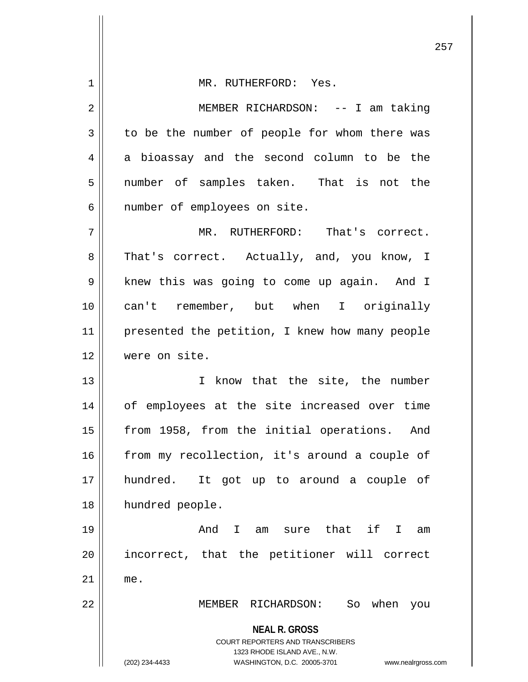| $\mathbf 1$ | MR. RUTHERFORD: Yes.                                                                                                                                                   |
|-------------|------------------------------------------------------------------------------------------------------------------------------------------------------------------------|
| 2           | MEMBER RICHARDSON: -- I am taking                                                                                                                                      |
| 3           | to be the number of people for whom there was                                                                                                                          |
| 4           | a bioassay and the second column to be the                                                                                                                             |
| 5           | number of samples taken. That is not the                                                                                                                               |
| 6           | number of employees on site.                                                                                                                                           |
| 7           | MR. RUTHERFORD: That's correct.                                                                                                                                        |
| 8           | That's correct. Actually, and, you know, I                                                                                                                             |
| 9           | knew this was going to come up again. And I                                                                                                                            |
| 10          | can't remember, but when I originally                                                                                                                                  |
| 11          | presented the petition, I knew how many people                                                                                                                         |
| 12          | were on site.                                                                                                                                                          |
| 13          | I know that the site, the number                                                                                                                                       |
| 14          | of employees at the site increased over time                                                                                                                           |
| 15          | from 1958, from the initial operations. And                                                                                                                            |
| 16          | from my recollection, it's around a couple of                                                                                                                          |
| 17          | hundred.<br>It got up to around a couple of                                                                                                                            |
| 18          | hundred people.                                                                                                                                                        |
| 19          | And I am sure that if I am                                                                                                                                             |
| 20          | incorrect, that the petitioner will correct                                                                                                                            |
| 21          | me.                                                                                                                                                                    |
| 22          | So<br>when you<br>MEMBER RICHARDSON:                                                                                                                                   |
|             | <b>NEAL R. GROSS</b><br><b>COURT REPORTERS AND TRANSCRIBERS</b><br>1323 RHODE ISLAND AVE., N.W.<br>(202) 234-4433<br>WASHINGTON, D.C. 20005-3701<br>www.nealrgross.com |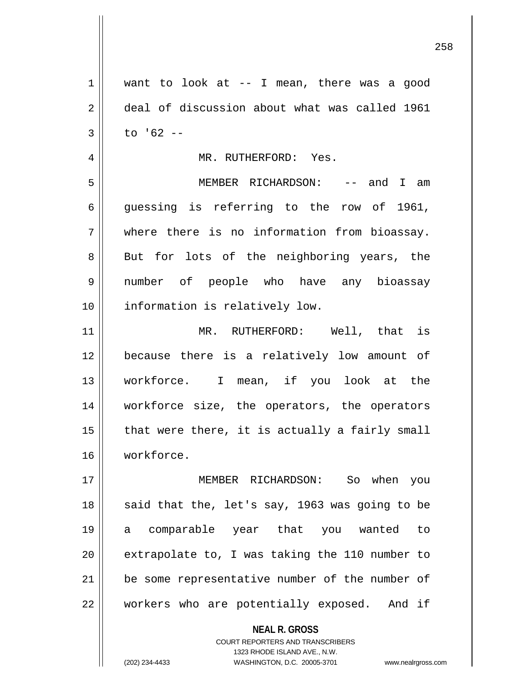| $\mathbf 1$    | want to look at -- I mean, there was a good              |
|----------------|----------------------------------------------------------|
| $\overline{2}$ | deal of discussion about what was called 1961            |
| 3              | to '62 --                                                |
| 4              | MR. RUTHERFORD: Yes.                                     |
| 5              | MEMBER RICHARDSON: -- and I am                           |
| 6              | guessing is referring to the row of 1961,                |
| 7              | where there is no information from bioassay.             |
| 8              | But for lots of the neighboring years, the               |
| 9              | number of people who have any bioassay                   |
| 10             | information is relatively low.                           |
| 11             | MR. RUTHERFORD: Well, that is                            |
| 12             | because there is a relatively low amount of              |
| 13             | workforce. I mean, if you look at the                    |
| 14             | workforce size, the operators, the operators             |
| 15             | that were there, it is actually a fairly small           |
| 16             | workforce.                                               |
| 17             | MEMBER RICHARDSON: So when you                           |
| 18             | said that the, let's say, 1963 was going to be           |
| 19             | a comparable year that you wanted to                     |
| 20             | extrapolate to, I was taking the 110 number to           |
| 21             | be some representative number of the number of           |
| 22             | workers who are potentially exposed. And if              |
|                | <b>NEAL R. GROSS</b><br>COURT REPORTERS AND TRANSCRIBERS |

1323 RHODE ISLAND AVE., N.W.

 $\mathsf{II}$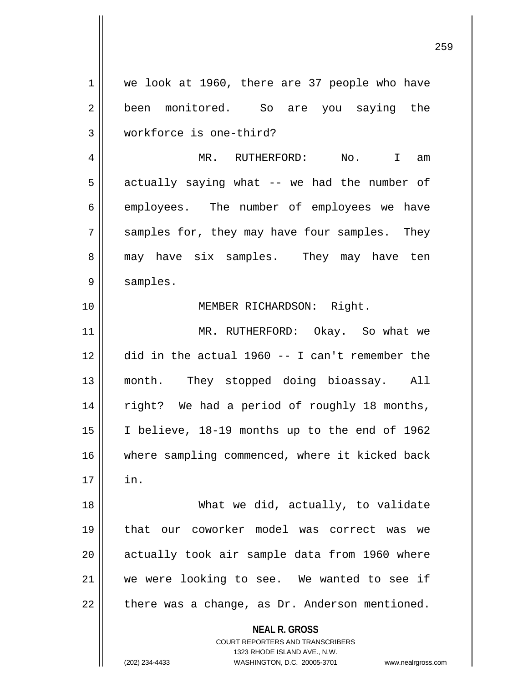**NEAL R. GROSS** COURT REPORTERS AND TRANSCRIBERS 1323 RHODE ISLAND AVE., N.W. 1 || we look at 1960, there are 37 people who have 2 been monitored. So are you saying the 3 workforce is one-third? 4 MR. RUTHERFORD: No. I am  $5 ||$  actually saying what -- we had the number of 6 employees. The number of employees we have  $7 \parallel$  samples for, they may have four samples. They 8 || may have six samples. They may have ten 9 || samples. 10 MEMBER RICHARDSON: Right. 11 MR. RUTHERFORD: Okay. So what we 12 did in the actual 1960 -- I can't remember the 13 || month. They stopped doing bioassay. All 14 || right? We had a period of roughly 18 months, 15 I believe, 18-19 months up to the end of 1962 16 where sampling commenced, where it kicked back  $17 \parallel \quad in.$ 18 What we did, actually, to validate 19 that our coworker model was correct was we 20 || actually took air sample data from 1960 where 21 we were looking to see. We wanted to see if  $22$  | there was a change, as Dr. Anderson mentioned.

(202) 234-4433 WASHINGTON, D.C. 20005-3701 www.nealrgross.com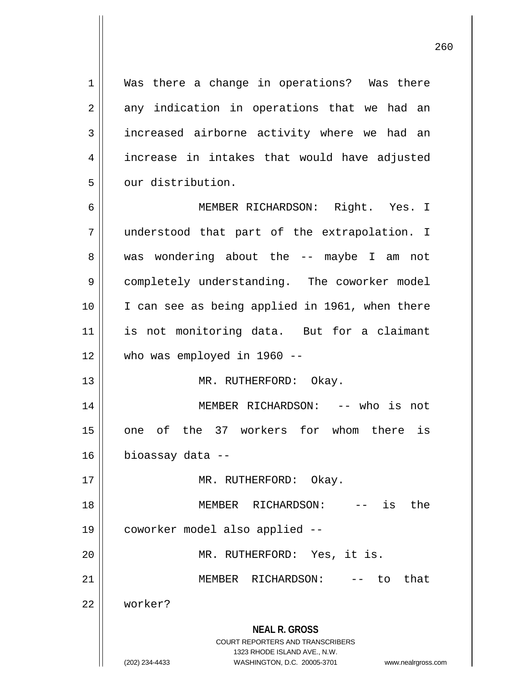1 || Was there a change in operations? Was there  $2 \parallel$  any indication in operations that we had an 3 || increased airborne activity where we had an 4 | increase in intakes that would have adjusted 5 | | our distribution.

6 MEMBER RICHARDSON: Right. Yes. I 7 understood that part of the extrapolation. I 8 || was wondering about the -- maybe I am not 9 | completely understanding. The coworker model 10 || I can see as being applied in 1961, when there 11 is not monitoring data. But for a claimant  $12 \parallel$  who was employed in 1960 --13 || MR. RUTHERFORD: Okay. 14 MEMBER RICHARDSON: -- who is not 15 || one of the 37 workers for whom there is 16 bioassay data -- 17 || MR. RUTHERFORD: Okay. 18 MEMBER RICHARDSON: -- is the 19 coworker model also applied -- 20 || MR. RUTHERFORD: Yes, it is.

21 MEMBER RICHARDSON: -- to that

22 worker?

## **NEAL R. GROSS**

COURT REPORTERS AND TRANSCRIBERS 1323 RHODE ISLAND AVE., N.W. (202) 234-4433 WASHINGTON, D.C. 20005-3701 www.nealrgross.com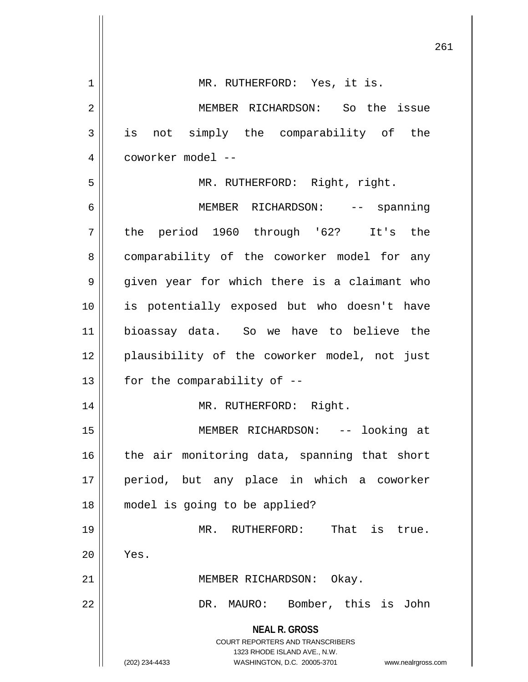|                | ∠ ∪                                                                                                                                                                    |
|----------------|------------------------------------------------------------------------------------------------------------------------------------------------------------------------|
| $\mathbf 1$    | MR. RUTHERFORD: Yes, it is.                                                                                                                                            |
| $\overline{a}$ | MEMBER RICHARDSON: So the issue                                                                                                                                        |
| 3              | is not simply the comparability of the                                                                                                                                 |
| $\overline{4}$ | coworker model --                                                                                                                                                      |
| 5              | MR. RUTHERFORD: Right, right.                                                                                                                                          |
| 6              | MEMBER RICHARDSON: -- spanning                                                                                                                                         |
| 7              | the period 1960 through '62? It's the                                                                                                                                  |
| 8              | comparability of the coworker model for any                                                                                                                            |
| 9              | given year for which there is a claimant who                                                                                                                           |
| 10             | is potentially exposed but who doesn't have                                                                                                                            |
| 11             | bioassay data. So we have to believe the                                                                                                                               |
| 12             | plausibility of the coworker model, not just                                                                                                                           |
| 13             | for the comparability of --                                                                                                                                            |
| 14             | MR. RUTHERFORD: Right.                                                                                                                                                 |
| 15             | MEMBER RICHARDSON: -- looking at                                                                                                                                       |
| 16             | the air monitoring data, spanning that short                                                                                                                           |
| 17             | period, but any place in which a coworker                                                                                                                              |
| 18             | model is going to be applied?                                                                                                                                          |
| 19             | MR. RUTHERFORD: That is<br>true.                                                                                                                                       |
| 20             | Yes.                                                                                                                                                                   |
| 21             | MEMBER RICHARDSON: Okay.                                                                                                                                               |
| 22             | DR. MAURO: Bomber, this is John                                                                                                                                        |
|                | <b>NEAL R. GROSS</b><br><b>COURT REPORTERS AND TRANSCRIBERS</b><br>1323 RHODE ISLAND AVE., N.W.<br>(202) 234-4433<br>WASHINGTON, D.C. 20005-3701<br>www.nealrgross.com |
|                |                                                                                                                                                                        |

 $\mathsf{l}$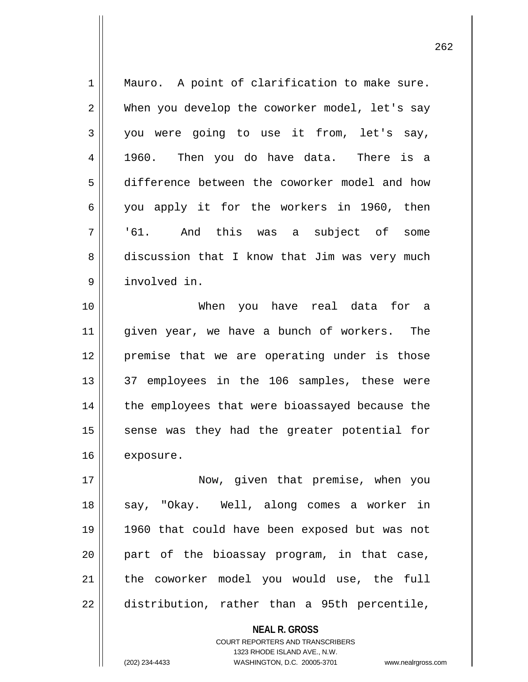**NEAL R. GROSS** COURT REPORTERS AND TRANSCRIBERS 1 || Mauro. A point of clarification to make sure. 2 When you develop the coworker model, let's say 3 you were going to use it from, let's say, 4 || 1960. Then you do have data. There is a 5 difference between the coworker model and how 6 you apply it for the workers in 1960, then 7 '61. And this was a subject of some 8 discussion that I know that Jim was very much 9 involved in. 10 When you have real data for a 11 || given year, we have a bunch of workers. The 12 || premise that we are operating under is those 13 || 37 employees in the 106 samples, these were 14 || the employees that were bioassayed because the 15 || sense was they had the greater potential for 16 exposure. 17 || Now, given that premise, when you 18 || say, "Okay. Well, along comes a worker in 19 1960 that could have been exposed but was not  $20$  || part of the bioassay program, in that case, 21 || the coworker model you would use, the full 22 | distribution, rather than a 95th percentile,

1323 RHODE ISLAND AVE., N.W.

(202) 234-4433 WASHINGTON, D.C. 20005-3701 www.nealrgross.com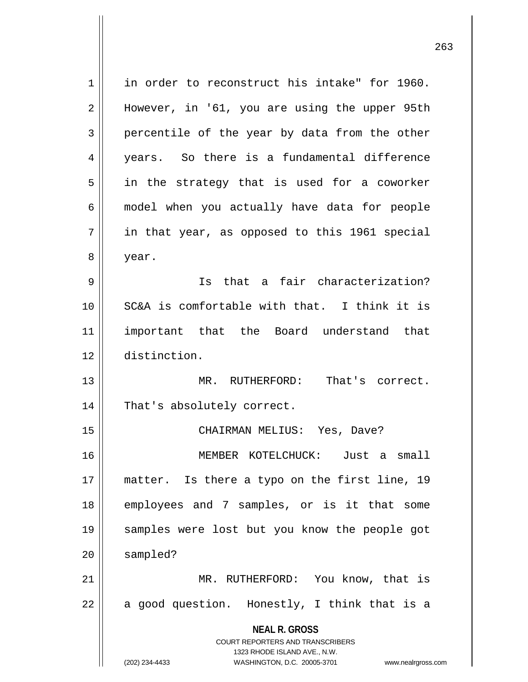**NEAL R. GROSS** COURT REPORTERS AND TRANSCRIBERS 1323 RHODE ISLAND AVE., N.W. (202) 234-4433 WASHINGTON, D.C. 20005-3701 www.nealrgross.com 1 in order to reconstruct his intake" for 1960. 2 || However, in '61, you are using the upper 95th 3 percentile of the year by data from the other 4 years. So there is a fundamental difference  $5 \parallel$  in the strategy that is used for a coworker 6 model when you actually have data for people  $7 \parallel$  in that year, as opposed to this 1961 special 8 | year. 9 Is that a fair characterization? 10 SC&A is comfortable with that. I think it is 11 important that the Board understand that 12 distinction. 13 MR. RUTHERFORD: That's correct. 14 || That's absolutely correct. 15 CHAIRMAN MELIUS: Yes, Dave? 16 MEMBER KOTELCHUCK: Just a small 17 || matter. Is there a typo on the first line, 19 18 employees and 7 samples, or is it that some 19 samples were lost but you know the people got 20 | sampled? 21 MR. RUTHERFORD: You know, that is  $22 \parallel$  a good question. Honestly, I think that is a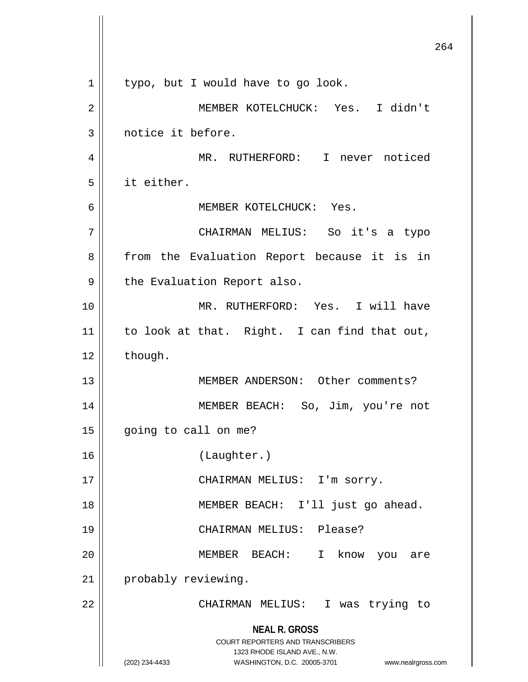|             | 26                                                                  |
|-------------|---------------------------------------------------------------------|
| $\mathbf 1$ | typo, but I would have to go look.                                  |
| 2           | MEMBER KOTELCHUCK: Yes. I didn't                                    |
| 3           | notice it before.                                                   |
| 4           | MR. RUTHERFORD: I never noticed                                     |
| 5           | it either.                                                          |
| 6           | MEMBER KOTELCHUCK: Yes.                                             |
| 7           | CHAIRMAN MELIUS: So it's a typo                                     |
| 8           | from the Evaluation Report because it is in                         |
| 9           | the Evaluation Report also.                                         |
| 10          | MR. RUTHERFORD: Yes. I will have                                    |
| 11          | to look at that. Right. I can find that out,                        |
| 12          | though.                                                             |
| 13          | MEMBER ANDERSON: Other comments?                                    |
| 14          | MEMBER BEACH:<br>So, Jim, you're not                                |
| 15          | going to call on me?                                                |
| 16          | (Laughter.)                                                         |
| 17          | CHAIRMAN MELIUS: I'm sorry.                                         |
| 18          | MEMBER BEACH: I'll just go ahead.                                   |
| 19          | CHAIRMAN MELIUS: Please?                                            |
| 20          | MEMBER BEACH: I<br>know you are                                     |
| 21          | probably reviewing.                                                 |
| 22          | I was trying to<br>CHAIRMAN MELIUS:                                 |
|             | <b>NEAL R. GROSS</b>                                                |
|             | COURT REPORTERS AND TRANSCRIBERS<br>1323 RHODE ISLAND AVE., N.W.    |
|             | (202) 234-4433<br>WASHINGTON, D.C. 20005-3701<br>www.nealrgross.com |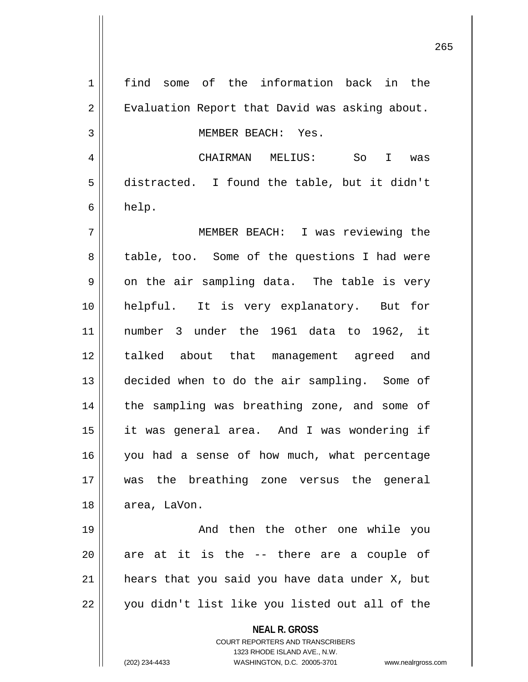| $\mathbf 1$    | find some of the information back in the                                                        |
|----------------|-------------------------------------------------------------------------------------------------|
| $\overline{2}$ | Evaluation Report that David was asking about.                                                  |
| 3              | MEMBER BEACH: Yes.                                                                              |
| 4              | CHAIRMAN MELIUS: So I was                                                                       |
| 5              | distracted. I found the table, but it didn't                                                    |
| 6              | help.                                                                                           |
| 7              | MEMBER BEACH: I was reviewing the                                                               |
| 8              | table, too. Some of the questions I had were                                                    |
| 9              | on the air sampling data. The table is very                                                     |
| 10             | helpful. It is very explanatory. But for                                                        |
| 11             | number 3 under the 1961 data to 1962, it                                                        |
| 12             | talked about that management agreed and                                                         |
| 13             | decided when to do the air sampling. Some of                                                    |
| 14             | the sampling was breathing zone, and some of                                                    |
| 15             | it was general area. And I was wondering if                                                     |
| 16             | you had a sense of how much, what percentage                                                    |
| 17             | was the breathing zone versus the general                                                       |
| 18             | area, LaVon.                                                                                    |
| 19             | And then the other one while you                                                                |
| 20             | are at it is the -- there are a couple of                                                       |
| 21             | hears that you said you have data under X, but                                                  |
| 22             | you didn't list like you listed out all of the                                                  |
|                | <b>NEAL R. GROSS</b><br><b>COURT REPORTERS AND TRANSCRIBERS</b><br>1323 RHODE ISLAND AVE., N.W. |
|                | (202) 234-4433<br>WASHINGTON, D.C. 20005-3701<br>www.nealrgross.c                               |

 $\mathsf{I}$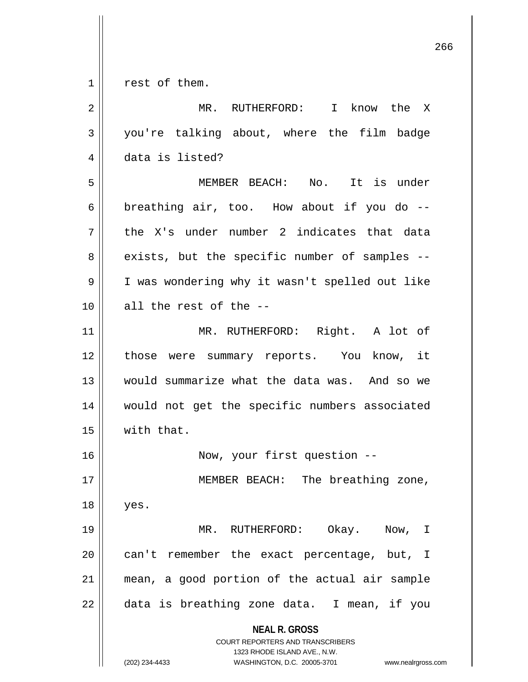$1 \parallel$  rest of them.

| $\overline{2}$ | MR. RUTHERFORD: I know the X                                                                                                                                           |
|----------------|------------------------------------------------------------------------------------------------------------------------------------------------------------------------|
| 3              | you're talking about, where the film badge                                                                                                                             |
| 4              | data is listed?                                                                                                                                                        |
| 5              | MEMBER BEACH: No. It is under                                                                                                                                          |
| 6              | breathing air, too. How about if you do --                                                                                                                             |
| 7              | the X's under number 2 indicates that data                                                                                                                             |
| 8              | exists, but the specific number of samples --                                                                                                                          |
| 9              | I was wondering why it wasn't spelled out like                                                                                                                         |
| 10             | all the rest of the --                                                                                                                                                 |
| 11             | MR. RUTHERFORD: Right. A lot of                                                                                                                                        |
| 12             | those were summary reports. You know, it                                                                                                                               |
| 13             | would summarize what the data was. And so we                                                                                                                           |
| 14             | would not get the specific numbers associated                                                                                                                          |
| 15             | with that.                                                                                                                                                             |
| 16             | Now, your first question --                                                                                                                                            |
| 17             | The breathing zone,<br>MEMBER BEACH:                                                                                                                                   |
| 18             | yes.                                                                                                                                                                   |
| 19             | Okay.<br>Now, I<br>MR. RUTHERFORD:                                                                                                                                     |
| 20             | can't remember the exact percentage, but, I                                                                                                                            |
| 21             | mean, a good portion of the actual air sample                                                                                                                          |
| 22             | data is breathing zone data. I mean, if you                                                                                                                            |
|                | <b>NEAL R. GROSS</b><br><b>COURT REPORTERS AND TRANSCRIBERS</b><br>1323 RHODE ISLAND AVE., N.W.<br>(202) 234-4433<br>WASHINGTON, D.C. 20005-3701<br>www.nealrgross.com |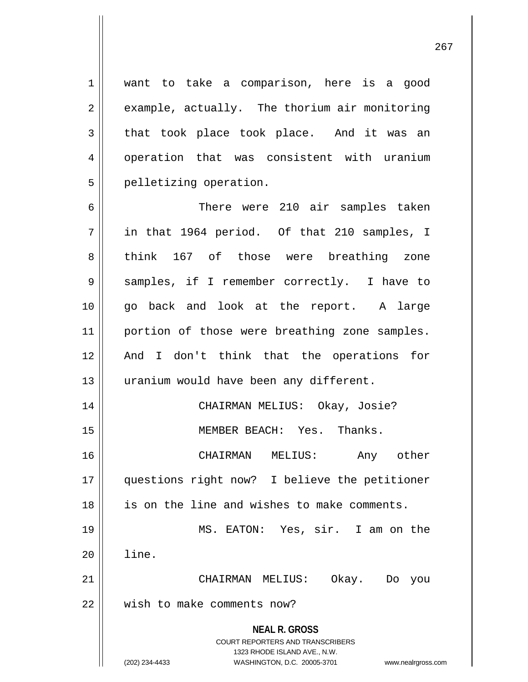1 || want to take a comparison, here is a good  $2 \parallel$  example, actually. The thorium air monitoring  $3 \parallel$  that took place took place. And it was an 4 | operation that was consistent with uranium 5 | pelletizing operation.

**NEAL R. GROSS** COURT REPORTERS AND TRANSCRIBERS 1323 RHODE ISLAND AVE., N.W. 6 There were 210 air samples taken 7 in that 1964 period. Of that 210 samples, I 8 think 167 of those were breathing zone 9 || samples, if I remember correctly. I have to 10 go back and look at the report. A large 11 || portion of those were breathing zone samples. 12 And I don't think that the operations for 13 || uranium would have been any different. 14 CHAIRMAN MELIUS: Okay, Josie? 15 MEMBER BEACH: Yes. Thanks. 16 CHAIRMAN MELIUS: Any other 17 questions right now? I believe the petitioner 18 is on the line and wishes to make comments. 19 MS. EATON: Yes, sir. I am on the 20 line. 21 CHAIRMAN MELIUS: Okay. Do you 22 We wish to make comments now?

(202) 234-4433 WASHINGTON, D.C. 20005-3701 www.nealrgross.com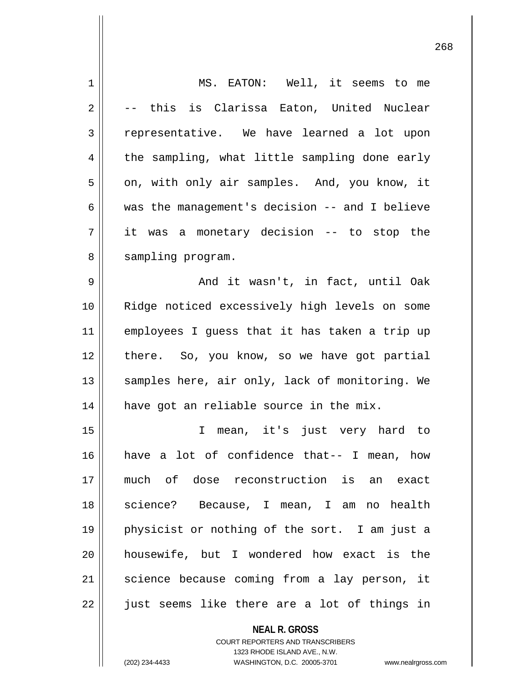| 1  | MS. EATON: Well, it seems to me                |
|----|------------------------------------------------|
| 2  | -- this is Clarissa Eaton, United Nuclear      |
| 3  | representative. We have learned a lot upon     |
| 4  | the sampling, what little sampling done early  |
| 5  | on, with only air samples. And, you know, it   |
| 6  | was the management's decision -- and I believe |
| 7  | it was a monetary decision -- to stop the      |
| 8  | sampling program.                              |
| 9  | And it wasn't, in fact, until Oak              |
| 10 | Ridge noticed excessively high levels on some  |
| 11 | employees I guess that it has taken a trip up  |
| 12 | there. So, you know, so we have got partial    |
| 13 | samples here, air only, lack of monitoring. We |
| 14 | have got an reliable source in the mix.        |
| 15 | mean, it's just very hard to<br>I.             |
| 16 | have a lot of confidence that-- I mean, how    |
| 17 | much of dose reconstruction is an exact        |
| 18 | science? Because, I mean, I am no health       |
| 19 | physicist or nothing of the sort. I am just a  |
| 20 | housewife, but I wondered how exact is the     |
| 21 | science because coming from a lay person, it   |
| 22 | just seems like there are a lot of things in   |
|    | <b>NEAL R. GROSS</b>                           |

COURT REPORTERS AND TRANSCRIBERS 1323 RHODE ISLAND AVE., N.W.

(202) 234-4433 WASHINGTON, D.C. 20005-3701 www.nealrgross.com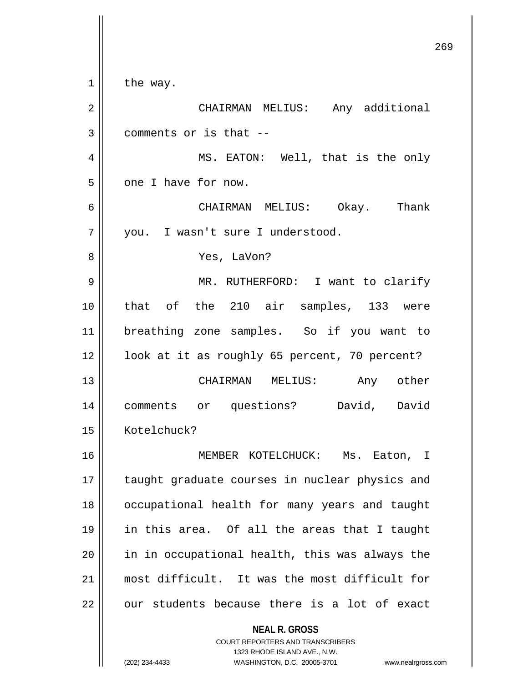|             | 269                                                                 |
|-------------|---------------------------------------------------------------------|
| $\mathbf 1$ | the way.                                                            |
| 2           | CHAIRMAN MELIUS: Any additional                                     |
| 3           | comments or is that --                                              |
| 4           | MS. EATON: Well, that is the only                                   |
| 5           | one I have for now.                                                 |
| 6           | CHAIRMAN MELIUS: Okay. Thank                                        |
| 7           | you. I wasn't sure I understood.                                    |
| 8           | Yes, LaVon?                                                         |
| 9           | MR. RUTHERFORD: I want to clarify                                   |
| 10          | that of the 210 air samples, 133 were                               |
| 11          | breathing zone samples. So if you want to                           |
| 12          | look at it as roughly 65 percent, 70 percent?                       |
| 13          | CHAIRMAN MELIUS: Any other                                          |
| 14          | comments or questions? David, David                                 |
| 15          | Kotelchuck?                                                         |
| 16          | MEMBER KOTELCHUCK: Ms. Eaton, I                                     |
| 17          | taught graduate courses in nuclear physics and                      |
| 18          | occupational health for many years and taught                       |
| 19          | in this area. Of all the areas that I taught                        |
| 20          | in in occupational health, this was always the                      |
| 21          | most difficult. It was the most difficult for                       |
| 22          | our students because there is a lot of exact                        |
|             | <b>NEAL R. GROSS</b><br>COURT REPORTERS AND TRANSCRIBERS            |
|             | 1323 RHODE ISLAND AVE., N.W.                                        |
|             | (202) 234-4433<br>WASHINGTON, D.C. 20005-3701<br>www.nealrgross.com |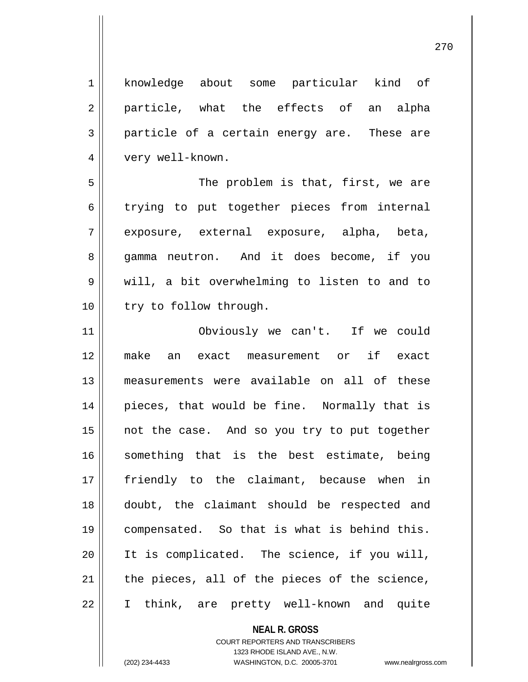knowledge about some particular kind of particle, what the effects of an alpha particle of a certain energy are. These are 4 | very well-known.

5 || The problem is that, first, we are  $6 \parallel$  trying to put together pieces from internal 7 exposure, external exposure, alpha, beta, 8 gamma neutron. And it does become, if you 9 || will, a bit overwhelming to listen to and to 10 || try to follow through.

 Obviously we can't. If we could make an exact measurement or if exact measurements were available on all of these 14 || pieces, that would be fine. Normally that is 15 || not the case. And so you try to put together 16 Something that is the best estimate, being friendly to the claimant, because when in doubt, the claimant should be respected and compensated. So that is what is behind this. It is complicated. The science, if you will, | the pieces, all of the pieces of the science, I think, are pretty well-known and quite

## **NEAL R. GROSS**

COURT REPORTERS AND TRANSCRIBERS 1323 RHODE ISLAND AVE., N.W. (202) 234-4433 WASHINGTON, D.C. 20005-3701 www.nealrgross.com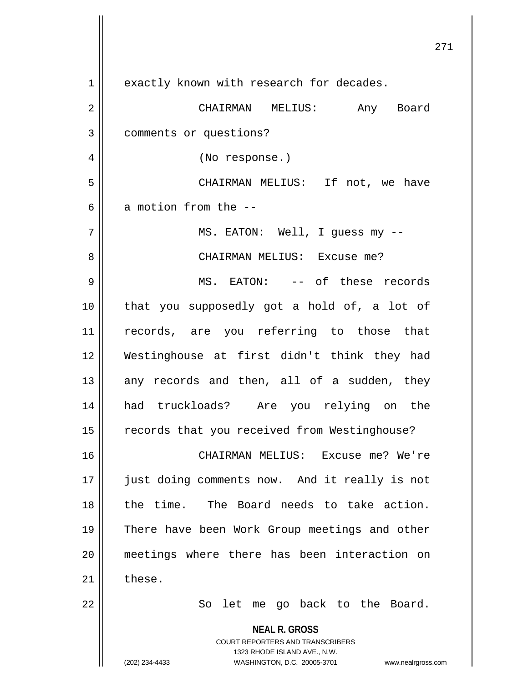|                | 271                                                                                                 |
|----------------|-----------------------------------------------------------------------------------------------------|
| $\mathbf 1$    | exactly known with research for decades.                                                            |
| $\overline{a}$ | CHAIRMAN MELIUS: Any Board                                                                          |
| 3              | comments or questions?                                                                              |
| 4              | (No response.)                                                                                      |
| 5              | CHAIRMAN MELIUS: If not, we have                                                                    |
| 6              | a motion from the --                                                                                |
| 7              | MS. EATON: Well, I guess my --                                                                      |
| 8              | CHAIRMAN MELIUS: Excuse me?                                                                         |
| 9              | MS. EATON: -- of these records                                                                      |
| 10             | that you supposedly got a hold of, a lot of                                                         |
| 11             | records, are you referring to those that                                                            |
| 12             | Westinghouse at first didn't think they had                                                         |
| 13             | any records and then, all of a sudden, they                                                         |
| 14             | had truckloads? Are you relying on the                                                              |
| 15             | records that you received from Westinghouse?                                                        |
| 16             | CHAIRMAN MELIUS: Excuse me? We're                                                                   |
| 17             | just doing comments now. And it really is not                                                       |
| 18             | the time. The Board needs to take action.                                                           |
| 19             | There have been Work Group meetings and other                                                       |
| 20             | meetings where there has been interaction on                                                        |
| 21             | these.                                                                                              |
| 22             | let me go back to the Board.<br>So                                                                  |
|                | <b>NEAL R. GROSS</b>                                                                                |
|                | COURT REPORTERS AND TRANSCRIBERS                                                                    |
|                | 1323 RHODE ISLAND AVE., N.W.<br>(202) 234-4433<br>WASHINGTON, D.C. 20005-3701<br>www.nealrgross.com |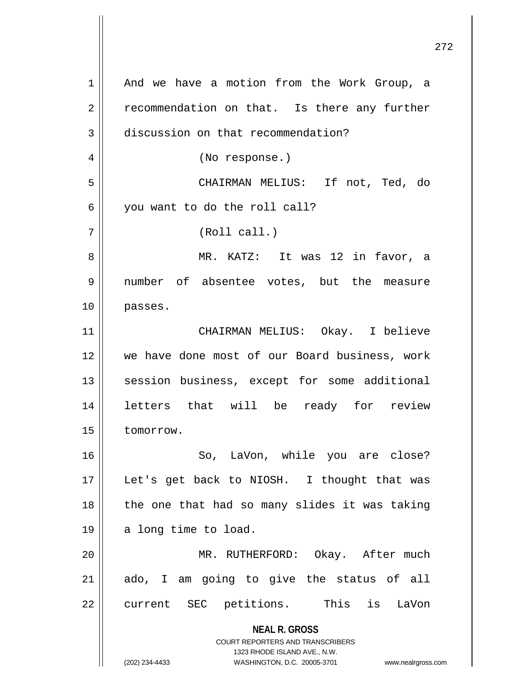**NEAL R. GROSS** COURT REPORTERS AND TRANSCRIBERS 1323 RHODE ISLAND AVE., N.W. 1 || And we have a motion from the Work Group, a 2 | recommendation on that. Is there any further 3 discussion on that recommendation? 4 || (No response.) 5 CHAIRMAN MELIUS: If not, Ted, do 6 you want to do the roll call? 7 (Roll call.) 8 MR. KATZ: It was 12 in favor, a 9 number of absentee votes, but the measure 10 passes. 11 CHAIRMAN MELIUS: Okay. I believe 12 we have done most of our Board business, work 13 || session business, except for some additional 14 letters that will be ready for review 15 tomorrow. 16 || So, LaVon, while you are close? 17 || Let's get back to NIOSH. I thought that was  $18$  | the one that had so many slides it was taking 19 || a long time to load. 20 MR. RUTHERFORD: Okay. After much  $21$  ado, I am going to give the status of all 22 || current SEC petitions. This is LaVon

(202) 234-4433 WASHINGTON, D.C. 20005-3701 www.nealrgross.com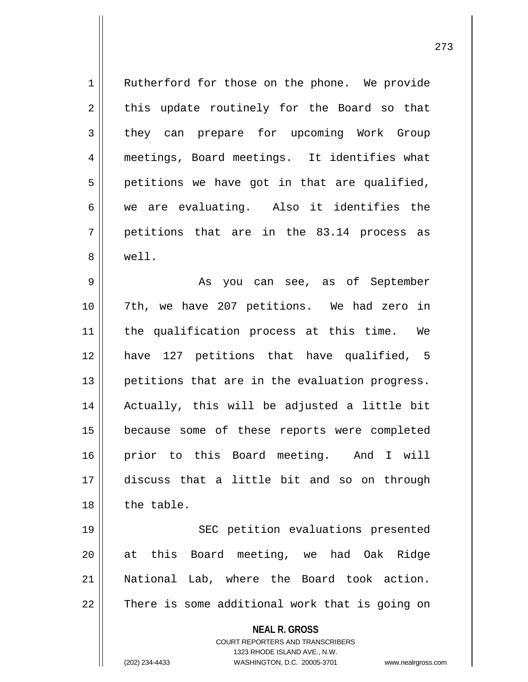**NEAL R. GROSS** COURT REPORTERS AND TRANSCRIBERS 1323 RHODE ISLAND AVE., N.W. 1 | Rutherford for those on the phone. We provide  $2 \parallel$  this update routinely for the Board so that 3 they can prepare for upcoming Work Group 4 meetings, Board meetings. It identifies what  $5 \parallel$  petitions we have got in that are qualified,  $6$  || we are evaluating. Also it identifies the  $7 \parallel$  petitions that are in the 83.14 process as 8 well. 9 As you can see, as of September 10 7th, we have 207 petitions. We had zero in 11 the qualification process at this time. We 12 have 127 petitions that have qualified, 5 13 || petitions that are in the evaluation progress. 14 Actually, this will be adjusted a little bit 15 because some of these reports were completed 16 prior to this Board meeting. And I will 17 discuss that a little bit and so on through  $18$  | the table. 19 || SEC petition evaluations presented 20 at this Board meeting, we had Oak Ridge 21 National Lab, where the Board took action. 22 || There is some additional work that is going on

(202) 234-4433 WASHINGTON, D.C. 20005-3701 www.nealrgross.com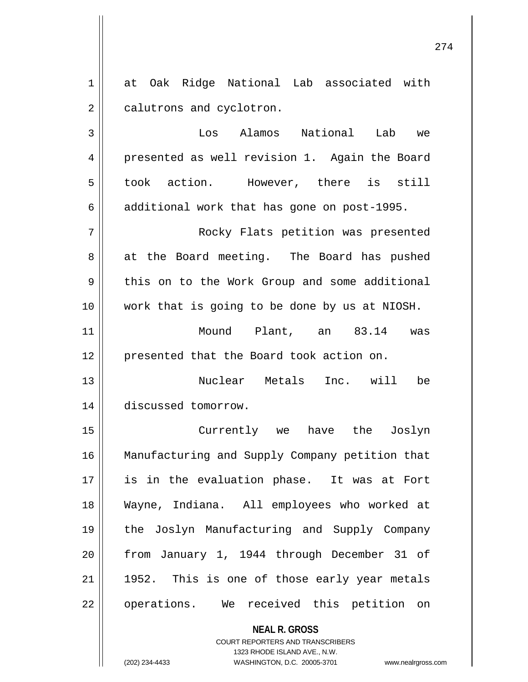at Oak Ridge National Lab associated with 2 | calutrons and cyclotron. Los Alamos National Lab we 4 | presented as well revision 1. Again the Board took action. However, there is still  $6 \parallel$  additional work that has gone on post-1995. 7 || Rocky Flats petition was presented 8 at the Board meeting. The Board has pushed 9 this on to the Work Group and some additional work that is going to be done by us at NIOSH. Mound Plant, an 83.14 was 12 || presented that the Board took action on. Nuclear Metals Inc. will be discussed tomorrow. Currently we have the Joslyn Manufacturing and Supply Company petition that is in the evaluation phase. It was at Fort Wayne, Indiana. All employees who worked at the Joslyn Manufacturing and Supply Company from January 1, 1944 through December 31 of || 1952. This is one of those early year metals 22 || operations. We received this petition on

> **NEAL R. GROSS** COURT REPORTERS AND TRANSCRIBERS 1323 RHODE ISLAND AVE., N.W.

(202) 234-4433 WASHINGTON, D.C. 20005-3701 www.nealrgross.com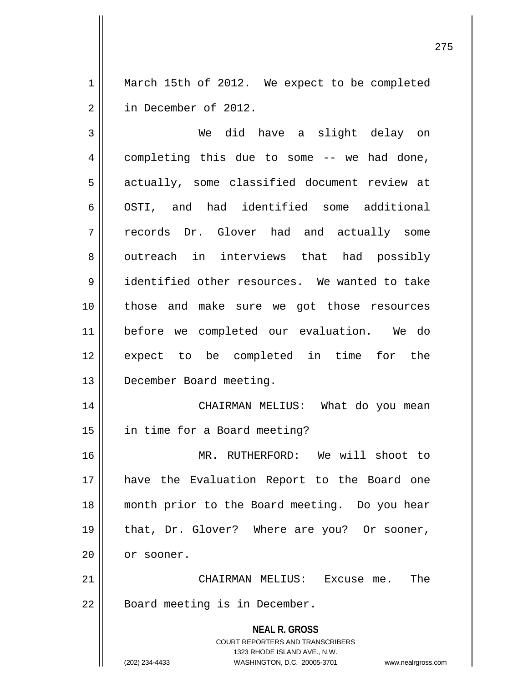1 || March 15th of 2012. We expect to be completed 2 in December of 2012.

 We did have a slight delay on completing this due to some -- we had done, 5 || actually, some classified document review at 6 || OSTI, and had identified some additional records Dr. Glover had and actually some 8 || outreach in interviews that had possibly identified other resources. We wanted to take those and make sure we got those resources before we completed our evaluation. We do expect to be completed in time for the 13 | December Board meeting. CHAIRMAN MELIUS: What do you mean in time for a Board meeting? 16 || MR. RUTHERFORD: We will shoot to have the Evaluation Report to the Board one month prior to the Board meeting. Do you hear 19 || that, Dr. Glover? Where are you? Or sooner, | or sooner. CHAIRMAN MELIUS: Excuse me. The 22 || Board meeting is in December.

> **NEAL R. GROSS** COURT REPORTERS AND TRANSCRIBERS 1323 RHODE ISLAND AVE., N.W. (202) 234-4433 WASHINGTON, D.C. 20005-3701 www.nealrgross.com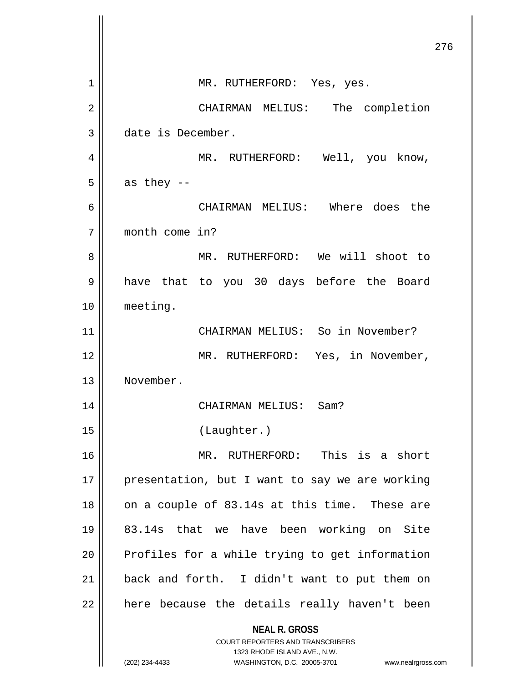|    | 27                                                                      |
|----|-------------------------------------------------------------------------|
| 1  | MR. RUTHERFORD: Yes, yes.                                               |
| 2  | CHAIRMAN MELIUS: The completion                                         |
| 3  | date is December.                                                       |
| 4  | MR. RUTHERFORD: Well, you know,                                         |
| 5  | as they --                                                              |
| 6  | CHAIRMAN MELIUS: Where does the                                         |
| 7  | month come in?                                                          |
| 8  | MR. RUTHERFORD: We will shoot to                                        |
| 9  | have that to you 30 days before the Board                               |
| 10 | meeting.                                                                |
| 11 | CHAIRMAN MELIUS: So in November?                                        |
| 12 | MR. RUTHERFORD: Yes, in November,                                       |
| 13 | November.                                                               |
| 14 | CHAIRMAN MELIUS: Sam?                                                   |
| 15 | (Laughter.)                                                             |
| 16 | MR. RUTHERFORD: This is a short                                         |
| 17 | presentation, but I want to say we are working                          |
| 18 | on a couple of 83.14s at this time. These are                           |
| 19 | 83.14s that we have been working on Site                                |
| 20 | Profiles for a while trying to get information                          |
| 21 | back and forth. I didn't want to put them on                            |
| 22 | here because the details really haven't been                            |
|    | <b>NEAL R. GROSS</b>                                                    |
|    | <b>COURT REPORTERS AND TRANSCRIBERS</b><br>1323 RHODE ISLAND AVE., N.W. |
|    | (202) 234-4433<br>WASHINGTON, D.C. 20005-3701<br>www.nealrgross.com     |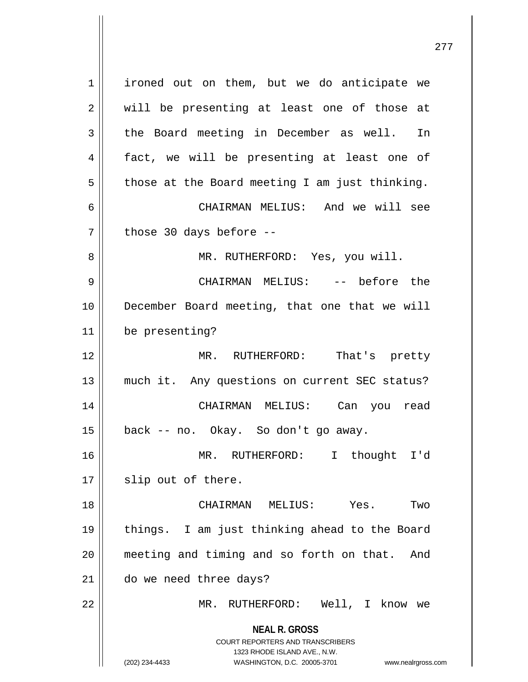**NEAL R. GROSS** COURT REPORTERS AND TRANSCRIBERS 1323 RHODE ISLAND AVE., N.W. (202) 234-4433 WASHINGTON, D.C. 20005-3701 www.nealrgross.com 1 | ironed out on them, but we do anticipate we 2 || will be presenting at least one of those at  $3 \parallel$  the Board meeting in December as well. In 4 fact, we will be presenting at least one of  $5 \parallel$  those at the Board meeting I am just thinking. 6 CHAIRMAN MELIUS: And we will see  $7$  | those 30 days before  $-$ 8 || MR. RUTHERFORD: Yes, you will. 9 CHAIRMAN MELIUS: -- before the 10 December Board meeting, that one that we will 11 be presenting? 12 MR. RUTHERFORD: That's pretty 13 || much it. Any questions on current SEC status? 14 CHAIRMAN MELIUS: Can you read 15 back -- no. Okay. So don't go away. 16 MR. RUTHERFORD: I thought I'd  $17 \parallel$  slip out of there. 18 CHAIRMAN MELIUS: Yes. Two 19 || things. I am just thinking ahead to the Board 20 meeting and timing and so forth on that. And 21 | do we need three days? 22 MR. RUTHERFORD: Well, I know we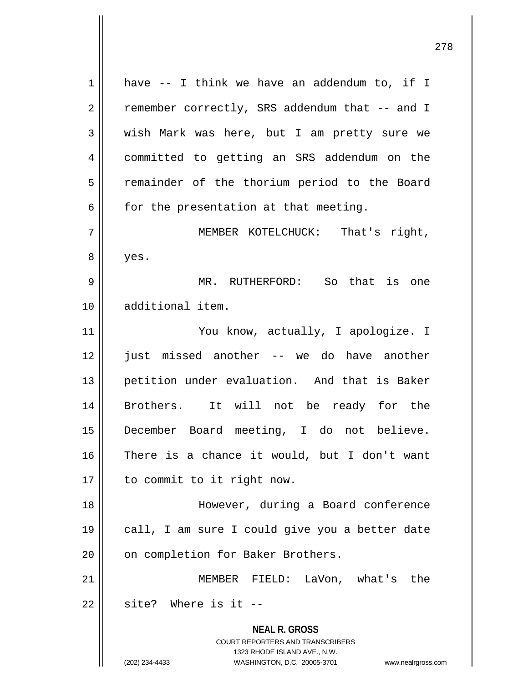**NEAL R. GROSS** COURT REPORTERS AND TRANSCRIBERS 1323 RHODE ISLAND AVE., N.W. (202) 234-4433 WASHINGTON, D.C. 20005-3701 www.nealrgross.com  $1 \parallel$  have -- I think we have an addendum to, if I 2 | remember correctly, SRS addendum that -- and I 3 wish Mark was here, but I am pretty sure we 4 committed to getting an SRS addendum on the 5 | remainder of the thorium period to the Board  $6 \parallel$  for the presentation at that meeting. 7 || MEMBER KOTELCHUCK: That's right, 8 | yes. 9 MR. RUTHERFORD: So that is one 10 additional item. 11 || You know, actually, I apologize. I 12 just missed another -- we do have another 13 petition under evaluation. And that is Baker 14 || Brothers. It will not be ready for the 15 December Board meeting, I do not believe. 16 There is a chance it would, but I don't want 17 | to commit to it right now. 18 However, during a Board conference 19 || call, I am sure I could give you a better date 20 | on completion for Baker Brothers. 21 || MEMBER FIELD: LaVon, what's the  $22$   $\parallel$  site? Where is it --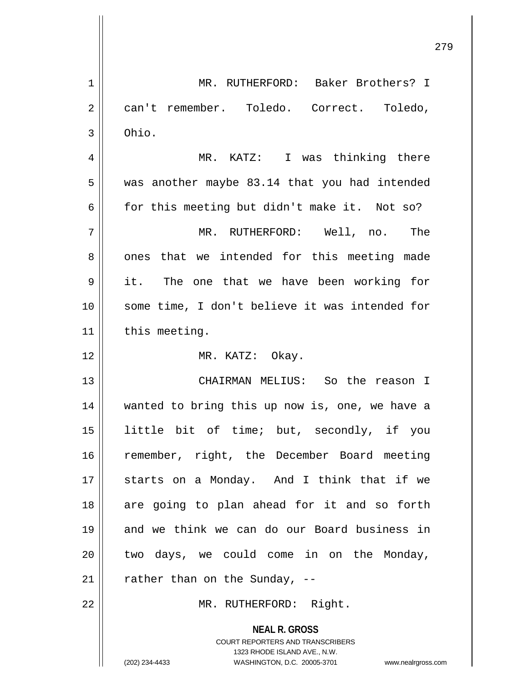**NEAL R. GROSS** COURT REPORTERS AND TRANSCRIBERS 1 || MR. RUTHERFORD: Baker Brothers? I 2 can't remember. Toledo. Correct. Toledo,  $3 \parallel$  Ohio. 4 MR. KATZ: I was thinking there 5 | was another maybe 83.14 that you had intended 6  $\parallel$  for this meeting but didn't make it. Not so? 7 MR. RUTHERFORD: Well, no. The 8 ones that we intended for this meeting made 9 it. The one that we have been working for 10 || some time, I don't believe it was intended for  $11$  | this meeting. 12 || MR. KATZ: Okay. 13 CHAIRMAN MELIUS: So the reason I 14 wanted to bring this up now is, one, we have a 15 little bit of time; but, secondly, if you 16 || remember, right, the December Board meeting 17 || starts on a Monday. And I think that if we 18 are going to plan ahead for it and so forth 19 and we think we can do our Board business in  $20$  || two days, we could come in on the Monday,  $21$  | rather than on the Sunday,  $-$ 22 || MR. RUTHERFORD: Right.

> 1323 RHODE ISLAND AVE., N.W. (202) 234-4433 WASHINGTON, D.C. 20005-3701 www.nealrgross.com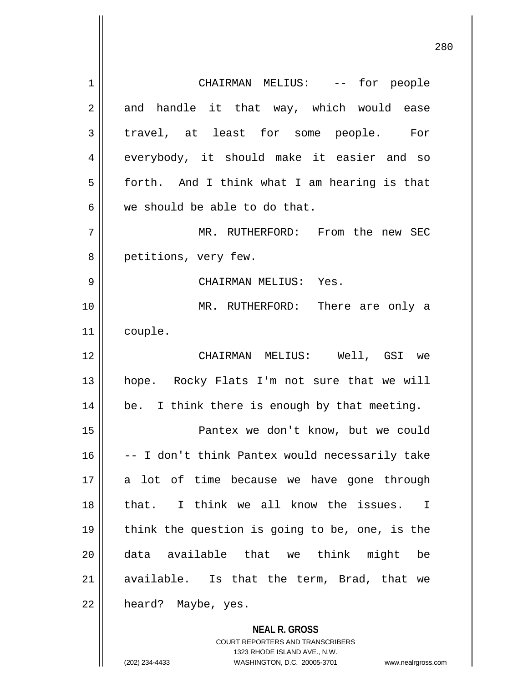**NEAL R. GROSS** 1 CHAIRMAN MELIUS: -- for people  $2 \parallel$  and handle it that way, which would ease 3 travel, at least for some people. For 4 everybody, it should make it easier and so  $5 \parallel$  forth. And I think what I am hearing is that 6 we should be able to do that. 7 || MR. RUTHERFORD: From the new SEC 8 || petitions, very few. 9 CHAIRMAN MELIUS: Yes. 10 || MR. RUTHERFORD: There are only a 11 couple. 12 CHAIRMAN MELIUS: Well, GSI we 13 hope. Rocky Flats I'm not sure that we will  $14$  | be. I think there is enough by that meeting. 15 Pantex we don't know, but we could  $16$   $\vert$  -- I don't think Pantex would necessarily take 17 || a lot of time because we have gone through 18 that. I think we all know the issues. I 19 || think the question is going to be, one, is the 20 data available that we think might be  $21$  available. Is that the term, Brad, that we 22 | heard? Maybe, yes.

> COURT REPORTERS AND TRANSCRIBERS 1323 RHODE ISLAND AVE., N.W.

(202) 234-4433 WASHINGTON, D.C. 20005-3701 www.nealrgross.com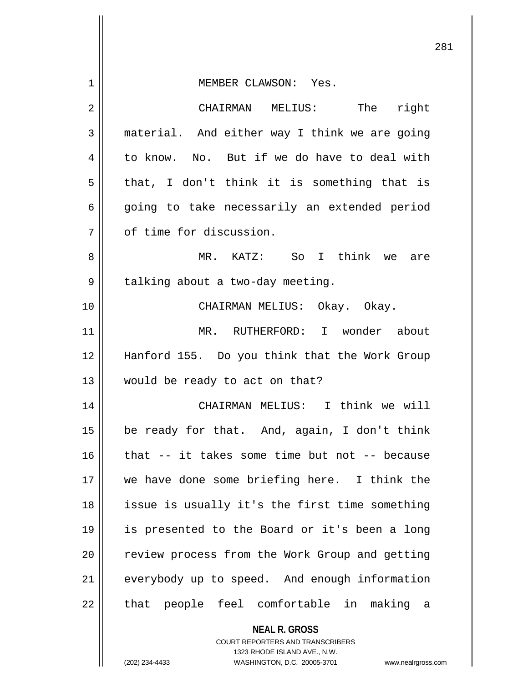|             | 281                                                                                             |
|-------------|-------------------------------------------------------------------------------------------------|
| $\mathbf 1$ | MEMBER CLAWSON: Yes.                                                                            |
| 2           | CHAIRMAN MELIUS: The right                                                                      |
| 3           | material. And either way I think we are going                                                   |
| 4           | to know. No. But if we do have to deal with                                                     |
| 5           | that, I don't think it is something that is                                                     |
| 6           | going to take necessarily an extended period                                                    |
| 7           | of time for discussion.                                                                         |
| 8           | MR. KATZ: So I think we are                                                                     |
| 9           | talking about a two-day meeting.                                                                |
| 10          | CHAIRMAN MELIUS: Okay. Okay.                                                                    |
| 11          | MR. RUTHERFORD: I wonder about                                                                  |
| 12          | Hanford 155. Do you think that the Work Group                                                   |
| 13          | would be ready to act on that?                                                                  |
| 14          | CHAIRMAN MELIUS: I think we will                                                                |
| 15          | be ready for that. And, again, I don't think                                                    |
| 16          | that $--$ it takes some time but not $--$ because                                               |
| 17          | we have done some briefing here. I think the                                                    |
| 18          | issue is usually it's the first time something                                                  |
| 19          | is presented to the Board or it's been a long                                                   |
| 20          | review process from the Work Group and getting                                                  |
| 21          | everybody up to speed. And enough information                                                   |
| 22          | that people feel comfortable in making a                                                        |
|             | <b>NEAL R. GROSS</b><br><b>COURT REPORTERS AND TRANSCRIBERS</b><br>1323 RHODE ISLAND AVE., N.W. |
|             | (202) 234-4433<br>WASHINGTON, D.C. 20005-3701<br>www.nealrgross.com                             |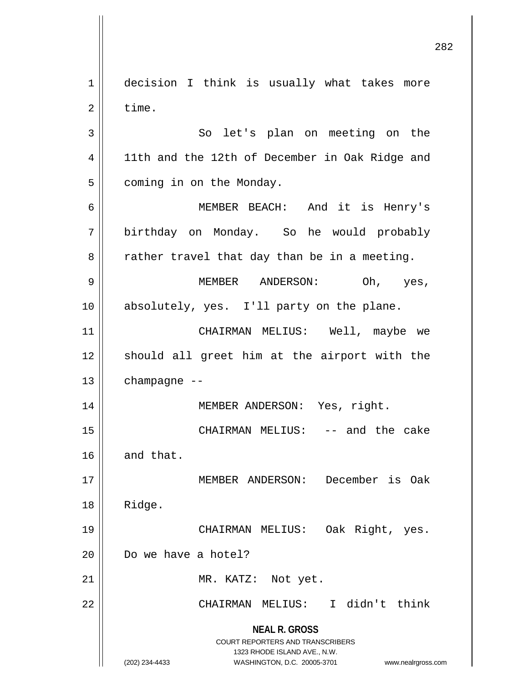**NEAL R. GROSS** COURT REPORTERS AND TRANSCRIBERS 1323 RHODE ISLAND AVE., N.W. (202) 234-4433 WASHINGTON, D.C. 20005-3701 www.nealrgross.com 1 | decision I think is usually what takes more  $2 \parallel$  time. 3 So let's plan on meeting on the 4 || 11th and the 12th of December in Oak Ridge and 5 | coming in on the Monday. 6 MEMBER BEACH: And it is Henry's 7 birthday on Monday. So he would probably  $8 \parallel$  rather travel that day than be in a meeting. 9 MEMBER ANDERSON: Oh, yes, 10 absolutely, yes. I'll party on the plane. 11 || CHAIRMAN MELIUS: Well, maybe we 12 || should all greet him at the airport with the  $13$   $\vert$  champagne  $-$ 14 | MEMBER ANDERSON: Yes, right. 15 || CHAIRMAN MELIUS: -- and the cake  $16$  and that. 17 MEMBER ANDERSON: December is Oak 18 Ridge. 19 CHAIRMAN MELIUS: Oak Right, yes.  $20$  | Do we have a hotel? 21 || MR. KATZ: Not yet. 22 CHAIRMAN MELIUS: I didn't think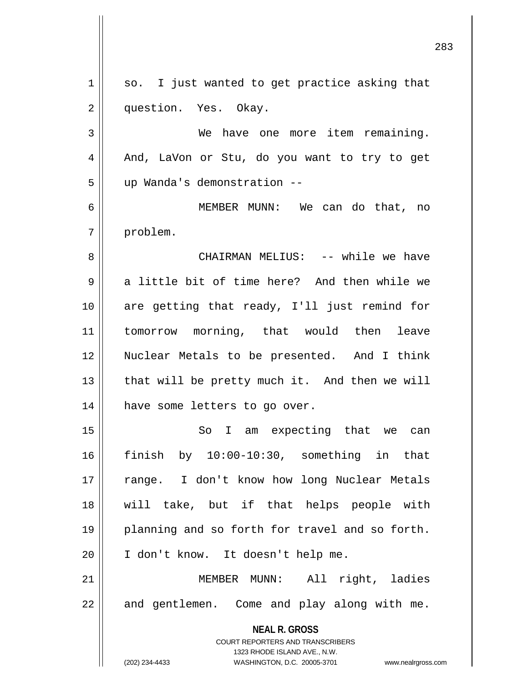**NEAL R. GROSS** COURT REPORTERS AND TRANSCRIBERS 1323 RHODE ISLAND AVE., N.W. (202) 234-4433 WASHINGTON, D.C. 20005-3701 www.nealrgross.com  $1 \parallel$  so. I just wanted to get practice asking that 2 | question. Yes. Okay. 3 We have one more item remaining. 4 || And, LaVon or Stu, do you want to try to get 5 up Wanda's demonstration -- 6 MEMBER MUNN: We can do that, no 7 | problem. 8 CHAIRMAN MELIUS: -- while we have  $9 \parallel$  a little bit of time here? And then while we 10 are getting that ready, I'll just remind for 11 tomorrow morning, that would then leave 12 Nuclear Metals to be presented. And I think 13  $\parallel$  that will be pretty much it. And then we will 14 || have some letters to go over. 15 || So I am expecting that we can 16 finish by 10:00-10:30, something in that 17 || range. I don't know how long Nuclear Metals 18 will take, but if that helps people with 19 planning and so forth for travel and so forth. 20 I don't know. It doesn't help me. 21 MEMBER MUNN: All right, ladies 22 || and gentlemen. Come and play along with me.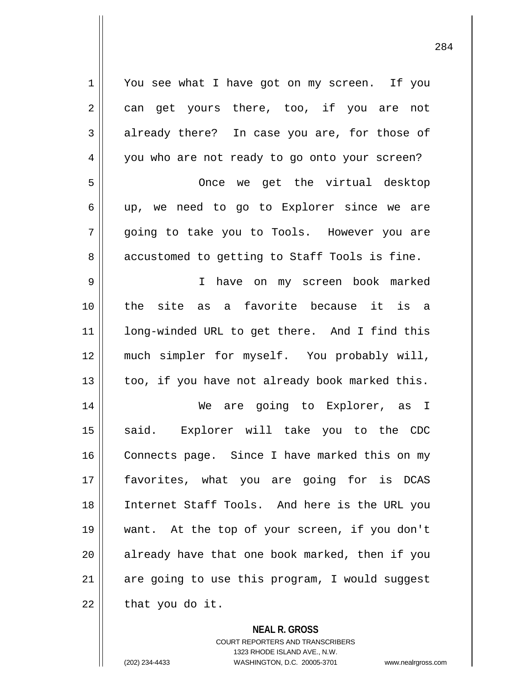1 | You see what I have got on my screen. If you  $2 \parallel$  can get yours there, too, if you are not  $3 \parallel$  already there? In case you are, for those of 4 you who are not ready to go onto your screen? Once we get the virtual desktop up, we need to go to Explorer since we are going to take you to Tools. However you are 8 || accustomed to getting to Staff Tools is fine. 9 || I have on my screen book marked the site as a favorite because it is a long-winded URL to get there. And I find this much simpler for myself. You probably will, | too, if you have not already book marked this. We are going to Explorer, as I 15 || said. Explorer will take you to the CDC 16 Connects page. Since I have marked this on my favorites, what you are going for is DCAS Internet Staff Tools. And here is the URL you want. At the top of your screen, if you don't || already have that one book marked, then if you are going to use this program, I would suggest || that you do it.

**NEAL R. GROSS**

COURT REPORTERS AND TRANSCRIBERS 1323 RHODE ISLAND AVE., N.W. (202) 234-4433 WASHINGTON, D.C. 20005-3701 www.nealrgross.com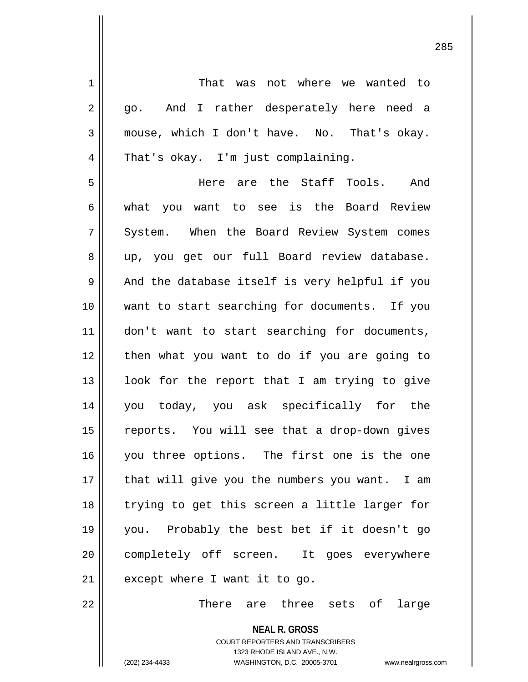1 || That was not where we wanted to 2 || go. And I rather desperately here need a 3 mouse, which I don't have. No. That's okay.  $4 \parallel$  That's okay. I'm just complaining. 5 Here are the Staff Tools. And 6 what you want to see is the Board Review 7 System. When the Board Review System comes 8 up, you get our full Board review database.  $9 \parallel$  And the database itself is very helpful if you 10 want to start searching for documents. If you 11 || don't want to start searching for documents, 12 then what you want to do if you are going to 13  $\parallel$  100k for the report that I am trying to give 14 you today, you ask specifically for the 15 || reports. You will see that a drop-down gives 16 you three options. The first one is the one  $17$  || that will give you the numbers you want. I am 18 trying to get this screen a little larger for 19 you. Probably the best bet if it doesn't go 20 || completely off screen. It goes everywhere  $21$  | except where I want it to go. 22 There are three sets of large

> **NEAL R. GROSS** COURT REPORTERS AND TRANSCRIBERS 1323 RHODE ISLAND AVE., N.W.

(202) 234-4433 WASHINGTON, D.C. 20005-3701 www.nealrgross.com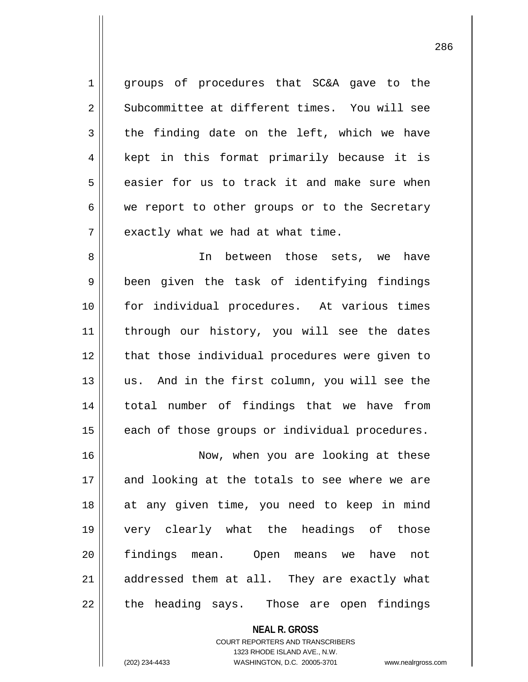1 qroups of procedures that SC&A gave to the 2 Subcommittee at different times. You will see  $3 \parallel$  the finding date on the left, which we have 4 || kept in this format primarily because it is  $5 \parallel$  easier for us to track it and make sure when  $6 \parallel$  we report to other groups or to the Secretary  $7$  | exactly what we had at what time. 8 || In between those sets, we have 9 || been given the task of identifying findings 10 for individual procedures. At various times 11 through our history, you will see the dates 12 || that those individual procedures were given to 13 us. And in the first column, you will see the 14 total number of findings that we have from  $15$  | each of those groups or individual procedures. 16 Now, when you are looking at these 17 and looking at the totals to see where we are 18 || at any given time, you need to keep in mind 19 very clearly what the headings of those 20 findings mean. Open means we have not 21 dadressed them at all. They are exactly what  $22$  || the heading says. Those are open findings

> COURT REPORTERS AND TRANSCRIBERS 1323 RHODE ISLAND AVE., N.W. (202) 234-4433 WASHINGTON, D.C. 20005-3701 www.nealrgross.com

**NEAL R. GROSS**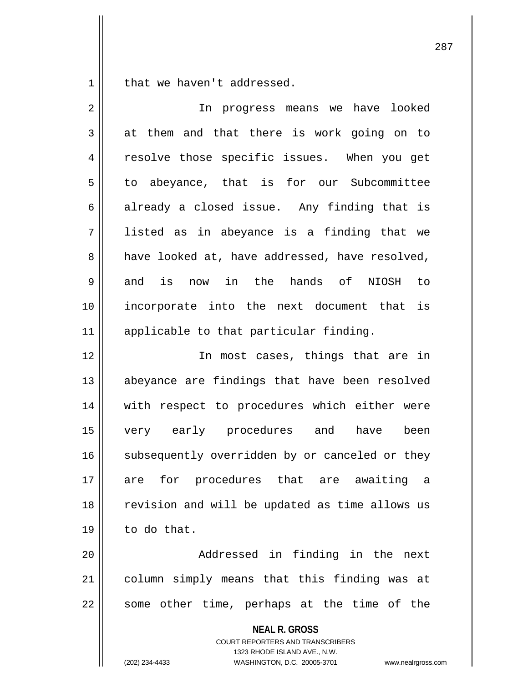that we haven't addressed.

| $\overline{2}$ | In progress means we have looked                                                                                                                                     |
|----------------|----------------------------------------------------------------------------------------------------------------------------------------------------------------------|
| 3              | at them and that there is work going on to                                                                                                                           |
| 4              | resolve those specific issues. When you get                                                                                                                          |
| 5              | to abeyance, that is for our Subcommittee                                                                                                                            |
| $\epsilon$     | already a closed issue. Any finding that is                                                                                                                          |
| 7              | listed as in abeyance is a finding that we                                                                                                                           |
| 8              | have looked at, have addressed, have resolved,                                                                                                                       |
| 9              | and is<br>now in the hands of NIOSH to                                                                                                                               |
| 10             | is<br>incorporate into the next document that                                                                                                                        |
| 11             | applicable to that particular finding.                                                                                                                               |
| 12             | In most cases, things that are in                                                                                                                                    |
| 13             | abeyance are findings that have been resolved                                                                                                                        |
| 14             | with respect to procedures which either were                                                                                                                         |
| 15             | very early procedures and<br>have<br>been                                                                                                                            |
| 16             | subsequently overridden by or canceled or they                                                                                                                       |
| 17             | for procedures that are<br>awaiting<br>are<br>a                                                                                                                      |
| 18             | revision and will be updated as time allows us                                                                                                                       |
| 19             | to do that.                                                                                                                                                          |
| 20             | Addressed in finding in the next                                                                                                                                     |
| 21             | column simply means that this finding was at                                                                                                                         |
| 22             | some other time, perhaps at the time of the                                                                                                                          |
|                | <b>NEAL R. GROSS</b><br><b>COURT REPORTERS AND TRANSCRIBERS</b><br>1323 RHODE ISLAND AVE., N.W.<br>(202) 234-4433<br>WASHINGTON, D.C. 20005-3701<br>www.nealrgross.c |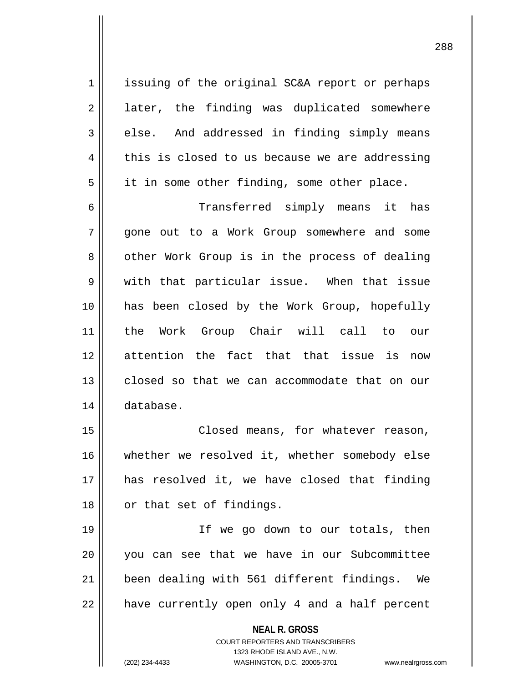1 || issuing of the original SC&A report or perhaps 2 || later, the finding was duplicated somewhere  $3 \parallel$  else. And addressed in finding simply means  $4 \parallel$  this is closed to us because we are addressing  $5 \parallel$  it in some other finding, some other place.

 Transferred simply means it has gone out to a Work Group somewhere and some 8 | other Work Group is in the process of dealing with that particular issue. When that issue has been closed by the Work Group, hopefully the Work Group Chair will call to our attention the fact that that issue is now 13 || closed so that we can accommodate that on our database.

15 || Closed means, for whatever reason, 16 whether we resolved it, whether somebody else 17 has resolved it, we have closed that finding 18 || or that set of findings.

 If we go down to our totals, then 20 || you can see that we have in our Subcommittee been dealing with 561 different findings. We | have currently open only 4 and a half percent

> **NEAL R. GROSS** COURT REPORTERS AND TRANSCRIBERS 1323 RHODE ISLAND AVE., N.W. (202) 234-4433 WASHINGTON, D.C. 20005-3701 www.nealrgross.com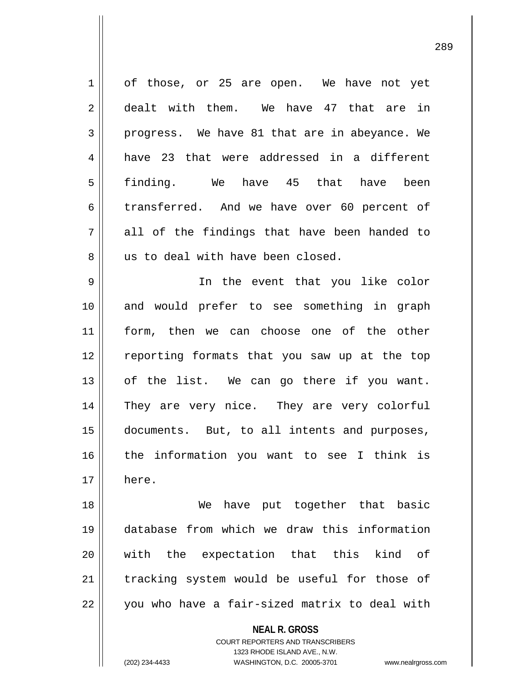| 1  | of those, or 25 are open. We have not yet     |
|----|-----------------------------------------------|
| 2  | dealt with them. We have 47 that are in       |
| 3  | progress. We have 81 that are in abeyance. We |
| 4  | have 23 that were addressed in a different    |
| 5  | finding.<br>We have 45 that have been         |
| 6  | transferred. And we have over 60 percent of   |
| 7  | all of the findings that have been handed to  |
| 8  | us to deal with have been closed.             |
| 9  | In the event that you like color              |
| 10 | and would prefer to see something in graph    |
| 11 | form, then we can choose one of the other     |
| 12 | reporting formats that you saw up at the top  |
| 13 | of the list. We can go there if you want.     |
| 14 | They are very nice. They are very colorful    |
| 15 | documents. But, to all intents and purposes,  |
| 16 | the information you want to see I think is    |
| 17 | here.                                         |
| 18 | We have put together that basic               |
| 19 | database from which we draw this information  |
| 20 | with the expectation that this kind of        |
| 21 | tracking system would be useful for those of  |
| 22 | you who have a fair-sized matrix to deal with |

**NEAL R. GROSS** COURT REPORTERS AND TRANSCRIBERS 1323 RHODE ISLAND AVE., N.W.

(202) 234-4433 WASHINGTON, D.C. 20005-3701 www.nealrgross.com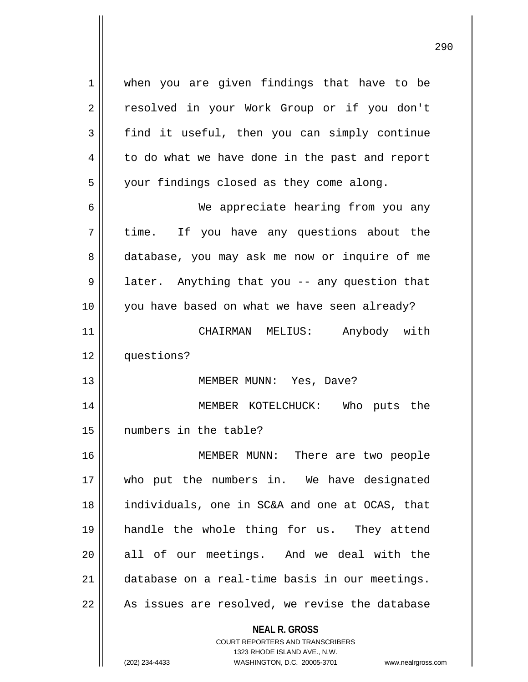1 || when you are given findings that have to be 2 || resolved in your Work Group or if you don't  $3 \parallel$  find it useful, then you can simply continue  $4 \parallel$  to do what we have done in the past and report 5 | your findings closed as they come along. 6 We appreciate hearing from you any

 $7 \parallel$  time. If you have any questions about the 8 database, you may ask me now or inquire of me 9 || later. Anything that you -- any question that 10 you have based on what we have seen already?

11 CHAIRMAN MELIUS: Anybody with 12 questions?

13 || MEMBER MUNN: Yes, Dave?

14 MEMBER KOTELCHUCK: Who puts the 15 numbers in the table?

 MEMBER MUNN: There are two people who put the numbers in. We have designated individuals, one in SC&A and one at OCAS, that handle the whole thing for us. They attend 20 || all of our meetings. And we deal with the database on a real-time basis in our meetings.  $22 \parallel$  As issues are resolved, we revise the database

**NEAL R. GROSS**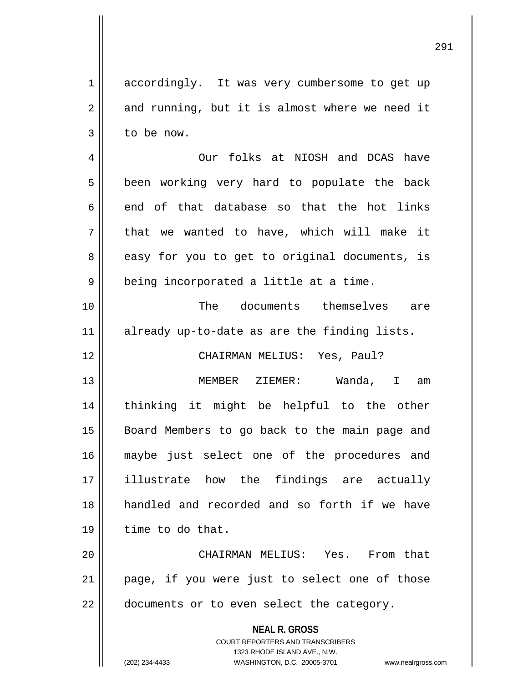1 accordingly. It was very cumbersome to get up  $2 \parallel$  and running, but it is almost where we need it  $3 \parallel$  to be now.

4 Our folks at NIOSH and DCAS have  $5 \parallel$  been working very hard to populate the back 6 end of that database so that the hot links  $7 \parallel$  that we wanted to have, which will make it  $8 \parallel$  easy for you to get to original documents, is 9 || being incorporated a little at a time.

10 The documents themselves are 11 || already up-to-date as are the finding lists.

12 CHAIRMAN MELIUS: Yes, Paul?

 MEMBER ZIEMER: Wanda, I am thinking it might be helpful to the other 15 || Board Members to go back to the main page and maybe just select one of the procedures and illustrate how the findings are actually handled and recorded and so forth if we have  $19 \parallel$  time to do that.

20 CHAIRMAN MELIUS: Yes. From that 21 page, if you were just to select one of those 22 | documents or to even select the category.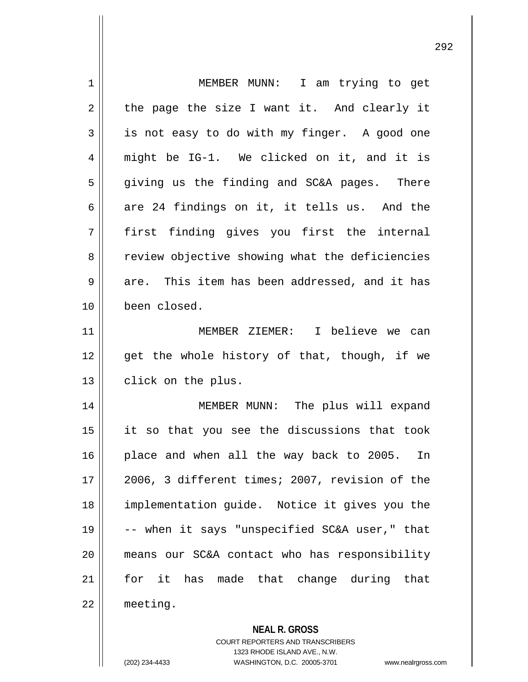| 1           | MEMBER MUNN: I am trying to get                |
|-------------|------------------------------------------------|
| 2           | the page the size I want it. And clearly it    |
| 3           | is not easy to do with my finger. A good one   |
| 4           | might be IG-1. We clicked on it, and it is     |
| 5           | giving us the finding and SC&A pages. There    |
| 6           | are 24 findings on it, it tells us. And the    |
| 7           | first finding gives you first the internal     |
| 8           | review objective showing what the deficiencies |
| $\mathsf 9$ | are. This item has been addressed, and it has  |
| 10          | been closed.                                   |
| 11          | MEMBER ZIEMER: I believe we can                |
| 12          | get the whole history of that, though, if we   |
| 13          | click on the plus.                             |
| 14          | MEMBER MUNN: The plus will expand              |
| 15          | it so that you see the discussions that took   |
| 16          | place and when all the way back to 2005. In    |
| 17          | 2006, 3 different times; 2007, revision of the |
| 18          | implementation guide. Notice it gives you the  |
| 19          | -- when it says "unspecified SC&A user," that  |
| 20          | means our SC&A contact who has responsibility  |
| 21          | for it has made that change during that        |
| 22          | meeting.                                       |
|             | <b>NEAL R. GROSS</b>                           |

COURT REPORTERS AND TRANSCRIBERS 1323 RHODE ISLAND AVE., N.W. (202) 234-4433 WASHINGTON, D.C. 20005-3701 www.nealrgross.com

 $\mathsf{II}$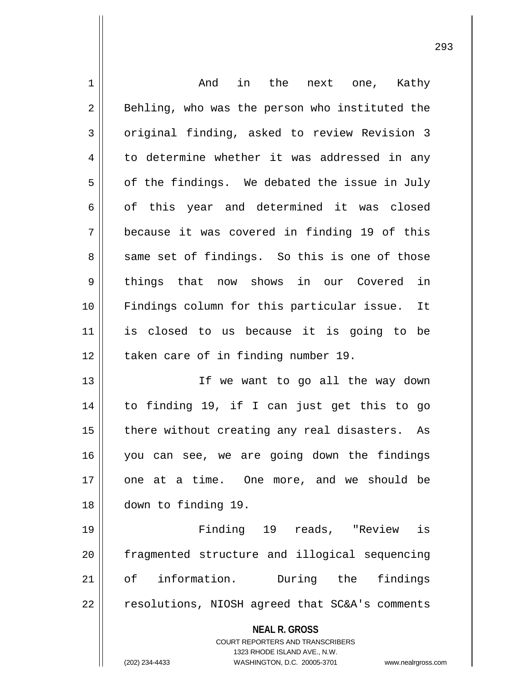| $\mathbf 1$ | And in the next one, Kathy                                                                                                                                      |
|-------------|-----------------------------------------------------------------------------------------------------------------------------------------------------------------|
| 2           | Behling, who was the person who instituted the                                                                                                                  |
| 3           | original finding, asked to review Revision 3                                                                                                                    |
| 4           | to determine whether it was addressed in any                                                                                                                    |
| 5           | of the findings. We debated the issue in July                                                                                                                   |
| 6           | of this year and determined it was closed                                                                                                                       |
| 7           | because it was covered in finding 19 of this                                                                                                                    |
| 8           | same set of findings. So this is one of those                                                                                                                   |
| 9           | things that now shows in our Covered in                                                                                                                         |
| 10          | Findings column for this particular issue. It                                                                                                                   |
| 11          | is closed to us because it is going to be                                                                                                                       |
| 12          | taken care of in finding number 19.                                                                                                                             |
| 13          | If we want to go all the way down                                                                                                                               |
| 14          | to finding 19, if I can just get this to go                                                                                                                     |
| 15          | there without creating any real disasters. As                                                                                                                   |
| 16          | you can see, we are going down the findings                                                                                                                     |
| 17          | one at a time. One more, and we should be                                                                                                                       |
| 18          | down to finding 19.                                                                                                                                             |
| 19          | Finding 19 reads, "Review<br>is                                                                                                                                 |
| 20          | fragmented structure and illogical sequencing                                                                                                                   |
| 21          | of information. During the<br>findings                                                                                                                          |
| 22          | resolutions, NIOSH agreed that SC&A's comments                                                                                                                  |
|             | <b>NEAL R. GROSS</b><br>COURT REPORTERS AND TRANSCRIBERS<br>1323 RHODE ISLAND AVE., N.W.<br>(202) 234-4433<br>WASHINGTON, D.C. 20005-3701<br>www.nealrgross.com |
|             |                                                                                                                                                                 |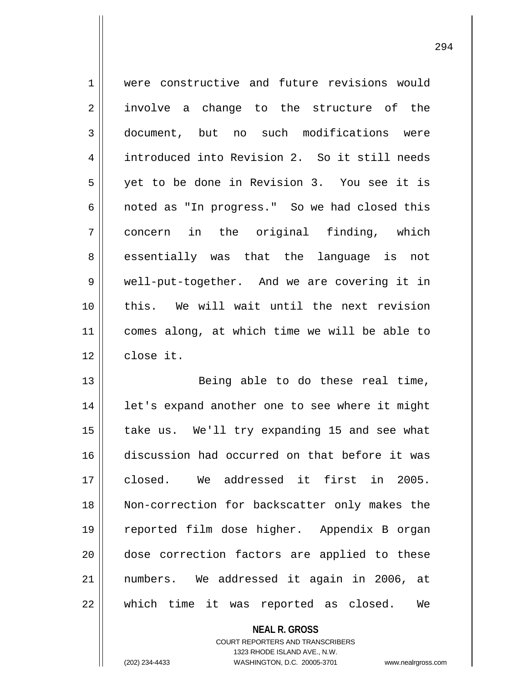were constructive and future revisions would 2 involve a change to the structure of the document, but no such modifications were introduced into Revision 2. So it still needs 5 || yet to be done in Revision 3. You see it is noted as "In progress." So we had closed this concern in the original finding, which 8 essentially was that the language is not well-put-together. And we are covering it in this. We will wait until the next revision comes along, at which time we will be able to 12 close it. 13 || Being able to do these real time,

14 || let's expand another one to see where it might 15 || take us. We'll try expanding 15 and see what discussion had occurred on that before it was closed. We addressed it first in 2005. Non-correction for backscatter only makes the reported film dose higher. Appendix B organ dose correction factors are applied to these numbers. We addressed it again in 2006, at which time it was reported as closed. We

#### **NEAL R. GROSS**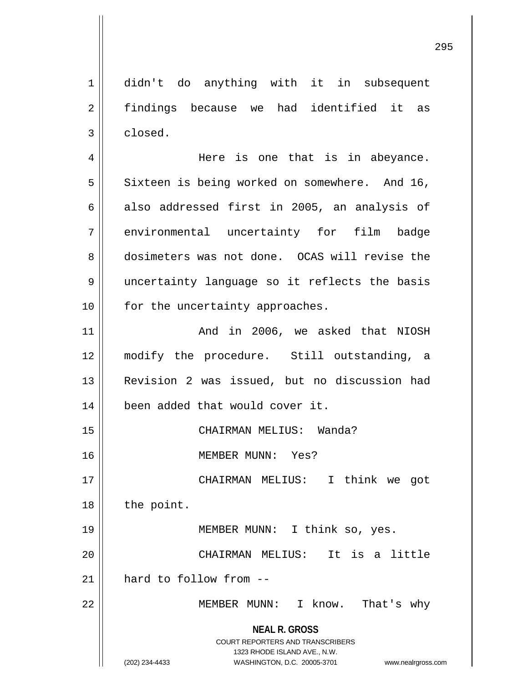1 didn't do anything with it in subsequent 2 findings because we had identified it as 3 closed.

4 Here is one that is in abeyance. 5 | Sixteen is being worked on somewhere. And 16, 6 also addressed first in 2005, an analysis of 7 environmental uncertainty for film badge 8 dosimeters was not done. OCAS will revise the 9 uncertainty language so it reflects the basis 10 || for the uncertainty approaches.

 And in 2006, we asked that NIOSH modify the procedure. Still outstanding, a Revision 2 was issued, but no discussion had 14 || been added that would cover it.

15 || CHAIRMAN MELIUS: Wanda?

16 MEMBER MUNN: Yes?

17 CHAIRMAN MELIUS: I think we got  $18$  | the point. 19 || MEMBER MUNN: I think so, yes.

20 CHAIRMAN MELIUS: It is a little

21 hard to follow from --

22 || MEMBER MUNN: I know. That's why

# **NEAL R. GROSS**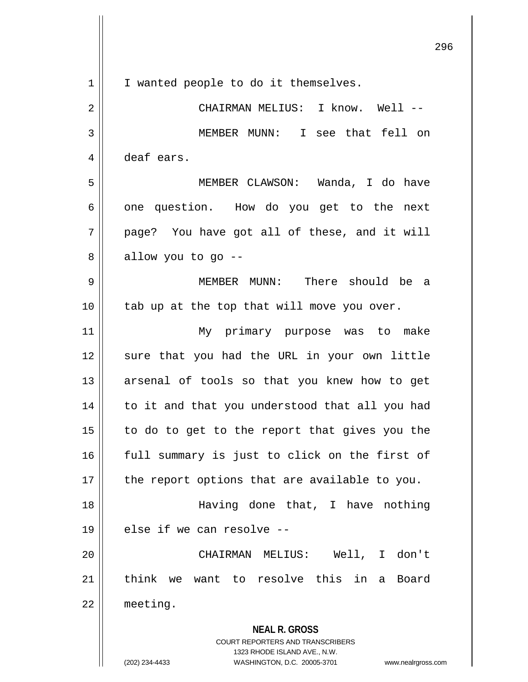**NEAL R. GROSS** COURT REPORTERS AND TRANSCRIBERS 1323 RHODE ISLAND AVE., N.W.  $1 \parallel$  I wanted people to do it themselves. 2 CHAIRMAN MELIUS: I know. Well -- 3 MEMBER MUNN: I see that fell on 4 deaf ears. 5 MEMBER CLAWSON: Wanda, I do have  $6 \parallel$  one question. How do you get to the next  $7 \parallel$  page? You have got all of these, and it will  $8 \parallel$  allow you to go  $-$ 9 MEMBER MUNN: There should be a 10 || tab up at the top that will move you over. 11 My primary purpose was to make 12 || sure that you had the URL in your own little 13 || arsenal of tools so that you knew how to get 14 || to it and that you understood that all you had  $15$  to do to get to the report that gives you the 16 full summary is just to click on the first of  $17$  | the report options that are available to you. 18 Having done that, I have nothing  $19$  || else if we can resolve  $-$ 20 CHAIRMAN MELIUS: Well, I don't 21 think we want to resolve this in a Board 22 meeting.

(202) 234-4433 WASHINGTON, D.C. 20005-3701 www.nealrgross.com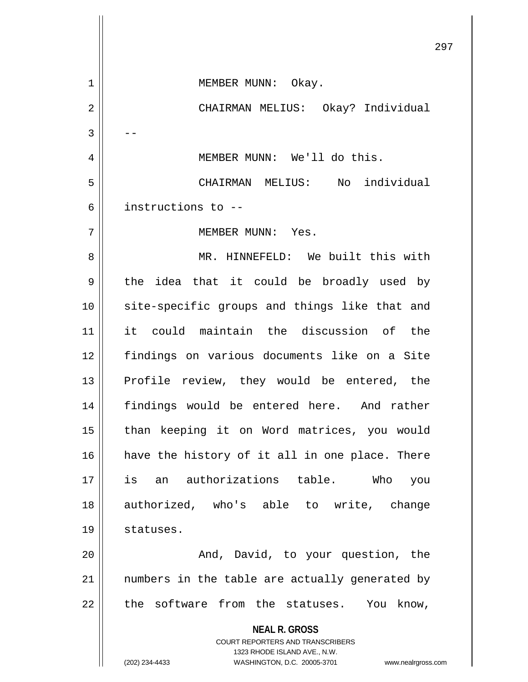**NEAL R. GROSS** COURT REPORTERS AND TRANSCRIBERS 1323 RHODE ISLAND AVE., N.W. (202) 234-4433 WASHINGTON, D.C. 20005-3701 www.nealrgross.com 297 1 MEMBER MUNN: Okay. 2 CHAIRMAN MELIUS: Okay? Individual  $3 \parallel - -$ 4 || MEMBER MUNN: We'll do this. 5 CHAIRMAN MELIUS: No individual 6 instructions to -- 7 MEMBER MUNN: Yes. 8 MR. HINNEFELD: We built this with  $9 \parallel$  the idea that it could be broadly used by 10 || site-specific groups and things like that and 11 it could maintain the discussion of the 12 findings on various documents like on a Site 13 || Profile review, they would be entered, the 14 || findings would be entered here. And rather 15 || than keeping it on Word matrices, you would 16 || have the history of it all in one place. There 17 is an authorizations table. Who you 18 authorized, who's able to write, change 19 | statuses. 20 || The Mond, David, to your question, the  $21$  || numbers in the table are actually generated by  $22$  || the software from the statuses. You know,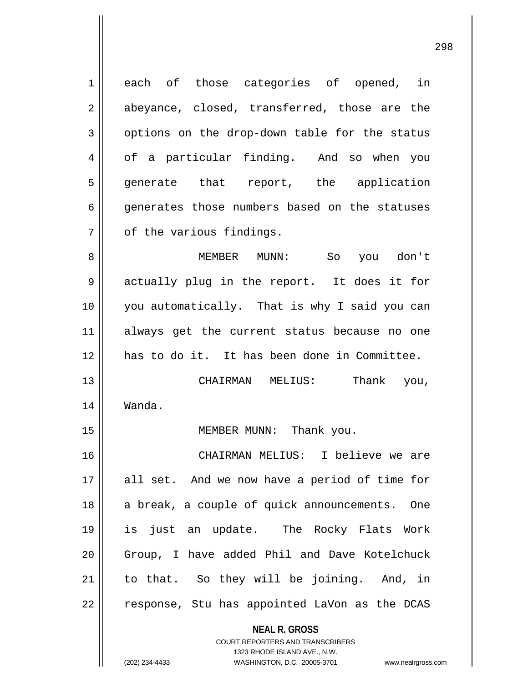| 1  | each of those categories of opened, in                   |
|----|----------------------------------------------------------|
| 2  | abeyance, closed, transferred, those are the             |
| 3  | options on the drop-down table for the status            |
| 4  | of a particular finding. And so when you                 |
| 5  | generate that report, the application                    |
| 6  | generates those numbers based on the statuses            |
| 7  | of the various findings.                                 |
| 8  | MEMBER MUNN: So you don't                                |
| 9  | actually plug in the report. It does it for              |
| 10 | you automatically. That is why I said you can            |
| 11 | always get the current status because no one             |
| 12 | has to do it. It has been done in Committee.             |
| 13 | Thank you,<br>CHAIRMAN MELIUS:                           |
| 14 | Wanda.                                                   |
| 15 | MEMBER MUNN: Thank you.                                  |
| 16 | CHAIRMAN MELIUS: I believe we are                        |
| 17 | all set. And we now have a period of time for            |
| 18 | a break, a couple of quick announcements. One            |
| 19 | is just an update. The Rocky Flats Work                  |
| 20 | Group, I have added Phil and Dave Kotelchuck             |
| 21 | to that. So they will be joining. And, in                |
| 22 | response, Stu has appointed LaVon as the DCAS            |
|    | <b>NEAL R. GROSS</b><br>COURT REPORTERS AND TRANSCRIBERS |

1323 RHODE ISLAND AVE., N.W.

 $\prod$ 

(202) 234-4433 WASHINGTON, D.C. 20005-3701 www.nealrgross.com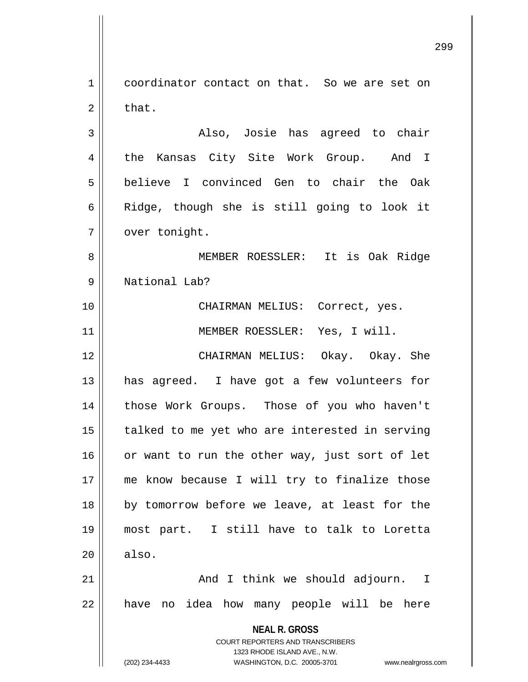1 coordinator contact on that. So we are set on  $2 \parallel$  that.

3 Also, Josie has agreed to chair 4 the Kansas City Site Work Group. And I 5 believe I convinced Gen to chair the Oak  $6 \parallel$  Ridge, though she is still going to look it 7 | over tonight.

8 MEMBER ROESSLER: It is Oak Ridge 9 National Lab?

10 || CHAIRMAN MELIUS: Correct, yes. 11 || MEMBER ROESSLER: Yes, I will.

12 CHAIRMAN MELIUS: Okay. Okay. She 13 || has agreed. I have got a few volunteers for 14 || those Work Groups. Those of you who haven't 15 || talked to me yet who are interested in serving  $16$  or want to run the other way, just sort of let 17 me know because I will try to finalize those 18 || by tomorrow before we leave, at least for the 19 most part. I still have to talk to Loretta  $20$   $\parallel$  also.

21 And I think we should adjourn. I  $22$  || have no idea how many people will be here

### **NEAL R. GROSS** COURT REPORTERS AND TRANSCRIBERS 1323 RHODE ISLAND AVE., N.W.

(202) 234-4433 WASHINGTON, D.C. 20005-3701 www.nealrgross.com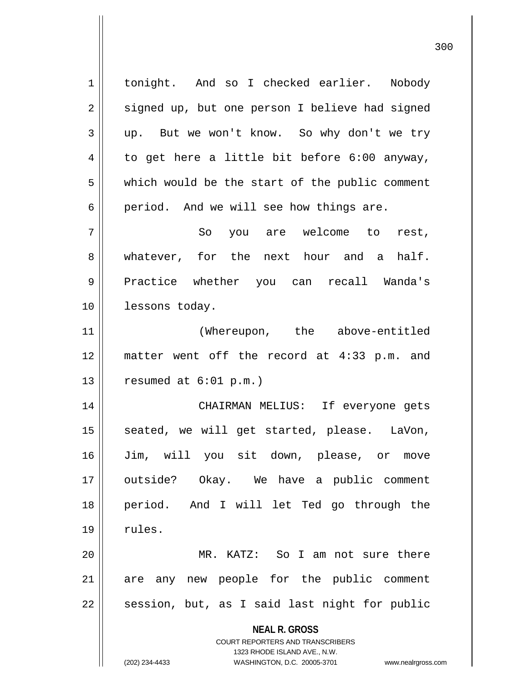**NEAL R. GROSS** COURT REPORTERS AND TRANSCRIBERS 1323 RHODE ISLAND AVE., N.W. 1 | tonight. And so I checked earlier. Nobody 2 || signed up, but one person I believe had signed 3 up. But we won't know. So why don't we try  $4 \parallel$  to get here a little bit before 6:00 anyway, 5 which would be the start of the public comment  $6 \parallel$  period. And we will see how things are. 7 || So you are welcome to rest, 8 whatever, for the next hour and a half. 9 || Practice whether you can recall Wanda's 10 | lessons today. 11 (Whereupon, the above-entitled 12 matter went off the record at 4:33 p.m. and  $13$  | resumed at  $6:01$  p.m.) 14 CHAIRMAN MELIUS: If everyone gets 15 || seated, we will get started, please. LaVon, 16 Jim, will you sit down, please, or move 17 || outside? Okay. We have a public comment 18 period. And I will let Ted go through the 19 | rules. 20 MR. KATZ: So I am not sure there 21 || are any new people for the public comment  $22$  || session, but, as I said last night for public

(202) 234-4433 WASHINGTON, D.C. 20005-3701 www.nealrgross.com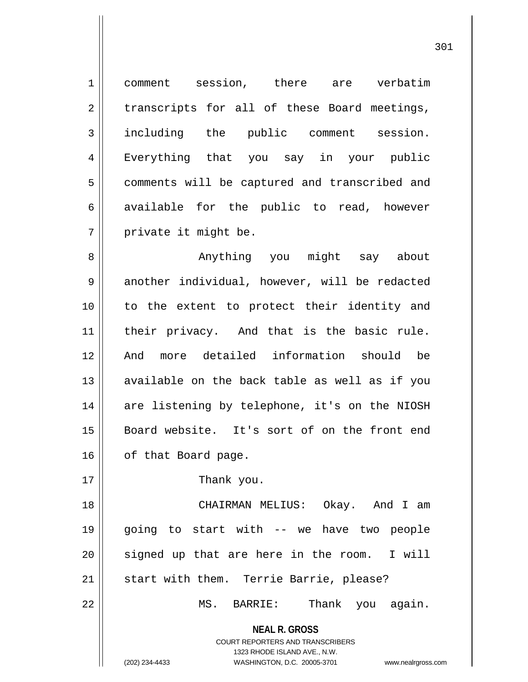1 comment session, there are verbatim  $2 \parallel$  transcripts for all of these Board meetings, 3 including the public comment session. 4 Everything that you say in your public 5 | comments will be captured and transcribed and  $6 \parallel$  available for the public to read, however  $7 \parallel$  private it might be. 8 Anything you might say about

9 || another individual, however, will be redacted 10 to the extent to protect their identity and 11 || their privacy. And that is the basic rule. 12 And more detailed information should be 13 || available on the back table as well as if you 14 || are listening by telephone, it's on the NIOSH 15 Board website. It's sort of on the front end 16 | of that Board page.

17 || Thank you.

 CHAIRMAN MELIUS: Okay. And I am going to start with -- we have two people signed up that are here in the room. I will 21 || start with them. Terrie Barrie, please?

22 MS. BARRIE: Thank you again.

**NEAL R. GROSS**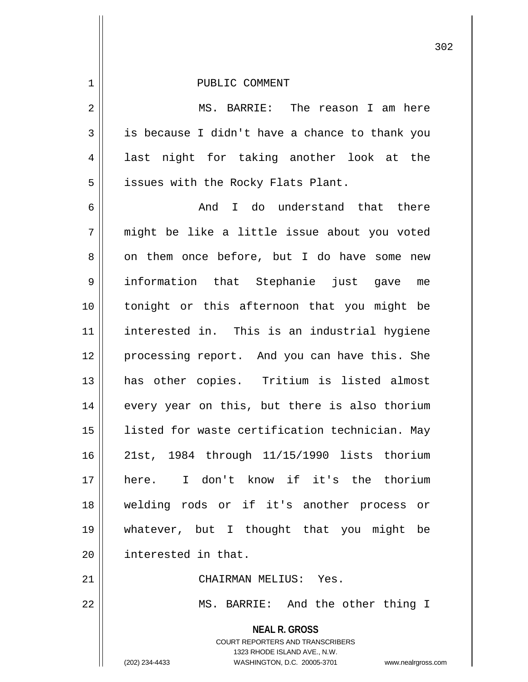1 | PUBLIC COMMENT

| 2  | MS. BARRIE: The reason I am here               |
|----|------------------------------------------------|
| 3  | is because I didn't have a chance to thank you |
| 4  | last night for taking another look at the      |
| 5  | issues with the Rocky Flats Plant.             |
| 6  | And I do understand that there                 |
| 7  | might be like a little issue about you voted   |
| 8  | on them once before, but I do have some new    |
| 9  | information that Stephanie just gave me        |
| 10 | tonight or this afternoon that you might be    |
| 11 | interested in. This is an industrial hygiene   |
| 12 | processing report. And you can have this. She  |
| 13 | has other copies. Tritium is listed almost     |
| 14 | every year on this, but there is also thorium  |
| 15 | listed for waste certification technician. May |
| 16 | 21st, 1984 through 11/15/1990 lists thorium    |
| 17 | here. I don't know if it's the thorium         |
| 18 | welding rods or if it's another process or     |
| 19 | whatever, but I thought that you might be      |
| 20 | interested in that.                            |
| 21 | CHAIRMAN MELIUS: Yes.                          |
| 22 | MS. BARRIE: And the other thing I              |

**NEAL R. GROSS**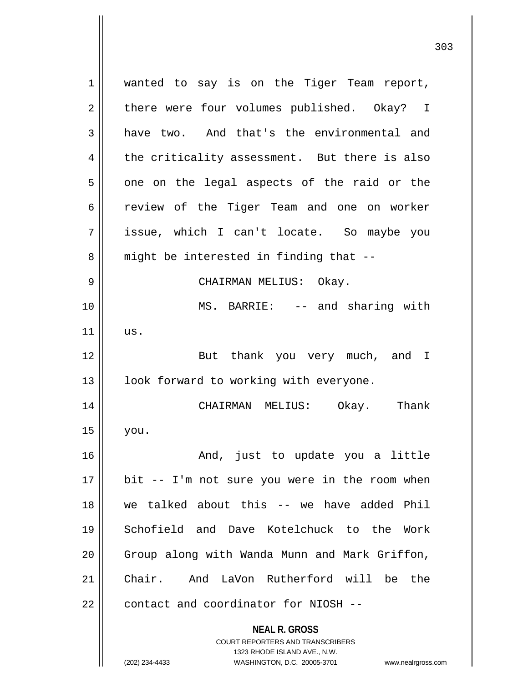**NEAL R. GROSS** COURT REPORTERS AND TRANSCRIBERS 1323 RHODE ISLAND AVE., N.W. 1 || wanted to say is on the Tiger Team report, 2 || there were four volumes published. Okay? I  $3 \parallel$  have two. And that's the environmental and  $4 \parallel$  the criticality assessment. But there is also  $5 \parallel$  one on the legal aspects of the raid or the 6 contract of the Tiger Team and one on worker 7 issue, which I can't locate. So maybe you  $8 \parallel$  might be interested in finding that --9 CHAIRMAN MELIUS: Okay. 10 || MS. BARRIE: -- and sharing with  $11$   $\parallel$  us. 12 || But thank you very much, and I  $13$  |  $\blacksquare$  look forward to working with everyone. 14 CHAIRMAN MELIUS: Okay. Thank  $15$  you. 16 And, just to update you a little  $17$  | bit -- I'm not sure you were in the room when 18 we talked about this -- we have added Phil 19 Schofield and Dave Kotelchuck to the Work 20 | Group along with Wanda Munn and Mark Griffon, 21 Chair. And LaVon Rutherford will be the  $22$  || contact and coordinator for NIOSH --

(202) 234-4433 WASHINGTON, D.C. 20005-3701 www.nealrgross.com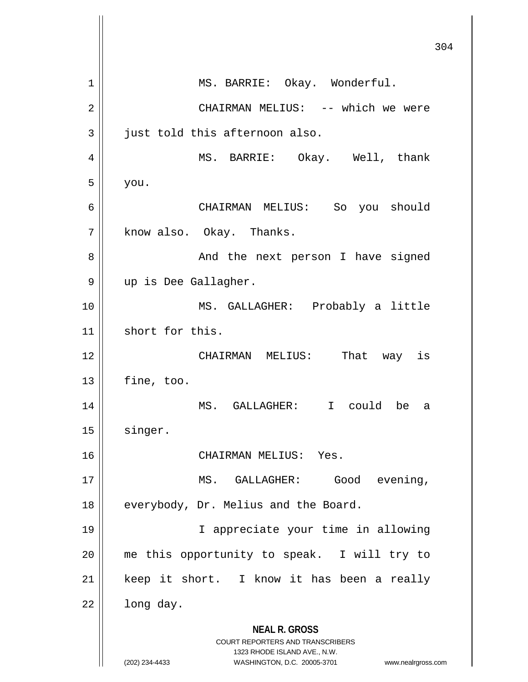**NEAL R. GROSS** COURT REPORTERS AND TRANSCRIBERS 1323 RHODE ISLAND AVE., N.W. (202) 234-4433 WASHINGTON, D.C. 20005-3701 www.nealrgross.com 1 || MS. BARRIE: Okay. Wonderful. 2 CHAIRMAN MELIUS: -- which we were  $3$  just told this afternoon also. 4 MS. BARRIE: Okay. Well, thank  $5 \parallel$  you. 6 CHAIRMAN MELIUS: So you should  $7$  | know also. Okay. Thanks. 8 And the next person I have signed 9 up is Dee Gallagher. 10 MS. GALLAGHER: Probably a little 11 || short for this. 12 CHAIRMAN MELIUS: That way is  $13$  | fine, too. 14 MS. GALLAGHER: I could be a 15 | singer. 16 CHAIRMAN MELIUS: Yes. 17 || MS. GALLAGHER: Good evening, 18 | everybody, Dr. Melius and the Board. 19 I appreciate your time in allowing 20 me this opportunity to speak. I will try to  $21$  keep it short. I know it has been a really  $22 \parallel$  long day.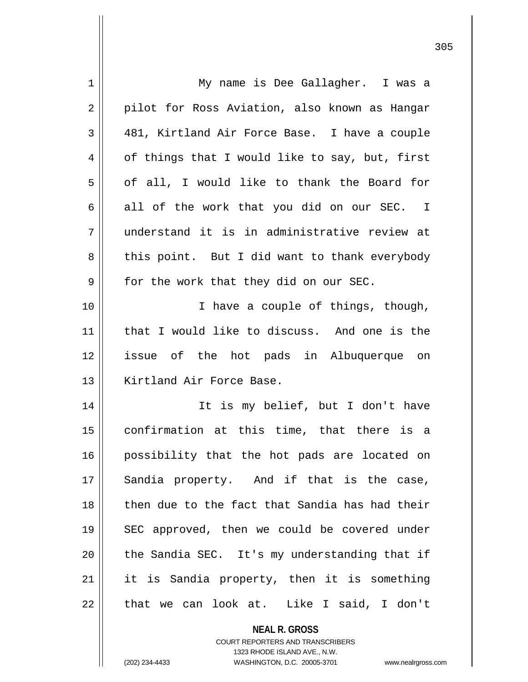| 1  | My name is Dee Gallagher. I was a              |
|----|------------------------------------------------|
| 2  | pilot for Ross Aviation, also known as Hangar  |
| 3  | 481, Kirtland Air Force Base. I have a couple  |
| 4  | of things that I would like to say, but, first |
| 5  | of all, I would like to thank the Board for    |
| 6  | all of the work that you did on our SEC. I     |
| 7  | understand it is in administrative review at   |
| 8  | this point. But I did want to thank everybody  |
| 9  | for the work that they did on our SEC.         |
| 10 | I have a couple of things, though,             |
| 11 | that I would like to discuss. And one is the   |
| 12 | issue of the hot pads in Albuquerque on        |
| 13 | Kirtland Air Force Base.                       |
| 14 | It is my belief, but I don't have              |
| 15 | confirmation at this time, that there is a     |
| 16 | possibility that the hot pads are located on   |
| 17 | Sandia property. And if that is the case,      |
| 18 | then due to the fact that Sandia has had their |
| 19 | SEC approved, then we could be covered under   |
| 20 | the Sandia SEC. It's my understanding that if  |
| 21 | it is Sandia property, then it is something    |
| 22 | that we can look at. Like I said, I don't      |
|    | <b>NEAL R. GROSS</b>                           |

1323 RHODE ISLAND AVE., N.W. (202) 234-4433 WASHINGTON, D.C. 20005-3701 www.nealrgross.com

COURT REPORTERS AND TRANSCRIBERS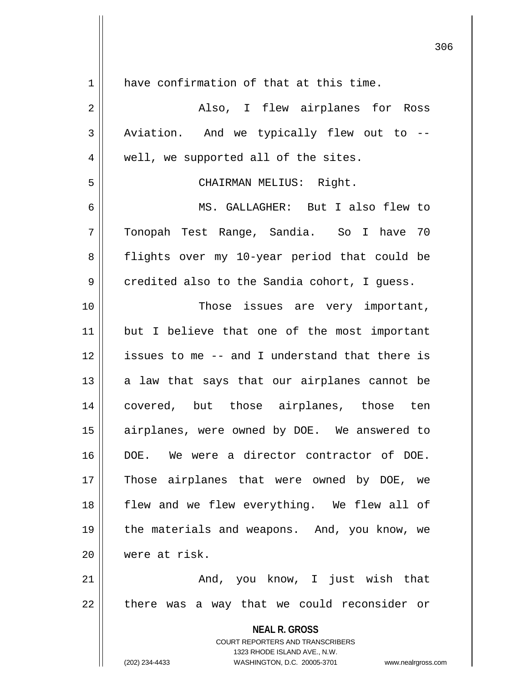| $1\,$          | have confirmation of that at this time.                             |
|----------------|---------------------------------------------------------------------|
| $\overline{2}$ | Also, I flew airplanes for Ross                                     |
| 3              | Aviation. And we typically flew out to --                           |
| 4              | well, we supported all of the sites.                                |
| 5              | CHAIRMAN MELIUS: Right.                                             |
| 6              | MS. GALLAGHER: But I also flew to                                   |
| 7              | Tonopah Test Range, Sandia. So I have 70                            |
| 8              | flights over my 10-year period that could be                        |
| 9              | credited also to the Sandia cohort, I guess.                        |
| 10             | Those issues are very important,                                    |
| 11             | but I believe that one of the most important                        |
| 12             | issues to me -- and I understand that there is                      |
| 13             | a law that says that our airplanes cannot be                        |
| 14             | covered, but those airplanes, those ten                             |
| 15             | airplanes, were owned by DOE. We answered to                        |
| 16             | We were a director contractor of DOE.<br>DOE.                       |
| 17             | Those airplanes that were owned by DOE, we                          |
| 18             | flew and we flew everything. We flew all of                         |
| 19             | the materials and weapons. And, you know, we                        |
| 20             | were at risk.                                                       |
| 21             | And, you know, I just wish that                                     |
| 22             | there was a way that we could reconsider or                         |
|                | <b>NEAL R. GROSS</b>                                                |
|                | <b>COURT REPORTERS AND TRANSCRIBERS</b>                             |
|                | 1323 RHODE ISLAND AVE., N.W.                                        |
|                | (202) 234-4433<br>WASHINGTON, D.C. 20005-3701<br>www.nealrgross.com |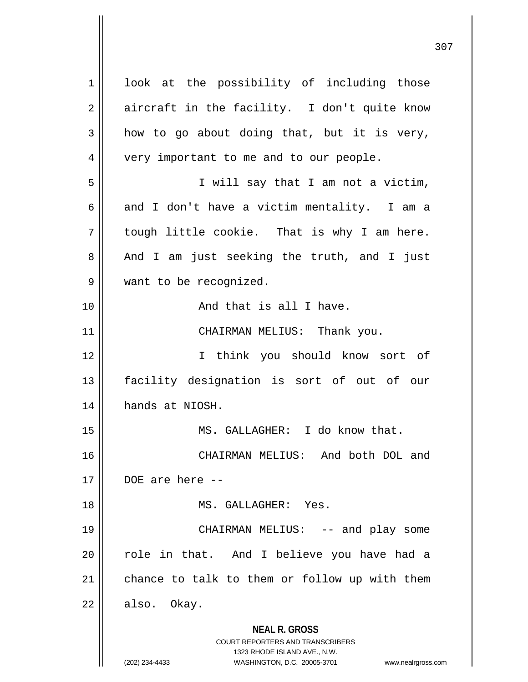**NEAL R. GROSS** COURT REPORTERS AND TRANSCRIBERS 1323 RHODE ISLAND AVE., N.W. (202) 234-4433 WASHINGTON, D.C. 20005-3701 www.nealrgross.com 1 || look at the possibility of including those  $2 \parallel$  aircraft in the facility. I don't quite know  $3 \parallel$  how to go about doing that, but it is very, 4 | very important to me and to our people. 5 || I will say that I am not a victim, 6 and I don't have a victim mentality. I am a  $7 \parallel$  tough little cookie. That is why I am here. 8 and I am just seeking the truth, and I just 9 | want to be recognized. 10 || That is all I have. 11 | CHAIRMAN MELIUS: Thank you. 12 I think you should know sort of 13 facility designation is sort of out of our 14 | hands at NIOSH. 15 || MS. GALLAGHER: I do know that. 16 CHAIRMAN MELIUS: And both DOL and  $17$  | DOE are here --18 MS. GALLAGHER: Yes. 19 CHAIRMAN MELIUS: -- and play some 20 || role in that. And I believe you have had a  $21$  chance to talk to them or follow up with them  $22$  | also. Okay.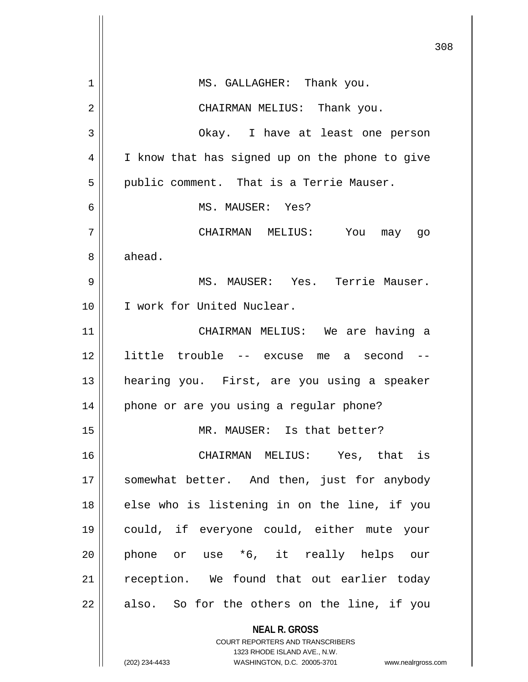|             | 308                                                      |
|-------------|----------------------------------------------------------|
| $\mathbf 1$ | MS. GALLAGHER: Thank you.                                |
| 2           | CHAIRMAN MELIUS: Thank you.                              |
| 3           | Okay. I have at least one person                         |
| 4           | I know that has signed up on the phone to give           |
| 5           | public comment. That is a Terrie Mauser.                 |
| 6           | MS. MAUSER: Yes?                                         |
| 7           | CHAIRMAN MELIUS: You may go                              |
| 8           | ahead.                                                   |
| 9           | MS. MAUSER: Yes. Terrie Mauser.                          |
| 10          | I work for United Nuclear.                               |
| 11          | CHAIRMAN MELIUS: We are having a                         |
| 12          | little trouble -- excuse me a second --                  |
| 13          | hearing you. First, are you using a speaker              |
| 14          | phone or are you using a regular phone?                  |
| 15          | MR. MAUSER: Is that better?                              |
| 16          | CHAIRMAN MELIUS: Yes, that is                            |
| 17          | somewhat better. And then, just for anybody              |
| 18          | else who is listening in on the line, if you             |
| 19          | could, if everyone could, either mute your               |
| 20          | phone or use *6, it really helps our                     |
| 21          | reception. We found that out earlier today               |
| 22          | also. So for the others on the line, if you              |
|             | <b>NEAL R. GROSS</b><br>COURT REPORTERS AND TRANSCRIBERS |

1323 RHODE ISLAND AVE., N.W.

 $\mathsf{II}$ 

 $\mathsf{I}$ 

(202) 234-4433 WASHINGTON, D.C. 20005-3701 www.nealrgross.com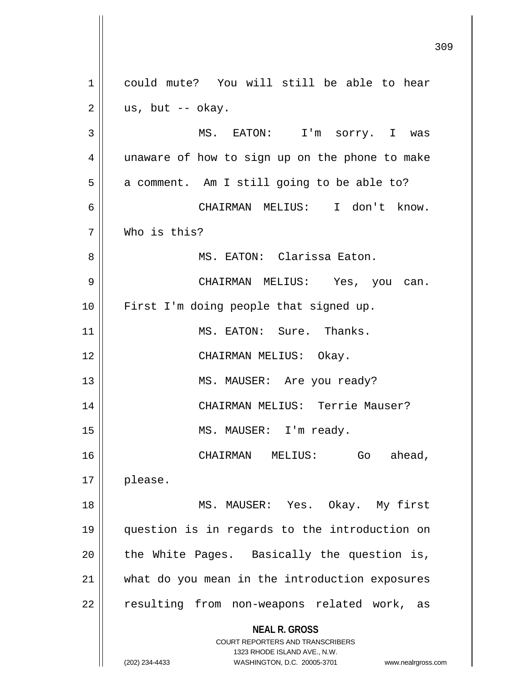**NEAL R. GROSS** COURT REPORTERS AND TRANSCRIBERS 1323 RHODE ISLAND AVE., N.W. (202) 234-4433 WASHINGTON, D.C. 20005-3701 www.nealrgross.com 1 could mute? You will still be able to hear  $2 \parallel$  us, but -- okay. 3 MS. EATON: I'm sorry. I was 4 || unaware of how to sign up on the phone to make  $5 \parallel$  a comment. Am I still going to be able to? 6 CHAIRMAN MELIUS: I don't know. 7 Who is this? 8 MS. EATON: Clarissa Eaton. 9 CHAIRMAN MELIUS: Yes, you can. 10 || First I'm doing people that signed up. 11 || MS. EATON: Sure. Thanks. 12 CHAIRMAN MELIUS: Okay. 13 || MS. MAUSER: Are you ready? 14 CHAIRMAN MELIUS: Terrie Mauser? 15 || MS. MAUSER: I'm ready. 16 CHAIRMAN MELIUS: Go ahead, 17 please. 18 || MS. MAUSER: Yes. Okay. My first 19 question is in regards to the introduction on  $20$  || the White Pages. Basically the question is, 21 what do you mean in the introduction exposures 22 || resulting from non-weapons related work, as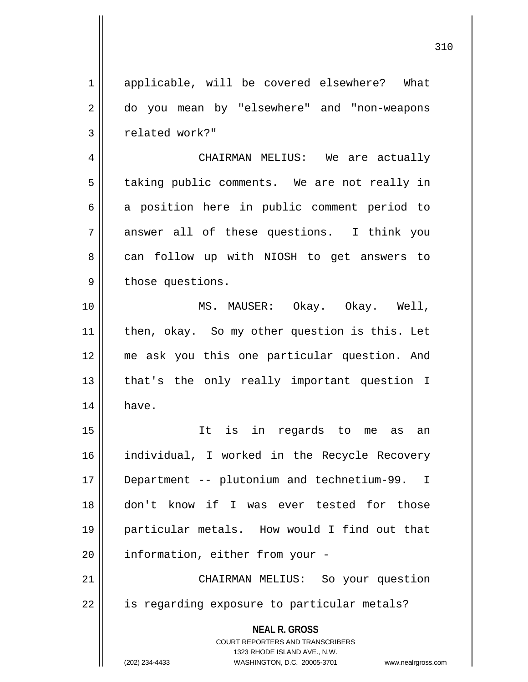**NEAL R. GROSS** COURT REPORTERS AND TRANSCRIBERS 1323 RHODE ISLAND AVE., N.W. 1 applicable, will be covered elsewhere? What 2 do you mean by "elsewhere" and "non-weapons 3 | related work?" 4 CHAIRMAN MELIUS: We are actually 5 | taking public comments. We are not really in  $6 \parallel$  a position here in public comment period to 7 answer all of these questions. I think you 8 can follow up with NIOSH to get answers to 9 || those questions. 10 MS. MAUSER: Okay. Okay. Well, 11 || then, okay. So my other question is this. Let 12 me ask you this one particular question. And 13 || that's the only really important question I  $14 \parallel$  have. 15 It is in regards to me as an 16 individual, I worked in the Recycle Recovery 17 Department -- plutonium and technetium-99. I 18 don't know if I was ever tested for those 19 particular metals. How would I find out that 20 | information, either from your -21 CHAIRMAN MELIUS: So your question 22 || is regarding exposure to particular metals?

(202) 234-4433 WASHINGTON, D.C. 20005-3701 www.nealrgross.com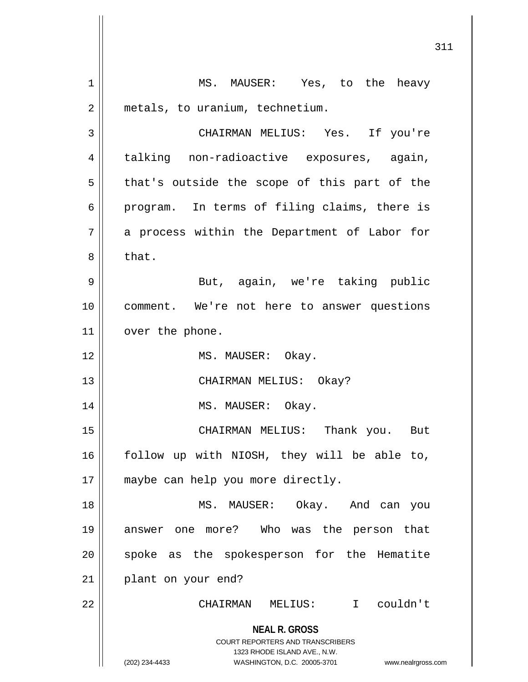**NEAL R. GROSS** COURT REPORTERS AND TRANSCRIBERS 1323 RHODE ISLAND AVE., N.W. (202) 234-4433 WASHINGTON, D.C. 20005-3701 www.nealrgross.com 1 MS. MAUSER: Yes, to the heavy 2 | metals, to uranium, technetium. 3 CHAIRMAN MELIUS: Yes. If you're 4 || talking non-radioactive exposures, again,  $5 \parallel$  that's outside the scope of this part of the  $6 \parallel$  program. In terms of filing claims, there is 7 || a process within the Department of Labor for  $8 \parallel$  that. 9 || But, again, we're taking public 10 comment. We're not here to answer questions 11 | over the phone. 12 || MS. MAUSER: Okay. 13 || CHAIRMAN MELIUS: Okay? 14 || MS. MAUSER: Okay. 15 CHAIRMAN MELIUS: Thank you. But 16 || follow up with NIOSH, they will be able to, 17 || maybe can help you more directly. 18 MS. MAUSER: Okay. And can you 19 answer one more? Who was the person that 20 || spoke as the spokesperson for the Hematite 21 | plant on your end? 22 CHAIRMAN MELIUS: I couldn't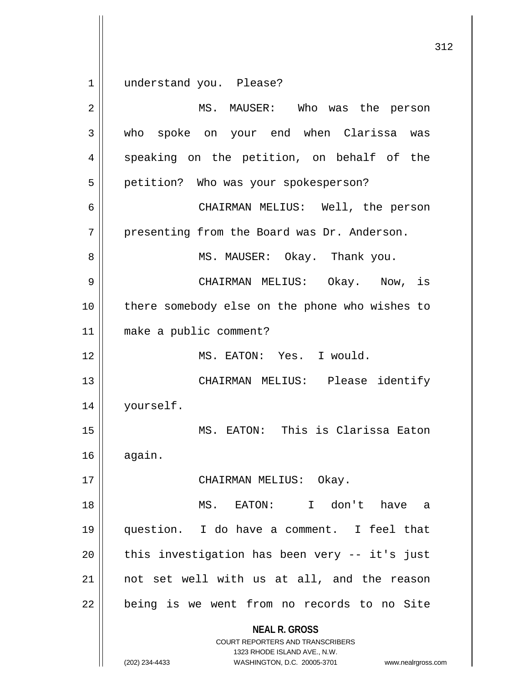1 understand you. Please?

| 2          | MS. MAUSER: Who was the person                                                                                                                                  |
|------------|-----------------------------------------------------------------------------------------------------------------------------------------------------------------|
| 3          | who spoke on your end when Clarissa was                                                                                                                         |
| 4          | speaking on the petition, on behalf of the                                                                                                                      |
| 5          | petition? Who was your spokesperson?                                                                                                                            |
| $\epsilon$ | CHAIRMAN MELIUS: Well, the person                                                                                                                               |
| 7          | presenting from the Board was Dr. Anderson.                                                                                                                     |
| 8          | MS. MAUSER: Okay. Thank you.                                                                                                                                    |
| 9          | CHAIRMAN MELIUS: Okay. Now, is                                                                                                                                  |
| 10         | there somebody else on the phone who wishes to                                                                                                                  |
| 11         | make a public comment?                                                                                                                                          |
| 12         | MS. EATON: Yes. I would.                                                                                                                                        |
| 13         | CHAIRMAN MELIUS: Please identify                                                                                                                                |
| 14         | yourself.                                                                                                                                                       |
| 15         | MS. EATON: This is Clarissa Eaton                                                                                                                               |
| 16         | again.                                                                                                                                                          |
| 17         | CHAIRMAN MELIUS: Okay.                                                                                                                                          |
| 18         | MS. EATON: I don't have a                                                                                                                                       |
| 19         | question. I do have a comment. I feel that                                                                                                                      |
| 20         | this investigation has been very -- it's just                                                                                                                   |
| 21         | not set well with us at all, and the reason                                                                                                                     |
| 22         | being is we went from no records to no Site                                                                                                                     |
|            | <b>NEAL R. GROSS</b><br>COURT REPORTERS AND TRANSCRIBERS<br>1323 RHODE ISLAND AVE., N.W.<br>(202) 234-4433<br>WASHINGTON, D.C. 20005-3701<br>www.nealrgross.com |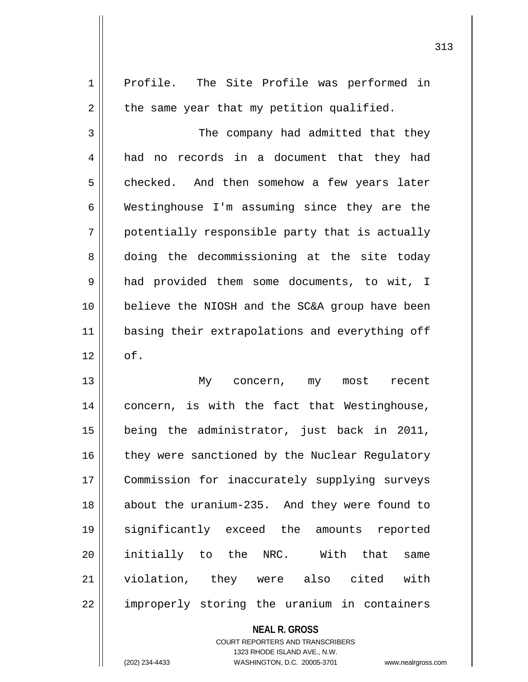| $\mathbf 1$ | Profile. The Site Profile was performed in     |
|-------------|------------------------------------------------|
| 2           | the same year that my petition qualified.      |
| 3           | The company had admitted that they             |
| 4           | had no records in a document that they had     |
|             |                                                |
| 5           | checked.<br>And then somehow a few years later |
| 6           | Westinghouse I'm assuming since they are the   |
| 7           | potentially responsible party that is actually |
| 8           | doing the decommissioning at the site today    |
| 9           | had provided them some documents, to wit, I    |
| 10          | believe the NIOSH and the SC&A group have been |
| 11          | basing their extrapolations and everything off |
| 12          | of.                                            |
| 13          | My concern, my most<br>recent                  |
| 14          | concern, is with the fact that Westinghouse,   |
| 15          | being the administrator, just back in 2011,    |
| 16          | they were sanctioned by the Nuclear Regulatory |
| 17          | Commission for inaccurately supplying surveys  |
| 18          | about the uranium-235. And they were found to  |
| 19          | significantly exceed the amounts reported      |
| 20          | initially to the NRC. With that<br>same        |
| 21          | violation, they were also cited with           |
|             |                                                |

**NEAL R. GROSS** COURT REPORTERS AND TRANSCRIBERS

1323 RHODE ISLAND AVE., N.W.

(202) 234-4433 WASHINGTON, D.C. 20005-3701 www.nealrgross.com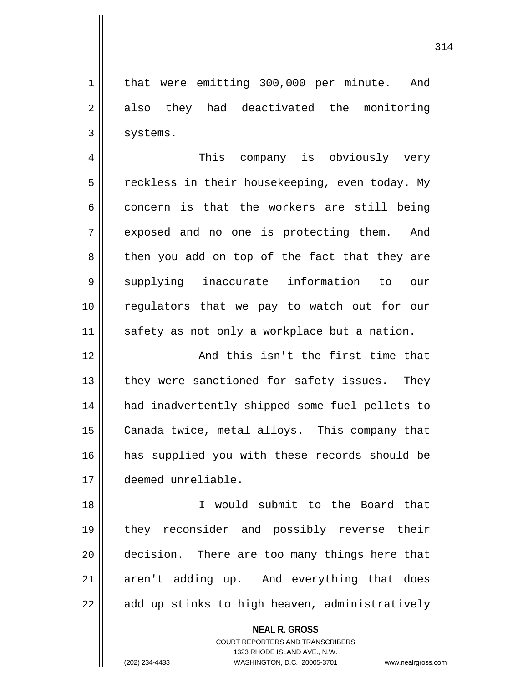314

1 || that were emitting 300,000 per minute. And  $2 \parallel$  also they had deactivated the monitoring 3 | systems.

4 This company is obviously very  $5 \parallel$  reckless in their housekeeping, even today. My  $6 \parallel$  concern is that the workers are still being 7 || exposed and no one is protecting them. And 8 || then you add on top of the fact that they are 9 Supplying inaccurate information to our 10 regulators that we pay to watch out for our  $11$  safety as not only a workplace but a nation.

12 || And this isn't the first time that | they were sanctioned for safety issues. They had inadvertently shipped some fuel pellets to Canada twice, metal alloys. This company that has supplied you with these records should be deemed unreliable.

 I would submit to the Board that they reconsider and possibly reverse their decision. There are too many things here that aren't adding up. And everything that does || add up stinks to high heaven, administratively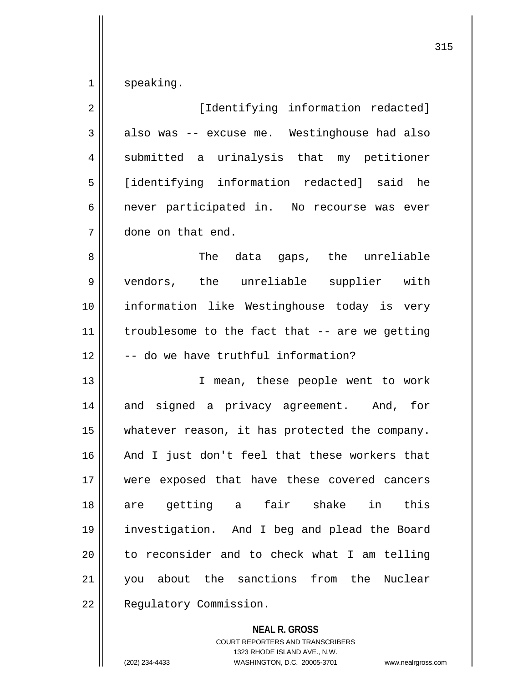$1 \parallel$  speaking.

| $\overline{2}$ | [Identifying information redacted]             |
|----------------|------------------------------------------------|
| 3              | also was -- excuse me. Westinghouse had also   |
| 4              | submitted a urinalysis that my petitioner      |
| 5              | [identifying information redacted] said he     |
| 6              | never participated in. No recourse was ever    |
| 7              | done on that end.                              |
| 8              | The data gaps, the unreliable                  |
| 9              | vendors, the unreliable supplier with          |
| 10             | information like Westinghouse today is very    |
| 11             | troublesome to the fact that -- are we getting |
| 12             | -- do we have truthful information?            |
| 13             | I mean, these people went to work              |
| 14             | and signed a privacy agreement. And, for       |
| 15             | whatever reason, it has protected the company. |

16 || And I just don't feel that these workers that 17 || were exposed that have these covered cancers 18 are getting a fair shake in this investigation. And I beg and plead the Board | to reconsider and to check what I am telling 21 || you about the sanctions from the Nuclear 22 | Regulatory Commission.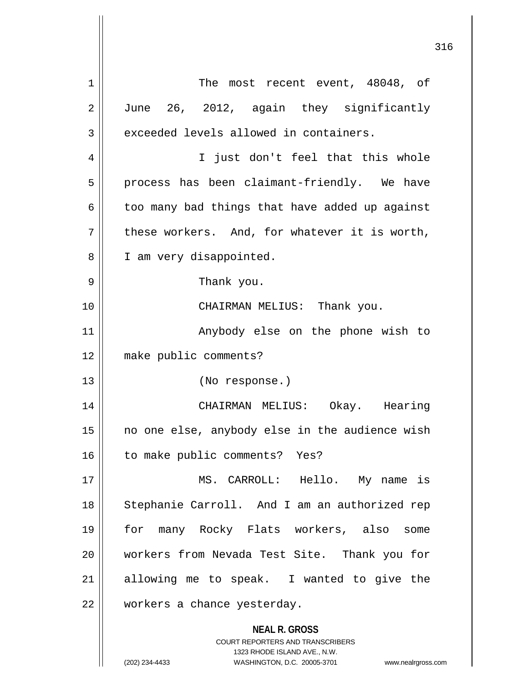| 1  | The most recent event, 48048, of                                                                                                                                      |
|----|-----------------------------------------------------------------------------------------------------------------------------------------------------------------------|
| 2  | June 26, 2012, again they significantly                                                                                                                               |
| 3  | exceeded levels allowed in containers.                                                                                                                                |
| 4  | I just don't feel that this whole                                                                                                                                     |
| 5  | process has been claimant-friendly. We have                                                                                                                           |
| 6  | too many bad things that have added up against                                                                                                                        |
| 7  | these workers. And, for whatever it is worth,                                                                                                                         |
| 8  | I am very disappointed.                                                                                                                                               |
| 9  | Thank you.                                                                                                                                                            |
| 10 | CHAIRMAN MELIUS: Thank you.                                                                                                                                           |
| 11 | Anybody else on the phone wish to                                                                                                                                     |
| 12 | make public comments?                                                                                                                                                 |
| 13 | (No response.)                                                                                                                                                        |
| 14 | CHAIRMAN MELIUS: Okay. Hearing                                                                                                                                        |
| 15 | no one else, anybody else in the audience wish                                                                                                                        |
| 16 | to make public comments? Yes?                                                                                                                                         |
| 17 | MS. CARROLL: Hello. My name is                                                                                                                                        |
| 18 | Stephanie Carroll. And I am an authorized rep                                                                                                                         |
| 19 | many Rocky Flats workers, also some<br>for                                                                                                                            |
| 20 | workers from Nevada Test Site. Thank you for                                                                                                                          |
| 21 | allowing me to speak. I wanted to give the                                                                                                                            |
| 22 | workers a chance yesterday.                                                                                                                                           |
|    | <b>NEAL R. GROSS</b><br><b>COURT REPORTERS AND TRANSCRIBERS</b><br>1323 RHODE ISLAND AVE., N.W.<br>(202) 234-4433<br>WASHINGTON, D.C. 20005-3701<br>www.nealrgross.co |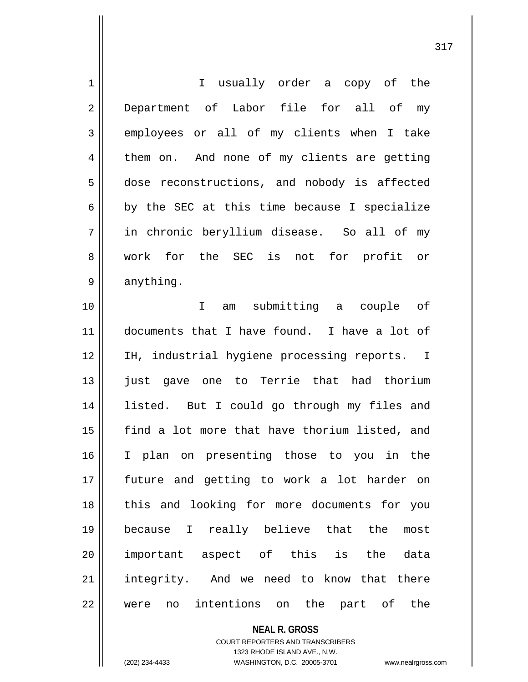1 || I usually order a copy of the 2 Department of Labor file for all of my 3 employees or all of my clients when I take 4 them on. And none of my clients are getting 5 dose reconstructions, and nobody is affected  $6 \parallel$  by the SEC at this time because I specialize 7 in chronic beryllium disease. So all of my 8 work for the SEC is not for profit or 9 | anything. 10 I am submitting a couple of 11 documents that I have found. I have a lot of 12 IH, industrial hygiene processing reports. I 13 just gave one to Terrie that had thorium 14 listed. But I could go through my files and 15 || find a lot more that have thorium listed, and 16 I plan on presenting those to you in the 17 future and getting to work a lot harder on 18 || this and looking for more documents for you 19 because I really believe that the most 20 important aspect of this is the data 21 || integrity. And we need to know that there 22 || were no intentions on the part of the

**NEAL R. GROSS**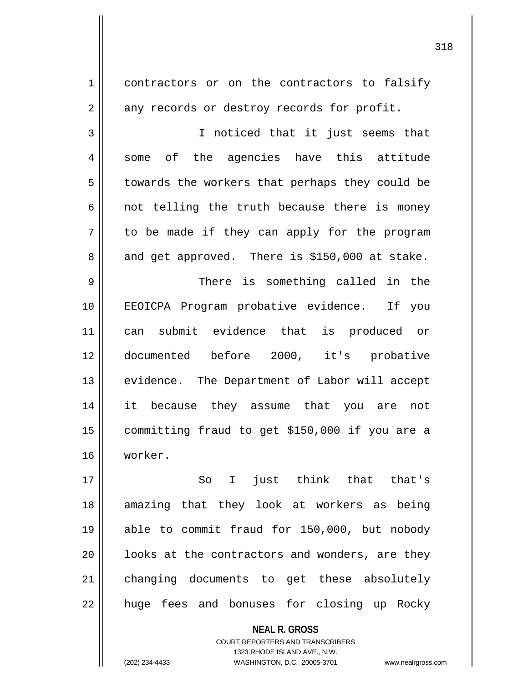1 contractors or on the contractors to falsify  $2 \parallel$  any records or destroy records for profit. 3 || I noticed that it just seems that 4 || some of the agencies have this attitude  $5$  towards the workers that perhaps they could be  $6 \parallel$  not telling the truth because there is money  $7 \parallel$  to be made if they can apply for the program  $8 \parallel$  and get approved. There is \$150,000 at stake. 9 There is something called in the 10 EEOICPA Program probative evidence. If you 11 can submit evidence that is produced or 12 documented before 2000, it's probative 13 || evidence. The Department of Labor will accept 14 it because they assume that you are not 15 committing fraud to get \$150,000 if you are a 16 worker. 17 So I just think that that's 18 amazing that they look at workers as being 19 able to commit fraud for 150,000, but nobody

21 changing documents to get these absolutely  $22$  || huge fees and bonuses for closing up Rocky

 $20$  ||  $100$ ks at the contractors and wonders, are they

**NEAL R. GROSS** COURT REPORTERS AND TRANSCRIBERS 1323 RHODE ISLAND AVE., N.W. (202) 234-4433 WASHINGTON, D.C. 20005-3701 www.nealrgross.com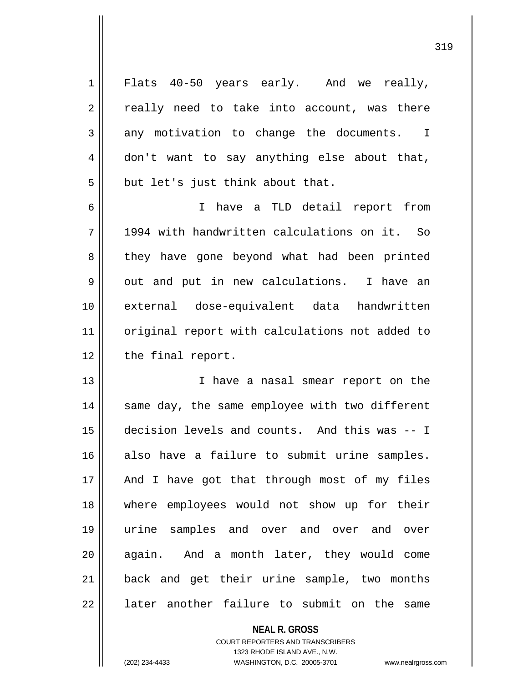$1 \parallel$  Flats 40-50 years early. And we really,  $2 \parallel$  really need to take into account, was there  $3 \parallel$  any motivation to change the documents. I  $4 \parallel$  don't want to say anything else about that,  $5 \parallel$  but let's just think about that. 6 I have a TLD detail report from 7 1994 with handwritten calculations on it. So 8 || they have gone beyond what had been printed  $9 \parallel$  out and put in new calculations. I have an 10 external dose-equivalent data handwritten 11 | original report with calculations not added to 12 | the final report. 13 || I have a nasal smear report on the 14 || same day, the same employee with two different 15 decision levels and counts. And this was -- I 16 also have a failure to submit urine samples.  $17$  || And I have got that through most of my files 18 where employees would not show up for their 19 urine samples and over and over and over 20 || again. And a month later, they would come 21 || back and get their urine sample, two months  $22$  || later another failure to submit on the same

**NEAL R. GROSS**

COURT REPORTERS AND TRANSCRIBERS 1323 RHODE ISLAND AVE., N.W. (202) 234-4433 WASHINGTON, D.C. 20005-3701 www.nealrgross.com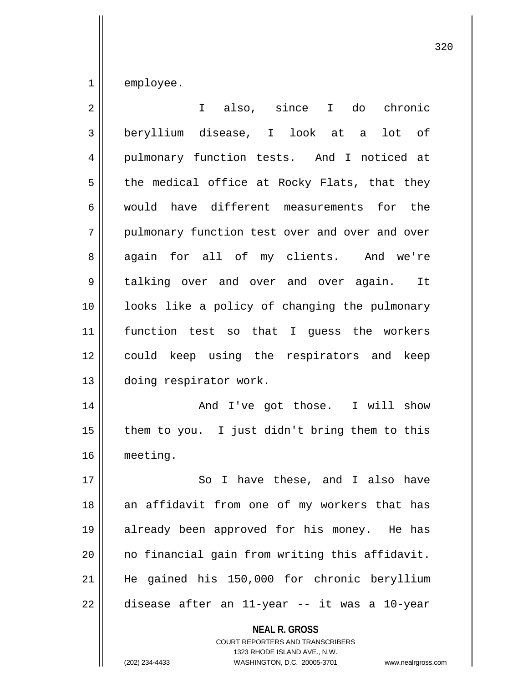$1 \parallel$  employee.

| $\overline{2}$ | I also, since I do chronic                               |
|----------------|----------------------------------------------------------|
| 3              | beryllium disease, I look at a<br>lot of                 |
| 4              | pulmonary function tests. And I noticed at               |
| 5              | the medical office at Rocky Flats, that they             |
| 6              | would have different measurements for the                |
| 7              | pulmonary function test over and over and over           |
| 8              | again for all of my clients. And we're                   |
| 9              | talking over and over and over again. It                 |
| 10             | looks like a policy of changing the pulmonary            |
| 11             | function test so that I guess the workers                |
| 12             | could keep using the respirators and keep                |
| 13             | doing respirator work.                                   |
| 14             | And I've got those. I will show                          |
| 15             | them to you. I just didn't bring them to this            |
| 16             | meeting.                                                 |
| 17             | I have these, and I also have<br>So                      |
| 18             | an affidavit from one of my workers that has             |
| 19             | already been approved for his money. He has              |
| 20             | no financial gain from writing this affidavit.           |
| 21             | He gained his 150,000 for chronic beryllium              |
| 22             | disease after an 11-year -- it was a 10-year             |
|                | <b>NEAL R. GROSS</b><br>COURT REPORTERS AND TRANSCRIBERS |

1323 RHODE ISLAND AVE., N.W.

 $\prod$ 

(202) 234-4433 WASHINGTON, D.C. 20005-3701 www.nealrgross.com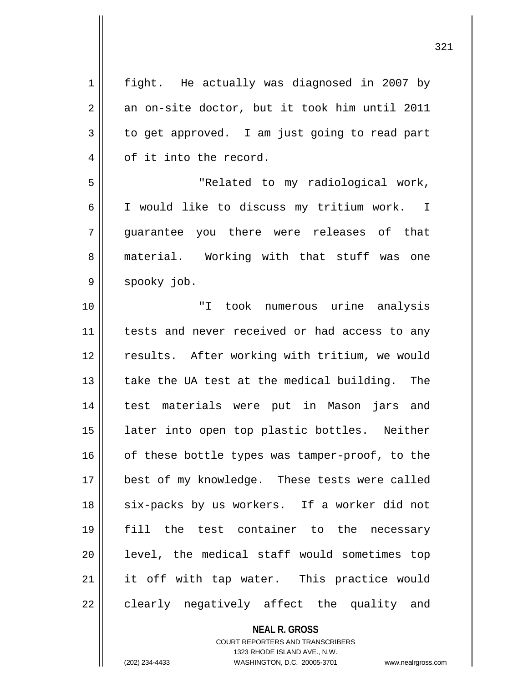| $\mathbf 1$ | fight. He actually was diagnosed in 2007 by    |
|-------------|------------------------------------------------|
| 2           | an on-site doctor, but it took him until 2011  |
| 3           | to get approved. I am just going to read part  |
| 4           | of it into the record.                         |
| 5           | "Related to my radiological work,              |
| 6           | I would like to discuss my tritium work. I     |
| 7           | guarantee you there were releases of that      |
| 8           | material. Working with that stuff was one      |
| 9           | spooky job.                                    |
| 10          | "I took numerous urine analysis                |
| 11          | tests and never received or had access to any  |
| 12          | results. After working with tritium, we would  |
| 13          | take the UA test at the medical building. The  |
| 14          | test materials were put in Mason jars and      |
| 15          | later into open top plastic bottles. Neither   |
| 16          | of these bottle types was tamper-proof, to the |
| 17          | best of my knowledge. These tests were called  |
| 18          | six-packs by us workers. If a worker did not   |
| 19          | fill the test container to the necessary       |
| 20          | level, the medical staff would sometimes top   |
| 21          | it off with tap water. This practice would     |
| 22          | clearly negatively affect the quality and      |

## **NEAL R. GROSS**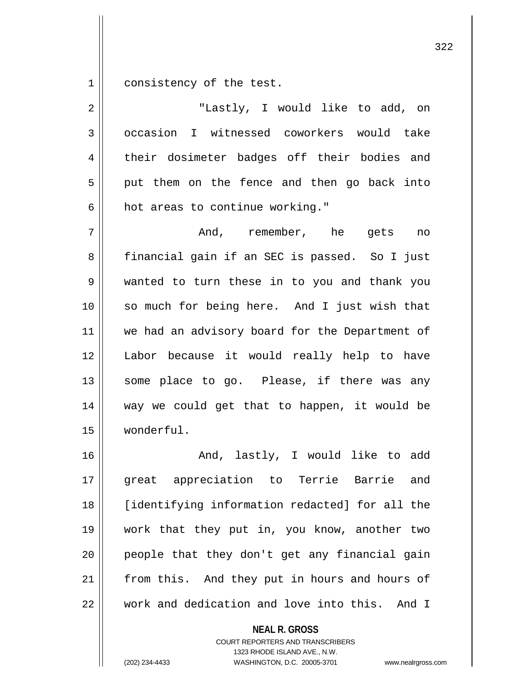1 consistency of the test.

| $\overline{2}$ | "Lastly, I would like to add, on               |
|----------------|------------------------------------------------|
| 3              | occasion I witnessed coworkers would take      |
| 4              | their dosimeter badges off their bodies and    |
| 5              | put them on the fence and then go back into    |
| 6              | hot areas to continue working."                |
| 7              | And, remember, he gets no                      |
| 8              | financial gain if an SEC is passed. So I just  |
| 9              | wanted to turn these in to you and thank you   |
| 10             | so much for being here. And I just wish that   |
| 11             | we had an advisory board for the Department of |
| 12             | Labor because it would really help to have     |
| 13             | some place to go. Please, if there was any     |
| 14             | way we could get that to happen, it would be   |
| 15             | wonderful.                                     |
| 16             | And, lastly, I would like to add               |
| 17             | great appreciation to Terrie Barrie and        |
| 18             | [identifying information redacted] for all the |
| 19             | work that they put in, you know, another two   |
| 20             | people that they don't get any financial gain  |
| 21             | from this. And they put in hours and hours of  |
| 22             | work and dedication and love into this. And I  |

**NEAL R. GROSS** COURT REPORTERS AND TRANSCRIBERS

1323 RHODE ISLAND AVE., N.W.

(202) 234-4433 WASHINGTON, D.C. 20005-3701 www.nealrgross.com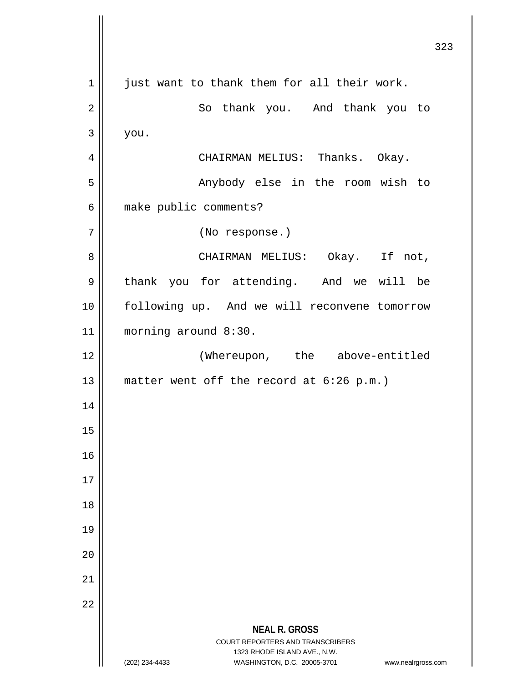**NEAL R. GROSS** COURT REPORTERS AND TRANSCRIBERS 1323 RHODE ISLAND AVE., N.W. (202) 234-4433 WASHINGTON, D.C. 20005-3701 www.nealrgross.com  $1 \parallel$  just want to thank them for all their work. 2 So thank you. And thank you to  $3 \parallel$  you. 4 CHAIRMAN MELIUS: Thanks. Okay. 5 Anybody else in the room wish to 6 | make public comments? 7 (No response.) 8 CHAIRMAN MELIUS: Okay. If not, 9 | thank you for attending. And we will be 10 following up. And we will reconvene tomorrow 11 | morning around 8:30. 12 || (Whereupon, the above-entitled 13  $\parallel$  matter went off the record at 6:26 p.m.) 14 15 16 17 18 19 20 21 22